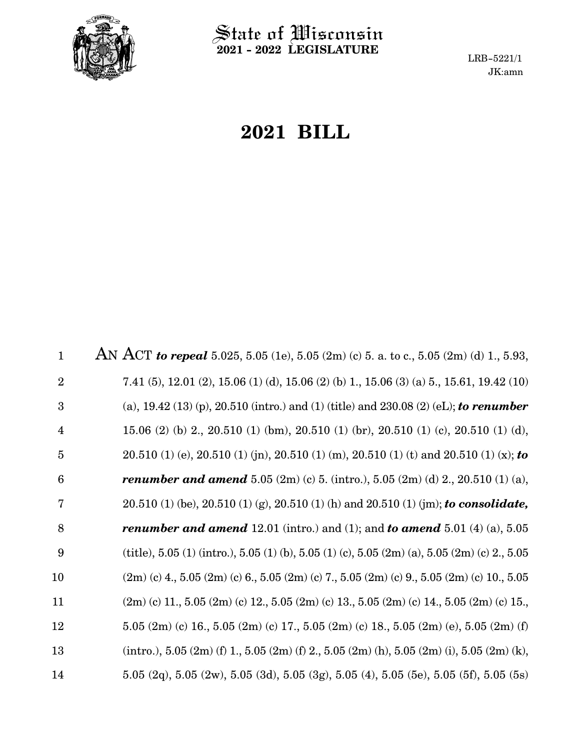

 $\hat{\mathbb{S}}$ tate of Wisconsin **2021 - 2022 LEGISLATURE**

LRB-5221/1 JK:amn

# **2021 BILL**

AN ACT *to repeal* 5.025, 5.05 (1e), 5.05 (2m) (c) 5. a. to c., 5.05 (2m) (d) 1., 5.93, 7.41 (5), 12.01 (2), 15.06 (1) (d), 15.06 (2) (b) 1., 15.06 (3) (a) 5., 15.61, 19.42 (10) (a), 19.42 (13) (p), 20.510 (intro.) and (1) (title) and 230.08 (2) (eL); *to renumber* 15.06 (2) (b) 2., 20.510 (1) (bm), 20.510 (1) (br), 20.510 (1) (c), 20.510 (1) (d), 20.510 (1) (e), 20.510 (1) (jn), 20.510 (1) (m), 20.510 (1) (t) and 20.510 (1) (x); *to renumber and amend* 5.05 (2m) (c) 5. (intro.), 5.05 (2m) (d) 2., 20.510 (1) (a), 20.510 (1) (be), 20.510 (1) (g), 20.510 (1) (h) and 20.510 (1) (jm); *to consolidate, renumber and amend* 12.01 (intro.) and (1); and *to amend* 5.01 (4) (a), 5.05 (title),  $5.05$  (1) (intro.),  $5.05$  (1) (b),  $5.05$  (1) (c),  $5.05$  (2m) (a),  $5.05$  (2m) (c) 2.,  $5.05$  $(2m)$  (c) 4., 5.05  $(2m)$  (c) 6., 5.05  $(2m)$  (c) 7., 5.05  $(2m)$  (c) 9., 5.05  $(2m)$  (c) 10., 5.05  $(2m)$  (c) 11., 5.05  $(2m)$  (c) 12., 5.05  $(2m)$  (c) 13., 5.05  $(2m)$  (c) 14., 5.05  $(2m)$  (c) 15., 5.05  $(2m)$  (c) 16., 5.05  $(2m)$  (c) 17., 5.05  $(2m)$  (c) 18., 5.05  $(2m)$  (e), 5.05  $(2m)$  (f)  $(intro.), 5.05 (2m) (f) 1., 5.05 (2m) (f) 2., 5.05 (2m) (h), 5.05 (2m) (i), 5.05 (2m) (k),$ 5.05 (2q), 5.05 (2w), 5.05 (3d), 5.05 (3g), 5.05 (4), 5.05 (5e), 5.05 (5f), 5.05 (5s) 1 2 3 4 5 6 7 8 9 10 11 12 13 14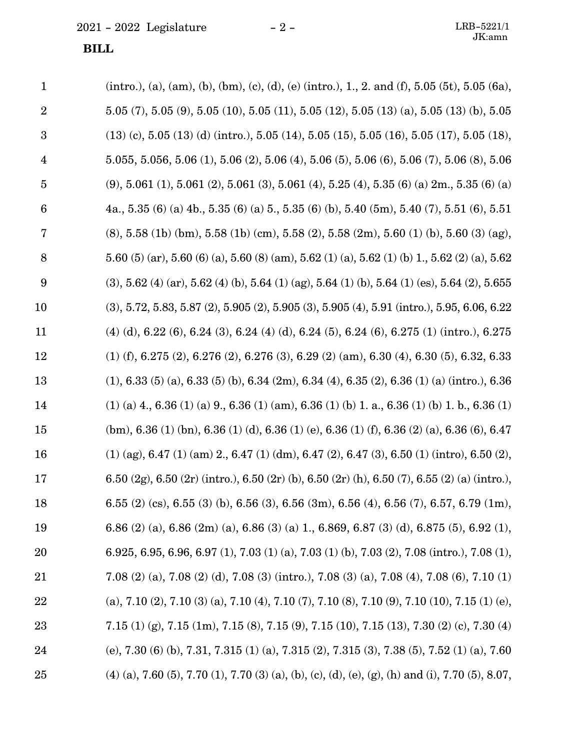## **BILL**

| $\mathbf{1}$            | (intro.), (a), (am), (b), (bm), (c), (d), (e) (intro.), 1., 2. and (f), 5.05 (5t), 5.05 (6a),               |
|-------------------------|-------------------------------------------------------------------------------------------------------------|
| $\sqrt{2}$              | $5.05$ (7), $5.05$ (9), $5.05$ (10), $5.05$ (11), $5.05$ (12), $5.05$ (13) (a), $5.05$ (13) (b), $5.05$     |
| $\boldsymbol{3}$        | $(13)$ (c), 5.05 (13) (d) (intro.), 5.05 (14), 5.05 (15), 5.05 (16), 5.05 (17), 5.05 (18),                  |
| $\overline{\mathbf{4}}$ | $5.055, 5.056, 5.06$ (1), $5.06$ (2), $5.06$ (4), $5.06$ (5), $5.06$ (6), $5.06$ (7), $5.06$ (8), $5.06$    |
| $\overline{5}$          | $(9, 5.061 (1), 5.061 (2), 5.061 (3), 5.061 (4), 5.25 (4), 5.35 (6) (a) 2m, 5.35 (6) (a)$                   |
| 6                       | 4a., 5.35 (6) (a) 4b., 5.35 (6) (a) 5., 5.35 (6) (b), 5.40 (5m), 5.40 (7), 5.51 (6), 5.51                   |
| 7                       | $(8)$ , 5.58 (1b) (bm), 5.58 (1b) (cm), 5.58 (2), 5.58 (2m), 5.60 (1) (b), 5.60 (3) (ag),                   |
| 8                       | 5.60 (5) (ar), 5.60 (6) (a), 5.60 (8) (am), 5.62 (1) (a), 5.62 (1) (b) 1, 5.62 (2) (a), 5.62                |
| $\boldsymbol{9}$        | $(3), 5.62$ (4) (ar), 5.62 (4) (b), 5.64 (1) (ag), 5.64 (1) (b), 5.64 (1) (es), 5.64 (2), 5.655             |
| 10                      | $(3), 5.72, 5.83, 5.87, (2), 5.905, (2), 5.905, (3), 5.905, (4), 5.91, (intro.), 5.95, 6.06, 6.22,$         |
| 11                      | $(4)$ (d), 6.22 (6), 6.24 (3), 6.24 (4) (d), 6.24 (5), 6.24 (6), 6.275 (1) (intro.), 6.275                  |
| 12                      | $(1)$ (f), 6.275 (2), 6.276 (2), 6.276 (3), 6.29 (2) (am), 6.30 (4), 6.30 (5), 6.32, 6.33                   |
| 13                      | $(1), 6.33(5)(a), 6.33(5)(b), 6.34(2m), 6.34(4), 6.35(2), 6.36(1)(a)$ (intro.), 6.36                        |
| 14                      | $(1)$ (a) 4, 6.36 (1) (a) 9, 6.36 (1) (am), 6.36 (1) (b) 1. a, 6.36 (1) (b) 1. b, 6.36 (1)                  |
| 15                      | $(bm)$ , 6.36 (1) $(bn)$ , 6.36 (1) (d), 6.36 (1) (e), 6.36 (1) (f), 6.36 (2) (a), 6.36 (6), 6.47           |
| 16                      | $(1)$ (ag), 6.47 $(1)$ (am) 2., 6.47 $(1)$ (dm), 6.47 $(2)$ , 6.47 $(3)$ , 6.50 $(1)$ (intro), 6.50 $(2)$ , |
| 17                      | 6.50 (2g), 6.50 (2r) (intro.), 6.50 (2r) (b), 6.50 (2r) (h), 6.50 (7), 6.55 (2) (a) (intro.),               |
| 18                      | 6.55 (2) (cs), 6.55 (3) (b), 6.56 (3), 6.56 (3m), 6.56 (4), 6.56 (7), 6.57, 6.79 (1m),                      |
| 19                      | 6.86 (2) (a), 6.86 (2m) (a), 6.86 (3) (a) 1, 6.869, 6.87 (3) (d), 6.875 (5), 6.92 (1),                      |
| 20                      | 6.925, 6.95, 6.96, 6.97 (1), 7.03 (1) (a), 7.03 (1) (b), 7.03 (2), 7.08 (intro.), 7.08 (1),                 |
| 21                      | 7.08 (2) (a), 7.08 (2) (d), 7.08 (3) (intro.), 7.08 (3) (a), 7.08 (4), 7.08 (6), 7.10 (1)                   |
| 22                      | (a), 7.10 (2), 7.10 (3) (a), 7.10 (4), 7.10 (7), 7.10 (8), 7.10 (9), 7.10 (10), 7.15 (1) (e),               |
| 23                      | 7.15 (1) (g), 7.15 (1m), 7.15 (8), 7.15 (9), 7.15 (10), 7.15 (13), 7.30 (2) (c), 7.30 (4)                   |
| 24                      | (e), 7.30 (6) (b), 7.31, 7.315 (1) (a), 7.315 (2), 7.315 (3), 7.38 (5), 7.52 (1) (a), 7.60                  |
| 25                      | (4) (a), 7.60 (5), 7.70 (1), 7.70 (3) (a), (b), (c), (d), (e), (g), (h) and (i), 7.70 (5), 8.07,            |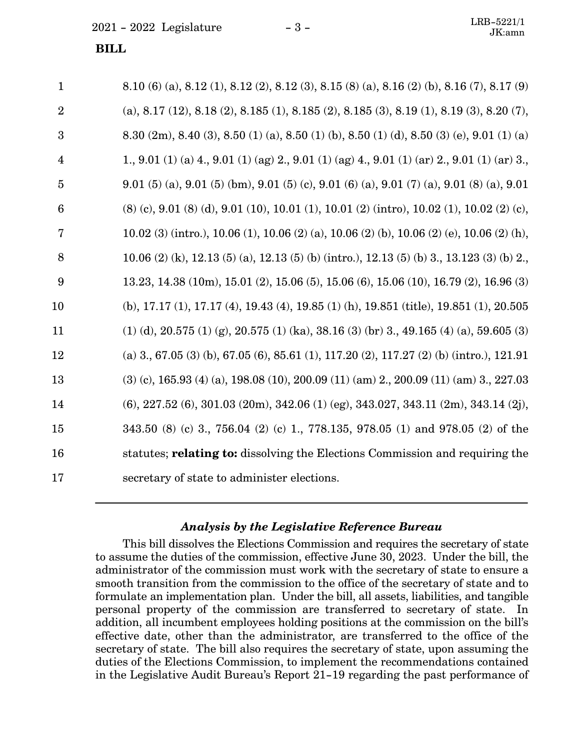#### **BILL**

| $\mathbf{1}$    | 8.10 (6) (a), 8.12 (1), 8.12 (2), 8.12 (3), 8.15 (8) (a), 8.16 (2) (b), 8.16 (7), 8.17 (9)                              |
|-----------------|-------------------------------------------------------------------------------------------------------------------------|
| $\overline{2}$  | (a), 8.17 (12), 8.18 (2), 8.185 (1), 8.185 (2), 8.185 (3), 8.19 (1), 8.19 (3), 8.20 (7),                                |
| 3               | 8.30 $(2m)$ , 8.40 $(3)$ , 8.50 $(1)$ $(a)$ , 8.50 $(1)$ $(b)$ , 8.50 $(1)$ $(d)$ , 8.50 $(3)$ $(e)$ , 9.01 $(1)$ $(a)$ |
| $\overline{4}$  | 1., 9.01 (1) (a) 4., 9.01 (1) (ag) 2., 9.01 (1) (ag) 4., 9.01 (1) (ar) 2., 9.01 (1) (ar) 3.,                            |
| $\overline{5}$  | 9.01 (5) (a), 9.01 (5) (bm), 9.01 (5) (c), 9.01 (6) (a), 9.01 (7) (a), 9.01 (8) (a), 9.01                               |
| $6\phantom{1}6$ | $(8)$ (c), 9.01 (8) (d), 9.01 (10), 10.01 (1), 10.01 (2) (intro), 10.02 (1), 10.02 (2) (c),                             |
| 7               | 10.02 (3) (intro.), 10.06 (1), 10.06 (2) (a), 10.06 (2) (b), 10.06 (2) (e), 10.06 (2) (h),                              |
| 8               | 10.06 (2) (k), 12.13 (5) (a), 12.13 (5) (b) (intro.), 12.13 (5) (b) 3, 13.123 (3) (b) 2,                                |
| 9               | 13.23, 14.38 (10m), 15.01 (2), 15.06 (5), 15.06 (6), 15.06 (10), 16.79 (2), 16.96 (3)                                   |
| 10              | (b), 17.17 (1), 17.17 (4), 19.43 (4), 19.85 (1) (h), 19.851 (title), 19.851 (1), 20.505                                 |
| 11              | $(1)$ (d), 20.575 (1) (g), 20.575 (1) (ka), 38.16 (3) (br) 3, 49.165 (4) (a), 59.605 (3)                                |
| 12              | (a) 3., 67.05 (3) (b), 67.05 (6), 85.61 (1), 117.20 (2), 117.27 (2) (b) (intro.), 121.91                                |
| 13              | $(3)$ (c), 165.93 (4) (a), 198.08 (10), 200.09 (11) (am) 2., 200.09 (11) (am) 3., 227.03                                |
| 14              | $(6)$ , 227.52 $(6)$ , 301.03 $(20m)$ , 342.06 $(1)$ $(eg)$ , 343.027, 343.11 $(2m)$ , 343.14 $(2j)$ ,                  |
| 15              | 343.50 (8) (c) 3., 756.04 (2) (c) 1., 778.135, 978.05 (1) and 978.05 (2) of the                                         |
| 16              | statutes; relating to: dissolving the Elections Commission and requiring the                                            |
| 17              | secretary of state to administer elections.                                                                             |

#### *Analysis by the Legislative Reference Bureau*

This bill dissolves the Elections Commission and requires the secretary of state to assume the duties of the commission, effective June 30, 2023. Under the bill, the administrator of the commission must work with the secretary of state to ensure a smooth transition from the commission to the office of the secretary of state and to formulate an implementation plan. Under the bill, all assets, liabilities, and tangible personal property of the commission are transferred to secretary of state. In addition, all incumbent employees holding positions at the commission on the bill's effective date, other than the administrator, are transferred to the office of the secretary of state. The bill also requires the secretary of state, upon assuming the duties of the Elections Commission, to implement the recommendations contained in the Legislative Audit Bureau's Report 21-19 regarding the past performance of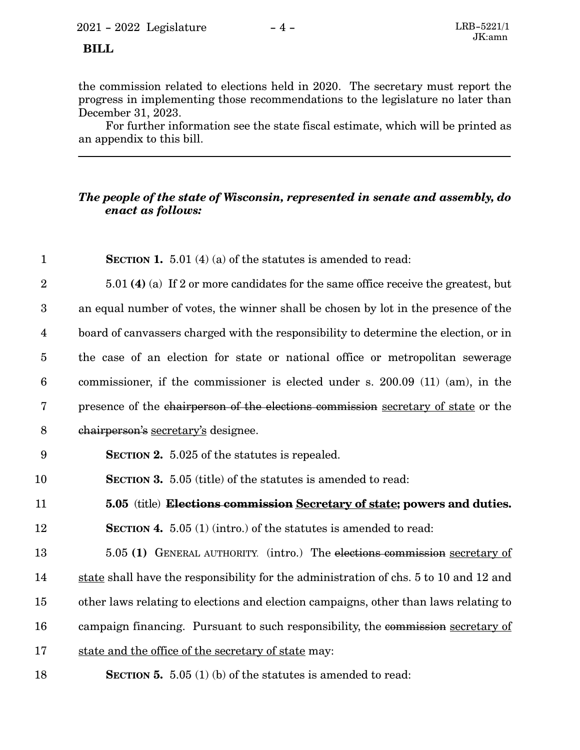### **BILL**

the commission related to elections held in 2020. The secretary must report the progress in implementing those recommendations to the legislature no later than December 31, 2023.

For further information see the state fiscal estimate, which will be printed as an appendix to this bill.

### *The people of the state of Wisconsin, represented in senate and assembly, do enact as follows:*

| $\mathbf{1}$            | <b>SECTION 1.</b> 5.01 (4) (a) of the statutes is amended to read:                    |
|-------------------------|---------------------------------------------------------------------------------------|
| $\overline{2}$          | 5.01 (4) (a) If 2 or more candidates for the same office receive the greatest, but    |
| 3                       | an equal number of votes, the winner shall be chosen by lot in the presence of the    |
| $\overline{\mathbf{4}}$ | board of canvassers charged with the responsibility to determine the election, or in  |
| $\overline{5}$          | the case of an election for state or national office or metropolitan sewerage         |
| $\boldsymbol{6}$        | commissioner, if the commissioner is elected under s. 200.09 (11) (am), in the        |
| $\overline{7}$          | presence of the chairperson of the elections commission secretary of state or the     |
| 8                       | chairperson's secretary's designee.                                                   |
| 9                       | <b>SECTION 2.</b> 5.025 of the statutes is repealed.                                  |
| 10                      | <b>SECTION 3.</b> 5.05 (title) of the statutes is amended to read:                    |
| 11                      | 5.05 (title) Elections commission Secretary of state; powers and duties.              |
| 12                      | <b>SECTION 4.</b> 5.05 (1) (intro.) of the statutes is amended to read:               |
| 13                      | 5.05 (1) GENERAL AUTHORITY. (intro.) The elections commission secretary of            |
| 14                      | state shall have the responsibility for the administration of chs. 5 to 10 and 12 and |
| 15                      | other laws relating to elections and election campaigns, other than laws relating to  |
| 16                      | campaign financing. Pursuant to such responsibility, the commission secretary of      |
| 17                      | state and the office of the secretary of state may:                                   |
| 18                      | <b>SECTION 5.</b> 5.05 (1) (b) of the statutes is amended to read:                    |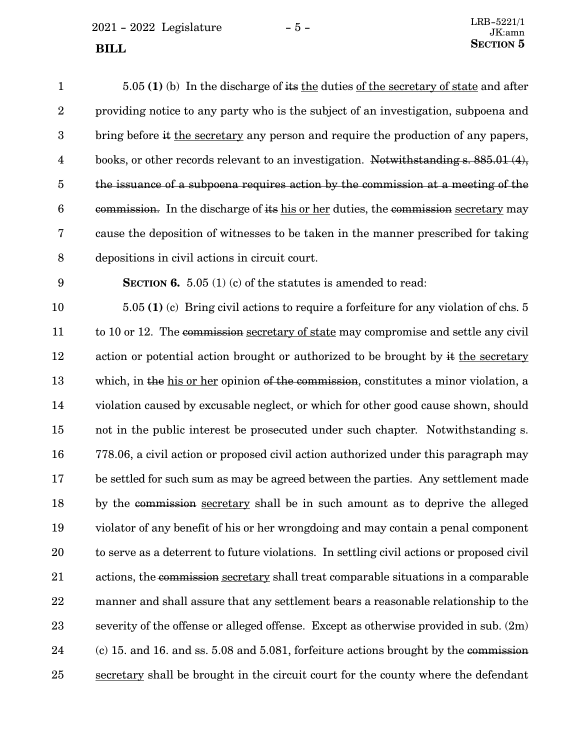| $\mathbf{1}$            | $5.05(1)$ (b) In the discharge of its the duties of the secretary of state and after      |
|-------------------------|-------------------------------------------------------------------------------------------|
| $\boldsymbol{2}$        | providing notice to any party who is the subject of an investigation, subpoena and        |
| $\boldsymbol{3}$        | bring before it the secretary any person and require the production of any papers,        |
| $\overline{\mathbf{4}}$ | books, or other records relevant to an investigation. Notwithstanding $s. 885.01(4)$ ,    |
| $\overline{5}$          | the issuance of a subpoena requires action by the commission at a meeting of the          |
| $6\phantom{.}6$         | commission. In the discharge of its his or her duties, the commission secretary may       |
| 7                       | cause the deposition of witnesses to be taken in the manner prescribed for taking         |
| $\boldsymbol{8}$        | depositions in civil actions in circuit court.                                            |
| $\boldsymbol{9}$        | <b>SECTION 6.</b> 5.05 (1) (c) of the statutes is amended to read:                        |
| 10                      | 5.05 (1) (c) Bring civil actions to require a forfeiture for any violation of chs. 5      |
| 11                      | to 10 or 12. The commission secretary of state may compromise and settle any civil        |
| 12                      | action or potential action brought or authorized to be brought by it the secretary        |
| 13                      | which, in the his or her opinion of the commission, constitutes a minor violation, a      |
| 14                      | violation caused by excusable neglect, or which for other good cause shown, should        |
| 15                      | not in the public interest be prosecuted under such chapter. Notwithstanding s.           |
| 16                      | 778.06, a civil action or proposed civil action authorized under this paragraph may       |
| 17                      | be settled for such sum as may be agreed between the parties. Any settlement made         |
| 18                      | by the commission secretary shall be in such amount as to deprive the alleged             |
| 19                      | violator of any benefit of his or her wrongdoing and may contain a penal component        |
| 20                      | to serve as a deterrent to future violations. In settling civil actions or proposed civil |
| 21                      | actions, the commission secretary shall treat comparable situations in a comparable       |
| 22                      | manner and shall assure that any settlement bears a reasonable relationship to the        |
| 23                      | severity of the offense or alleged offense. Except as otherwise provided in sub. $(2m)$   |
| 24                      | (c) 15. and 16. and ss. 5.08 and 5.081, forfeiture actions brought by the commission      |
| 25                      | secretary shall be brought in the circuit court for the county where the defendant        |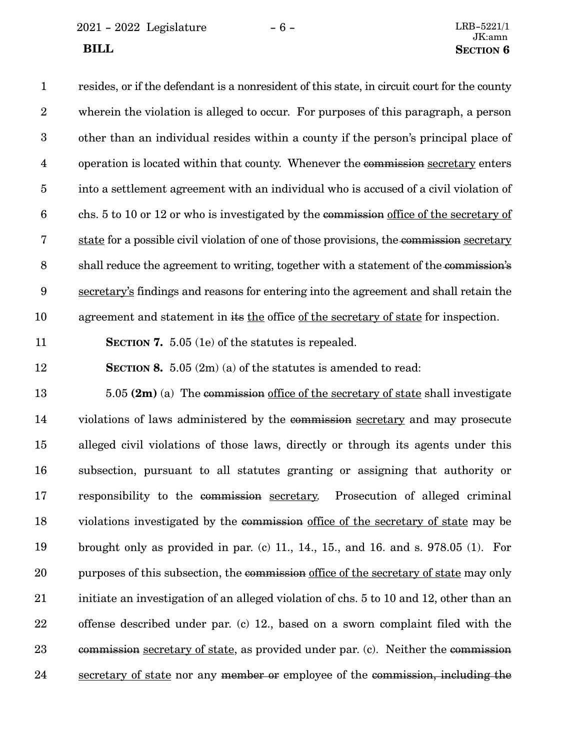$2021 - 2022$  Legislature  $-6 -$  LRB-5221/1

resides, or if the defendant is a nonresident of this state, in circuit court for the county wherein the violation is alleged to occur. For purposes of this paragraph, a person other than an individual resides within a county if the person's principal place of operation is located within that county. Whenever the commission secretary enters into a settlement agreement with an individual who is accused of a civil violation of chs. 5 to 10 or 12 or who is investigated by the commission office of the secretary of state for a possible civil violation of one of those provisions, the commission secretary shall reduce the agreement to writing, together with a statement of the commission's secretary's findings and reasons for entering into the agreement and shall retain the agreement and statement in its the office of the secretary of state for inspection. **SECTION 7.** 5.05 (1e) of the statutes is repealed. **SECTION 8.** 5.05 (2m) (a) of the statutes is amended to read: 5.05 **(2m)** (a) The commission office of the secretary of state shall investigate violations of laws administered by the commission secretary and may prosecute alleged civil violations of those laws, directly or through its agents under this subsection, pursuant to all statutes granting or assigning that authority or responsibility to the commission secretary. Prosecution of alleged criminal violations investigated by the commission office of the secretary of state may be brought only as provided in par. (c) 11., 14., 15., and 16. and s. 978.05 (1). For purposes of this subsection, the commission office of the secretary of state may only initiate an investigation of an alleged violation of chs. 5 to 10 and 12, other than an offense described under par. (c) 12., based on a sworn complaint filed with the commission secretary of state, as provided under par. (c). Neither the commission secretary of state nor any member or employee of the commission, including the 1 2 3 4 5 6 7 8 9 10 11 12 13 14 15 16 17 18 19 20 21 22 23 24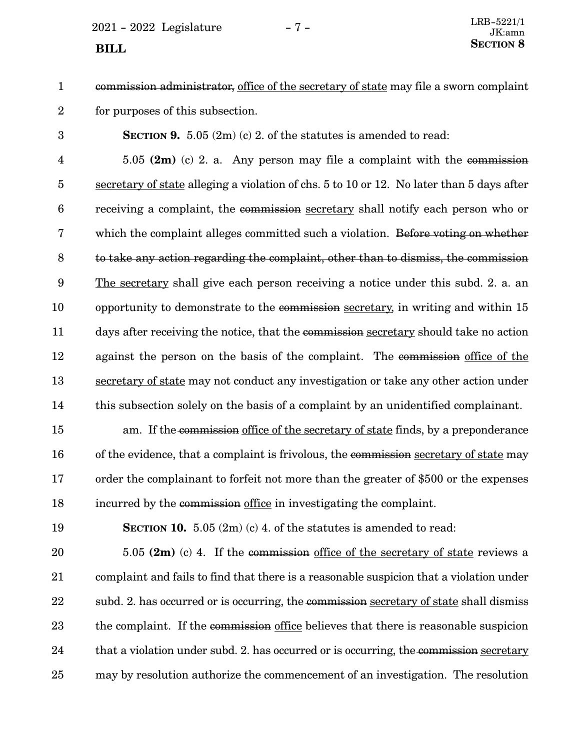$2021 - 2022$  Legislature  $-7 -$ 

- commission administrator, office of the secretary of state may file a sworn complaint for purposes of this subsection. 1 2
- 3

**SECTION 9.** 5.05 (2m) (c) 2. of the statutes is amended to read:

5.05 **(2m)** (c) 2. a. Any person may file a complaint with the commission secretary of state alleging a violation of chs. 5 to 10 or 12. No later than 5 days after receiving a complaint, the commission secretary shall notify each person who or which the complaint alleges committed such a violation. Before voting on whether to take any action regarding the complaint, other than to dismiss, the commission The secretary shall give each person receiving a notice under this subd. 2. a. an opportunity to demonstrate to the commission secretary, in writing and within 15 days after receiving the notice, that the commission secretary should take no action against the person on the basis of the complaint. The commission office of the secretary of state may not conduct any investigation or take any other action under this subsection solely on the basis of a complaint by an unidentified complainant. 4 5 6 7 8 9 10 11 12 13 14

am. If the commission office of the secretary of state finds, by a preponderance of the evidence, that a complaint is frivolous, the commission secretary of state may order the complainant to forfeit not more than the greater of \$500 or the expenses incurred by the commission office in investigating the complaint. 15 16 17 18

19

**SECTION 10.** 5.05 (2m) (c) 4. of the statutes is amended to read:

5.05 **(2m)** (c) 4. If the commission office of the secretary of state reviews a complaint and fails to find that there is a reasonable suspicion that a violation under subd. 2. has occurred or is occurring, the commission secretary of state shall dismiss the complaint. If the commission office believes that there is reasonable suspicion that a violation under subd. 2. has occurred or is occurring, the commission secretary may by resolution authorize the commencement of an investigation. The resolution 20 21 22 23 24 25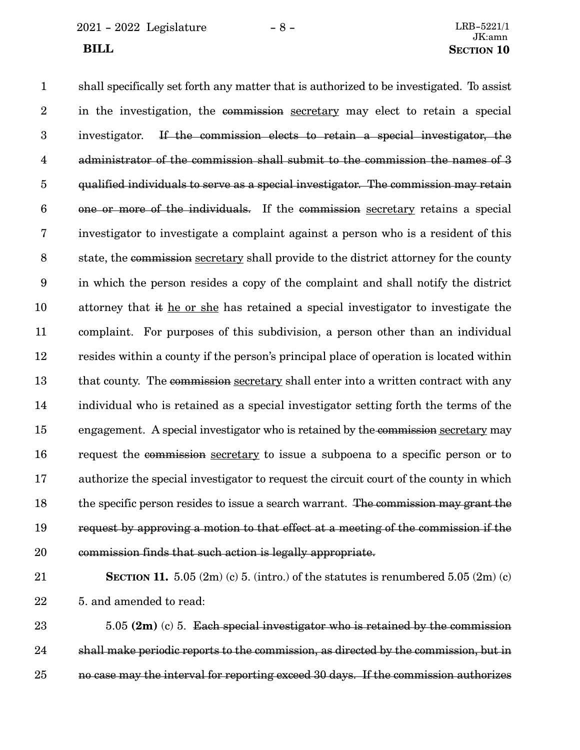2021 - 2022 Legislature - 8 - LRB-5221/1

shall specifically set forth any matter that is authorized to be investigated. To assist in the investigation, the commission secretary may elect to retain a special investigator. If the commission elects to retain a special investigator, the administrator of the commission shall submit to the commission the names of 3 qualified individuals to serve as a special investigator. The commission may retain one or more of the individuals. If the commission secretary retains a special investigator to investigate a complaint against a person who is a resident of this state, the commission secretary shall provide to the district attorney for the county in which the person resides a copy of the complaint and shall notify the district attorney that it he or she has retained a special investigator to investigate the complaint. For purposes of this subdivision, a person other than an individual resides within a county if the person's principal place of operation is located within that county. The commission secretary shall enter into a written contract with any individual who is retained as a special investigator setting forth the terms of the engagement. A special investigator who is retained by the commission secretary may request the commission secretary to issue a subpoena to a specific person or to authorize the special investigator to request the circuit court of the county in which the specific person resides to issue a search warrant. The commission may grant the request by approving a motion to that effect at a meeting of the commission if the commission finds that such action is legally appropriate. 1 2 3 4 5 6 7 8 9 10 11 12 13 14 15 16 17 18 19 20

21

22

**SECTION 11.**  $5.05$   $(2m)$   $(c)$   $5.$   $(intro.)$  of the statutes is renumbered  $5.05$   $(2m)$   $(c)$ 5. and amended to read:

5.05 **(2m)** (c) 5. Each special investigator who is retained by the commission shall make periodic reports to the commission, as directed by the commission, but in no case may the interval for reporting exceed 30 days. If the commission authorizes 23 24 25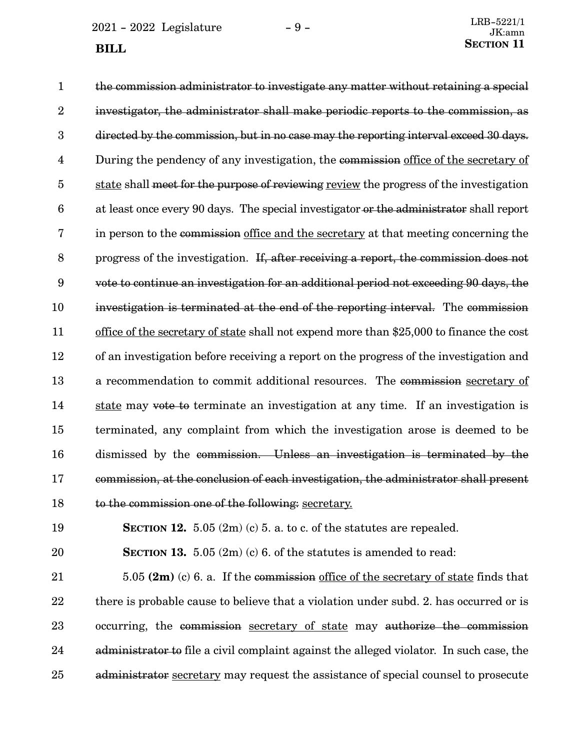$2021 - 2022$  Legislature  $-9 -$  **BILL** 

the commission administrator to investigate any matter without retaining a special investigator, the administrator shall make periodic reports to the commission, as directed by the commission, but in no case may the reporting interval exceed 30 days. During the pendency of any investigation, the commission office of the secretary of state shall meet for the purpose of reviewing review the progress of the investigation at least once every 90 days. The special investigator or the administrator shall report in person to the commission office and the secretary at that meeting concerning the progress of the investigation. If, after receiving a report, the commission does not vote to continue an investigation for an additional period not exceeding 90 days, the investigation is terminated at the end of the reporting interval. The commission office of the secretary of state shall not expend more than \$25,000 to finance the cost of an investigation before receiving a report on the progress of the investigation and a recommendation to commit additional resources. The commission secretary of state may vote to terminate an investigation at any time. If an investigation is terminated, any complaint from which the investigation arose is deemed to be dismissed by the commission. Unless an investigation is terminated by the commission, at the conclusion of each investigation, the administrator shall present to the commission one of the following: secretary. 1 2 3 4 5 6 7 8 9 10 11 12 13 14 15 16 17 18

19

20

**SECTION 12.**  $5.05(2m)(c)$  5. a. to c. of the statutes are repealed.

**SECTION 13.** 5.05 (2m) (c) 6. of the statutes is amended to read:

5.05 **(2m)** (c) 6. a. If the commission office of the secretary of state finds that there is probable cause to believe that a violation under subd. 2. has occurred or is occurring, the commission secretary of state may authorize the commission administrator to file a civil complaint against the alleged violator. In such case, the administrator secretary may request the assistance of special counsel to prosecute 21 22 23 24 25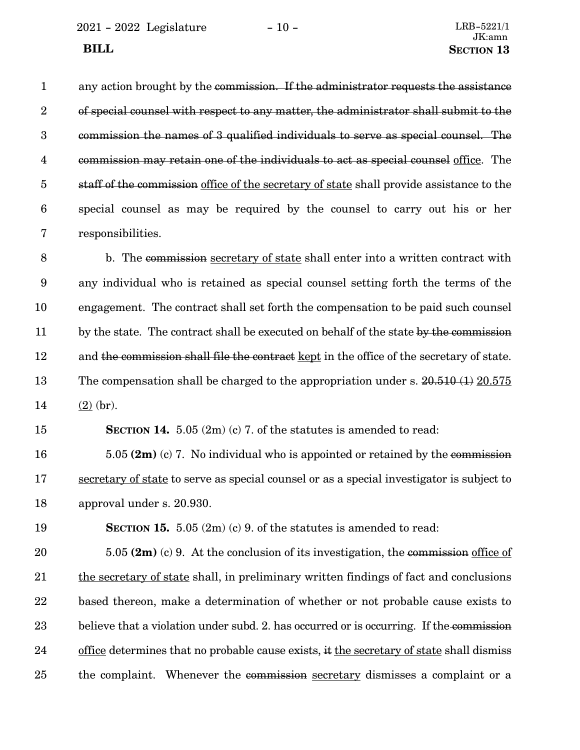any action brought by the commission. If the administrator requests the assistance of special counsel with respect to any matter, the administrator shall submit to the commission the names of 3 qualified individuals to serve as special counsel. The commission may retain one of the individuals to act as special counsel office. The staff of the commission office of the secretary of state shall provide assistance to the special counsel as may be required by the counsel to carry out his or her responsibilities. 1 2 3 4 5 6 7

b. The commission secretary of state shall enter into a written contract with any individual who is retained as special counsel setting forth the terms of the engagement. The contract shall set forth the compensation to be paid such counsel by the state. The contract shall be executed on behalf of the state by the commission and the commission shall file the contract kept in the office of the secretary of state. The compensation shall be charged to the appropriation under s.  $20.510(1) 20.575$  $(2)$  (br). 8 9 10 11 12 13 14

**SECTION 14.** 5.05 (2m) (c) 7. of the statutes is amended to read: 15

5.05 **(2m)** (c) 7. No individual who is appointed or retained by the commission secretary of state to serve as special counsel or as a special investigator is subject to approval under s. 20.930. 16 17 18

**SECTION 15.** 5.05 (2m) (c) 9. of the statutes is amended to read: 19

5.05 **(2m)** (c) 9. At the conclusion of its investigation, the commission office of the secretary of state shall, in preliminary written findings of fact and conclusions based thereon, make a determination of whether or not probable cause exists to believe that a violation under subd. 2. has occurred or is occurring. If the commission office determines that no probable cause exists, it the secretary of state shall dismiss the complaint. Whenever the commission secretary dismisses a complaint or a 20 21 22 23 24 25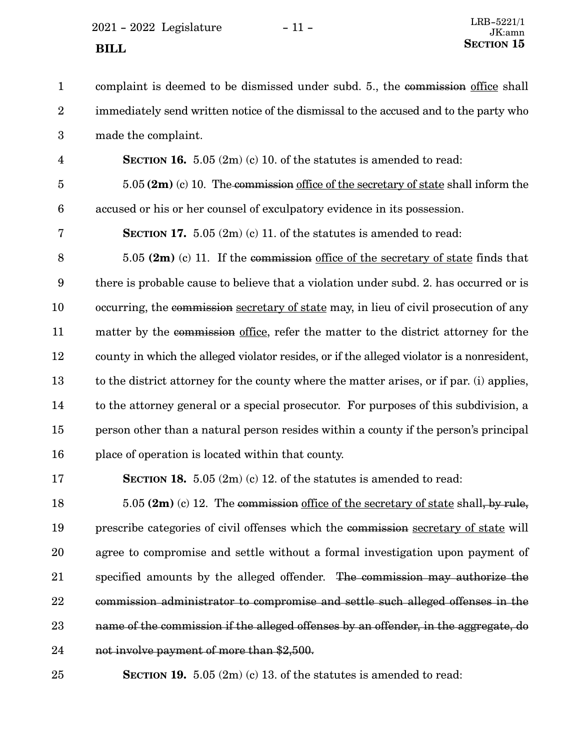$2021 - 2022$  Legislature  $-11 -$ **SECTION** 15

complaint is deemed to be dismissed under subd. 5., the commission office shall immediately send written notice of the dismissal to the accused and to the party who made the complaint. **SECTION 16.** 5.05 (2m) (c) 10. of the statutes is amended to read: 5.05 **(2m)** (c) 10. The commission office of the secretary of state shall inform the accused or his or her counsel of exculpatory evidence in its possession. **SECTION 17.** 5.05 (2m) (c) 11. of the statutes is amended to read: 5.05 **(2m)** (c) 11. If the commission office of the secretary of state finds that there is probable cause to believe that a violation under subd. 2. has occurred or is occurring, the commission secretary of state may, in lieu of civil prosecution of any matter by the commission office, refer the matter to the district attorney for the county in which the alleged violator resides, or if the alleged violator is a nonresident, to the district attorney for the county where the matter arises, or if par. (i) applies, to the attorney general or a special prosecutor. For purposes of this subdivision, a person other than a natural person resides within a county if the person's principal place of operation is located within that county. **SECTION 18.** 5.05 (2m) (c) 12. of the statutes is amended to read: 5.05 **(2m)** (c) 12. The commission office of the secretary of state shall, by rule, prescribe categories of civil offenses which the commission secretary of state will agree to compromise and settle without a formal investigation upon payment of specified amounts by the alleged offender. The commission may authorize the commission administrator to compromise and settle such alleged offenses in the name of the commission if the alleged offenses by an offender, in the aggregate, do not involve payment of more than \$2,500. **SECTION 19.** 5.05 (2m) (c) 13. of the statutes is amended to read: 1 2 3 4 5 6 7 8 9 10 11 12 13 14 15 16 17 18 19 20 21 22 23 24 25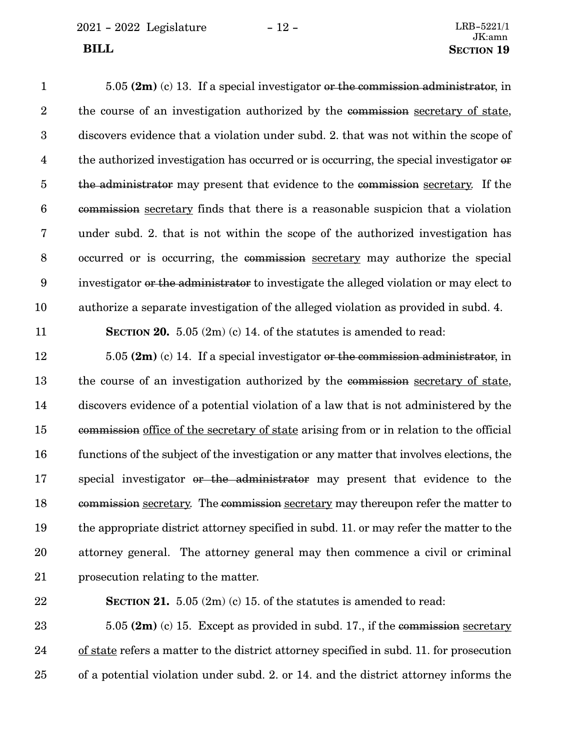2021 - 2022 Legislature - 12 - LRB-5221/1

5.05 **(2m)** (c) 13. If a special investigator or the commission administrator, in the course of an investigation authorized by the commission secretary of state, discovers evidence that a violation under subd. 2. that was not within the scope of the authorized investigation has occurred or is occurring, the special investigator or the administrator may present that evidence to the commission secretary. If the commission secretary finds that there is a reasonable suspicion that a violation under subd. 2. that is not within the scope of the authorized investigation has occurred or is occurring, the commission secretary may authorize the special investigator or the administrator to investigate the alleged violation or may elect to authorize a separate investigation of the alleged violation as provided in subd. 4. **SECTION 20.** 5.05 (2m) (c) 14. of the statutes is amended to read: 5.05 **(2m)** (c) 14. If a special investigator or the commission administrator, in the course of an investigation authorized by the commission secretary of state, discovers evidence of a potential violation of a law that is not administered by the commission office of the secretary of state arising from or in relation to the official functions of the subject of the investigation or any matter that involves elections, the special investigator or the administrator may present that evidence to the commission secretary. The commission secretary may thereupon refer the matter to the appropriate district attorney specified in subd. 11. or may refer the matter to the attorney general. The attorney general may then commence a civil or criminal prosecution relating to the matter. 1 2 3 4 5 6 7 8 9 10 11 12 13 14 15 16 17 18 19 20

22

21

**SECTION 21.** 5.05 (2m) (c) 15. of the statutes is amended to read:

5.05 **(2m)** (c) 15. Except as provided in subd. 17., if the commission secretary of state refers a matter to the district attorney specified in subd. 11. for prosecution of a potential violation under subd. 2. or 14. and the district attorney informs the 23 24 25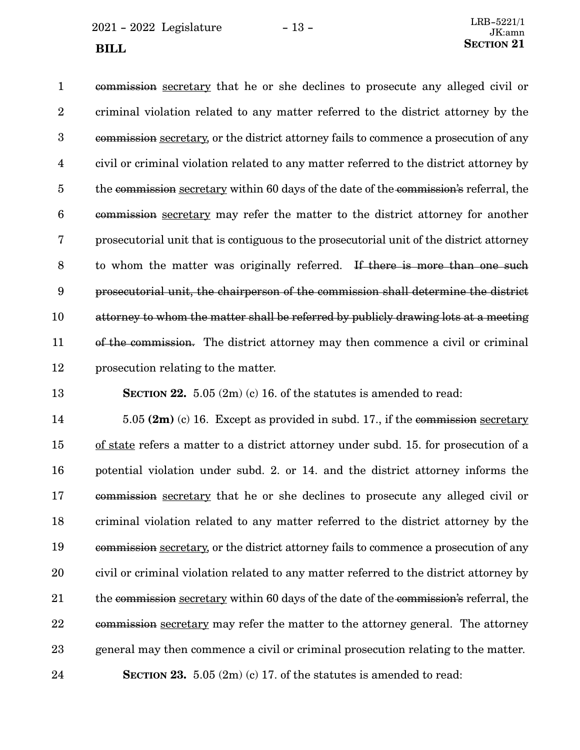$2021 - 2022$  Legislature  $-13 -$ **SECTION** 21

commission secretary that he or she declines to prosecute any alleged civil or criminal violation related to any matter referred to the district attorney by the commission secretary, or the district attorney fails to commence a prosecution of any civil or criminal violation related to any matter referred to the district attorney by the commission secretary within 60 days of the date of the commission's referral, the commission secretary may refer the matter to the district attorney for another prosecutorial unit that is contiguous to the prosecutorial unit of the district attorney to whom the matter was originally referred. If there is more than one such prosecutorial unit, the chairperson of the commission shall determine the district attorney to whom the matter shall be referred by publicly drawing lots at a meeting of the commission. The district attorney may then commence a civil or criminal prosecution relating to the matter. 1 2 3 4 5 6 7 8 9 10 11 12

13

**SECTION 22.** 5.05 (2m) (c) 16. of the statutes is amended to read:

5.05 **(2m)** (c) 16. Except as provided in subd. 17., if the commission secretary of state refers a matter to a district attorney under subd. 15. for prosecution of a potential violation under subd. 2. or 14. and the district attorney informs the commission secretary that he or she declines to prosecute any alleged civil or criminal violation related to any matter referred to the district attorney by the commission secretary, or the district attorney fails to commence a prosecution of any civil or criminal violation related to any matter referred to the district attorney by the commission secretary within 60 days of the date of the commission's referral, the commission secretary may refer the matter to the attorney general. The attorney general may then commence a civil or criminal prosecution relating to the matter. **SECTION 23.** 5.05 (2m) (c) 17. of the statutes is amended to read: 14 15 16 17 18 19 20 21 22 23 24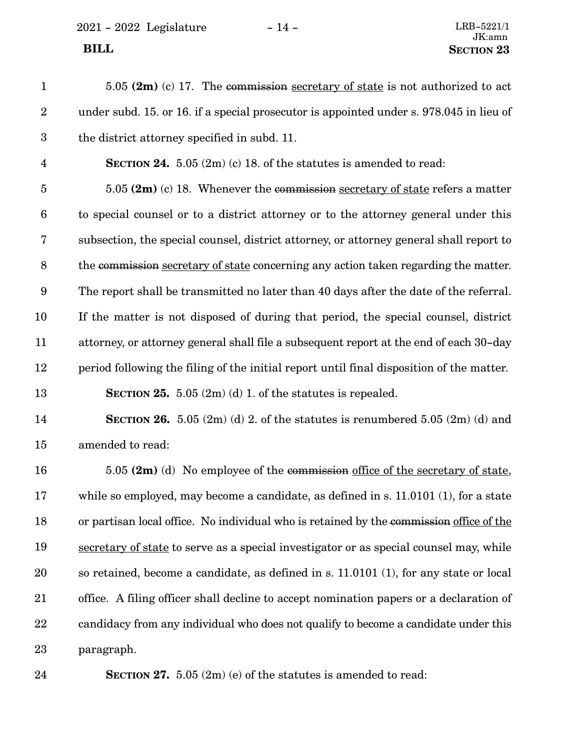2021 - 2022 Legislature - 14 - LRB-5221/1

| $\mathbf{1}$     | 5.05 $(2m)$ (c) 17. The commission secretary of state is not authorized to act           |
|------------------|------------------------------------------------------------------------------------------|
| $\overline{2}$   | under subd. 15. or 16. if a special prosecutor is appointed under s. 978.045 in lieu of  |
| $\mathbf{3}$     | the district attorney specified in subd. 11.                                             |
| $\overline{4}$   | <b>SECTION 24.</b> 5.05 $(2m)$ (c) 18. of the statutes is amended to read:               |
| $\bf 5$          | 5.05 $(2m)$ (c) 18. Whenever the commission secretary of state refers a matter           |
| $\boldsymbol{6}$ | to special counsel or to a district attorney or to the attorney general under this       |
| $\bf 7$          | subsection, the special counsel, district attorney, or attorney general shall report to  |
| $8\,$            | the commission secretary of state concerning any action taken regarding the matter.      |
| 9                | The report shall be transmitted no later than 40 days after the date of the referral.    |
| 10               | If the matter is not disposed of during that period, the special counsel, district       |
| 11               | attorney, or attorney general shall file a subsequent report at the end of each 30-day   |
| 12               | period following the filing of the initial report until final disposition of the matter. |
| 13               | <b>SECTION 25.</b> 5.05 $(2m)(d)$ 1. of the statutes is repealed.                        |
| 14               | <b>SECTION 26.</b> 5.05 (2m) (d) 2. of the statutes is renumbered 5.05 (2m) (d) and      |
| 15               | amended to read:                                                                         |
| 16               | 5.05 $(2m)$ (d) No employee of the commission office of the secretary of state,          |
| 17               | while so employed, may become a candidate, as defined in s. $11.0101(1)$ , for a state   |
| 18               | or partisan local office. No individual who is retained by the commission office of the  |
| 19               | secretary of state to serve as a special investigator or as special counsel may, while   |
| 20               | so retained, become a candidate, as defined in s. 11.0101 (1), for any state or local    |
| 21               | office. A filing officer shall decline to accept nomination papers or a declaration of   |
| 22               | candidacy from any individual who does not qualify to become a candidate under this      |
| 23               | paragraph.                                                                               |

24

**SECTION 27.** 5.05 (2m) (e) of the statutes is amended to read: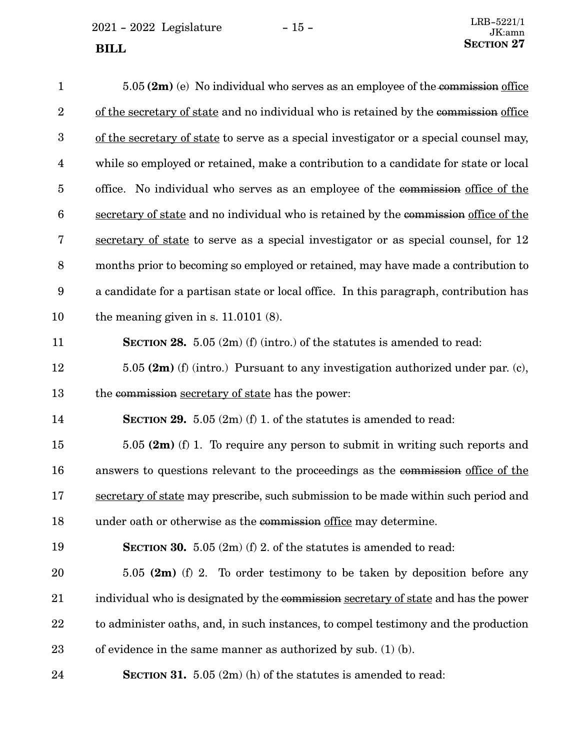2021 - 2022 Legislature - 15 - **SECTION** 27

| $\mathbf{1}$     | $5.05$ (2m) (e) No individual who serves as an employee of the commission office       |
|------------------|----------------------------------------------------------------------------------------|
| $\sqrt{2}$       | of the secretary of state and no individual who is retained by the commission office   |
| $\boldsymbol{3}$ | of the secretary of state to serve as a special investigator or a special counsel may, |
| 4                | while so employed or retained, make a contribution to a candidate for state or local   |
| $\overline{5}$   | office. No individual who serves as an employee of the commission office of the        |
| $6\phantom{.}6$  | secretary of state and no individual who is retained by the commission office of the   |
| 7                | secretary of state to serve as a special investigator or as special counsel, for 12    |
| $\, 8$           | months prior to becoming so employed or retained, may have made a contribution to      |
| 9                | a candidate for a partisan state or local office. In this paragraph, contribution has  |
| 10               | the meaning given in s. $11.0101(8)$ .                                                 |
| 11               | <b>SECTION 28.</b> 5.05 $(2m)$ (f) (intro.) of the statutes is amended to read:        |
| 12               | 5.05 $(2m)$ (f) (intro.) Pursuant to any investigation authorized under par. (c),      |
| 13               | the commission secretary of state has the power:                                       |
| 14               | <b>SECTION 29.</b> 5.05 $(2m)$ (f) 1. of the statutes is amended to read:              |
| 15               | 5.05 $(2m)$ (f) 1. To require any person to submit in writing such reports and         |
| 16               | answers to questions relevant to the proceedings as the commission office of the       |
| 17               | secretary of state may prescribe, such submission to be made within such period and    |
| 18               | under oath or otherwise as the commission office may determine.                        |
| 19               | <b>SECTION 30.</b> 5.05 $(2m)$ (f) 2. of the statutes is amended to read:              |
| 20               | 5.05 $(2m)$ (f) 2. To order testimony to be taken by deposition before any             |
| 21               | individual who is designated by the commission secretary of state and has the power    |
| 22               | to administer oaths, and, in such instances, to compel testimony and the production    |
| 23               | of evidence in the same manner as authorized by sub. $(1)$ (b).                        |
| 24               | <b>SECTION 31.</b> 5.05 $(2m)$ (h) of the statutes is amended to read:                 |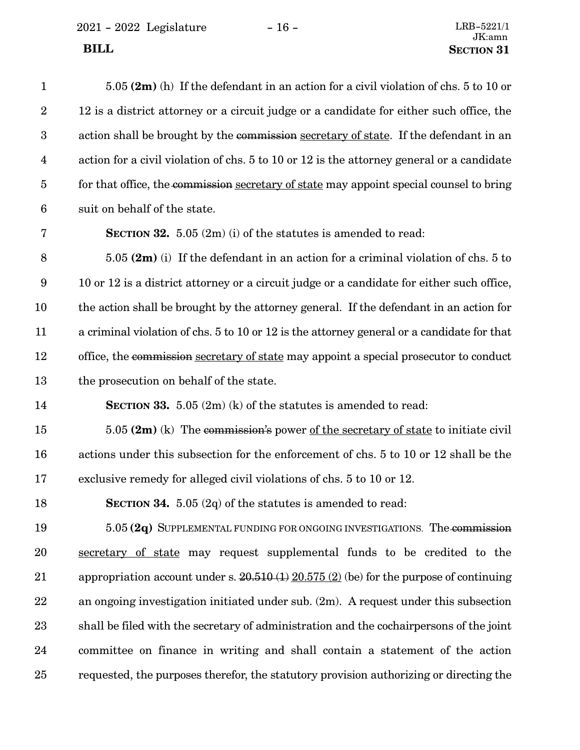$2021 - 2022$  Legislature -  $16 -$ 

| $\mathbf{1}$     | $5.05$ (2m) (h) If the defendant in an action for a civil violation of chs. 5 to 10 or     |
|------------------|--------------------------------------------------------------------------------------------|
| $\boldsymbol{2}$ | 12 is a district attorney or a circuit judge or a candidate for either such office, the    |
| $\boldsymbol{3}$ | action shall be brought by the commission secretary of state. If the defendant in an       |
| $\overline{4}$   | action for a civil violation of chs. 5 to 10 or 12 is the attorney general or a candidate  |
| $\overline{5}$   | for that office, the commission secretary of state may appoint special counsel to bring    |
| $6\phantom{.}6$  | suit on behalf of the state.                                                               |
| 7                | <b>SECTION 32.</b> 5.05 $(2m)$ (i) of the statutes is amended to read:                     |
| $8\,$            | $5.05$ (2m) (i) If the defendant in an action for a criminal violation of chs. 5 to        |
| 9                | 10 or 12 is a district attorney or a circuit judge or a candidate for either such office,  |
| 10               | the action shall be brought by the attorney general. If the defendant in an action for     |
| 11               | a criminal violation of chs. 5 to 10 or 12 is the attorney general or a candidate for that |
| 12               | office, the commission secretary of state may appoint a special prosecutor to conduct      |
| 13               | the prosecution on behalf of the state.                                                    |
| 14               | <b>SECTION 33.</b> 5.05 $(2m)$ (k) of the statutes is amended to read:                     |
| 15               | $5.05$ (2m) (k) The commission's power of the secretary of state to initiate civil         |
| 16               | actions under this subsection for the enforcement of chs. 5 to 10 or 12 shall be the       |
| 17               | exclusive remedy for alleged civil violations of chs. 5 to 10 or 12.                       |
| 18               | <b>SECTION 34.</b> 5.05 (2q) of the statutes is amended to read:                           |
| 19               | 5.05 (2q) SUPPLEMENTAL FUNDING FOR ONGOING INVESTIGATIONS. The commission                  |
| 20               | secretary of state may request supplemental funds to be credited to the                    |
| 21               | appropriation account under s. $20.510(1) 20.575(2)$ (be) for the purpose of continuing    |
| 22               | an ongoing investigation initiated under sub. $(2m)$ . A request under this subsection     |
| 23               | shall be filed with the secretary of administration and the cochairpersons of the joint    |
| 24               | committee on finance in writing and shall contain a statement of the action                |

requested, the purposes therefor, the statutory provision authorizing or directing the

25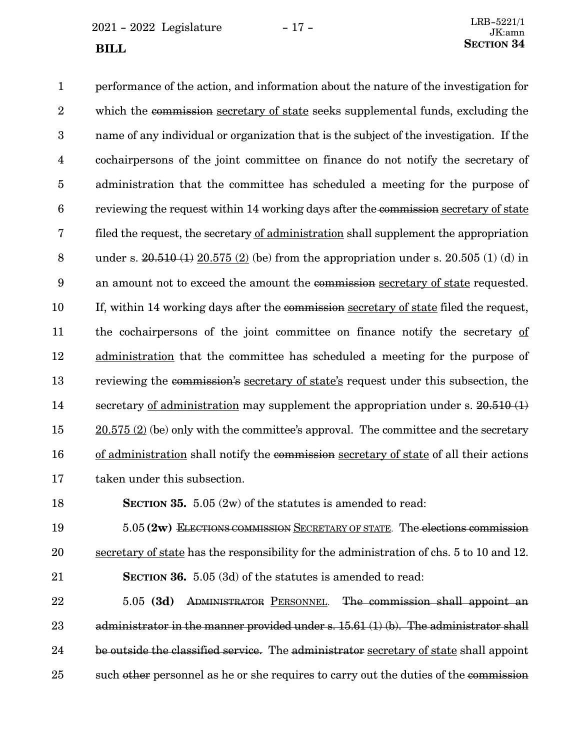$2021 - 2022$  Legislature  $-17 -$ 

performance of the action, and information about the nature of the investigation for which the commission secretary of state seeks supplemental funds, excluding the name of any individual or organization that is the subject of the investigation. If the cochairpersons of the joint committee on finance do not notify the secretary of administration that the committee has scheduled a meeting for the purpose of reviewing the request within 14 working days after the commission secretary of state filed the request, the secretary of administration shall supplement the appropriation under s.  $20.510(1) 20.575(2)$  (be) from the appropriation under s.  $20.505(1)$  (d) in an amount not to exceed the amount the commission secretary of state requested. If, within 14 working days after the commission secretary of state filed the request, the cochairpersons of the joint committee on finance notify the secretary of administration that the committee has scheduled a meeting for the purpose of reviewing the commission's secretary of state's request under this subsection, the secretary <u>of administration</u> may supplement the appropriation under s. 20.510 (1)  $20.575$  (2) (be) only with the committee's approval. The committee and the secretary of administration shall notify the commission secretary of state of all their actions taken under this subsection. 1 2 3 4 5 6 7 8 9 10 11 12 13 14 15 16 17

18

**SECTION 35.** 5.05 (2w) of the statutes is amended to read:

5.05 **(2w)** ELECTIONS COMMISSION SECRETARY OF STATE. The elections commission secretary of state has the responsibility for the administration of chs. 5 to 10 and 12. **SECTION 36.** 5.05 (3d) of the statutes is amended to read: 19 20 21

5.05 **(3d)** ADMINISTRATOR PERSONNEL. The commission shall appoint an administrator in the manner provided under s. 15.61 (1) (b). The administrator shall be outside the classified service. The administrator secretary of state shall appoint such other personnel as he or she requires to carry out the duties of the commission 22 23 24 25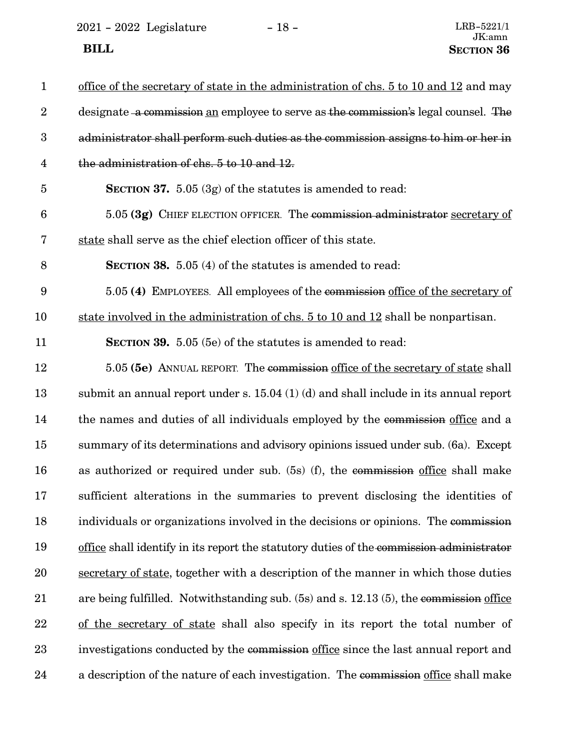2021 - 2022 Legislature - 18 -  $\,$ **BILL** SECTION 36

| $\mathbf{1}$            | office of the secretary of state in the administration of chs. 5 to 10 and 12 and may    |
|-------------------------|------------------------------------------------------------------------------------------|
| $\boldsymbol{2}$        | designate a commission an employee to serve as the commission's legal counsel. The       |
| $\boldsymbol{3}$        | administrator shall perform such duties as the commission assigns to him or her in       |
| $\overline{\mathbf{4}}$ | the administration of chs. 5 to 10 and 12.                                               |
| $\bf 5$                 | <b>SECTION 37.</b> 5.05 $(3g)$ of the statutes is amended to read:                       |
| $\boldsymbol{6}$        | 5.05 (3g) CHIEF ELECTION OFFICER. The commission administrator secretary of              |
| 7                       | state shall serve as the chief election officer of this state.                           |
| $8\,$                   | <b>SECTION 38.</b> 5.05 (4) of the statutes is amended to read:                          |
| $9\phantom{.0}$         | 5.05 (4) EMPLOYEES. All employees of the commission office of the secretary of           |
| 10                      | state involved in the administration of chs. 5 to 10 and 12 shall be nonpartisan.        |
| 11                      | <b>SECTION 39.</b> 5.05 (5e) of the statutes is amended to read:                         |
| 12                      | 5.05 (5e) ANNUAL REPORT. The commission office of the secretary of state shall           |
| 13                      | submit an annual report under s. $15.04$ (1) (d) and shall include in its annual report  |
| 14                      | the names and duties of all individuals employed by the commission office and a          |
| 15                      | summary of its determinations and advisory opinions issued under sub. (6a). Except       |
| 16                      | as authorized or required under sub. (5s) (f), the commission office shall make          |
| 17                      | sufficient alterations in the summaries to prevent disclosing the identities of          |
| 18                      | individuals or organizations involved in the decisions or opinions. The commission       |
| 19                      | office shall identify in its report the statutory duties of the commission administrator |
| <b>20</b>               | secretary of state, together with a description of the manner in which those duties      |
| 21                      | are being fulfilled. Notwithstanding sub. (5s) and s. 12.13 (5), the commission office   |
| 22                      | of the secretary of state shall also specify in its report the total number of           |
| 23                      | investigations conducted by the commission office since the last annual report and       |
| 24                      | a description of the nature of each investigation. The commission office shall make      |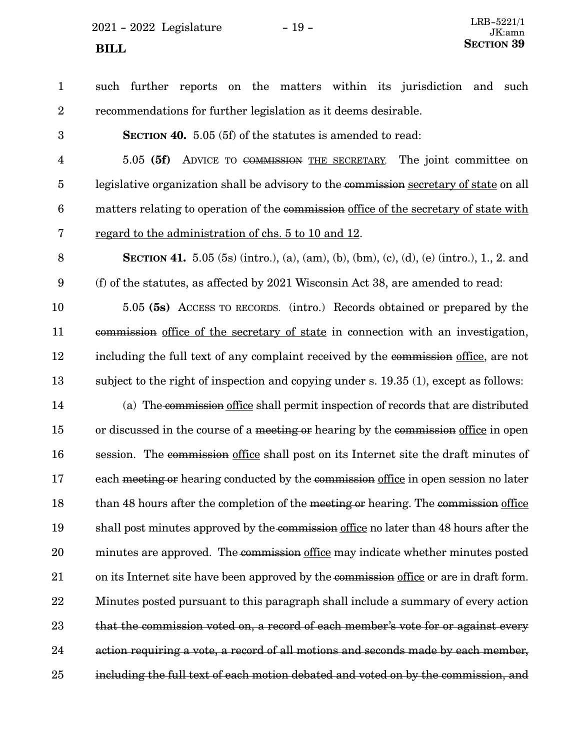$2021 - 2022$  Legislature  $-19 -$ **SECTION** 39

such further reports on the matters within its jurisdiction and such recommendations for further legislation as it deems desirable. 1 2

3

**SECTION 40.** 5.05 (5f) of the statutes is amended to read:

5.05 **(5f)** ADVICE TO COMMISSION THE SECRETARY. The joint committee on legislative organization shall be advisory to the commission secretary of state on all matters relating to operation of the commission office of the secretary of state with regard to the administration of chs. 5 to 10 and 12. 4 5 6 7

8

**SECTION 41.** 5.05 (5s) (intro.), (a), (am), (b), (bm), (c), (d), (e) (intro.), 1., 2. and (f) of the statutes, as affected by 2021 Wisconsin Act 38, are amended to read: 9

5.05 **(5s)** ACCESS TO RECORDS. (intro.) Records obtained or prepared by the commission office of the secretary of state in connection with an investigation, including the full text of any complaint received by the commission office, are not subject to the right of inspection and copying under s. 19.35 (1), except as follows: 10 11 12 13

(a) The commission office shall permit inspection of records that are distributed or discussed in the course of a meeting or hearing by the commission office in open session. The commission office shall post on its Internet site the draft minutes of each meeting or hearing conducted by the commission office in open session no later than 48 hours after the completion of the meeting or hearing. The commission office shall post minutes approved by the commission office no later than 48 hours after the minutes are approved. The commission office may indicate whether minutes posted on its Internet site have been approved by the commission office or are in draft form. Minutes posted pursuant to this paragraph shall include a summary of every action that the commission voted on, a record of each member's vote for or against every action requiring a vote, a record of all motions and seconds made by each member, including the full text of each motion debated and voted on by the commission, and 14 15 16 17 18 19 20 21 22 23 24 25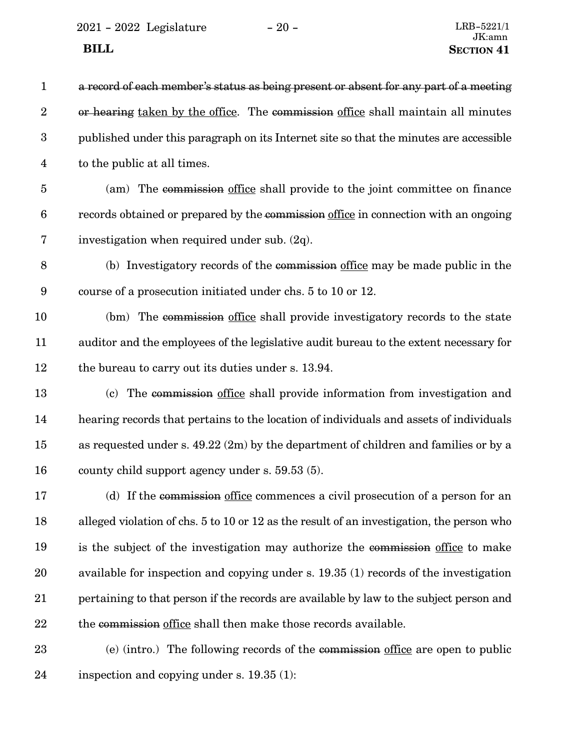$2021 - 2022$  Legislature  $-20 -$ 

| $\mathbf{1}$     | a record of each member's status as being present or absent for any part of a meeting     |
|------------------|-------------------------------------------------------------------------------------------|
| $\overline{2}$   | or hearing taken by the office. The commission office shall maintain all minutes          |
| $\boldsymbol{3}$ | published under this paragraph on its Internet site so that the minutes are accessible    |
| 4                | to the public at all times.                                                               |
| $\overline{5}$   | (am) The commission office shall provide to the joint committee on finance                |
| $\boldsymbol{6}$ | records obtained or prepared by the commission office in connection with an ongoing       |
| 7                | investigation when required under sub. (2q).                                              |
| 8                | (b) Investigatory records of the commission office may be made public in the              |
| $9\phantom{.0}$  | course of a prosecution initiated under chs. 5 to 10 or 12.                               |
| 10               | (bm) The commission office shall provide investigatory records to the state               |
| 11               | auditor and the employees of the legislative audit bureau to the extent necessary for     |
| 12               | the bureau to carry out its duties under s. 13.94.                                        |
| 13               | (c) The commission office shall provide information from investigation and                |
| 14               | hearing records that pertains to the location of individuals and assets of individuals    |
| 15               | as requested under s. $49.22$ (2m) by the department of children and families or by a     |
| 16               | county child support agency under s. 59.53 (5).                                           |
| 17               | (d) If the commission office commences a civil prosecution of a person for an             |
| 18               | alleged violation of chs. 5 to 10 or 12 as the result of an investigation, the person who |
| 19               | is the subject of the investigation may authorize the commission office to make           |
| 20               | available for inspection and copying under s. 19.35 (1) records of the investigation      |
| 21               | pertaining to that person if the records are available by law to the subject person and   |
| 22               | the commission office shall then make those records available.                            |
| 23               | (e) (intro.) The following records of the commission office are open to public            |
| 24               | inspection and copying under s. $19.35(1)$ :                                              |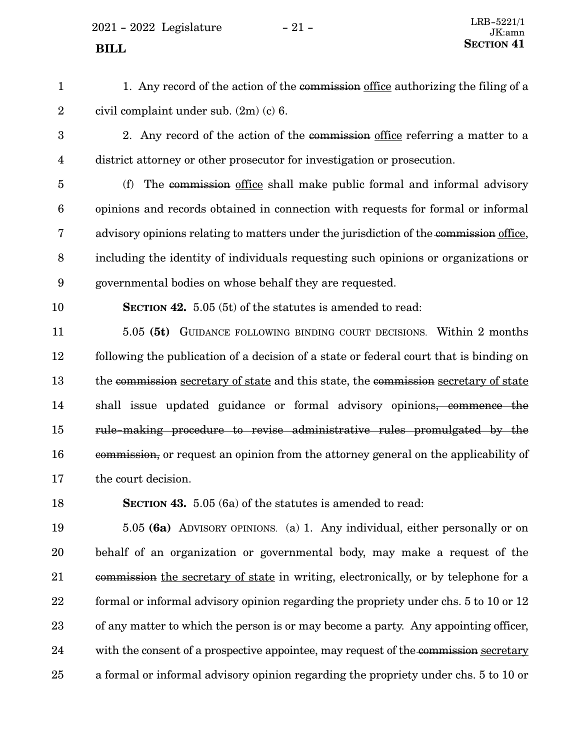$2021 - 2022$  Legislature  $-21 -$ 

1. Any record of the action of the commission office authorizing the filing of a civil complaint under sub. (2m) (c) 6. 1 2

- 2. Any record of the action of the commission office referring a matter to a district attorney or other prosecutor for investigation or prosecution. 3 4
- (f) The commission office shall make public formal and informal advisory opinions and records obtained in connection with requests for formal or informal advisory opinions relating to matters under the jurisdiction of the commission office, including the identity of individuals requesting such opinions or organizations or governmental bodies on whose behalf they are requested. 5 6 7 8 9
- 10

**SECTION 42.** 5.05 (5t) of the statutes is amended to read:

5.05 **(5t)** GUIDANCE FOLLOWING BINDING COURT DECISIONS. Within 2 months following the publication of a decision of a state or federal court that is binding on the commission secretary of state and this state, the commission secretary of state shall issue updated guidance or formal advisory opinions, commence the rule-making procedure to revise administrative rules promulgated by the commission, or request an opinion from the attorney general on the applicability of the court decision. 11 12 13 14 15 16 17

18

**SECTION 43.** 5.05 (6a) of the statutes is amended to read:

5.05 **(6a)** ADVISORY OPINIONS. (a) 1. Any individual, either personally or on behalf of an organization or governmental body, may make a request of the commission the secretary of state in writing, electronically, or by telephone for a formal or informal advisory opinion regarding the propriety under chs. 5 to 10 or 12 of any matter to which the person is or may become a party. Any appointing officer, with the consent of a prospective appointee, may request of the commission secretary a formal or informal advisory opinion regarding the propriety under chs. 5 to 10 or 19 20 21 22 23 24 25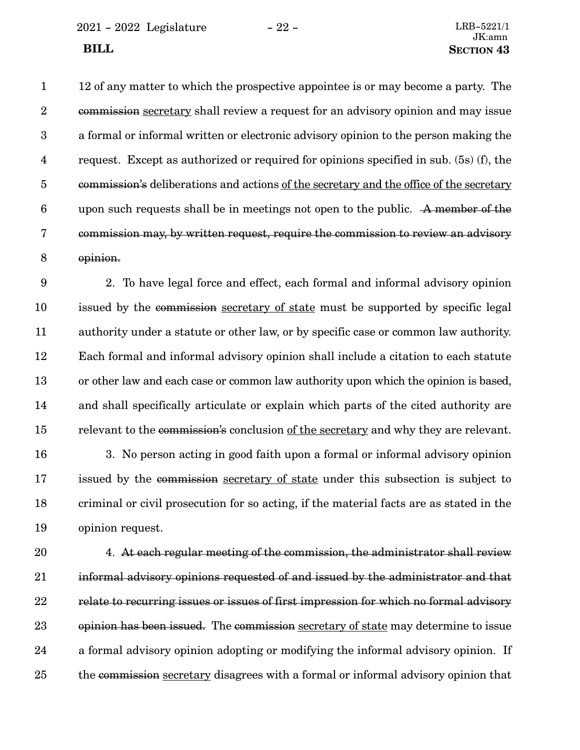2021 - 2022 Legislature - 22 - LRB-5221/1

12 of any matter to which the prospective appointee is or may become a party. The commission secretary shall review a request for an advisory opinion and may issue a formal or informal written or electronic advisory opinion to the person making the request. Except as authorized or required for opinions specified in sub. (5s) (f), the commission's deliberations and actions of the secretary and the office of the secretary upon such requests shall be in meetings not open to the public. A member of the commission may, by written request, require the commission to review an advisory opinion. 1 2 3 4 5 6 7 8

2. To have legal force and effect, each formal and informal advisory opinion issued by the commission secretary of state must be supported by specific legal authority under a statute or other law, or by specific case or common law authority. Each formal and informal advisory opinion shall include a citation to each statute or other law and each case or common law authority upon which the opinion is based, and shall specifically articulate or explain which parts of the cited authority are relevant to the commission's conclusion of the secretary and why they are relevant. 9 10 11 12 13 14 15

3. No person acting in good faith upon a formal or informal advisory opinion issued by the commission secretary of state under this subsection is subject to criminal or civil prosecution for so acting, if the material facts are as stated in the opinion request. 16 17 18 19

4. At each regular meeting of the commission, the administrator shall review informal advisory opinions requested of and issued by the administrator and that relate to recurring issues or issues of first impression for which no formal advisory opinion has been issued. The commission secretary of state may determine to issue a formal advisory opinion adopting or modifying the informal advisory opinion. If the commission secretary disagrees with a formal or informal advisory opinion that 20 21 22 23 24 25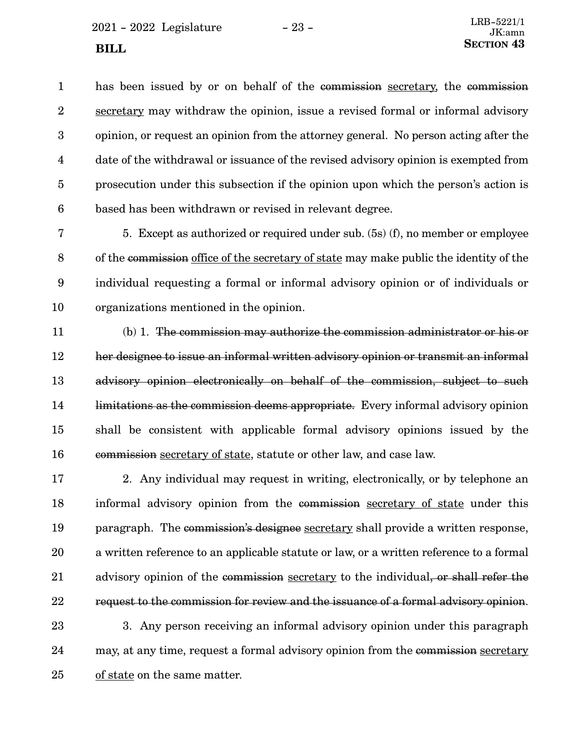$2021 - 2022$  Legislature  $-23 -$ 

has been issued by or on behalf of the commission secretary, the commission secretary may withdraw the opinion, issue a revised formal or informal advisory opinion, or request an opinion from the attorney general. No person acting after the date of the withdrawal or issuance of the revised advisory opinion is exempted from prosecution under this subsection if the opinion upon which the person's action is based has been withdrawn or revised in relevant degree. 1 2 3 4 5 6

5. Except as authorized or required under sub. (5s) (f), no member or employee of the commission office of the secretary of state may make public the identity of the individual requesting a formal or informal advisory opinion or of individuals or organizations mentioned in the opinion. 7 8 9 10

(b) 1. The commission may authorize the commission administrator or his or her designee to issue an informal written advisory opinion or transmit an informal advisory opinion electronically on behalf of the commission, subject to such limitations as the commission deems appropriate. Every informal advisory opinion shall be consistent with applicable formal advisory opinions issued by the commission secretary of state, statute or other law, and case law. 11 12 13 14 15 16

2. Any individual may request in writing, electronically, or by telephone an informal advisory opinion from the commission secretary of state under this paragraph. The commission's designee secretary shall provide a written response, a written reference to an applicable statute or law, or a written reference to a formal advisory opinion of the commission secretary to the individual, or shall refer the request to the commission for review and the issuance of a formal advisory opinion. 17 18 19 20 21 22

3. Any person receiving an informal advisory opinion under this paragraph may, at any time, request a formal advisory opinion from the commission secretary of state on the same matter. 23 24 25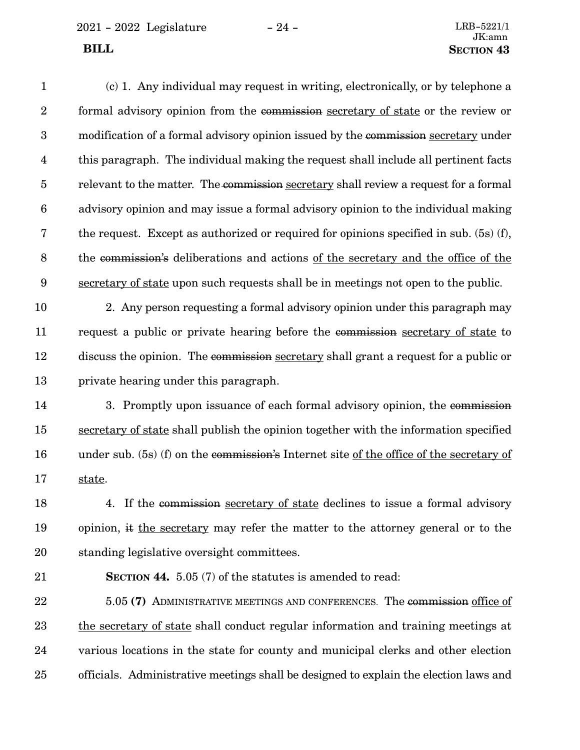2021 - 2022 Legislature - 24 - LRB-5221/1

(c) 1. Any individual may request in writing, electronically, or by telephone a formal advisory opinion from the commission secretary of state or the review or modification of a formal advisory opinion issued by the commission secretary under this paragraph. The individual making the request shall include all pertinent facts relevant to the matter. The commission secretary shall review a request for a formal advisory opinion and may issue a formal advisory opinion to the individual making the request. Except as authorized or required for opinions specified in sub. (5s) (f), the commission's deliberations and actions of the secretary and the office of the secretary of state upon such requests shall be in meetings not open to the public. 1 2 3 4 5 6 7 8 9

2. Any person requesting a formal advisory opinion under this paragraph may request a public or private hearing before the commission secretary of state to discuss the opinion. The commission secretary shall grant a request for a public or private hearing under this paragraph. 10 11 12 13

3. Promptly upon issuance of each formal advisory opinion, the commission secretary of state shall publish the opinion together with the information specified under sub. (5s) (f) on the commission's Internet site of the office of the secretary of state. 14 15 16 17

4. If the commission secretary of state declines to issue a formal advisory opinion, it the secretary may refer the matter to the attorney general or to the standing legislative oversight committees. 18 19 20

**SECTION 44.** 5.05 (7) of the statutes is amended to read: 21

5.05 **(7)** ADMINISTRATIVE MEETINGS AND CONFERENCES. The commission office of the secretary of state shall conduct regular information and training meetings at various locations in the state for county and municipal clerks and other election officials. Administrative meetings shall be designed to explain the election laws and 22 23 24 25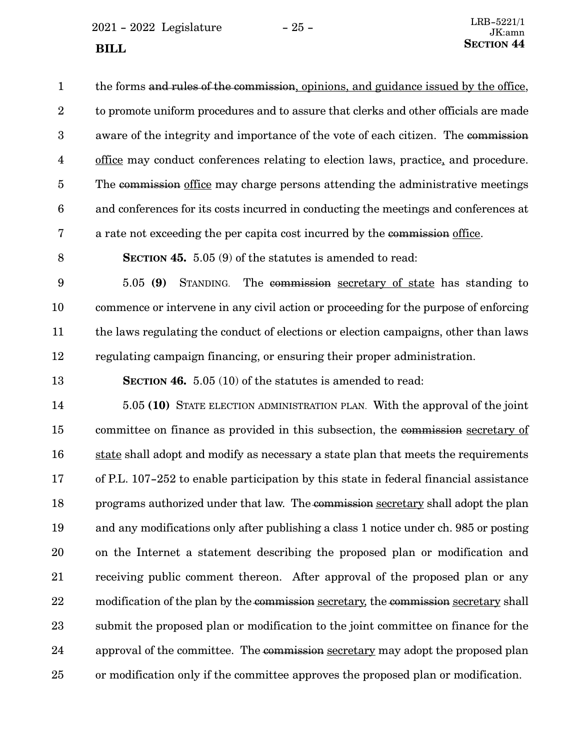$2021 - 2022$  Legislature  $-25 -$ **SECTION** 44

the forms and rules of the commission, opinions, and guidance issued by the office, to promote uniform procedures and to assure that clerks and other officials are made aware of the integrity and importance of the vote of each citizen. The commission office may conduct conferences relating to election laws, practice, and procedure. The commission office may charge persons attending the administrative meetings and conferences for its costs incurred in conducting the meetings and conferences at a rate not exceeding the per capita cost incurred by the commission office. 1 2 3 4 5 6 7

8

**SECTION 45.** 5.05 (9) of the statutes is amended to read:

5.05 **(9)** STANDING. The commission secretary of state has standing to commence or intervene in any civil action or proceeding for the purpose of enforcing the laws regulating the conduct of elections or election campaigns, other than laws regulating campaign financing, or ensuring their proper administration. 9 10 11 12

**SECTION 46.** 5.05 (10) of the statutes is amended to read: 13

5.05 **(10)** STATE ELECTION ADMINISTRATION PLAN. With the approval of the joint committee on finance as provided in this subsection, the commission secretary of state shall adopt and modify as necessary a state plan that meets the requirements of P.L. 107-252 to enable participation by this state in federal financial assistance programs authorized under that law. The commission secretary shall adopt the plan and any modifications only after publishing a class 1 notice under ch. 985 or posting on the Internet a statement describing the proposed plan or modification and receiving public comment thereon. After approval of the proposed plan or any modification of the plan by the commission secretary, the commission secretary shall submit the proposed plan or modification to the joint committee on finance for the approval of the committee. The commission secretary may adopt the proposed plan or modification only if the committee approves the proposed plan or modification. 14 15 16 17 18 19 20 21 22 23 24 25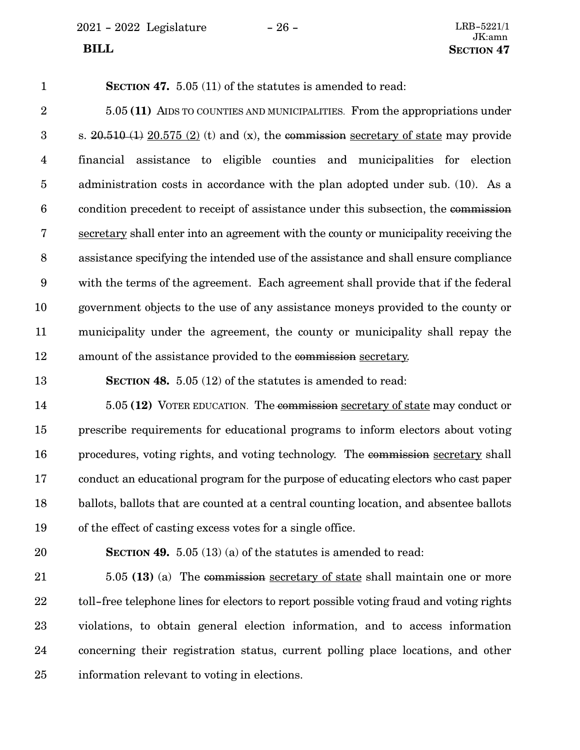2021 - 2022 Legislature - 26 - LRB-5221/1

**SECTION 47.** 5.05 (11) of the statutes is amended to read: 1

5.05 **(11)** AIDS TO COUNTIES AND MUNICIPALITIES. From the appropriations under s.  $20.510$  (1)  $20.575$  (2) (t) and (x), the commission secretary of state may provide financial assistance to eligible counties and municipalities for election administration costs in accordance with the plan adopted under sub. (10). As a condition precedent to receipt of assistance under this subsection, the commission secretary shall enter into an agreement with the county or municipality receiving the assistance specifying the intended use of the assistance and shall ensure compliance with the terms of the agreement. Each agreement shall provide that if the federal government objects to the use of any assistance moneys provided to the county or municipality under the agreement, the county or municipality shall repay the amount of the assistance provided to the commission secretary. 2 3 4 5 6 7 8 9 10 11 12

**SECTION 48.** 5.05 (12) of the statutes is amended to read: 13

5.05 **(12)** VOTER EDUCATION. The commission secretary of state may conduct or prescribe requirements for educational programs to inform electors about voting procedures, voting rights, and voting technology. The commission secretary shall conduct an educational program for the purpose of educating electors who cast paper ballots, ballots that are counted at a central counting location, and absentee ballots of the effect of casting excess votes for a single office. 14 15 16 17 18 19

20

**SECTION 49.** 5.05 (13) (a) of the statutes is amended to read:

5.05 **(13)** (a) The commission secretary of state shall maintain one or more toll-free telephone lines for electors to report possible voting fraud and voting rights violations, to obtain general election information, and to access information concerning their registration status, current polling place locations, and other information relevant to voting in elections. 21 22 23 24 25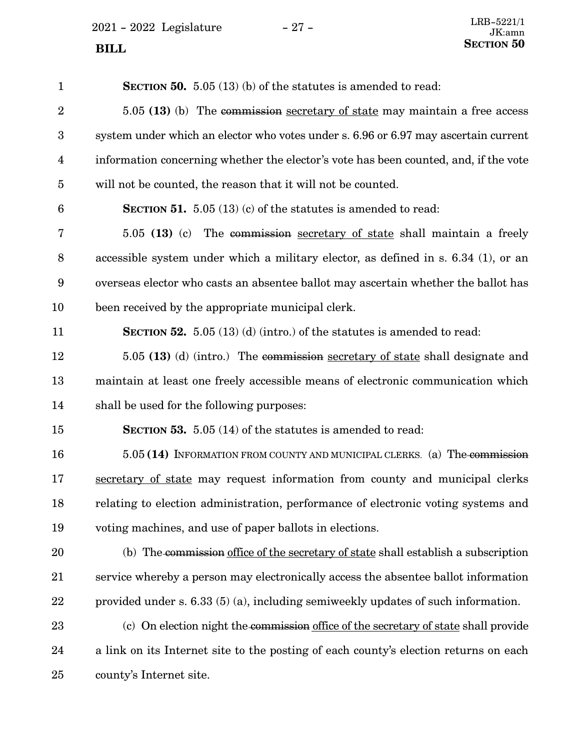2021 - 2022 Legislature - 27 -

| $\mathbf{1}$     | SECTION 50. 5.05 (13) (b) of the statutes is amended to read:                        |
|------------------|--------------------------------------------------------------------------------------|
| $\boldsymbol{2}$ | 5.05 (13) (b) The commission secretary of state may maintain a free access           |
| $\boldsymbol{3}$ | system under which an elector who votes under s. 6.96 or 6.97 may ascertain current  |
| 4                | information concerning whether the elector's vote has been counted, and, if the vote |
| 5                | will not be counted, the reason that it will not be counted.                         |
| 6                | <b>SECTION 51.</b> 5.05 (13) (c) of the statutes is amended to read:                 |
| 7                | 5.05 (13) (c) The commission secretary of state shall maintain a freely              |
| 8                | accessible system under which a military elector, as defined in s. 6.34 (1), or an   |
| 9                | overseas elector who casts an absentee ballot may ascertain whether the ballot has   |
| 10               | been received by the appropriate municipal clerk.                                    |
| 11               | <b>SECTION 52.</b> 5.05 (13) (d) (intro.) of the statutes is amended to read:        |
| 12               | 5.05 (13) (d) (intro.) The commission secretary of state shall designate and         |
| 13               | maintain at least one freely accessible means of electronic communication which      |
| 14               | shall be used for the following purposes:                                            |
| 15               | <b>SECTION 53.</b> 5.05 (14) of the statutes is amended to read:                     |
| 16               | 5.05 (14) INFORMATION FROM COUNTY AND MUNICIPAL CLERKS. (a) The commission           |
| 17               | secretary of state may request information from county and municipal clerks          |
| 18               | relating to election administration, performance of electronic voting systems and    |
| 19               | voting machines, and use of paper ballots in elections.                              |
| 20               | (b) The commission office of the secretary of state shall establish a subscription   |
| 21               | service whereby a person may electronically access the absentee ballot information   |
| 22               | provided under s. $6.33(5)(a)$ , including semiweekly updates of such information.   |
| 23               | (c) On election night the commission office of the secretary of state shall provide  |
| 24               | a link on its Internet site to the posting of each county's election returns on each |
| 25               | county's Internet site.                                                              |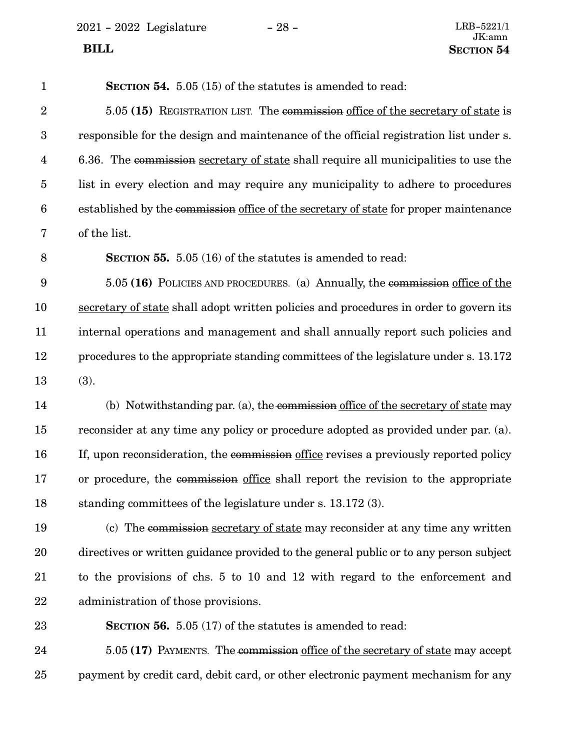$2021$  -  $2022\,$  Legislature  $\hskip 5mm -28$  -

| $\mathbf{1}$     | <b>SECTION 54.</b> 5.05 (15) of the statutes is amended to read:                       |
|------------------|----------------------------------------------------------------------------------------|
| $\boldsymbol{2}$ | 5.05 (15) REGISTRATION LIST. The commission office of the secretary of state is        |
| $\boldsymbol{3}$ | responsible for the design and maintenance of the official registration list under s.  |
| $\overline{4}$   | 6.36. The commission secretary of state shall require all municipalities to use the    |
| $\overline{5}$   | list in every election and may require any municipality to adhere to procedures        |
| $\boldsymbol{6}$ | established by the commission office of the secretary of state for proper maintenance  |
| 7                | of the list.                                                                           |
| 8                | <b>SECTION 55.</b> 5.05 (16) of the statutes is amended to read:                       |
| $9\phantom{.0}$  | 5.05 (16) POLICIES AND PROCEDURES. (a) Annually, the commission office of the          |
| 10               | secretary of state shall adopt written policies and procedures in order to govern its  |
| 11               | internal operations and management and shall annually report such policies and         |
| 12               | procedures to the appropriate standing committees of the legislature under s. 13.172   |
| 13               | (3).                                                                                   |
| 14               | (b) Notwithstanding par. (a), the commission office of the secretary of state may      |
| 15               | reconsider at any time any policy or procedure adopted as provided under par. (a).     |
| 16               | If, upon reconsideration, the commission office revises a previously reported policy   |
| 17               | or procedure, the commission office shall report the revision to the appropriate       |
| 18               | standing committees of the legislature under s. 13.172 (3).                            |
| 19               | (c) The commission secretary of state may reconsider at any time any written           |
| 20               | directives or written guidance provided to the general public or to any person subject |
| 21               | to the provisions of chs. 5 to 10 and 12 with regard to the enforcement and            |
| 22               | administration of those provisions.                                                    |
| 23               | <b>SECTION 56.</b> 5.05 (17) of the statutes is amended to read:                       |
| 24               | 5.05 (17) PAYMENTS. The commission office of the secretary of state may accept         |
| 25               | payment by credit card, debit card, or other electronic payment mechanism for any      |
|                  |                                                                                        |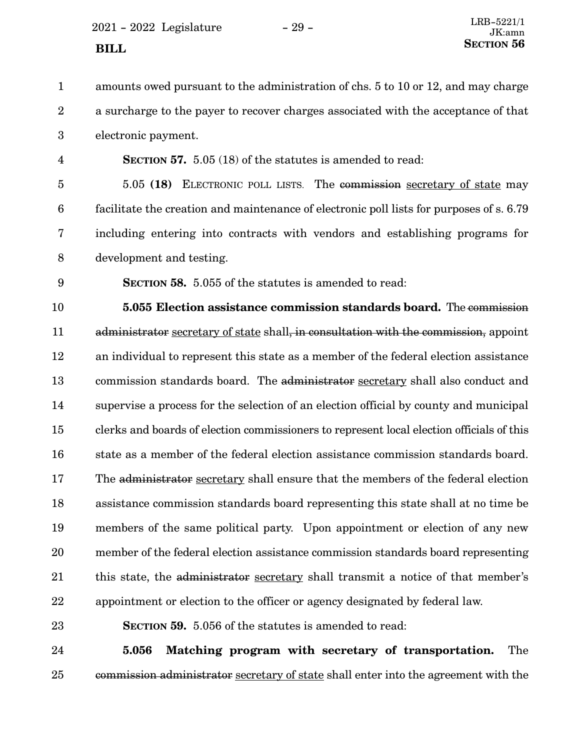$2021 - 2022$  Legislature  $-29 -$ 

amounts owed pursuant to the administration of chs. 5 to 10 or 12, and may charge a surcharge to the payer to recover charges associated with the acceptance of that electronic payment. **SECTION** 57. 5.05 (18) of the statutes is amended to read: 5.05 **(18)** ELECTRONIC POLL LISTS. The commission secretary of state may facilitate the creation and maintenance of electronic poll lists for purposes of s. 6.79 including entering into contracts with vendors and establishing programs for development and testing. **SECTION** 58. 5.055 of the statutes is amended to read: **5.055 Election assistance commission standards board.** The commission administrator secretary of state shall, in consultation with the commission, appoint an individual to represent this state as a member of the federal election assistance commission standards board. The administrator secretary shall also conduct and supervise a process for the selection of an election official by county and municipal clerks and boards of election commissioners to represent local election officials of this state as a member of the federal election assistance commission standards board. The administrator secretary shall ensure that the members of the federal election assistance commission standards board representing this state shall at no time be members of the same political party. Upon appointment or election of any new member of the federal election assistance commission standards board representing this state, the administrator secretary shall transmit a notice of that member's appointment or election to the officer or agency designated by federal law. **SECTION 59.** 5.056 of the statutes is amended to read: **5.056 Matching program with secretary of transportation.** The 1 2 3 4 5 6 7 8 9 10 11 12 13 14 15 16 17 18 19 20 21 22 23 24

commission administrator secretary of state shall enter into the agreement with the 25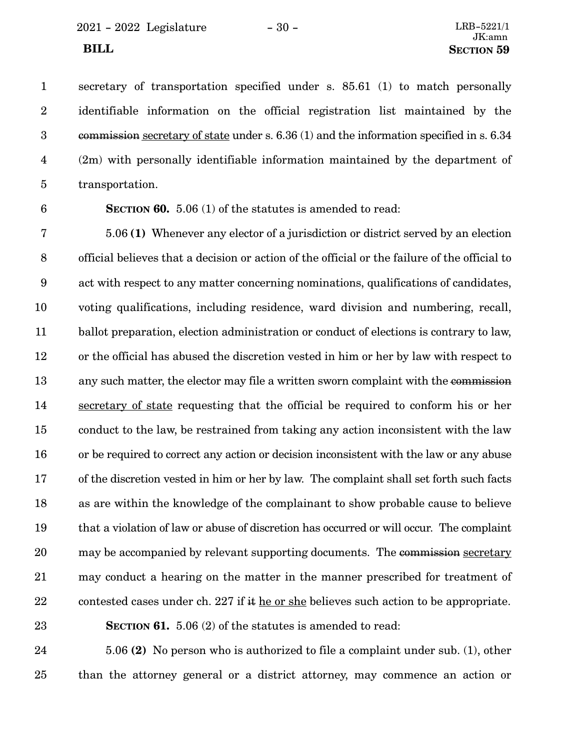secretary of transportation specified under s. 85.61 (1) to match personally identifiable information on the official registration list maintained by the commission secretary of state under s. 6.36 (1) and the information specified in s. 6.34 (2m) with personally identifiable information maintained by the department of transportation. 1 2 3 4 5

6

**SECTION 60.** 5.06 (1) of the statutes is amended to read:

5.06 **(1)** Whenever any elector of a jurisdiction or district served by an election official believes that a decision or action of the official or the failure of the official to act with respect to any matter concerning nominations, qualifications of candidates, voting qualifications, including residence, ward division and numbering, recall, ballot preparation, election administration or conduct of elections is contrary to law, or the official has abused the discretion vested in him or her by law with respect to any such matter, the elector may file a written sworn complaint with the commission secretary of state requesting that the official be required to conform his or her conduct to the law, be restrained from taking any action inconsistent with the law or be required to correct any action or decision inconsistent with the law or any abuse of the discretion vested in him or her by law. The complaint shall set forth such facts as are within the knowledge of the complainant to show probable cause to believe that a violation of law or abuse of discretion has occurred or will occur. The complaint may be accompanied by relevant supporting documents. The commission secretary may conduct a hearing on the matter in the manner prescribed for treatment of contested cases under ch. 227 if it he or she believes such action to be appropriate. 7 8 9 10 11 12 13 14 15 16 17 18 19 20 21 22

23

**SECTION 61.** 5.06 (2) of the statutes is amended to read:

5.06 **(2)** No person who is authorized to file a complaint under sub. (1), other than the attorney general or a district attorney, may commence an action or 24 25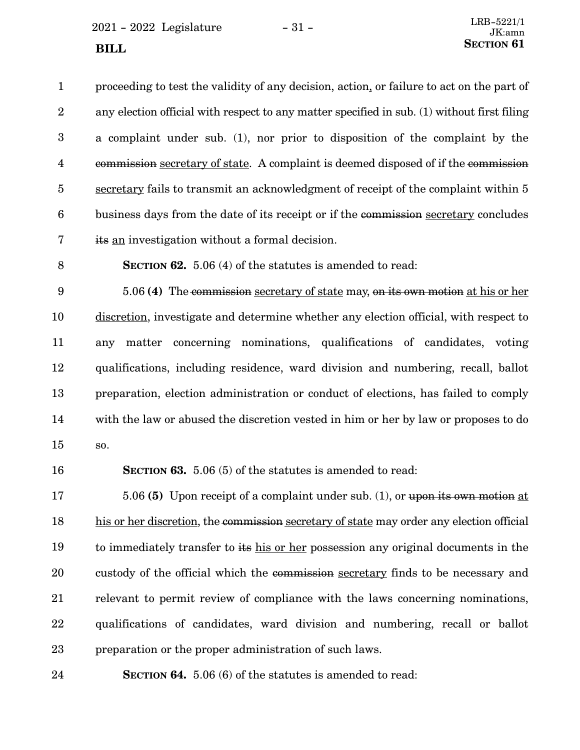$2021 - 2022$  Legislature  $-31 -$ 

proceeding to test the validity of any decision, action, or failure to act on the part of any election official with respect to any matter specified in sub. (1) without first filing a complaint under sub. (1), nor prior to disposition of the complaint by the commission secretary of state. A complaint is deemed disposed of if the commission secretary fails to transmit an acknowledgment of receipt of the complaint within 5 business days from the date of its receipt or if the commission secretary concludes its an investigation without a formal decision. 1 2 3 4 5 6 7

8

**SECTION 62.** 5.06 (4) of the statutes is amended to read:

5.06 **(4)** The commission secretary of state may, on its own motion at his or her discretion, investigate and determine whether any election official, with respect to any matter concerning nominations, qualifications of candidates, voting qualifications, including residence, ward division and numbering, recall, ballot preparation, election administration or conduct of elections, has failed to comply with the law or abused the discretion vested in him or her by law or proposes to do so. 9 10 11 12 13 14 15

16

**SECTION 63.** 5.06 (5) of the statutes is amended to read:

5.06 **(5)** Upon receipt of a complaint under sub. (1), or upon its own motion at his or her discretion, the commission secretary of state may order any election official to immediately transfer to its his or her possession any original documents in the custody of the official which the commission secretary finds to be necessary and relevant to permit review of compliance with the laws concerning nominations, qualifications of candidates, ward division and numbering, recall or ballot preparation or the proper administration of such laws. 17 18 19 20 21 22 23

**SECTION 64.** 5.06 (6) of the statutes is amended to read: 24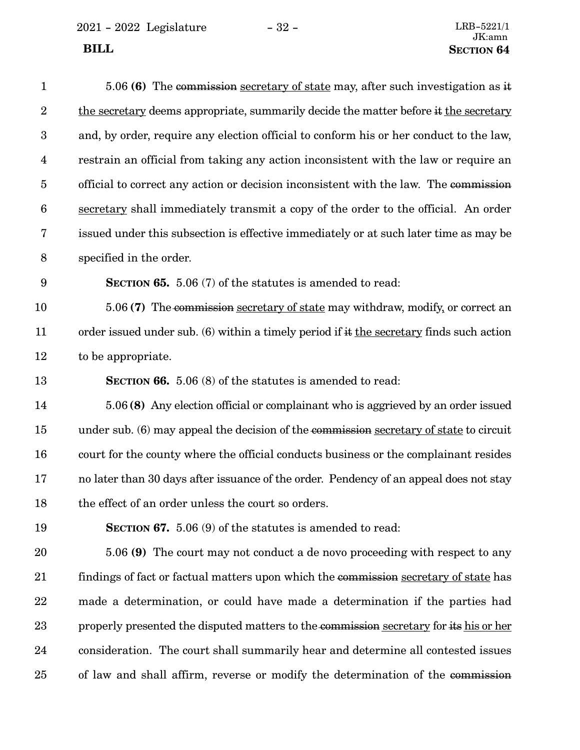| $\mathbf{1}$    | 5.06 (6) The commission secretary of state may, after such investigation as it            |
|-----------------|-------------------------------------------------------------------------------------------|
| $\overline{2}$  | the secretary deems appropriate, summarily decide the matter before it the secretary      |
| 3               | and, by order, require any election official to conform his or her conduct to the law,    |
| $\overline{4}$  | restrain an official from taking any action inconsistent with the law or require an       |
| $\overline{5}$  | official to correct any action or decision inconsistent with the law. The commission      |
| $6\phantom{.}6$ | secretary shall immediately transmit a copy of the order to the official. An order        |
| 7               | issued under this subsection is effective immediately or at such later time as may be     |
| 8               | specified in the order.                                                                   |
| $9\phantom{.0}$ | <b>SECTION 65.</b> 5.06 (7) of the statutes is amended to read:                           |
| 10              | 5.06 (7) The commission secretary of state may withdraw, modify, or correct an            |
| 11              | order issued under sub. (6) within a timely period if $#$ the secretary finds such action |
| 12              | to be appropriate.                                                                        |
| 13              | <b>SECTION 66.</b> 5.06 (8) of the statutes is amended to read:                           |
| 14              | 5.06 (8) Any election official or complainant who is aggrieved by an order issued         |
| 15              | under sub. (6) may appeal the decision of the commission secretary of state to circuit    |
| 16              | court for the county where the official conducts business or the complainant resides      |
| 17              | no later than 30 days after issuance of the order. Pendency of an appeal does not stay    |
| 18              | the effect of an order unless the court so orders.                                        |
| 19              | SECTION 67. 5.06 (9) of the statutes is amended to read:                                  |
| 20              | 5.06 (9) The court may not conduct a de novo proceeding with respect to any               |
| 21              | findings of fact or factual matters upon which the commission secretary of state has      |
| 22              | made a determination, or could have made a determination if the parties had               |
| 23              | properly presented the disputed matters to the commission secretary for its his or her    |
| 24              | consideration. The court shall summarily hear and determine all contested issues          |
| 25              | of law and shall affirm, reverse or modify the determination of the commission            |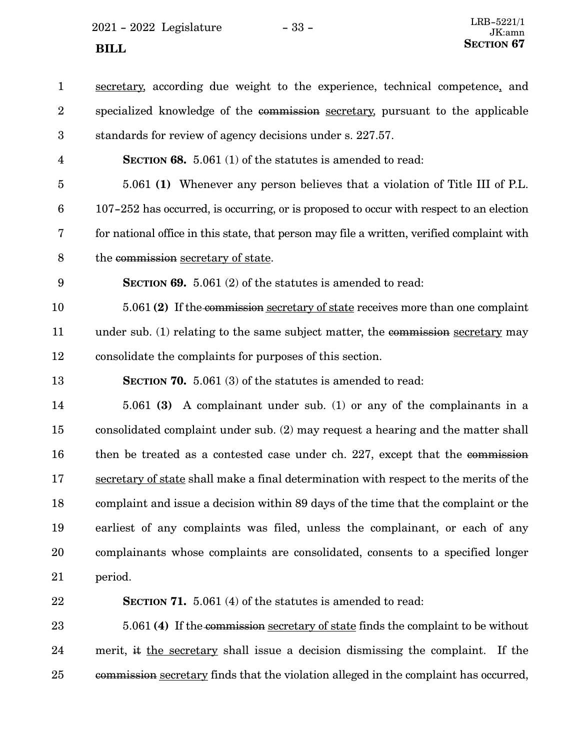$2021 - 2022$  Legislature  $-33$  -**SECTION** 67

| $\mathbf{1}$     | secretary, according due weight to the experience, technical competence, and               |
|------------------|--------------------------------------------------------------------------------------------|
| $\boldsymbol{2}$ | specialized knowledge of the commission secretary, pursuant to the applicable              |
| 3                | standards for review of agency decisions under s. 227.57.                                  |
| $\overline{4}$   | <b>SECTION 68.</b> 5.061 (1) of the statutes is amended to read:                           |
| $\overline{5}$   | 5.061 (1) Whenever any person believes that a violation of Title III of P.L.               |
| $6\phantom{.}6$  | 107-252 has occurred, is occurring, or is proposed to occur with respect to an election    |
| 7                | for national office in this state, that person may file a written, verified complaint with |
| 8                | the commission secretary of state.                                                         |
| $\boldsymbol{9}$ | <b>SECTION 69.</b> 5.061 (2) of the statutes is amended to read:                           |
| 10               | 5.061 (2) If the commission secretary of state receives more than one complaint            |
| 11               | under sub. (1) relating to the same subject matter, the commission secretary may           |
| 12               | consolidate the complaints for purposes of this section.                                   |
| 13               | <b>SECTION 70.</b> 5.061 (3) of the statutes is amended to read:                           |
| 14               | 5.061 (3) A complainant under sub. (1) or any of the complainants in a                     |
| 15               | consolidated complaint under sub. (2) may request a hearing and the matter shall           |
| 16               | then be treated as a contested case under ch. 227, except that the commission              |
| 17               | secretary of state shall make a final determination with respect to the merits of the      |
| 18               | complaint and issue a decision within 89 days of the time that the complaint or the        |
| 19               | earliest of any complaints was filed, unless the complainant, or each of any               |
| 20               | complainants whose complaints are consolidated, consents to a specified longer             |
| 21               | period.                                                                                    |
|                  | <b>SECTION 71.</b> 5.061 (4) of the statutes is amended to read:                           |
| 22               |                                                                                            |
| 23               | 5.061 (4) If the commission secretary of state finds the complaint to be without           |

commission secretary finds that the violation alleged in the complaint has occurred, 25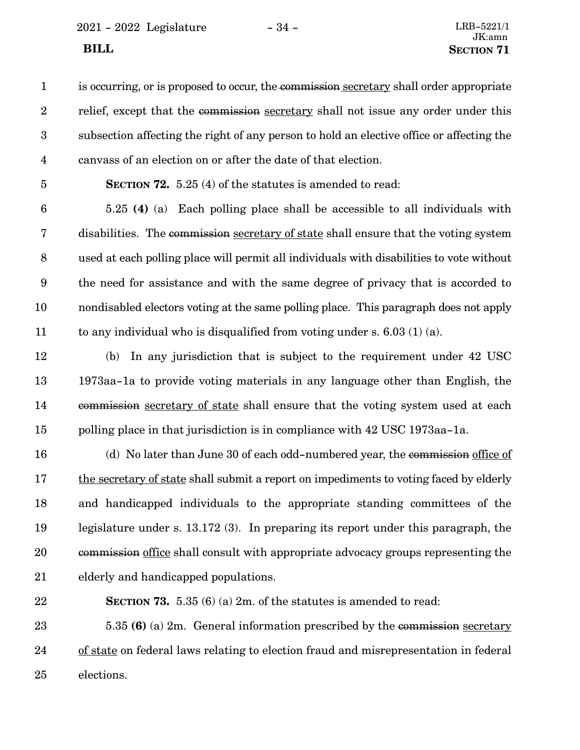2021 - 2022 Legislature - 34 - LRB-5221/1

is occurring, or is proposed to occur, the commission secretary shall order appropriate relief, except that the commission secretary shall not issue any order under this subsection affecting the right of any person to hold an elective office or affecting the canvass of an election on or after the date of that election. 1 2 3 4

**SECTION 72.** 5.25 (4) of the statutes is amended to read: 5

5.25 **(4)** (a) Each polling place shall be accessible to all individuals with disabilities. The commission secretary of state shall ensure that the voting system used at each polling place will permit all individuals with disabilities to vote without the need for assistance and with the same degree of privacy that is accorded to nondisabled electors voting at the same polling place. This paragraph does not apply to any individual who is disqualified from voting under s.  $6.03(1)(a)$ . 6 7 8 9 10 11

(b) In any jurisdiction that is subject to the requirement under 42 USC 1973aa-1a to provide voting materials in any language other than English, the commission secretary of state shall ensure that the voting system used at each polling place in that jurisdiction is in compliance with 42 USC 1973aa-1a. 12 13 14 15

(d) No later than June 30 of each odd-numbered year, the commission office of the secretary of state shall submit a report on impediments to voting faced by elderly and handicapped individuals to the appropriate standing committees of the legislature under s. 13.172 (3). In preparing its report under this paragraph, the commission office shall consult with appropriate advocacy groups representing the elderly and handicapped populations. 16 17 18 19 20 21

22

**SECTION 73.** 5.35 (6) (a) 2m. of the statutes is amended to read:

5.35 **(6)** (a) 2m. General information prescribed by the commission secretary of state on federal laws relating to election fraud and misrepresentation in federal elections. 23 24 25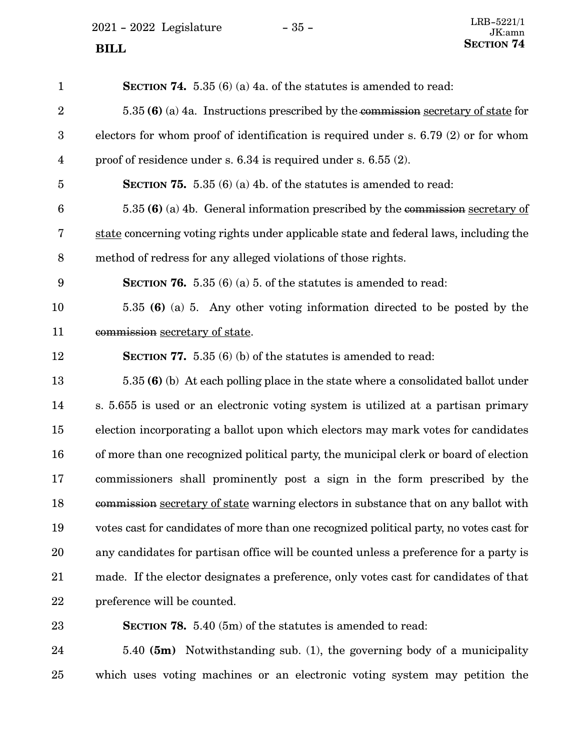2021 - 2022 Legislature - 35 -

| $\mathbf{1}$     | <b>SECTION 74.</b> 5.35 (6) (a) 4a. of the statutes is amended to read:                  |
|------------------|------------------------------------------------------------------------------------------|
| $\overline{2}$   | $5.35(6)$ (a) 4a. Instructions prescribed by the commission secretary of state for       |
| $\boldsymbol{3}$ | electors for whom proof of identification is required under s. $6.79(2)$ or for whom     |
| $\overline{4}$   | proof of residence under s. 6.34 is required under s. 6.55 (2).                          |
| 5                | <b>SECTION 75.</b> 5.35 (6) (a) 4b. of the statutes is amended to read:                  |
| $6\phantom{1}6$  | 5.35 (6) (a) 4b. General information prescribed by the commission secretary of           |
| 7                | state concerning voting rights under applicable state and federal laws, including the    |
| 8                | method of redress for any alleged violations of those rights.                            |
| $\boldsymbol{9}$ | <b>SECTION 76.</b> 5.35 (6) (a) 5. of the statutes is amended to read:                   |
| 10               | 5.35 (6) (a) 5. Any other voting information directed to be posted by the                |
| 11               | commission secretary of state.                                                           |
| 12               | <b>SECTION 77.</b> 5.35 (6) (b) of the statutes is amended to read:                      |
| 13               | 5.35 (6) (b) At each polling place in the state where a consolidated ballot under        |
| 14               | s. 5.655 is used or an electronic voting system is utilized at a partisan primary        |
| 15               | election incorporating a ballot upon which electors may mark votes for candidates        |
| 16               | of more than one recognized political party, the municipal clerk or board of election    |
| 17               | commissioners shall prominently post a sign in the form prescribed by the                |
| 18               | commission secretary of state warning electors in substance that on any ballot with      |
| 19               | votes cast for candidates of more than one recognized political party, no votes cast for |
| 20               | any candidates for partisan office will be counted unless a preference for a party is    |
| 21               | made. If the elector designates a preference, only votes cast for candidates of that     |
| 22               | preference will be counted.                                                              |
| 23               | <b>SECTION 78.</b> 5.40 (5m) of the statutes is amended to read:                         |

5.40 **(5m)** Notwithstanding sub. (1), the governing body of a municipality which uses voting machines or an electronic voting system may petition the 24 25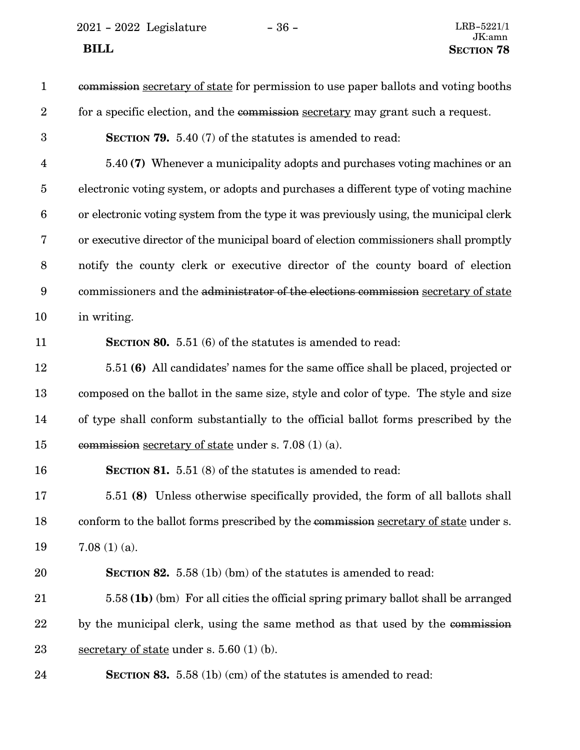| $\mathbf{1}$            | commission secretary of state for permission to use paper ballots and voting booths    |
|-------------------------|----------------------------------------------------------------------------------------|
| $\boldsymbol{2}$        | for a specific election, and the commission secretary may grant such a request.        |
| $\boldsymbol{3}$        | <b>SECTION 79.</b> 5.40 (7) of the statutes is amended to read:                        |
| $\overline{\mathbf{4}}$ | 5.40 (7) Whenever a municipality adopts and purchases voting machines or an            |
| $\overline{5}$          | electronic voting system, or adopts and purchases a different type of voting machine   |
| $6\phantom{.}6$         | or electronic voting system from the type it was previously using, the municipal clerk |
| 7                       | or executive director of the municipal board of election commissioners shall promptly  |
| $\boldsymbol{8}$        | notify the county clerk or executive director of the county board of election          |
| $\boldsymbol{9}$        | commissioners and the administrator of the elections commission secretary of state     |
| 10                      | in writing.                                                                            |
| 11                      | SECTION 80. 5.51 (6) of the statutes is amended to read:                               |
| 12                      | 5.51 (6) All candidates' names for the same office shall be placed, projected or       |
| 13                      | composed on the ballot in the same size, style and color of type. The style and size   |
| 14                      | of type shall conform substantially to the official ballot forms prescribed by the     |
| 15                      | commission secretary of state under s. 7.08 $(1)$ (a).                                 |
| 16                      | <b>SECTION 81.</b> 5.51 (8) of the statutes is amended to read:                        |
| 17                      | 5.51 (8) Unless otherwise specifically provided, the form of all ballots shall         |
| 18                      | conform to the ballot forms prescribed by the commission secretary of state under s.   |
| 19                      | $7.08(1)(a)$ .                                                                         |
| 20                      | <b>SECTION 82.</b> 5.58 (1b) (bm) of the statutes is amended to read:                  |
| 21                      | 5.58 (1b) (bm) For all cities the official spring primary ballot shall be arranged     |
| 22                      | by the municipal clerk, using the same method as that used by the commission           |
| 23                      | secretary of state under s. $5.60$ (1) (b).                                            |
| 24                      | <b>SECTION 83.</b> 5.58 (1b) (cm) of the statutes is amended to read:                  |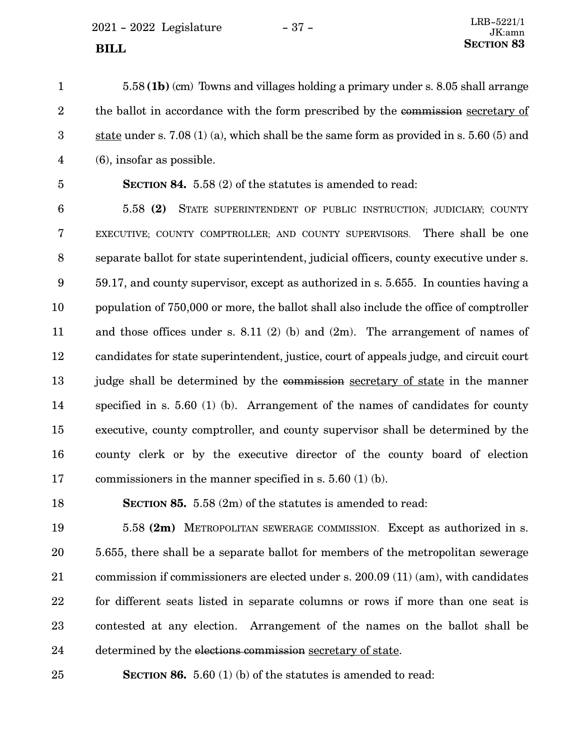5.58 **(1b)** (cm) Towns and villages holding a primary under s. 8.05 shall arrange the ballot in accordance with the form prescribed by the commission secretary of state under s. 7.08 (1) (a), which shall be the same form as provided in s. 5.60 (5) and (6), insofar as possible. 1 2 3 4

5

**SECTION 84.** 5.58 (2) of the statutes is amended to read:

5.58 **(2)** STATE SUPERINTENDENT OF PUBLIC INSTRUCTION; JUDICIARY; COUNTY EXECUTIVE; COUNTY COMPTROLLER; AND COUNTY SUPERVISORS. There shall be one separate ballot for state superintendent, judicial officers, county executive under s. 59.17, and county supervisor, except as authorized in s. 5.655. In counties having a population of 750,000 or more, the ballot shall also include the office of comptroller and those offices under s. 8.11 (2) (b) and (2m). The arrangement of names of candidates for state superintendent, justice, court of appeals judge, and circuit court judge shall be determined by the commission secretary of state in the manner specified in s. 5.60 (1) (b). Arrangement of the names of candidates for county executive, county comptroller, and county supervisor shall be determined by the county clerk or by the executive director of the county board of election commissioners in the manner specified in s. 5.60 (1) (b). 6 7 8 9 10 11 12 13 14 15 16 17

18

**SECTION 85.** 5.58 (2m) of the statutes is amended to read:

5.58 **(2m)** METROPOLITAN SEWERAGE COMMISSION. Except as authorized in s. 5.655, there shall be a separate ballot for members of the metropolitan sewerage commission if commissioners are elected under s. 200.09 (11) (am), with candidates for different seats listed in separate columns or rows if more than one seat is contested at any election. Arrangement of the names on the ballot shall be determined by the elections commission secretary of state. 19 20 21 22 23 24

**SECTION 86.** 5.60 (1) (b) of the statutes is amended to read: 25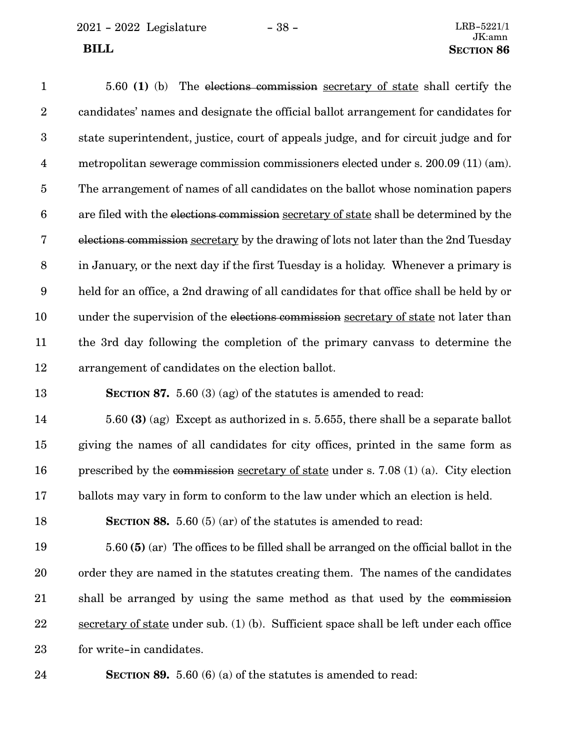| $\mathbf{1}$            | 5.60 (1) (b) The elections commission secretary of state shall certify the              |
|-------------------------|-----------------------------------------------------------------------------------------|
| $\boldsymbol{2}$        | candidates' names and designate the official ballot arrangement for candidates for      |
| $\boldsymbol{3}$        | state superintendent, justice, court of appeals judge, and for circuit judge and for    |
| $\overline{\mathbf{4}}$ | metropolitan sewerage commission commissioners elected under s. 200.09 (11) (am).       |
| $\bf 5$                 | The arrangement of names of all candidates on the ballot whose nomination papers        |
| $\boldsymbol{6}$        | are filed with the elections commission secretary of state shall be determined by the   |
| $\bf 7$                 | elections commission secretary by the drawing of lots not later than the 2nd Tuesday    |
| $\,8\,$                 | in January, or the next day if the first Tuesday is a holiday. Whenever a primary is    |
| $\boldsymbol{9}$        | held for an office, a 2nd drawing of all candidates for that office shall be held by or |
| 10                      | under the supervision of the elections commission secretary of state not later than     |
| 11                      | the 3rd day following the completion of the primary canvass to determine the            |
| 12                      | arrangement of candidates on the election ballot.                                       |
| 13                      | <b>SECTION 87.</b> 5.60 (3) (ag) of the statutes is amended to read:                    |
| 14                      | 5.60 (3) (ag) Except as authorized in s. 5.655, there shall be a separate ballot        |
| 15                      | giving the names of all candidates for city offices, printed in the same form as        |
| 16                      | prescribed by the commission secretary of state under s. 7.08 $(1)$ (a). City election  |
| 17                      | ballots may vary in form to conform to the law under which an election is held.         |
| 18                      | <b>SECTION 88.</b> 5.60 (5) (ar) of the statutes is amended to read:                    |
| 19                      | 5.60 (5) (ar) The offices to be filled shall be arranged on the official ballot in the  |
| 20                      | order they are named in the statutes creating them. The names of the candidates         |
| 21                      | shall be arranged by using the same method as that used by the commission               |
| 22                      | secretary of state under sub. (1) (b). Sufficient space shall be left under each office |
| 23                      | for write-in candidates.                                                                |

**SECTION 89.** 5.60 (6) (a) of the statutes is amended to read: 24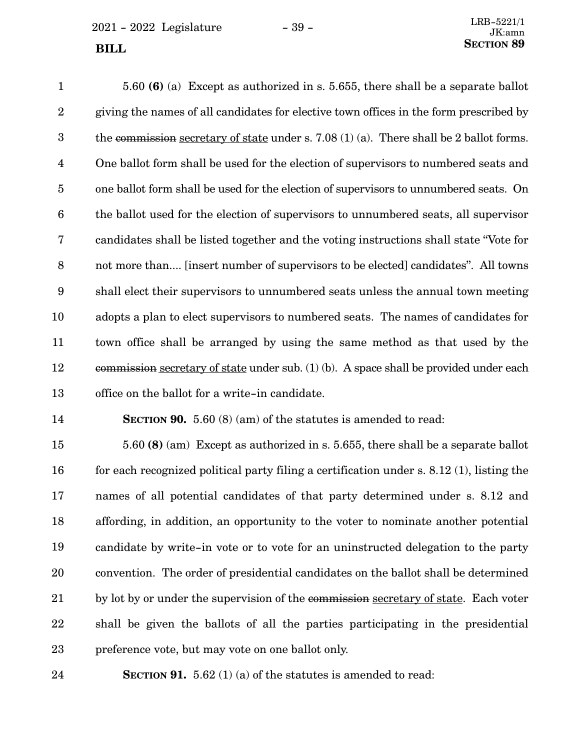$2021 - 2022$  Legislature  $- 39 - 2021 - 2022$ **SECTION** 89

5.60 **(6)** (a) Except as authorized in s. 5.655, there shall be a separate ballot giving the names of all candidates for elective town offices in the form prescribed by the commission secretary of state under s. 7.08 (1) (a). There shall be 2 ballot forms. One ballot form shall be used for the election of supervisors to numbered seats and one ballot form shall be used for the election of supervisors to unnumbered seats. On the ballot used for the election of supervisors to unnumbered seats, all supervisor candidates shall be listed together and the voting instructions shall state "Vote for not more than.... [insert number of supervisors to be elected] candidates". All towns shall elect their supervisors to unnumbered seats unless the annual town meeting adopts a plan to elect supervisors to numbered seats. The names of candidates for town office shall be arranged by using the same method as that used by the commission secretary of state under sub. (1) (b). A space shall be provided under each office on the ballot for a write-in candidate. 1 2 3 4 5 6 7 8 9 10 11 12 13

14

**SECTION 90.** 5.60 (8) (am) of the statutes is amended to read:

5.60 **(8)** (am) Except as authorized in s. 5.655, there shall be a separate ballot for each recognized political party filing a certification under s. 8.12 (1), listing the names of all potential candidates of that party determined under s. 8.12 and affording, in addition, an opportunity to the voter to nominate another potential candidate by write-in vote or to vote for an uninstructed delegation to the party convention. The order of presidential candidates on the ballot shall be determined by lot by or under the supervision of the commission secretary of state. Each voter shall be given the ballots of all the parties participating in the presidential preference vote, but may vote on one ballot only. 15 16 17 18 19 20 21 22 23

**SECTION 91.** 5.62 (1) (a) of the statutes is amended to read: 24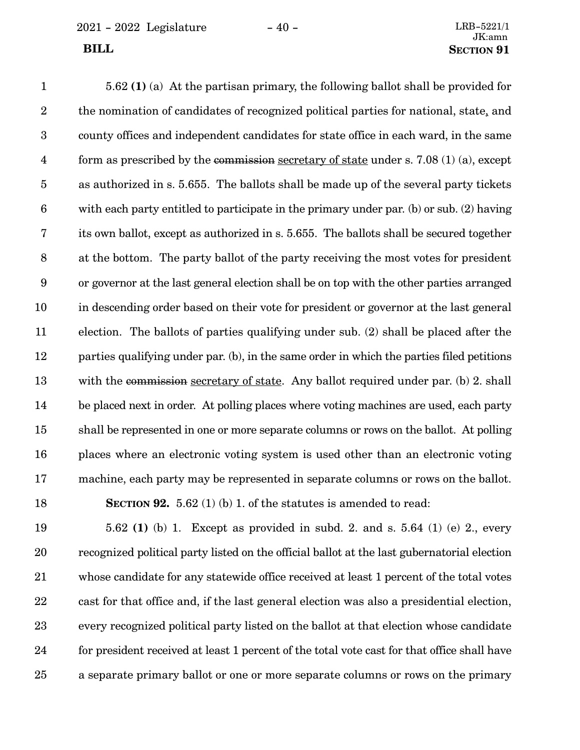5.62 **(1)** (a) At the partisan primary, the following ballot shall be provided for the nomination of candidates of recognized political parties for national, state, and county offices and independent candidates for state office in each ward, in the same form as prescribed by the commission secretary of state under s. 7.08 (1) (a), except as authorized in s. 5.655. The ballots shall be made up of the several party tickets with each party entitled to participate in the primary under par. (b) or sub. (2) having its own ballot, except as authorized in s. 5.655. The ballots shall be secured together at the bottom. The party ballot of the party receiving the most votes for president or governor at the last general election shall be on top with the other parties arranged in descending order based on their vote for president or governor at the last general election. The ballots of parties qualifying under sub. (2) shall be placed after the parties qualifying under par. (b), in the same order in which the parties filed petitions with the commission secretary of state. Any ballot required under par. (b) 2. shall be placed next in order. At polling places where voting machines are used, each party shall be represented in one or more separate columns or rows on the ballot. At polling places where an electronic voting system is used other than an electronic voting machine, each party may be represented in separate columns or rows on the ballot. **SECTION 92.** 5.62 (1) (b) 1. of the statutes is amended to read: 1 2 3 4 5 6 7 8 9 10 11 12 13 14 15 16 17 18

5.62 **(1)** (b) 1. Except as provided in subd. 2. and s. 5.64 (1) (e) 2., every recognized political party listed on the official ballot at the last gubernatorial election whose candidate for any statewide office received at least 1 percent of the total votes cast for that office and, if the last general election was also a presidential election, every recognized political party listed on the ballot at that election whose candidate for president received at least 1 percent of the total vote cast for that office shall have a separate primary ballot or one or more separate columns or rows on the primary 19 20 21 22 23 24 25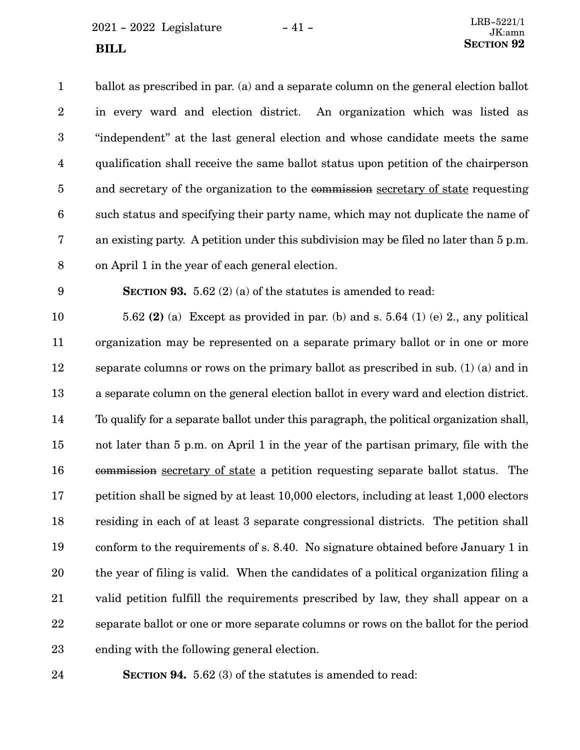$2021 - 2022$  Legislature  $-41 -$ 

ballot as prescribed in par. (a) and a separate column on the general election ballot in every ward and election district. An organization which was listed as "independent" at the last general election and whose candidate meets the same qualification shall receive the same ballot status upon petition of the chairperson and secretary of the organization to the commission secretary of state requesting such status and specifying their party name, which may not duplicate the name of an existing party. A petition under this subdivision may be filed no later than 5 p.m. on April 1 in the year of each general election. 1 2 3 4 5 6 7 8

9

**SECTION 93.** 5.62 (2) (a) of the statutes is amended to read:

5.62 **(2)** (a) Except as provided in par. (b) and s. 5.64 (1) (e) 2., any political organization may be represented on a separate primary ballot or in one or more separate columns or rows on the primary ballot as prescribed in sub. (1) (a) and in a separate column on the general election ballot in every ward and election district. To qualify for a separate ballot under this paragraph, the political organization shall, not later than 5 p.m. on April 1 in the year of the partisan primary, file with the commission secretary of state a petition requesting separate ballot status. The petition shall be signed by at least 10,000 electors, including at least 1,000 electors residing in each of at least 3 separate congressional districts. The petition shall conform to the requirements of s. 8.40. No signature obtained before January 1 in the year of filing is valid. When the candidates of a political organization filing a valid petition fulfill the requirements prescribed by law, they shall appear on a separate ballot or one or more separate columns or rows on the ballot for the period ending with the following general election. 10 11 12 13 14 15 16 17 18 19 20 21 22 23

**SECTION 94.** 5.62 (3) of the statutes is amended to read: 24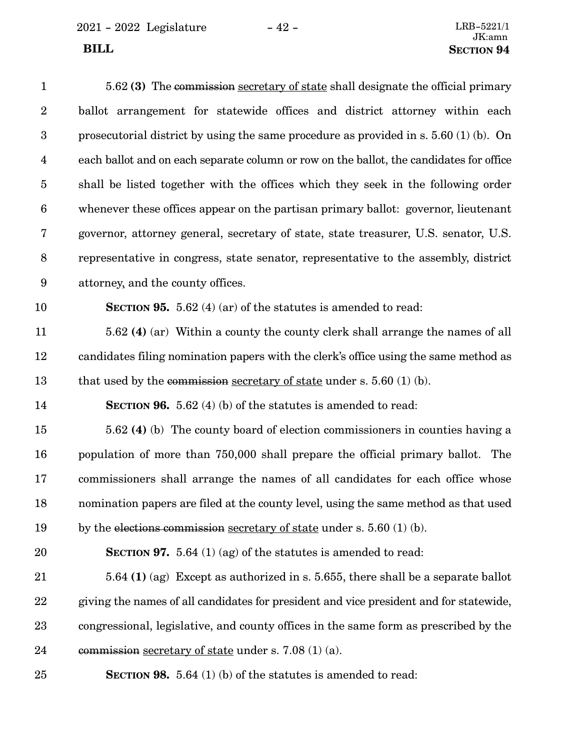| $\mathbf{1}$     | 5.62 (3) The commission secretary of state shall designate the official primary         |
|------------------|-----------------------------------------------------------------------------------------|
| $\overline{2}$   | ballot arrangement for statewide offices and district attorney within each              |
| 3                | prosecutorial district by using the same procedure as provided in s. $5.60(1)(b)$ . On  |
| $\overline{4}$   | each ballot and on each separate column or row on the ballot, the candidates for office |
| $\overline{5}$   | shall be listed together with the offices which they seek in the following order        |
| $\boldsymbol{6}$ | whenever these offices appear on the partisan primary ballot: governor, lieutenant      |
| $\bf 7$          | governor, attorney general, secretary of state, state treasurer, U.S. senator, U.S.     |
| $8\,$            | representative in congress, state senator, representative to the assembly, district     |
| $9\phantom{.0}$  | attorney, and the county offices.                                                       |
| 10               | <b>SECTION 95.</b> 5.62 (4) (ar) of the statutes is amended to read:                    |
| 11               | 5.62 (4) (ar) Within a county the county clerk shall arrange the names of all           |
| 12               | candidates filing nomination papers with the clerk's office using the same method as    |
| 13               | that used by the commission <u>secretary of state</u> under s. 5.60 (1) (b).            |
| 14               | <b>SECTION 96.</b> 5.62 (4) (b) of the statutes is amended to read:                     |
| 15               | 5.62 (4) (b) The county board of election commissioners in counties having a            |
| 16               | population of more than 750,000 shall prepare the official primary ballot. The          |
| 17               | commissioners shall arrange the names of all candidates for each office whose           |
| 18               | nomination papers are filed at the county level, using the same method as that used     |
| 19               | by the elections commission secretary of state under s. 5.60 $(1)$ (b).                 |
| 20               | <b>SECTION 97.</b> 5.64 (1) (ag) of the statutes is amended to read:                    |
| 21               | $5.64$ (1) (ag) Except as authorized in s. 5.655, there shall be a separate ballot      |
| 22               | giving the names of all candidates for president and vice president and for statewide,  |
| 23               | congressional, legislative, and county offices in the same form as prescribed by the    |
| 24               | commission secretary of state under s. 7.08 $(1)$ (a).                                  |

**SECTION 98.** 5.64 (1) (b) of the statutes is amended to read: 25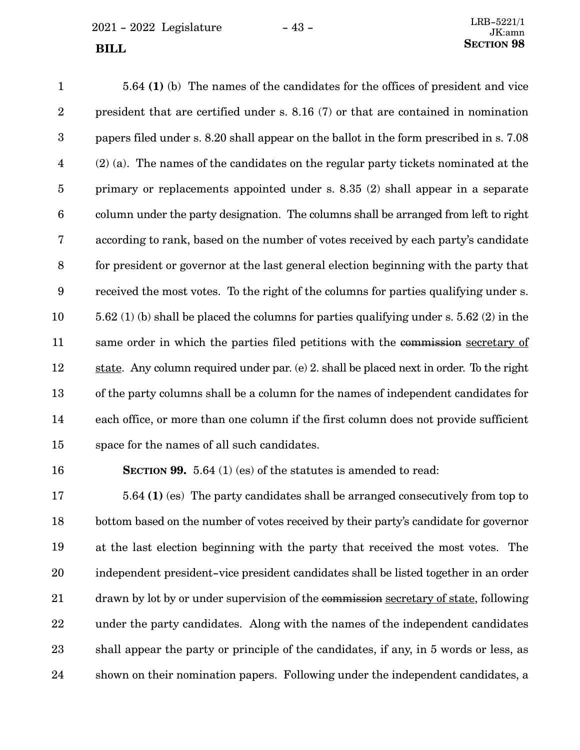$2021 - 2022$  Legislature  $-43 -$ 

5.64 **(1)** (b) The names of the candidates for the offices of president and vice president that are certified under s. 8.16 (7) or that are contained in nomination papers filed under s. 8.20 shall appear on the ballot in the form prescribed in s. 7.08 (2) (a). The names of the candidates on the regular party tickets nominated at the primary or replacements appointed under s. 8.35 (2) shall appear in a separate column under the party designation. The columns shall be arranged from left to right according to rank, based on the number of votes received by each party's candidate for president or governor at the last general election beginning with the party that received the most votes. To the right of the columns for parties qualifying under s. 5.62 (1) (b) shall be placed the columns for parties qualifying under s. 5.62 (2) in the same order in which the parties filed petitions with the commission secretary of state. Any column required under par. (e) 2. shall be placed next in order. To the right of the party columns shall be a column for the names of independent candidates for each office, or more than one column if the first column does not provide sufficient space for the names of all such candidates. 1 2 3 4 5 6 7 8 9 10 11 12 13 14 15

16

**SECTION 99.** 5.64 (1) (es) of the statutes is amended to read:

5.64 **(1)** (es) The party candidates shall be arranged consecutively from top to bottom based on the number of votes received by their party's candidate for governor at the last election beginning with the party that received the most votes. The independent president-vice president candidates shall be listed together in an order drawn by lot by or under supervision of the commission secretary of state, following under the party candidates. Along with the names of the independent candidates shall appear the party or principle of the candidates, if any, in 5 words or less, as shown on their nomination papers. Following under the independent candidates, a 17 18 19 20 21 22 23 24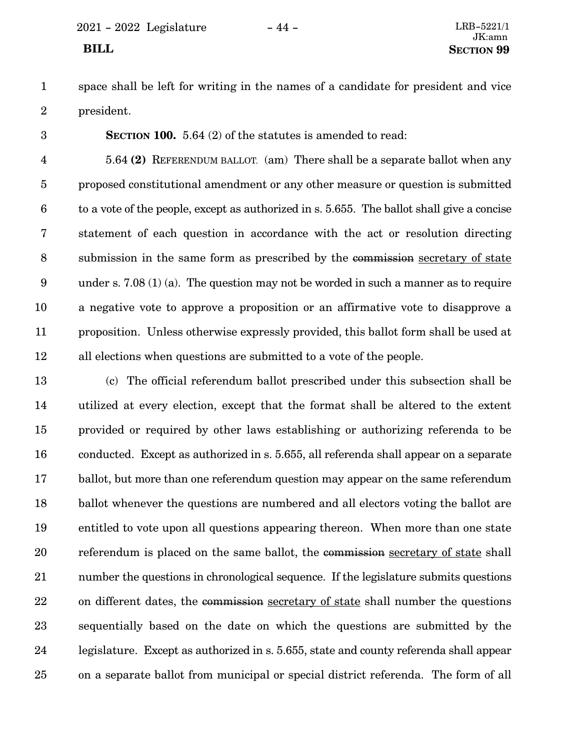space shall be left for writing in the names of a candidate for president and vice president. 1 2

**SECTION 100.** 5.64 (2) of the statutes is amended to read: 3

5.64 **(2)** REFERENDUM BALLOT. (am) There shall be a separate ballot when any proposed constitutional amendment or any other measure or question is submitted to a vote of the people, except as authorized in s. 5.655. The ballot shall give a concise statement of each question in accordance with the act or resolution directing submission in the same form as prescribed by the commission secretary of state under s. 7.08 (1) (a). The question may not be worded in such a manner as to require a negative vote to approve a proposition or an affirmative vote to disapprove a proposition. Unless otherwise expressly provided, this ballot form shall be used at all elections when questions are submitted to a vote of the people. 4 5 6 7 8 9 10 11 12

(c) The official referendum ballot prescribed under this subsection shall be utilized at every election, except that the format shall be altered to the extent provided or required by other laws establishing or authorizing referenda to be conducted. Except as authorized in s. 5.655, all referenda shall appear on a separate ballot, but more than one referendum question may appear on the same referendum ballot whenever the questions are numbered and all electors voting the ballot are entitled to vote upon all questions appearing thereon. When more than one state referendum is placed on the same ballot, the commission secretary of state shall number the questions in chronological sequence. If the legislature submits questions on different dates, the commission secretary of state shall number the questions sequentially based on the date on which the questions are submitted by the legislature. Except as authorized in s. 5.655, state and county referenda shall appear on a separate ballot from municipal or special district referenda. The form of all 13 14 15 16 17 18 19 20 21 22 23 24 25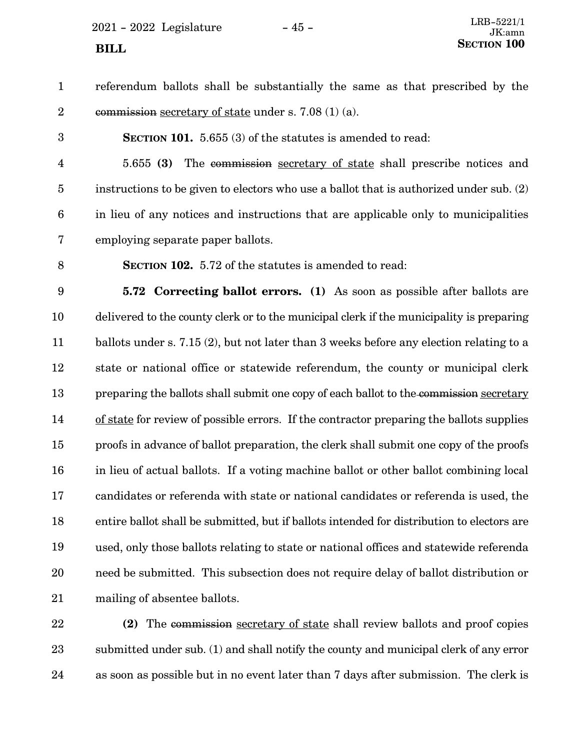$2021 - 2022$  Legislature  $-45 -$ <br>IK:amp

| $\mathbf{1}$     | referendum ballots shall be substantially the same as that prescribed by the               |
|------------------|--------------------------------------------------------------------------------------------|
| $\sqrt{2}$       | commission secretary of state under s. 7.08 $(1)$ (a).                                     |
| 3                | <b>SECTION 101.</b> 5.655 (3) of the statutes is amended to read:                          |
| $\overline{4}$   | The commission secretary of state shall prescribe notices and<br>5.655(3)                  |
| $\overline{5}$   | instructions to be given to electors who use a ballot that is authorized under sub. (2)    |
| $\boldsymbol{6}$ | in lieu of any notices and instructions that are applicable only to municipalities         |
| $\bf 7$          | employing separate paper ballots.                                                          |
| $\, 8$           | <b>SECTION 102.</b> 5.72 of the statutes is amended to read:                               |
| $\boldsymbol{9}$ | <b>5.72 Correcting ballot errors.</b> (1) As soon as possible after ballots are            |
| 10               | delivered to the county clerk or to the municipal clerk if the municipality is preparing   |
| 11               | ballots under s. 7.15 (2), but not later than 3 weeks before any election relating to a    |
| 12               | state or national office or statewide referendum, the county or municipal clerk            |
| 13               | preparing the ballots shall submit one copy of each ballot to the commission secretary     |
| 14               | of state for review of possible errors. If the contractor preparing the ballots supplies   |
| 15               | proofs in advance of ballot preparation, the clerk shall submit one copy of the proofs     |
| 16               | in lieu of actual ballots. If a voting machine ballot or other ballot combining local      |
| 17               | candidates or referenda with state or national candidates or referenda is used, the        |
| 18               | entire ballot shall be submitted, but if ballots intended for distribution to electors are |
| 19               | used, only those ballots relating to state or national offices and statewide referenda     |
| 20               | need be submitted. This subsection does not require delay of ballot distribution or        |
| 21               | mailing of absentee ballots.                                                               |
| 22               | (2) The commission secretary of state shall review ballots and proof copies                |

**(2)** The commission secretary of state shall review ballots and proof copies submitted under sub. (1) and shall notify the county and municipal clerk of any error as soon as possible but in no event later than 7 days after submission. The clerk is 22 23 24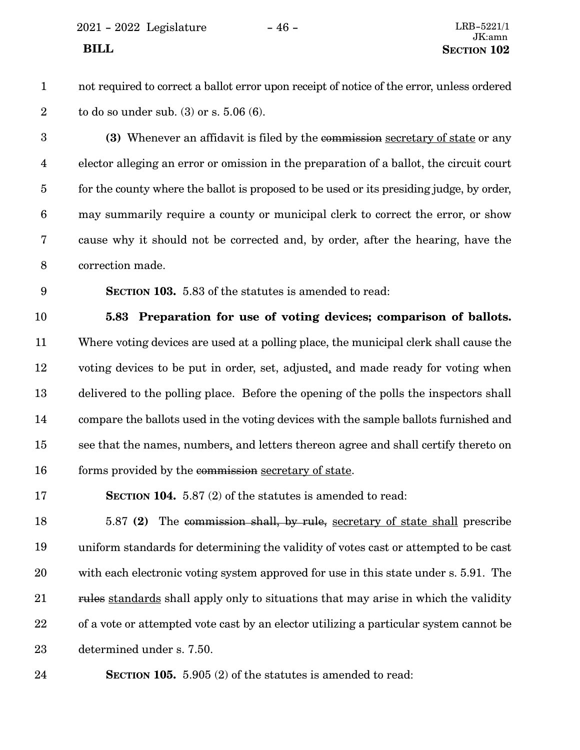2021 - 2022 Legislature - 46 - LRB-5221/1

1

2

not required to correct a ballot error upon receipt of notice of the error, unless ordered to do so under sub. (3) or s. 5.06 (6).

**(3)** Whenever an affidavit is filed by the commission secretary of state or any elector alleging an error or omission in the preparation of a ballot, the circuit court for the county where the ballot is proposed to be used or its presiding judge, by order, may summarily require a county or municipal clerk to correct the error, or show cause why it should not be corrected and, by order, after the hearing, have the correction made. 3 4 5 6 7 8

9

**SECTION 103.** 5.83 of the statutes is amended to read:

**5.83 Preparation for use of voting devices; comparison of ballots.** Where voting devices are used at a polling place, the municipal clerk shall cause the voting devices to be put in order, set, adjusted, and made ready for voting when delivered to the polling place. Before the opening of the polls the inspectors shall compare the ballots used in the voting devices with the sample ballots furnished and see that the names, numbers, and letters thereon agree and shall certify thereto on forms provided by the commission secretary of state. 10 11 12 13 14 15 16

**SECTION 104.** 5.87 (2) of the statutes is amended to read: 17

5.87 **(2)** The commission shall, by rule, secretary of state shall prescribe uniform standards for determining the validity of votes cast or attempted to be cast with each electronic voting system approved for use in this state under s. 5.91. The rules standards shall apply only to situations that may arise in which the validity of a vote or attempted vote cast by an elector utilizing a particular system cannot be determined under s. 7.50. 18 19 20 21 22 23

**SECTION 105.** 5.905 (2) of the statutes is amended to read: 24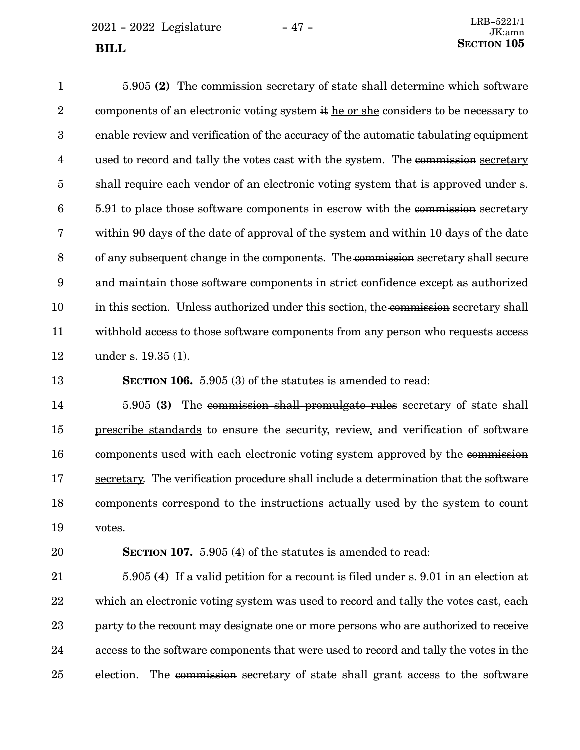$2021 - 2022$  Legislature  $-47 -$ 

5.905 **(2)** The commission secretary of state shall determine which software components of an electronic voting system it he or she considers to be necessary to enable review and verification of the accuracy of the automatic tabulating equipment used to record and tally the votes cast with the system. The commission secretary shall require each vendor of an electronic voting system that is approved under s. 5.91 to place those software components in escrow with the commission secretary within 90 days of the date of approval of the system and within 10 days of the date of any subsequent change in the components. The commission secretary shall secure and maintain those software components in strict confidence except as authorized in this section. Unless authorized under this section, the commission secretary shall withhold access to those software components from any person who requests access under s. 19.35 (1). 1 2 3 4 5 6 7 8 9 10 11 12

**SECTION 106.** 5.905 (3) of the statutes is amended to read: 13

5.905 **(3)** The commission shall promulgate rules secretary of state shall prescribe standards to ensure the security, review, and verification of software components used with each electronic voting system approved by the commission secretary. The verification procedure shall include a determination that the software components correspond to the instructions actually used by the system to count votes. 14 15 16 17 18 19

20

**SECTION 107.** 5.905 (4) of the statutes is amended to read:

5.905 **(4)** If a valid petition for a recount is filed under s. 9.01 in an election at which an electronic voting system was used to record and tally the votes cast, each party to the recount may designate one or more persons who are authorized to receive access to the software components that were used to record and tally the votes in the election. The commission secretary of state shall grant access to the software 21 22 23 24 25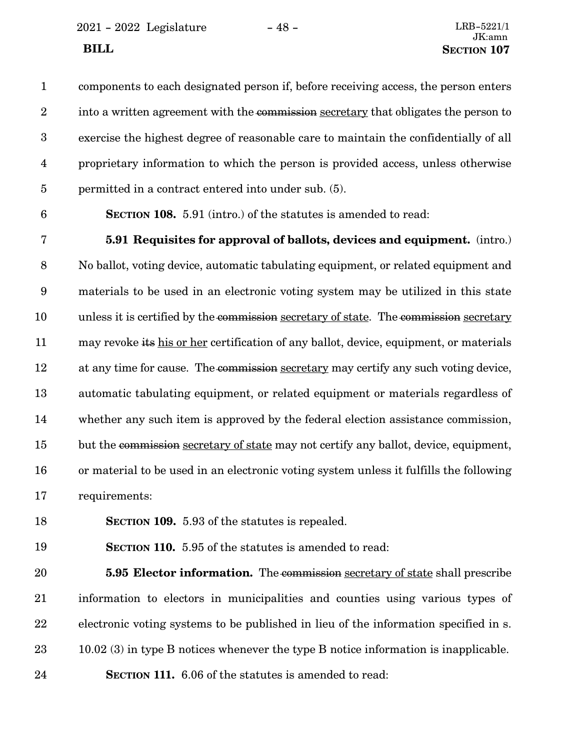$2021 - 2022$  Legislature  $-48 -$ 

components to each designated person if, before receiving access, the person enters into a written agreement with the commission secretary that obligates the person to exercise the highest degree of reasonable care to maintain the confidentially of all proprietary information to which the person is provided access, unless otherwise permitted in a contract entered into under sub. (5). 1 2 3 4 5

6

**SECTION 108.** 5.91 (intro.) of the statutes is amended to read:

**5.91 Requisites for approval of ballots, devices and equipment.** (intro.) No ballot, voting device, automatic tabulating equipment, or related equipment and materials to be used in an electronic voting system may be utilized in this state unless it is certified by the commission secretary of state. The commission secretary may revoke its his or her certification of any ballot, device, equipment, or materials at any time for cause. The commission secretary may certify any such voting device, automatic tabulating equipment, or related equipment or materials regardless of whether any such item is approved by the federal election assistance commission, but the commission secretary of state may not certify any ballot, device, equipment, or material to be used in an electronic voting system unless it fulfills the following requirements: 7 8 9 10 11 12 13 14 15 16 17

**SECTION 109.** 5.93 of the statutes is repealed. 18

**SECTION 110.** 5.95 of the statutes is amended to read: 19

**5.95 Elector information.** The commission secretary of state shall prescribe information to electors in municipalities and counties using various types of electronic voting systems to be published in lieu of the information specified in s. 10.02 (3) in type B notices whenever the type B notice information is inapplicable. **SECTION 111.** 6.06 of the statutes is amended to read: 20 21 22 23

24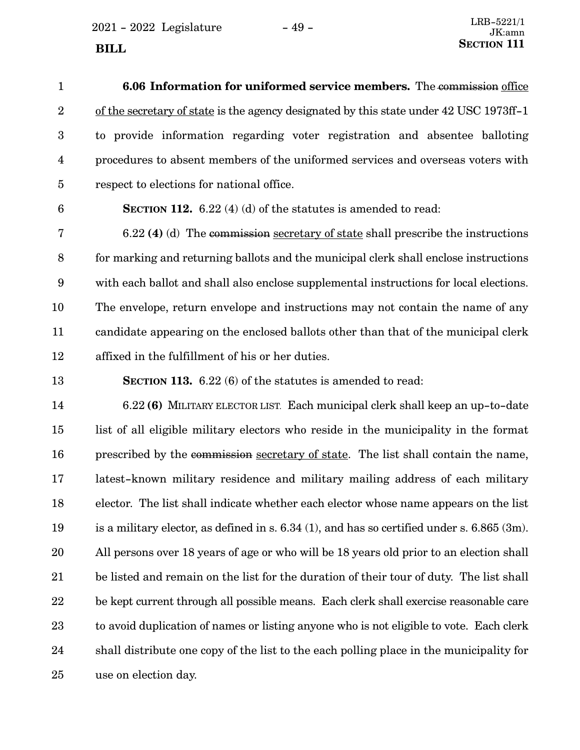$2021 - 2022$  Legislature  $-49 -$ 

| $\mathbf{1}$    | 6.06 Information for uniformed service members. The commission office                  |
|-----------------|----------------------------------------------------------------------------------------|
| $\overline{2}$  | of the secretary of state is the agency designated by this state under 42 USC 1973ff-1 |
| 3               | to provide information regarding voter registration and absentee balloting             |
| 4               | procedures to absent members of the uniformed services and overseas voters with        |
| $5\overline{)}$ | respect to elections for national office.                                              |
|                 |                                                                                        |

6

**SECTION 112.** 6.22 (4) (d) of the statutes is amended to read:

6.22 **(4)** (d) The commission secretary of state shall prescribe the instructions for marking and returning ballots and the municipal clerk shall enclose instructions with each ballot and shall also enclose supplemental instructions for local elections. The envelope, return envelope and instructions may not contain the name of any candidate appearing on the enclosed ballots other than that of the municipal clerk affixed in the fulfillment of his or her duties. 7 8 9 10 11 12

**SECTION 113.** 6.22 (6) of the statutes is amended to read: 13

6.22 **(6)** MILITARY ELECTOR LIST. Each municipal clerk shall keep an up-to-date list of all eligible military electors who reside in the municipality in the format prescribed by the commission secretary of state. The list shall contain the name, latest-known military residence and military mailing address of each military elector. The list shall indicate whether each elector whose name appears on the list is a military elector, as defined in s. 6.34 (1), and has so certified under s. 6.865 (3m). All persons over 18 years of age or who will be 18 years old prior to an election shall be listed and remain on the list for the duration of their tour of duty. The list shall be kept current through all possible means. Each clerk shall exercise reasonable care to avoid duplication of names or listing anyone who is not eligible to vote. Each clerk shall distribute one copy of the list to the each polling place in the municipality for use on election day. 14 15 16 17 18 19 20 21 22 23 24 25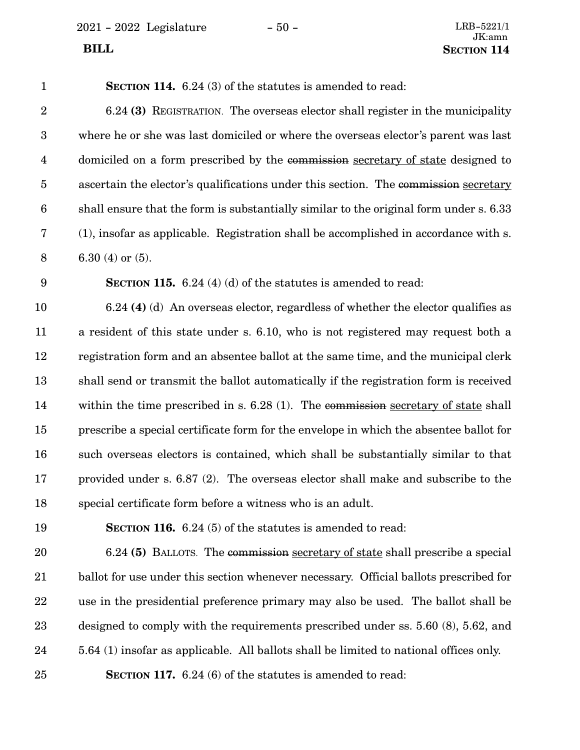2021 - 2022 Legislature - 50 - LRB-5221/1

| $\mathbf{1}$            | <b>SECTION 114.</b> 6.24 (3) of the statutes is amended to read:                       |
|-------------------------|----------------------------------------------------------------------------------------|
| $\overline{2}$          | 6.24 (3) REGISTRATION. The overseas elector shall register in the municipality         |
| $\boldsymbol{3}$        | where he or she was last domiciled or where the overseas elector's parent was last     |
| $\overline{\mathbf{4}}$ | domiciled on a form prescribed by the commission secretary of state designed to        |
| 5                       | ascertain the elector's qualifications under this section. The commission secretary    |
| $6\phantom{.}6$         | shall ensure that the form is substantially similar to the original form under s. 6.33 |
| 7                       | (1), insofar as applicable. Registration shall be accomplished in accordance with s.   |
| $8\,$                   | 6.30 (4) or $(5)$ .                                                                    |
| 9                       | <b>SECTION 115.</b> 6.24 (4) (d) of the statutes is amended to read:                   |
| 10                      | 6.24 (4) (d) An overseas elector, regardless of whether the elector qualifies as       |
| 11                      | a resident of this state under s. 6.10, who is not registered may request both a       |
| 12                      | registration form and an absentee ballot at the same time, and the municipal clerk     |
| 13                      | shall send or transmit the ballot automatically if the registration form is received   |
| 14                      | within the time prescribed in s. $6.28(1)$ . The commission secretary of state shall   |
| 15                      | prescribe a special certificate form for the envelope in which the absentee ballot for |
| 16                      | such overseas electors is contained, which shall be substantially similar to that      |
| 17                      | provided under s. 6.87 (2). The overseas elector shall make and subscribe to the       |
| 18                      | special certificate form before a witness who is an adult.                             |
| 19                      | <b>SECTION 116.</b> 6.24 (5) of the statutes is amended to read:                       |
| 20                      | 6.24 (5) BALLOTS. The commission secretary of state shall prescribe a special          |
| 21                      | ballot for use under this section whenever necessary. Official ballots prescribed for  |

use in the presidential preference primary may also be used. The ballot shall be 22

designed to comply with the requirements prescribed under ss. 5.60 (8), 5.62, and 23

5.64 (1) insofar as applicable. All ballots shall be limited to national offices only. 24

**SECTION 117.** 6.24 (6) of the statutes is amended to read: 25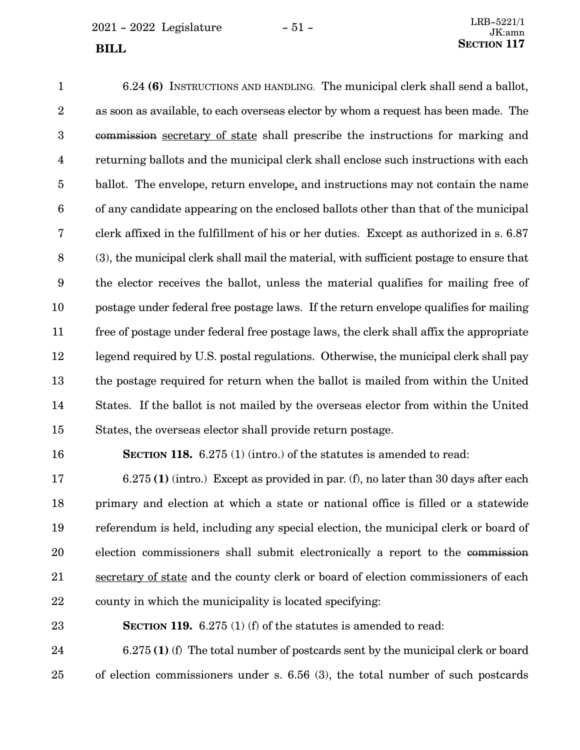$2021 - 2022$  Legislature  $-51 -$ 

6.24 **(6)** INSTRUCTIONS AND HANDLING. The municipal clerk shall send a ballot, as soon as available, to each overseas elector by whom a request has been made. The commission secretary of state shall prescribe the instructions for marking and returning ballots and the municipal clerk shall enclose such instructions with each ballot. The envelope, return envelope, and instructions may not contain the name of any candidate appearing on the enclosed ballots other than that of the municipal clerk affixed in the fulfillment of his or her duties. Except as authorized in s. 6.87 (3), the municipal clerk shall mail the material, with sufficient postage to ensure that the elector receives the ballot, unless the material qualifies for mailing free of postage under federal free postage laws. If the return envelope qualifies for mailing free of postage under federal free postage laws, the clerk shall affix the appropriate legend required by U.S. postal regulations. Otherwise, the municipal clerk shall pay the postage required for return when the ballot is mailed from within the United States. If the ballot is not mailed by the overseas elector from within the United States, the overseas elector shall provide return postage. 1 2 3 4 5 6 7 8 9 10 11 12 13 14 15

16

**SECTION 118.** 6.275 (1) (intro.) of the statutes is amended to read:

6.275 **(1)** (intro.) Except as provided in par. (f), no later than 30 days after each primary and election at which a state or national office is filled or a statewide referendum is held, including any special election, the municipal clerk or board of election commissioners shall submit electronically a report to the commission secretary of state and the county clerk or board of election commissioners of each county in which the municipality is located specifying: 17 18 19 20 21 22

23

**SECTION 119.** 6.275 (1) (f) of the statutes is amended to read:

6.275 **(1)** (f) The total number of postcards sent by the municipal clerk or board of election commissioners under s. 6.56 (3), the total number of such postcards 24 25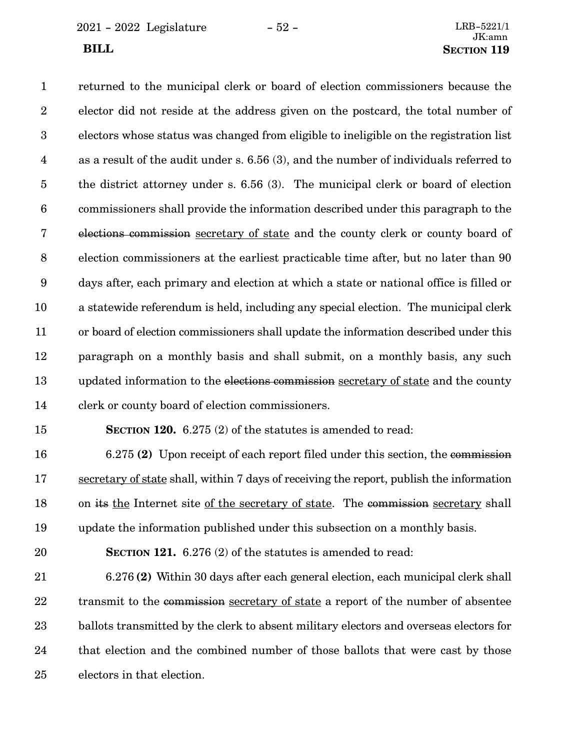2021 - 2022 Legislature - 52 - LRB-5221/1

returned to the municipal clerk or board of election commissioners because the elector did not reside at the address given on the postcard, the total number of electors whose status was changed from eligible to ineligible on the registration list as a result of the audit under s. 6.56 (3), and the number of individuals referred to the district attorney under s. 6.56 (3). The municipal clerk or board of election commissioners shall provide the information described under this paragraph to the elections commission secretary of state and the county clerk or county board of election commissioners at the earliest practicable time after, but no later than 90 days after, each primary and election at which a state or national office is filled or a statewide referendum is held, including any special election. The municipal clerk or board of election commissioners shall update the information described under this paragraph on a monthly basis and shall submit, on a monthly basis, any such updated information to the elections commission secretary of state and the county clerk or county board of election commissioners. **SECTION 120.** 6.275 (2) of the statutes is amended to read: 1 2 3 4 5 6 7 8 9 10 11 12 13 14 15

6.275 **(2)** Upon receipt of each report filed under this section, the commission secretary of state shall, within 7 days of receiving the report, publish the information on its the Internet site of the secretary of state. The commission secretary shall update the information published under this subsection on a monthly basis. 16 17 18 19

20

**SECTION 121.** 6.276 (2) of the statutes is amended to read:

6.276 **(2)** Within 30 days after each general election, each municipal clerk shall transmit to the commission secretary of state a report of the number of absentee ballots transmitted by the clerk to absent military electors and overseas electors for that election and the combined number of those ballots that were cast by those electors in that election. 21 22 23 24 25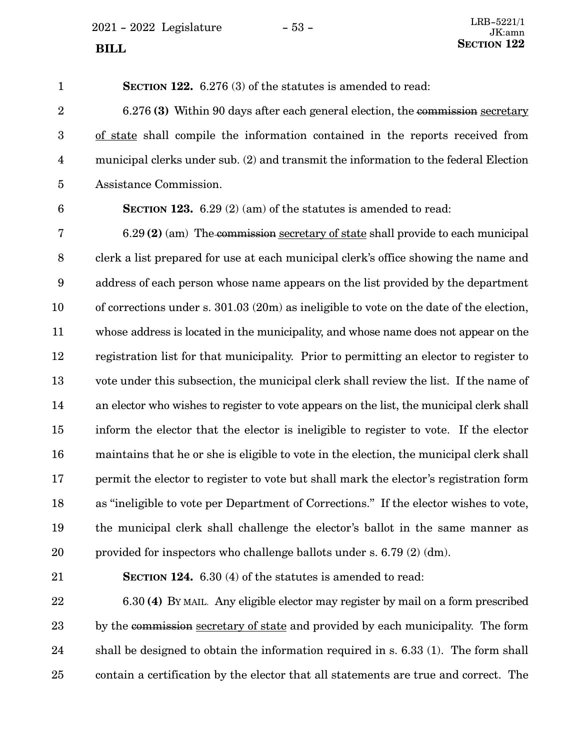$2021 - 2022$  Legislature  $-53 -$ 

**SECTION 122.** 6.276 (3) of the statutes is amended to read: 6.276 **(3)** Within 90 days after each general election, the commission secretary of state shall compile the information contained in the reports received from municipal clerks under sub. (2) and transmit the information to the federal Election Assistance Commission. **SECTION 123.** 6.29 (2) (am) of the statutes is amended to read: 6.29 **(2)** (am) The commission secretary of state shall provide to each municipal clerk a list prepared for use at each municipal clerk's office showing the name and address of each person whose name appears on the list provided by the department of corrections under s. 301.03 (20m) as ineligible to vote on the date of the election, whose address is located in the municipality, and whose name does not appear on the registration list for that municipality. Prior to permitting an elector to register to vote under this subsection, the municipal clerk shall review the list. If the name of an elector who wishes to register to vote appears on the list, the municipal clerk shall inform the elector that the elector is ineligible to register to vote. If the elector maintains that he or she is eligible to vote in the election, the municipal clerk shall permit the elector to register to vote but shall mark the elector's registration form as "ineligible to vote per Department of Corrections." If the elector wishes to vote, the municipal clerk shall challenge the elector's ballot in the same manner as provided for inspectors who challenge ballots under s. 6.79 (2) (dm). 1 2 3 4 5 6 7 8 9 10 11 12 13 14 15 16 17 18 19 20

21

**SECTION 124.** 6.30 (4) of the statutes is amended to read:

6.30 **(4)** BY MAIL. Any eligible elector may register by mail on a form prescribed by the commission secretary of state and provided by each municipality. The form shall be designed to obtain the information required in s. 6.33 (1). The form shall contain a certification by the elector that all statements are true and correct. The 22 23 24 25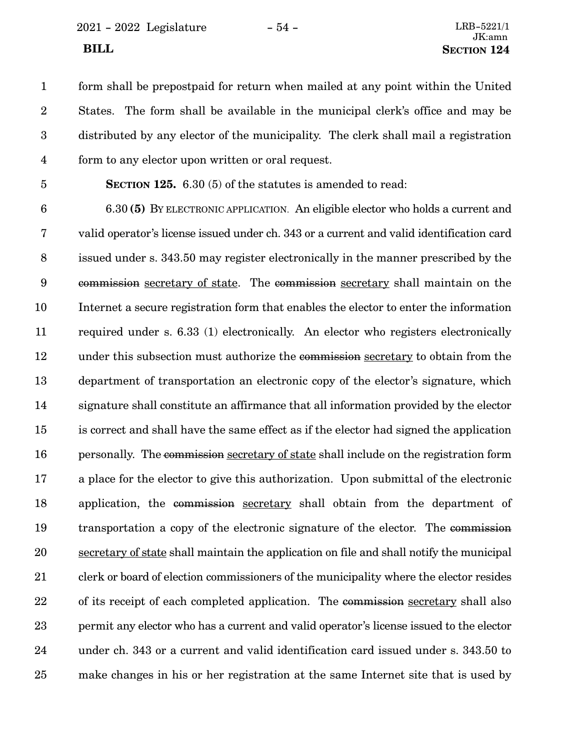2021 - 2022 Legislature - 54 - LRB-5221/1

form shall be prepostpaid for return when mailed at any point within the United States. The form shall be available in the municipal clerk's office and may be distributed by any elector of the municipality. The clerk shall mail a registration form to any elector upon written or oral request. 1 2 3 4

5

**SECTION 125.** 6.30 (5) of the statutes is amended to read:

6.30 **(5)** BY ELECTRONIC APPLICATION. An eligible elector who holds a current and valid operator's license issued under ch. 343 or a current and valid identification card issued under s. 343.50 may register electronically in the manner prescribed by the commission secretary of state. The commission secretary shall maintain on the Internet a secure registration form that enables the elector to enter the information required under s. 6.33 (1) electronically. An elector who registers electronically under this subsection must authorize the commission secretary to obtain from the department of transportation an electronic copy of the elector's signature, which signature shall constitute an affirmance that all information provided by the elector is correct and shall have the same effect as if the elector had signed the application personally. The commission secretary of state shall include on the registration form a place for the elector to give this authorization. Upon submittal of the electronic application, the commission secretary shall obtain from the department of transportation a copy of the electronic signature of the elector. The commission secretary of state shall maintain the application on file and shall notify the municipal clerk or board of election commissioners of the municipality where the elector resides of its receipt of each completed application. The commission secretary shall also permit any elector who has a current and valid operator's license issued to the elector under ch. 343 or a current and valid identification card issued under s. 343.50 to make changes in his or her registration at the same Internet site that is used by 6 7 8 9 10 11 12 13 14 15 16 17 18 19 20 21 22 23 24 25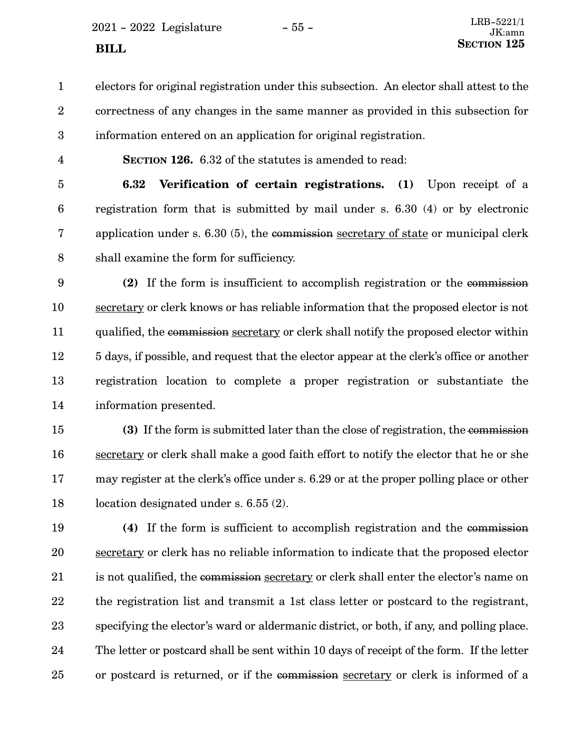$2021 - 2022$  Legislature  $-55 -$ 

electors for original registration under this subsection. An elector shall attest to the correctness of any changes in the same manner as provided in this subsection for information entered on an application for original registration. 1 2 3

4

**SECTION 126.** 6.32 of the statutes is amended to read:

**6.32 Verification of certain registrations. (1)** Upon receipt of a registration form that is submitted by mail under s. 6.30 (4) or by electronic application under s. 6.30 (5), the commission secretary of state or municipal clerk shall examine the form for sufficiency. 5 6 7 8

**(2)** If the form is insufficient to accomplish registration or the commission secretary or clerk knows or has reliable information that the proposed elector is not qualified, the commission secretary or clerk shall notify the proposed elector within 5 days, if possible, and request that the elector appear at the clerk's office or another registration location to complete a proper registration or substantiate the information presented. 9 10 11 12 13 14

**(3)** If the form is submitted later than the close of registration, the commission secretary or clerk shall make a good faith effort to notify the elector that he or she may register at the clerk's office under s. 6.29 or at the proper polling place or other location designated under s. 6.55 (2). 15 16 17 18

**(4)** If the form is sufficient to accomplish registration and the commission secretary or clerk has no reliable information to indicate that the proposed elector is not qualified, the commission secretary or clerk shall enter the elector's name on the registration list and transmit a 1st class letter or postcard to the registrant, specifying the elector's ward or aldermanic district, or both, if any, and polling place. The letter or postcard shall be sent within 10 days of receipt of the form. If the letter or postcard is returned, or if the commission secretary or clerk is informed of a 19 20 21 22 23 24 25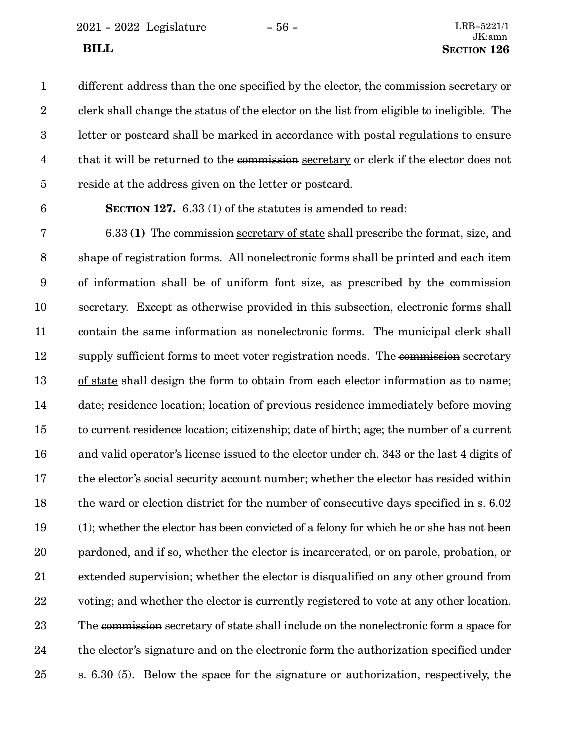2021 - 2022 Legislature - 56 - LRB-5221/1

different address than the one specified by the elector, the commission secretary or clerk shall change the status of the elector on the list from eligible to ineligible. The letter or postcard shall be marked in accordance with postal regulations to ensure that it will be returned to the commission secretary or clerk if the elector does not reside at the address given on the letter or postcard. 1 2 3 4 5

6

**SECTION 127.** 6.33 (1) of the statutes is amended to read:

6.33 **(1)** The commission secretary of state shall prescribe the format, size, and shape of registration forms. All nonelectronic forms shall be printed and each item of information shall be of uniform font size, as prescribed by the commission secretary. Except as otherwise provided in this subsection, electronic forms shall contain the same information as nonelectronic forms. The municipal clerk shall supply sufficient forms to meet voter registration needs. The commission secretary of state shall design the form to obtain from each elector information as to name; date; residence location; location of previous residence immediately before moving to current residence location; citizenship; date of birth; age; the number of a current and valid operator's license issued to the elector under ch. 343 or the last 4 digits of the elector's social security account number; whether the elector has resided within the ward or election district for the number of consecutive days specified in s. 6.02 (1); whether the elector has been convicted of a felony for which he or she has not been pardoned, and if so, whether the elector is incarcerated, or on parole, probation, or extended supervision; whether the elector is disqualified on any other ground from voting; and whether the elector is currently registered to vote at any other location. The commission secretary of state shall include on the nonelectronic form a space for the elector's signature and on the electronic form the authorization specified under s. 6.30 (5). Below the space for the signature or authorization, respectively, the 7 8 9 10 11 12 13 14 15 16 17 18 19 20 21 22 23 24 25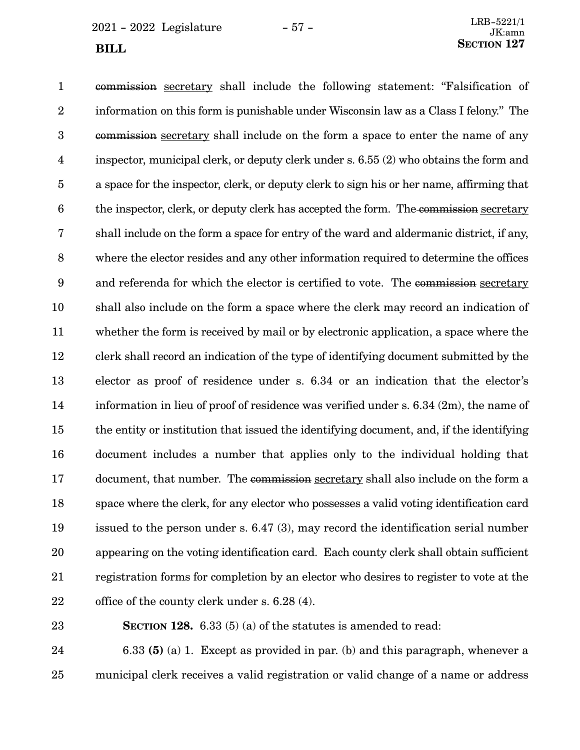$2021 - 2022$  Legislature  $-57 -$ **SECTION** 127

commission secretary shall include the following statement: "Falsification of information on this form is punishable under Wisconsin law as a Class I felony." The commission secretary shall include on the form a space to enter the name of any inspector, municipal clerk, or deputy clerk under s. 6.55 (2) who obtains the form and a space for the inspector, clerk, or deputy clerk to sign his or her name, affirming that the inspector, clerk, or deputy clerk has accepted the form. The commission secretary shall include on the form a space for entry of the ward and aldermanic district, if any, where the elector resides and any other information required to determine the offices and referenda for which the elector is certified to vote. The commission secretary shall also include on the form a space where the clerk may record an indication of whether the form is received by mail or by electronic application, a space where the clerk shall record an indication of the type of identifying document submitted by the elector as proof of residence under s. 6.34 or an indication that the elector's information in lieu of proof of residence was verified under s. 6.34 (2m), the name of the entity or institution that issued the identifying document, and, if the identifying document includes a number that applies only to the individual holding that document, that number. The commission secretary shall also include on the form a space where the clerk, for any elector who possesses a valid voting identification card issued to the person under s. 6.47 (3), may record the identification serial number appearing on the voting identification card. Each county clerk shall obtain sufficient registration forms for completion by an elector who desires to register to vote at the office of the county clerk under s. 6.28 (4). 1 2 3 4 5 6 7 8 9 10 11 12 13 14 15 16 17 18 19 20 21 22

23

**SECTION 128.** 6.33 (5) (a) of the statutes is amended to read:

6.33 **(5)** (a) 1. Except as provided in par. (b) and this paragraph, whenever a municipal clerk receives a valid registration or valid change of a name or address 24 25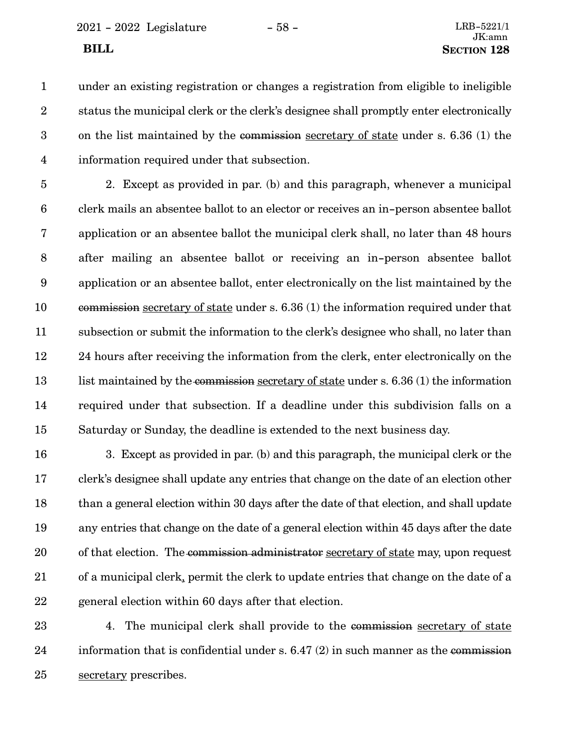2021 - 2022 Legislature - 58 - LRB-5221/1

under an existing registration or changes a registration from eligible to ineligible status the municipal clerk or the clerk's designee shall promptly enter electronically on the list maintained by the commission secretary of state under s. 6.36 (1) the information required under that subsection. 1 2 3 4

2. Except as provided in par. (b) and this paragraph, whenever a municipal clerk mails an absentee ballot to an elector or receives an in-person absentee ballot application or an absentee ballot the municipal clerk shall, no later than 48 hours after mailing an absentee ballot or receiving an in-person absentee ballot application or an absentee ballot, enter electronically on the list maintained by the commission secretary of state under s. 6.36 (1) the information required under that subsection or submit the information to the clerk's designee who shall, no later than 24 hours after receiving the information from the clerk, enter electronically on the list maintained by the commission secretary of state under s. 6.36 (1) the information required under that subsection. If a deadline under this subdivision falls on a Saturday or Sunday, the deadline is extended to the next business day. 5 6 7 8 9 10 11 12 13 14 15

3. Except as provided in par. (b) and this paragraph, the municipal clerk or the clerk's designee shall update any entries that change on the date of an election other than a general election within 30 days after the date of that election, and shall update any entries that change on the date of a general election within 45 days after the date of that election. The commission administrator secretary of state may, upon request of a municipal clerk, permit the clerk to update entries that change on the date of a general election within 60 days after that election. 16 17 18 19 20 21 22

4. The municipal clerk shall provide to the commission secretary of state information that is confidential under s. 6.47 (2) in such manner as the commission secretary prescribes. 23 24 25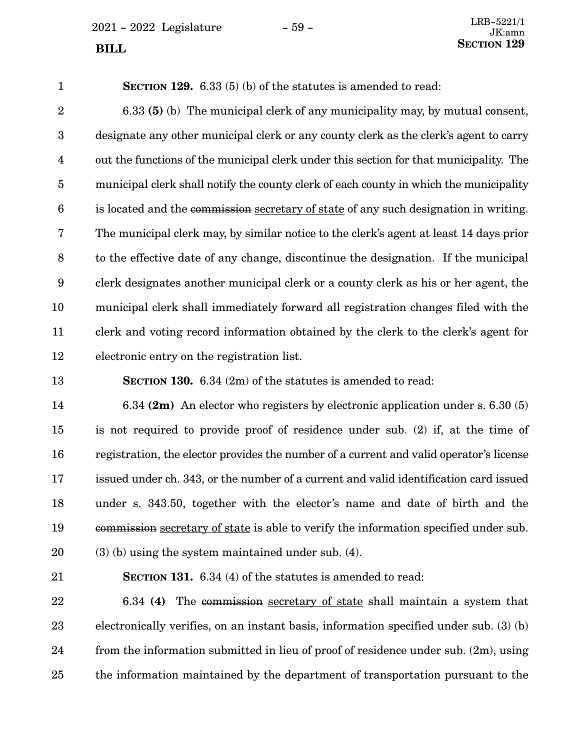$2021 - 2022$  Legislature  $-59 -$ 

**SECTION 129.** 6.33 (5) (b) of the statutes is amended to read: 6.33 **(5)** (b) The municipal clerk of any municipality may, by mutual consent, designate any other municipal clerk or any county clerk as the clerk's agent to carry out the functions of the municipal clerk under this section for that municipality. The municipal clerk shall notify the county clerk of each county in which the municipality is located and the commission secretary of state of any such designation in writing. The municipal clerk may, by similar notice to the clerk's agent at least 14 days prior to the effective date of any change, discontinue the designation. If the municipal clerk designates another municipal clerk or a county clerk as his or her agent, the municipal clerk shall immediately forward all registration changes filed with the clerk and voting record information obtained by the clerk to the clerk's agent for electronic entry on the registration list. 1 2 3 4 5 6 7 8 9 10 11 12

**SECTION 130.** 6.34 (2m) of the statutes is amended to read:

6.34 **(2m)** An elector who registers by electronic application under s. 6.30 (5) is not required to provide proof of residence under sub. (2) if, at the time of registration, the elector provides the number of a current and valid operator's license issued under ch. 343, or the number of a current and valid identification card issued under s. 343.50, together with the elector's name and date of birth and the commission secretary of state is able to verify the information specified under sub. (3) (b) using the system maintained under sub. (4). 14 15 16 17 18 19 20

21

13

**SECTION 131.** 6.34 (4) of the statutes is amended to read:

6.34 **(4)** The commission secretary of state shall maintain a system that electronically verifies, on an instant basis, information specified under sub. (3) (b) from the information submitted in lieu of proof of residence under sub. (2m), using the information maintained by the department of transportation pursuant to the 22 23 24 25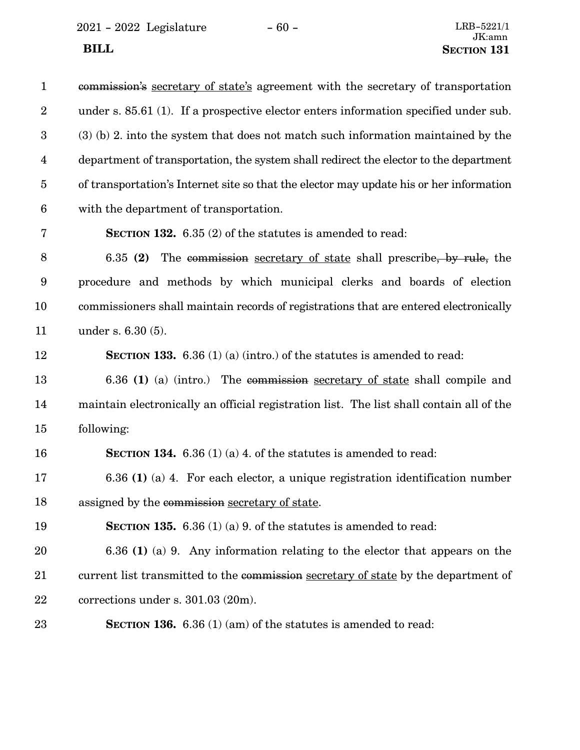$2021 - 2022$  Legislature  $-60 -$ 

| $\mathbf{1}$     | commission's secretary of state's agreement with the secretary of transportation         |
|------------------|------------------------------------------------------------------------------------------|
| $\boldsymbol{2}$ | under s. 85.61 (1). If a prospective elector enters information specified under sub.     |
| 3                | $(3)$ (b) 2. into the system that does not match such information maintained by the      |
| $\overline{4}$   | department of transportation, the system shall redirect the elector to the department    |
| $\overline{5}$   | of transportation's Internet site so that the elector may update his or her information  |
| $\boldsymbol{6}$ | with the department of transportation.                                                   |
| 7                | <b>SECTION 132.</b> $6.35(2)$ of the statutes is amended to read:                        |
| 8                | 6.35 $(2)$<br>The commission secretary of state shall prescribe, by rule, the            |
| 9                | procedure and methods by which municipal clerks and boards of election                   |
| 10               | commissioners shall maintain records of registrations that are entered electronically    |
| 11               | under s. 6.30 (5).                                                                       |
| 12               | <b>SECTION 133.</b> 6.36 (1) (a) (intro.) of the statutes is amended to read:            |
| 13               | 6.36 (1) (a) (intro.) The commission secretary of state shall compile and                |
| 14               | maintain electronically an official registration list. The list shall contain all of the |
| 15               | following:                                                                               |
| 16               | <b>SECTION 134.</b> 6.36 (1) (a) 4. of the statures is amended to read:                  |
| 17               | $6.36$ (1) (a) 4. For each elector, a unique registration identification number          |
| 18               | assigned by the commission secretary of state.                                           |
| 19               | <b>SECTION 135.</b> 6.36 (1) (a) 9. of the statutes is amended to read:                  |
| 20               | 6.36 (1) (a) 9. Any information relating to the elector that appears on the              |
| 21               | current list transmitted to the commission secretary of state by the department of       |
| 22               | corrections under s. 301.03 (20m).                                                       |
| 23               | <b>SECTION 136.</b> 6.36 (1) (am) of the statutes is amended to read:                    |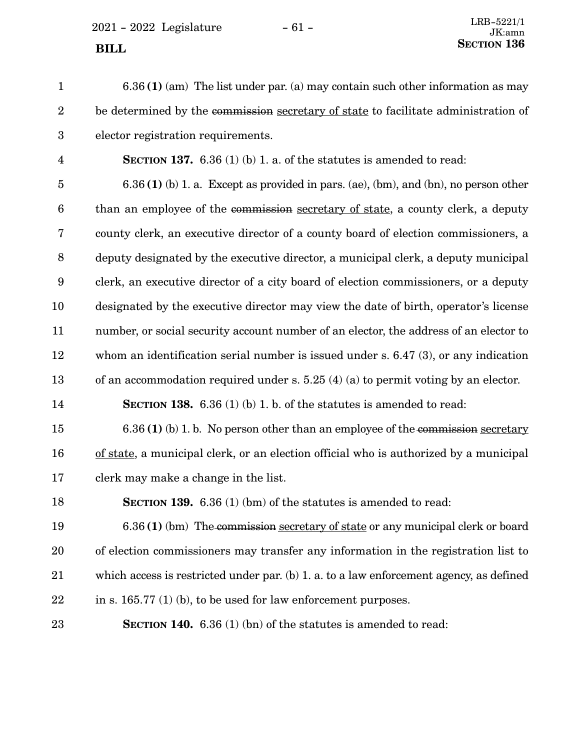$2021 - 2022$  Legislature  $-61 -$ 

6.36 **(1)** (am) The list under par. (a) may contain such other information as may be determined by the commission secretary of state to facilitate administration of elector registration requirements. **SECTION 137.** 6.36 (1) (b) 1. a. of the statutes is amended to read: 6.36 **(1)** (b) 1. a. Except as provided in pars. (ae), (bm), and (bn), no person other than an employee of the commission secretary of state, a county clerk, a deputy county clerk, an executive director of a county board of election commissioners, a deputy designated by the executive director, a municipal clerk, a deputy municipal clerk, an executive director of a city board of election commissioners, or a deputy designated by the executive director may view the date of birth, operator's license number, or social security account number of an elector, the address of an elector to whom an identification serial number is issued under s. 6.47 (3), or any indication of an accommodation required under s. 5.25 (4) (a) to permit voting by an elector. **SECTION 138.** 6.36 (1) (b) 1. b. of the statutes is amended to read: 6.36 **(1)** (b) 1. b. No person other than an employee of the commission secretary of state, a municipal clerk, or an election official who is authorized by a municipal clerk may make a change in the list. **SECTION 139.** 6.36 (1) (bm) of the statutes is amended to read: 6.36 **(1)** (bm) The commission secretary of state or any municipal clerk or board of election commissioners may transfer any information in the registration list to which access is restricted under par. (b) 1. a. to a law enforcement agency, as defined in s. 165.77 (1) (b), to be used for law enforcement purposes. **SECTION 140.** 6.36 (1) (bn) of the statutes is amended to read: 1 2 3 4 5 6 7 8 9 10 11 12 13 14 15 16 17 18 19 20 21 22 23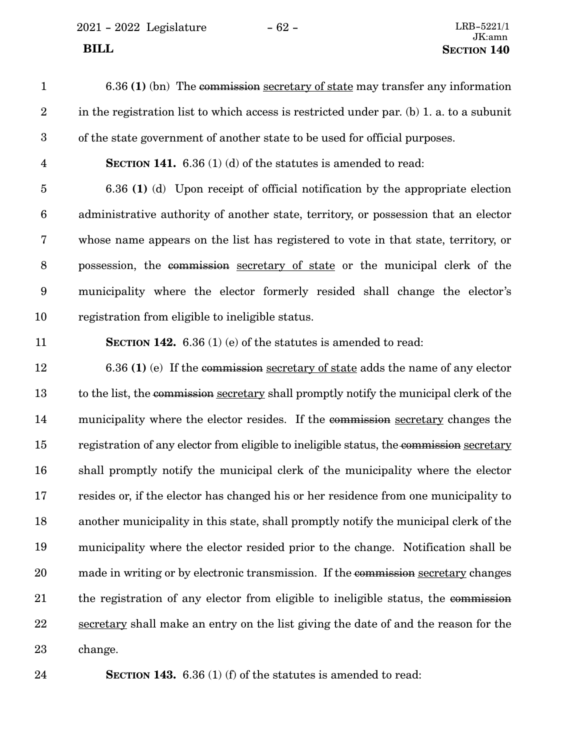2021 - 2022 Legislature - 62 - LRB-5221/1

| $\mathbf{1}$            | 6.36 (1) (bn) The commission secretary of state may transfer any information             |
|-------------------------|------------------------------------------------------------------------------------------|
| $\sqrt{2}$              | in the registration list to which access is restricted under par. (b) 1. a. to a subunit |
| $\boldsymbol{3}$        | of the state government of another state to be used for official purposes.               |
| $\overline{\mathbf{4}}$ | <b>SECTION 141.</b> 6.36 (1) (d) of the statutes is amended to read:                     |
| $\bf 5$                 | 6.36 (1) (d) Upon receipt of official notification by the appropriate election           |
| $\boldsymbol{6}$        | administrative authority of another state, territory, or possession that an elector      |
| $\bf 7$                 | whose name appears on the list has registered to vote in that state, territory, or       |
| $\, 8$                  | possession, the commission secretary of state or the municipal clerk of the              |
| $\boldsymbol{9}$        | municipality where the elector formerly resided shall change the elector's               |
| 10                      | registration from eligible to ineligible status.                                         |
| 11                      | <b>SECTION 142.</b> 6.36 (1) (e) of the statutes is amended to read:                     |
| 12                      | $6.36$ (1) (e) If the commission secretary of state adds the name of any elector         |
| 13                      | to the list, the commission secretary shall promptly notify the municipal clerk of the   |
| 14                      | municipality where the elector resides. If the commission secretary changes the          |
| 15                      | registration of any elector from eligible to ineligible status, the commission secretary |
| 16                      | shall promptly notify the municipal clerk of the municipality where the elector          |
| 17                      | resides or, if the elector has changed his or her residence from one municipality to     |
| 18                      | another municipality in this state, shall promptly notify the municipal clerk of the     |
| 19                      | municipality where the elector resided prior to the change. Notification shall be        |
| 20                      | made in writing or by electronic transmission. If the commission secretary changes       |
| 21                      | the registration of any elector from eligible to ineligible status, the commission       |
| 22                      | secretary shall make an entry on the list giving the date of and the reason for the      |
| 23                      | change.                                                                                  |

24

**SECTION 143.** 6.36 (1) (f) of the statutes is amended to read: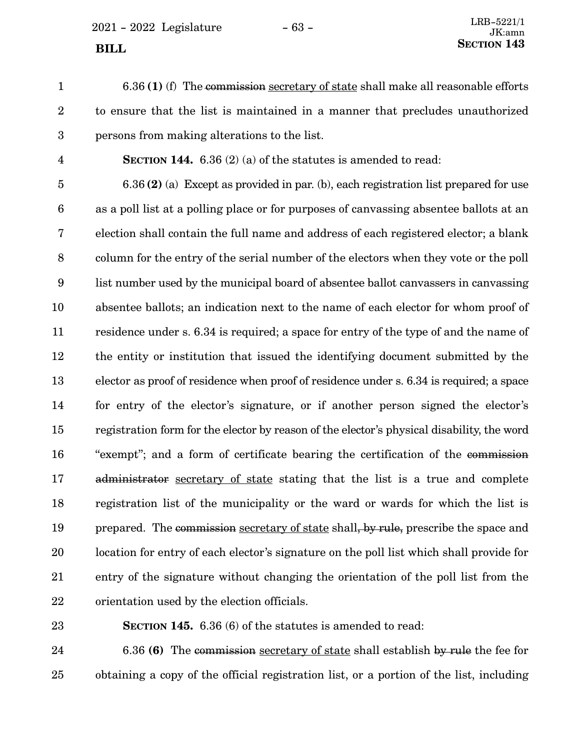$2021 - 2022$  Legislature  $-63 -$ 

1

6.36 **(1)** (f) The commission secretary of state shall make all reasonable efforts to ensure that the list is maintained in a manner that precludes unauthorized persons from making alterations to the list. 2 3

4

**SECTION 144.** 6.36 (2) (a) of the statutes is amended to read:

6.36 **(2)** (a) Except as provided in par. (b), each registration list prepared for use as a poll list at a polling place or for purposes of canvassing absentee ballots at an election shall contain the full name and address of each registered elector; a blank column for the entry of the serial number of the electors when they vote or the poll list number used by the municipal board of absentee ballot canvassers in canvassing absentee ballots; an indication next to the name of each elector for whom proof of residence under s. 6.34 is required; a space for entry of the type of and the name of the entity or institution that issued the identifying document submitted by the elector as proof of residence when proof of residence under s. 6.34 is required; a space for entry of the elector's signature, or if another person signed the elector's registration form for the elector by reason of the elector's physical disability, the word "exempt"; and a form of certificate bearing the certification of the commission administrator secretary of state stating that the list is a true and complete registration list of the municipality or the ward or wards for which the list is prepared. The commission secretary of state shall, by rule, prescribe the space and location for entry of each elector's signature on the poll list which shall provide for entry of the signature without changing the orientation of the poll list from the orientation used by the election officials. 5 6 7 8 9 10 11 12 13 14 15 16 17 18 19 20 21 22

23

**SECTION 145.** 6.36 (6) of the statutes is amended to read:

6.36 **(6)** The commission secretary of state shall establish by rule the fee for obtaining a copy of the official registration list, or a portion of the list, including 24 25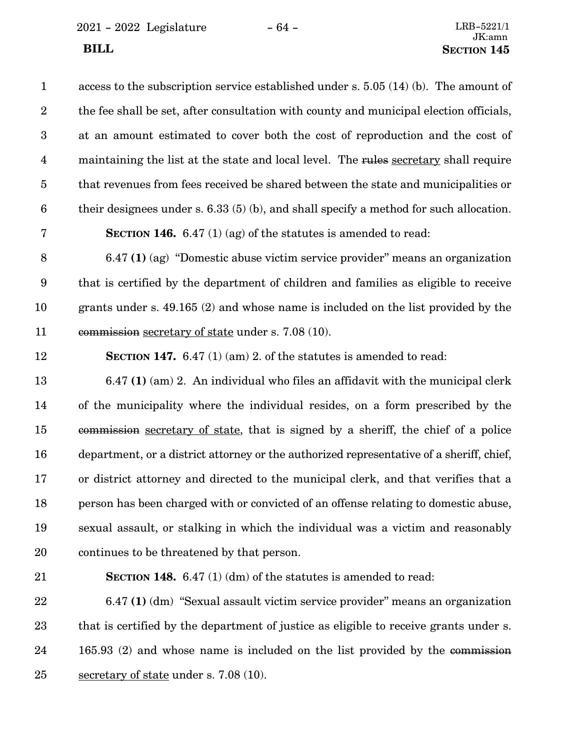2021 - 2022 Legislature - 64 - LRB-5221/1

| $\mathbf{1}$     | access to the subscription service established under s. $5.05(14)(b)$ . The amount of    |
|------------------|------------------------------------------------------------------------------------------|
| $\boldsymbol{2}$ | the fee shall be set, after consultation with county and municipal election officials,   |
| 3                | at an amount estimated to cover both the cost of reproduction and the cost of            |
| $\overline{4}$   | maintaining the list at the state and local level. The rules secretary shall require     |
| $\bf 5$          | that revenues from fees received be shared between the state and municipalities or       |
| $\boldsymbol{6}$ | their designees under s. $6.33(5)(b)$ , and shall specify a method for such allocation.  |
| $\bf 7$          | <b>SECTION 146.</b> 6.47 (1) (ag) of the statutes is amended to read:                    |
| 8                | $6.47$ (1) (ag) "Domestic abuse victim service provider" means an organization           |
| 9                | that is certified by the department of children and families as eligible to receive      |
| 10               | grants under s. $49.165$ (2) and whose name is included on the list provided by the      |
| 11               | commission secretary of state under s. 7.08 (10).                                        |
| 12               | SECTION 147. $6.47(1)(am)$ 2. of the statutes is amended to read:                        |
| 13               | $6.47$ (1) (am) 2. An individual who files an affidavit with the municipal clerk         |
| 14               | of the municipality where the individual resides, on a form prescribed by the            |
| 15               | commission secretary of state, that is signed by a sheriff, the chief of a police        |
| 16               | department, or a district attorney or the authorized representative of a sheriff, chief, |
| 17               | or district attorney and directed to the municipal clerk, and that verifies that a       |
| 18               | person has been charged with or convicted of an offense relating to domestic abuse,      |
| 19               | sexual assault, or stalking in which the individual was a victim and reasonably          |
| 20               | continues to be threatened by that person.                                               |
| 21               | SECTION 148. 6.47 (1) (dm) of the statutes is amended to read:                           |
| 22               | 6.47 (1) (dm) "Sexual assault victim service provider" means an organization             |

that is certified by the department of justice as eligible to receive grants under s. 165.93 (2) and whose name is included on the list provided by the commission secretary of state under s. 7.08 (10). 23 24 25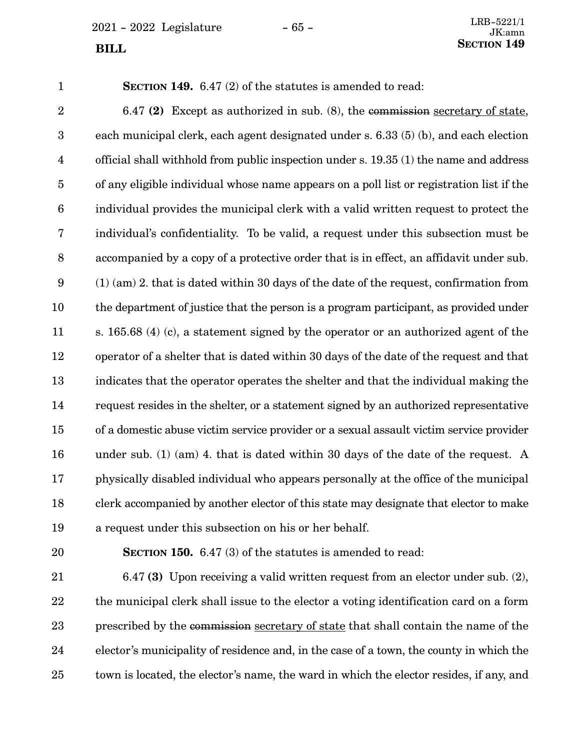$2021 - 2022$  Legislature  $-65 -$ 

1

**SECTION 149.** 6.47 (2) of the statutes is amended to read:

6.47 **(2)** Except as authorized in sub. (8), the commission secretary of state, each municipal clerk, each agent designated under s. 6.33 (5) (b), and each election official shall withhold from public inspection under s. 19.35 (1) the name and address of any eligible individual whose name appears on a poll list or registration list if the individual provides the municipal clerk with a valid written request to protect the individual's confidentiality. To be valid, a request under this subsection must be accompanied by a copy of a protective order that is in effect, an affidavit under sub. (1) (am) 2. that is dated within 30 days of the date of the request, confirmation from the department of justice that the person is a program participant, as provided under s. 165.68 (4) (c), a statement signed by the operator or an authorized agent of the operator of a shelter that is dated within 30 days of the date of the request and that indicates that the operator operates the shelter and that the individual making the request resides in the shelter, or a statement signed by an authorized representative of a domestic abuse victim service provider or a sexual assault victim service provider under sub. (1) (am) 4. that is dated within 30 days of the date of the request. A physically disabled individual who appears personally at the office of the municipal clerk accompanied by another elector of this state may designate that elector to make a request under this subsection on his or her behalf. 2 3 4 5 6 7 8 9 10 11 12 13 14 15 16 17 18 19

20

**SECTION 150.** 6.47 (3) of the statutes is amended to read:

6.47 **(3)** Upon receiving a valid written request from an elector under sub. (2), the municipal clerk shall issue to the elector a voting identification card on a form prescribed by the commission secretary of state that shall contain the name of the elector's municipality of residence and, in the case of a town, the county in which the town is located, the elector's name, the ward in which the elector resides, if any, and 21 22 23 24 25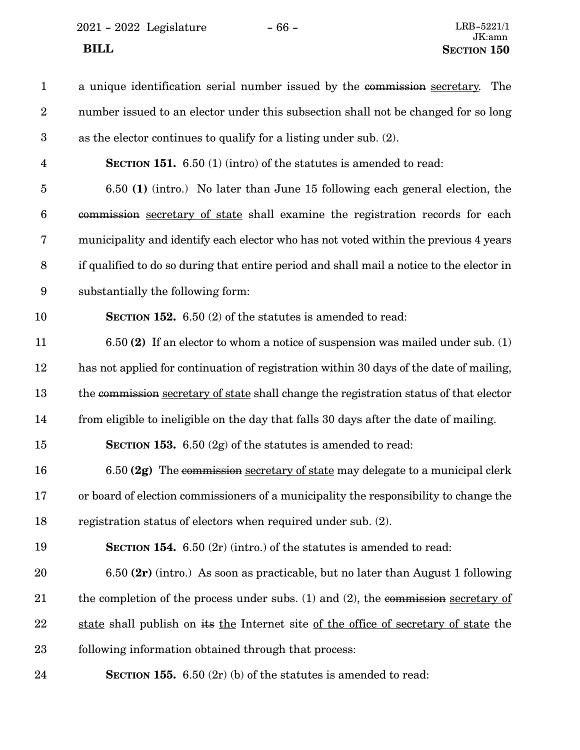2021 - 2022 Legislature - 66 -

| $\mathbf{1}$   | a unique identification serial number issued by the commission secretary.<br>The          |
|----------------|-------------------------------------------------------------------------------------------|
| $\overline{2}$ | number issued to an elector under this subsection shall not be changed for so long        |
| 3              | as the elector continues to qualify for a listing under sub. (2).                         |
| $\overline{4}$ | <b>SECTION 151.</b> 6.50 (1) (intro) of the statutes is amended to read:                  |
| $\overline{5}$ | 6.50 (1) (intro.) No later than June 15 following each general election, the              |
| 6              | commission secretary of state shall examine the registration records for each             |
| 7              | municipality and identify each elector who has not voted within the previous 4 years      |
| 8              | if qualified to do so during that entire period and shall mail a notice to the elector in |
| 9              | substantially the following form:                                                         |
| 10             | <b>SECTION 152.</b> 6.50 (2) of the statutes is amended to read:                          |
| 11             | $6.50$ (2) If an elector to whom a notice of suspension was mailed under sub. (1)         |
| 12             | has not applied for continuation of registration within 30 days of the date of mailing,   |
| 13             | the commission secretary of state shall change the registration status of that elector    |
| 14             | from eligible to ineligible on the day that falls 30 days after the date of mailing.      |
| 15             | <b>SECTION 153.</b> 6.50 $(2g)$ of the statutes is amended to read:                       |
| 16             | 6.50 (2g) The commission secretary of state may delegate to a municipal clerk             |
| 17             | or board of election commissioners of a municipality the responsibility to change the     |
| 18             | registration status of electors when required under sub. (2).                             |
| 19             | <b>SECTION 154.</b> 6.50 $(2r)$ (intro.) of the statutes is amended to read:              |
| 20             | 6.50 $(2r)$ (intro.) As soon as practicable, but no later than August 1 following         |
| 21             | the completion of the process under subs. $(1)$ and $(2)$ , the commission secretary of   |
| 22             | state shall publish on its the Internet site of the office of secretary of state the      |
| 23             | following information obtained through that process:                                      |
| 24             | <b>SECTION 155.</b> 6.50 $(2r)$ (b) of the statutes is amended to read:                   |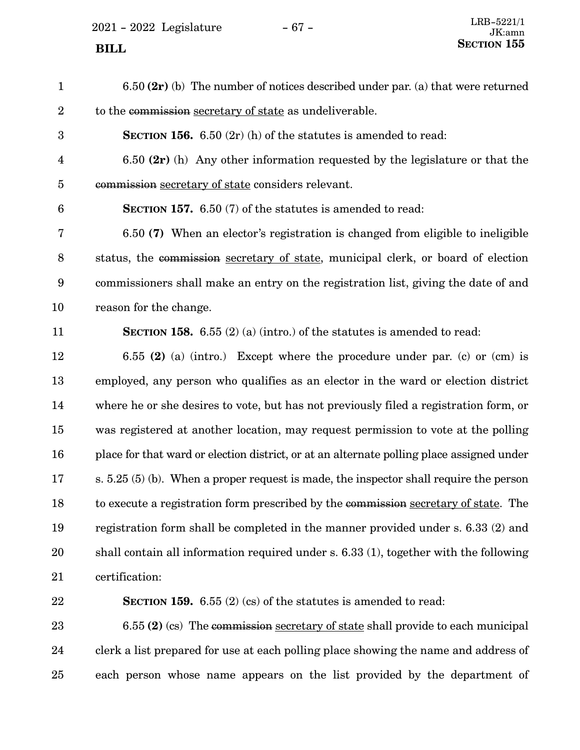$2021 - 2022$  Legislature  $-67 -$ 

6.50 **(2r)** (b) The number of notices described under par. (a) that were returned to the commission secretary of state as undeliverable. **SECTION 156.** 6.50 (2r) (h) of the statutes is amended to read: 6.50 **(2r)** (h) Any other information requested by the legislature or that the commission secretary of state considers relevant. **SECTION 157.** 6.50 (7) of the statutes is amended to read: 6.50 **(7)** When an elector's registration is changed from eligible to ineligible status, the commission secretary of state, municipal clerk, or board of election commissioners shall make an entry on the registration list, giving the date of and reason for the change. **SECTION 158.**  $6.55(2)(a)$  (intro.) of the statutes is amended to read: 6.55 **(2)** (a) (intro.) Except where the procedure under par. (c) or (cm) is employed, any person who qualifies as an elector in the ward or election district where he or she desires to vote, but has not previously filed a registration form, or was registered at another location, may request permission to vote at the polling place for that ward or election district, or at an alternate polling place assigned under s. 5.25 (5) (b). When a proper request is made, the inspector shall require the person to execute a registration form prescribed by the commission secretary of state. The registration form shall be completed in the manner provided under s. 6.33 (2) and shall contain all information required under s. 6.33 (1), together with the following certification: **SECTION 159.** 6.55 (2) (cs) of the statutes is amended to read: 1 2 3 4 5 6 7 8 9 10 11 12 13 14 15 16 17 18 19 20 21 22

6.55 **(2)** (cs) The commission secretary of state shall provide to each municipal clerk a list prepared for use at each polling place showing the name and address of each person whose name appears on the list provided by the department of 23 24 25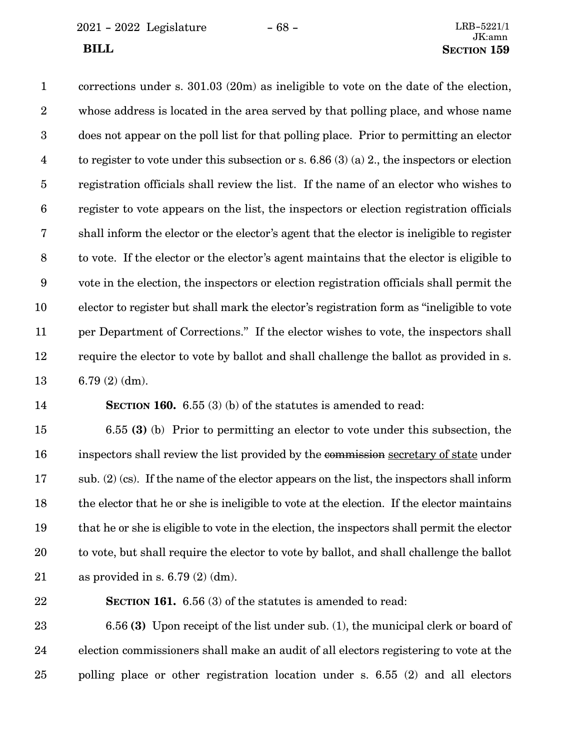2021 - 2022 Legislature - 68 - LRB-5221/1

corrections under s. 301.03 (20m) as ineligible to vote on the date of the election, whose address is located in the area served by that polling place, and whose name does not appear on the poll list for that polling place. Prior to permitting an elector to register to vote under this subsection or s. 6.86 (3) (a) 2., the inspectors or election registration officials shall review the list. If the name of an elector who wishes to register to vote appears on the list, the inspectors or election registration officials shall inform the elector or the elector's agent that the elector is ineligible to register to vote. If the elector or the elector's agent maintains that the elector is eligible to vote in the election, the inspectors or election registration officials shall permit the elector to register but shall mark the elector's registration form as "ineligible to vote per Department of Corrections." If the elector wishes to vote, the inspectors shall require the elector to vote by ballot and shall challenge the ballot as provided in s. 6.79 (2) (dm). 1 2 3 4 5 6 7 8 9 10 11 12 13

14

**SECTION 160.** 6.55 (3) (b) of the statutes is amended to read:

6.55 **(3)** (b) Prior to permitting an elector to vote under this subsection, the inspectors shall review the list provided by the commission secretary of state under sub. (2) (cs). If the name of the elector appears on the list, the inspectors shall inform the elector that he or she is ineligible to vote at the election. If the elector maintains that he or she is eligible to vote in the election, the inspectors shall permit the elector to vote, but shall require the elector to vote by ballot, and shall challenge the ballot as provided in s.  $6.79(2)$  (dm). 15 16 17 18 19 20 21

22

**SECTION 161.** 6.56 (3) of the statutes is amended to read:

6.56 **(3)** Upon receipt of the list under sub. (1), the municipal clerk or board of election commissioners shall make an audit of all electors registering to vote at the polling place or other registration location under s. 6.55 (2) and all electors 23 24 25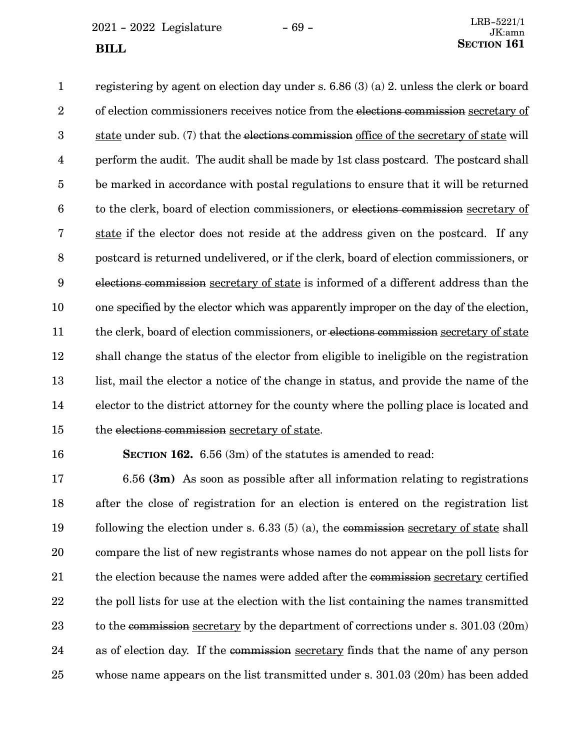$2021 - 2022$  Legislature  $-69 -$ 

registering by agent on election day under s. 6.86 (3) (a) 2. unless the clerk or board of election commissioners receives notice from the elections commission secretary of state under sub. (7) that the elections commission office of the secretary of state will perform the audit. The audit shall be made by 1st class postcard. The postcard shall be marked in accordance with postal regulations to ensure that it will be returned to the clerk, board of election commissioners, or elections commission secretary of state if the elector does not reside at the address given on the postcard. If any postcard is returned undelivered, or if the clerk, board of election commissioners, or elections commission secretary of state is informed of a different address than the one specified by the elector which was apparently improper on the day of the election, the clerk, board of election commissioners, or elections commission secretary of state shall change the status of the elector from eligible to ineligible on the registration list, mail the elector a notice of the change in status, and provide the name of the elector to the district attorney for the county where the polling place is located and the elections commission secretary of state. 1 2 3 4 5 6 7 8 9 10 11 12 13 14 15

## 16

**SECTION 162.** 6.56 (3m) of the statutes is amended to read:

6.56 **(3m)** As soon as possible after all information relating to registrations after the close of registration for an election is entered on the registration list following the election under s. 6.33 (5) (a), the commission secretary of state shall compare the list of new registrants whose names do not appear on the poll lists for the election because the names were added after the commission secretary certified the poll lists for use at the election with the list containing the names transmitted to the commission secretary by the department of corrections under s. 301.03 (20m) as of election day. If the commission secretary finds that the name of any person whose name appears on the list transmitted under s. 301.03 (20m) has been added 17 18 19 20 21 22 23 24 25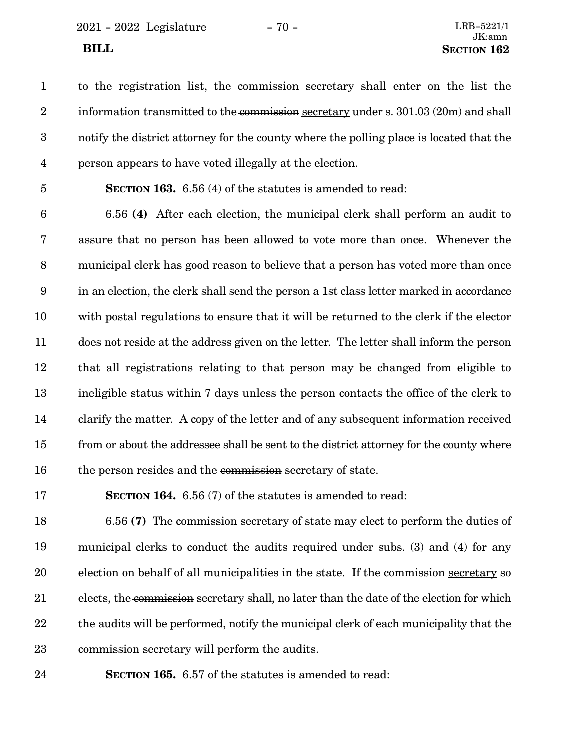2021 - 2022 Legislature - 70 - LRB-5221/1

to the registration list, the commission secretary shall enter on the list the information transmitted to the commission secretary under s. 301.03 (20m) and shall notify the district attorney for the county where the polling place is located that the person appears to have voted illegally at the election. 1 2 3 4

5

**SECTION 163.** 6.56 (4) of the statutes is amended to read:

6.56 **(4)** After each election, the municipal clerk shall perform an audit to assure that no person has been allowed to vote more than once. Whenever the municipal clerk has good reason to believe that a person has voted more than once in an election, the clerk shall send the person a 1st class letter marked in accordance with postal regulations to ensure that it will be returned to the clerk if the elector does not reside at the address given on the letter. The letter shall inform the person that all registrations relating to that person may be changed from eligible to ineligible status within 7 days unless the person contacts the office of the clerk to clarify the matter. A copy of the letter and of any subsequent information received from or about the addressee shall be sent to the district attorney for the county where the person resides and the commission secretary of state. 6 7 8 9 10 11 12 13 14 15 16

**SECTION 164.** 6.56 (7) of the statutes is amended to read: 17

6.56 **(7)** The commission secretary of state may elect to perform the duties of municipal clerks to conduct the audits required under subs. (3) and (4) for any election on behalf of all municipalities in the state. If the commission secretary so elects, the commission secretary shall, no later than the date of the election for which the audits will be performed, notify the municipal clerk of each municipality that the commission secretary will perform the audits. 18 19 20 21 22 23

24

**SECTION 165.** 6.57 of the statutes is amended to read: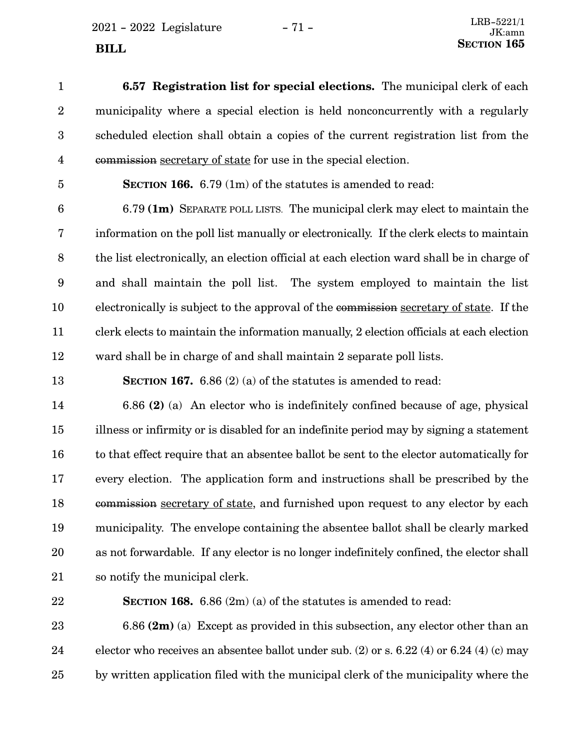$2021 - 2022$  Legislature  $- 71 -$ 

**6.57 Registration list for special elections.** The municipal clerk of each municipality where a special election is held nonconcurrently with a regularly scheduled election shall obtain a copies of the current registration list from the commission secretary of state for use in the special election. 1 2 3 4

5

13

**SECTION 166.** 6.79 (1m) of the statutes is amended to read:

6.79 **(1m)** SEPARATE POLL LISTS. The municipal clerk may elect to maintain the information on the poll list manually or electronically. If the clerk elects to maintain the list electronically, an election official at each election ward shall be in charge of and shall maintain the poll list. The system employed to maintain the list electronically is subject to the approval of the commission secretary of state. If the clerk elects to maintain the information manually, 2 election officials at each election ward shall be in charge of and shall maintain 2 separate poll lists. 6 7 8 9 10 11 12

**SECTION 167.** 6.86 (2) (a) of the statutes is amended to read:

6.86 **(2)** (a) An elector who is indefinitely confined because of age, physical illness or infirmity or is disabled for an indefinite period may by signing a statement to that effect require that an absentee ballot be sent to the elector automatically for every election. The application form and instructions shall be prescribed by the commission secretary of state, and furnished upon request to any elector by each municipality. The envelope containing the absentee ballot shall be clearly marked as not forwardable. If any elector is no longer indefinitely confined, the elector shall so notify the municipal clerk. 14 15 16 17 18 19 20 21

22

**SECTION 168.** 6.86 (2m) (a) of the statutes is amended to read:

6.86 **(2m)** (a) Except as provided in this subsection, any elector other than an elector who receives an absentee ballot under sub. (2) or s. 6.22 (4) or 6.24 (4) (c) may by written application filed with the municipal clerk of the municipality where the 23 24 25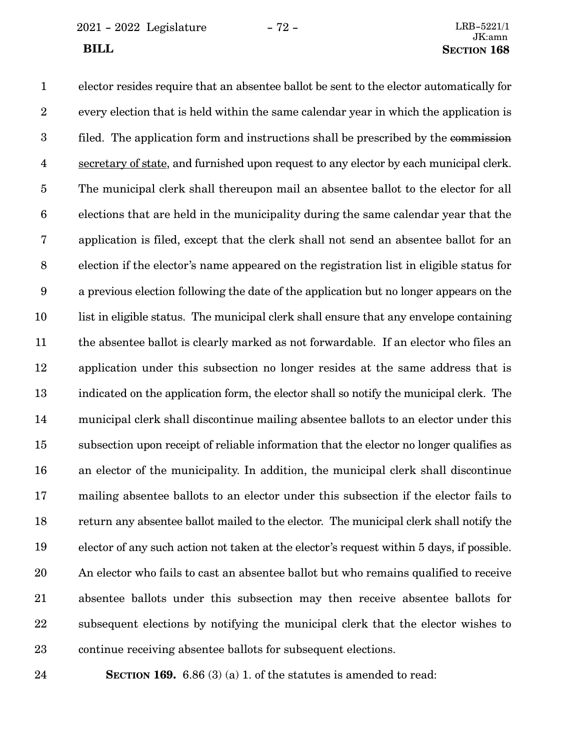2021 - 2022 Legislature - 72 - LRB-5221/1

elector resides require that an absentee ballot be sent to the elector automatically for every election that is held within the same calendar year in which the application is filed. The application form and instructions shall be prescribed by the commission secretary of state, and furnished upon request to any elector by each municipal clerk. The municipal clerk shall thereupon mail an absentee ballot to the elector for all elections that are held in the municipality during the same calendar year that the application is filed, except that the clerk shall not send an absentee ballot for an election if the elector's name appeared on the registration list in eligible status for a previous election following the date of the application but no longer appears on the list in eligible status. The municipal clerk shall ensure that any envelope containing the absentee ballot is clearly marked as not forwardable. If an elector who files an application under this subsection no longer resides at the same address that is indicated on the application form, the elector shall so notify the municipal clerk. The municipal clerk shall discontinue mailing absentee ballots to an elector under this subsection upon receipt of reliable information that the elector no longer qualifies as an elector of the municipality. In addition, the municipal clerk shall discontinue mailing absentee ballots to an elector under this subsection if the elector fails to return any absentee ballot mailed to the elector. The municipal clerk shall notify the elector of any such action not taken at the elector's request within 5 days, if possible. An elector who fails to cast an absentee ballot but who remains qualified to receive absentee ballots under this subsection may then receive absentee ballots for subsequent elections by notifying the municipal clerk that the elector wishes to continue receiving absentee ballots for subsequent elections. **SECTION 169.** 6.86 (3) (a) 1. of the statutes is amended to read: 1 2 3 4 5 6 7 8 9 10 11 12 13 14 15 16 17 18 19 20 21 22 23 24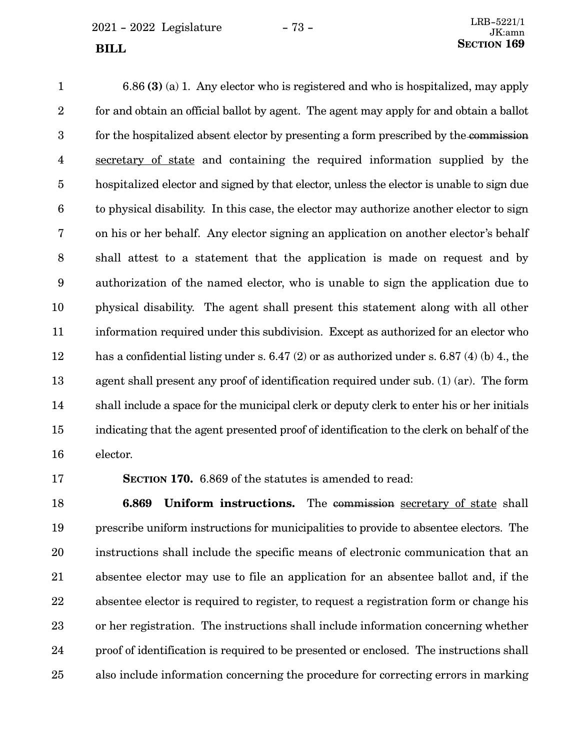$2021 - 2022$  Legislature  $-73 -$ 

6.86 **(3)** (a) 1. Any elector who is registered and who is hospitalized, may apply for and obtain an official ballot by agent. The agent may apply for and obtain a ballot for the hospitalized absent elector by presenting a form prescribed by the commission secretary of state and containing the required information supplied by the hospitalized elector and signed by that elector, unless the elector is unable to sign due to physical disability. In this case, the elector may authorize another elector to sign on his or her behalf. Any elector signing an application on another elector's behalf shall attest to a statement that the application is made on request and by authorization of the named elector, who is unable to sign the application due to physical disability. The agent shall present this statement along with all other information required under this subdivision. Except as authorized for an elector who has a confidential listing under s. 6.47 (2) or as authorized under s. 6.87 (4) (b) 4, the agent shall present any proof of identification required under sub. (1) (ar). The form shall include a space for the municipal clerk or deputy clerk to enter his or her initials indicating that the agent presented proof of identification to the clerk on behalf of the elector. 1 2 3 4 5 6 7 8 9 10 11 12 13 14 15 16

17

**SECTION 170.** 6.869 of the statutes is amended to read:

**6.869 Uniform instructions.** The commission secretary of state shall prescribe uniform instructions for municipalities to provide to absentee electors. The instructions shall include the specific means of electronic communication that an absentee elector may use to file an application for an absentee ballot and, if the absentee elector is required to register, to request a registration form or change his or her registration. The instructions shall include information concerning whether proof of identification is required to be presented or enclosed. The instructions shall also include information concerning the procedure for correcting errors in marking 18 19 20 21 22 23 24 25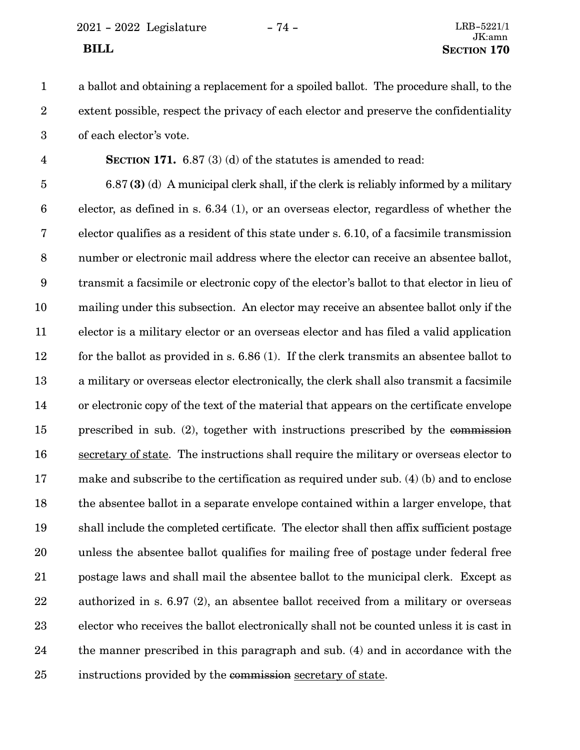2021 - 2022 Legislature - 74 - LRB-5221/1

a ballot and obtaining a replacement for a spoiled ballot. The procedure shall, to the extent possible, respect the privacy of each elector and preserve the confidentiality of each elector's vote. 1 2 3

4

**SECTION 171.** 6.87 (3) (d) of the statutes is amended to read:

6.87 **(3)** (d) A municipal clerk shall, if the clerk is reliably informed by a military elector, as defined in s. 6.34 (1), or an overseas elector, regardless of whether the elector qualifies as a resident of this state under s. 6.10, of a facsimile transmission number or electronic mail address where the elector can receive an absentee ballot, transmit a facsimile or electronic copy of the elector's ballot to that elector in lieu of mailing under this subsection. An elector may receive an absentee ballot only if the elector is a military elector or an overseas elector and has filed a valid application for the ballot as provided in s. 6.86 (1). If the clerk transmits an absentee ballot to a military or overseas elector electronically, the clerk shall also transmit a facsimile or electronic copy of the text of the material that appears on the certificate envelope prescribed in sub. (2), together with instructions prescribed by the commission secretary of state. The instructions shall require the military or overseas elector to make and subscribe to the certification as required under sub. (4) (b) and to enclose the absentee ballot in a separate envelope contained within a larger envelope, that shall include the completed certificate. The elector shall then affix sufficient postage unless the absentee ballot qualifies for mailing free of postage under federal free postage laws and shall mail the absentee ballot to the municipal clerk. Except as authorized in s. 6.97 (2), an absentee ballot received from a military or overseas elector who receives the ballot electronically shall not be counted unless it is cast in the manner prescribed in this paragraph and sub. (4) and in accordance with the instructions provided by the commission secretary of state. 5 6 7 8 9 10 11 12 13 14 15 16 17 18 19 20 21 22 23 24 25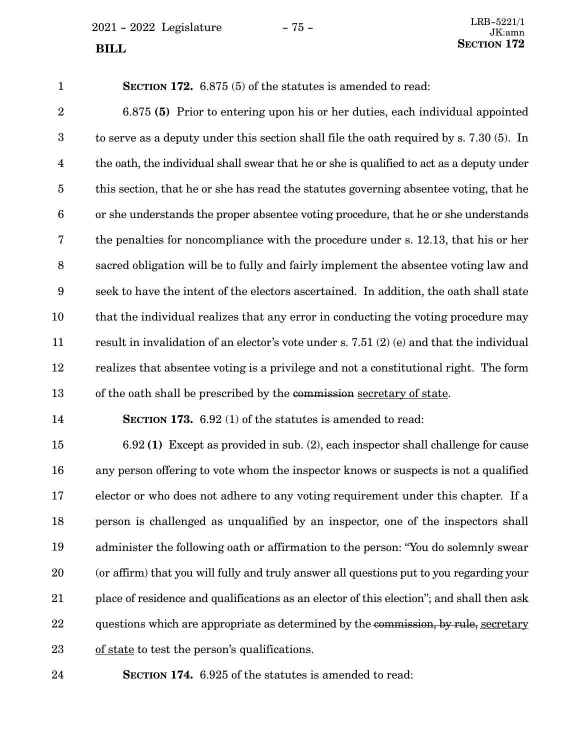$2021 - 2022$  Legislature  $- 75 -$ **SECTION** 172

**SECTION 172.** 6.875 (5) of the statutes is amended to read: 6.875 **(5)** Prior to entering upon his or her duties, each individual appointed to serve as a deputy under this section shall file the oath required by s. 7.30 (5). In the oath, the individual shall swear that he or she is qualified to act as a deputy under this section, that he or she has read the statutes governing absentee voting, that he or she understands the proper absentee voting procedure, that he or she understands the penalties for noncompliance with the procedure under s. 12.13, that his or her sacred obligation will be to fully and fairly implement the absentee voting law and seek to have the intent of the electors ascertained. In addition, the oath shall state that the individual realizes that any error in conducting the voting procedure may result in invalidation of an elector's vote under s. 7.51 (2) (e) and that the individual realizes that absentee voting is a privilege and not a constitutional right. The form of the oath shall be prescribed by the commission secretary of state. **SECTION 173.** 6.92 (1) of the statutes is amended to read: 6.92 **(1)** Except as provided in sub. (2), each inspector shall challenge for cause any person offering to vote whom the inspector knows or suspects is not a qualified elector or who does not adhere to any voting requirement under this chapter. If a person is challenged as unqualified by an inspector, one of the inspectors shall administer the following oath or affirmation to the person: "You do solemnly swear (or affirm) that you will fully and truly answer all questions put to you regarding your place of residence and qualifications as an elector of this election"; and shall then ask 1 2 3 4 5 6 7 8 9 10 11 12 13 14 15 16 17 18 19 20 21

questions which are appropriate as determined by the commission, by rule, secretary 22

of state to test the person's qualifications. 23

24

**SECTION 174.** 6.925 of the statutes is amended to read: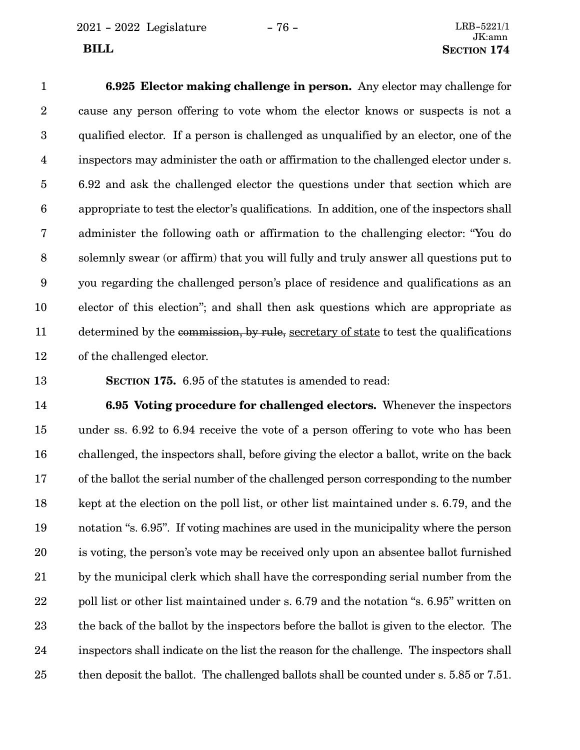**6.925 Elector making challenge in person.** Any elector may challenge for cause any person offering to vote whom the elector knows or suspects is not a qualified elector. If a person is challenged as unqualified by an elector, one of the inspectors may administer the oath or affirmation to the challenged elector under s. 6.92 and ask the challenged elector the questions under that section which are appropriate to test the elector's qualifications. In addition, one of the inspectors shall administer the following oath or affirmation to the challenging elector: "You do solemnly swear (or affirm) that you will fully and truly answer all questions put to you regarding the challenged person's place of residence and qualifications as an elector of this election"; and shall then ask questions which are appropriate as determined by the commission, by rule, secretary of state to test the qualifications of the challenged elector. 1 2 3 4 5 6 7 8 9 10 11 12

13

**SECTION 175.** 6.95 of the statutes is amended to read:

**6.95 Voting procedure for challenged electors.** Whenever the inspectors under ss. 6.92 to 6.94 receive the vote of a person offering to vote who has been challenged, the inspectors shall, before giving the elector a ballot, write on the back of the ballot the serial number of the challenged person corresponding to the number kept at the election on the poll list, or other list maintained under s. 6.79, and the notation "s. 6.95". If voting machines are used in the municipality where the person is voting, the person's vote may be received only upon an absentee ballot furnished by the municipal clerk which shall have the corresponding serial number from the poll list or other list maintained under s. 6.79 and the notation "s. 6.95" written on the back of the ballot by the inspectors before the ballot is given to the elector. The inspectors shall indicate on the list the reason for the challenge. The inspectors shall then deposit the ballot. The challenged ballots shall be counted under s. 5.85 or 7.51. 14 15 16 17 18 19 20 21 22 23 24 25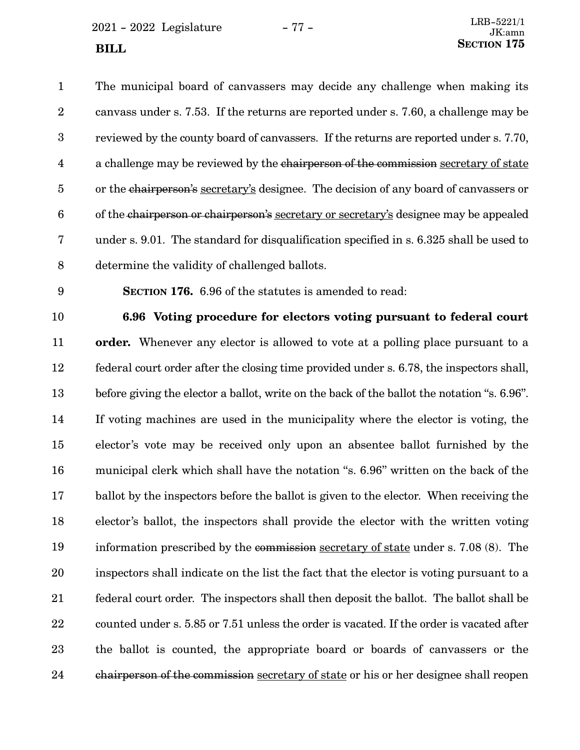$2021 - 2022$  Legislature  $- 77 -$ **SECTION** 175

The municipal board of canvassers may decide any challenge when making its canvass under s. 7.53. If the returns are reported under s. 7.60, a challenge may be reviewed by the county board of canvassers. If the returns are reported under s. 7.70, a challenge may be reviewed by the chairperson of the commission secretary of state or the chairperson's secretary's designee. The decision of any board of canvassers or of the chairperson or chairperson's secretary or secretary's designee may be appealed under s. 9.01. The standard for disqualification specified in s. 6.325 shall be used to determine the validity of challenged ballots. 1 2 3 4 5 6 7 8

9

**SECTION 176.** 6.96 of the statutes is amended to read:

10

**6.96 Voting procedure for electors voting pursuant to federal court**

**order.** Whenever any elector is allowed to vote at a polling place pursuant to a federal court order after the closing time provided under s. 6.78, the inspectors shall, before giving the elector a ballot, write on the back of the ballot the notation "s. 6.96". If voting machines are used in the municipality where the elector is voting, the elector's vote may be received only upon an absentee ballot furnished by the municipal clerk which shall have the notation "s. 6.96" written on the back of the ballot by the inspectors before the ballot is given to the elector. When receiving the elector's ballot, the inspectors shall provide the elector with the written voting information prescribed by the commission secretary of state under s. 7.08 (8). The inspectors shall indicate on the list the fact that the elector is voting pursuant to a federal court order. The inspectors shall then deposit the ballot. The ballot shall be counted under s. 5.85 or 7.51 unless the order is vacated. If the order is vacated after the ballot is counted, the appropriate board or boards of canvassers or the chairperson of the commission secretary of state or his or her designee shall reopen 11 12 13 14 15 16 17 18 19 20 21 22 23 24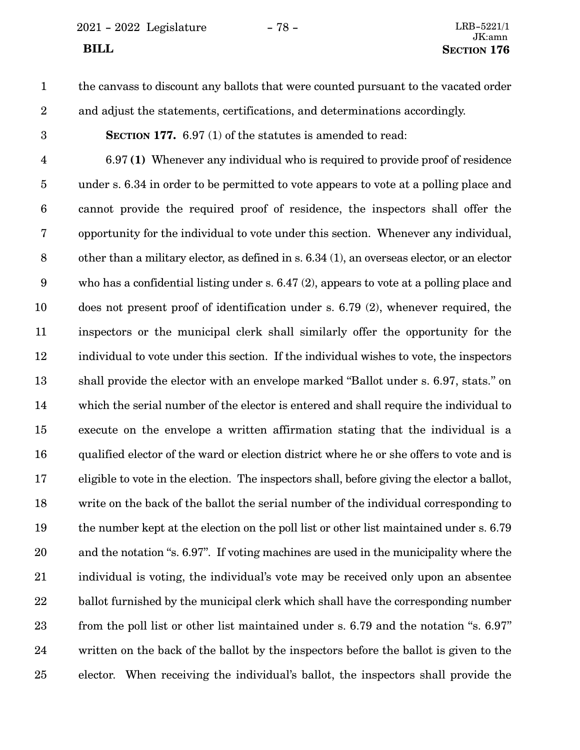2021 - 2022 Legislature - 78 - LRB-5221/1

## JK:amn **BILL** SECTION 176

# 1

the canvass to discount any ballots that were counted pursuant to the vacated order and adjust the statements, certifications, and determinations accordingly.

3

2

**SECTION 177.** 6.97 (1) of the statutes is amended to read:

6.97 **(1)** Whenever any individual who is required to provide proof of residence under s. 6.34 in order to be permitted to vote appears to vote at a polling place and cannot provide the required proof of residence, the inspectors shall offer the opportunity for the individual to vote under this section. Whenever any individual, other than a military elector, as defined in s. 6.34 (1), an overseas elector, or an elector who has a confidential listing under s. 6.47 (2), appears to vote at a polling place and does not present proof of identification under s. 6.79 (2), whenever required, the inspectors or the municipal clerk shall similarly offer the opportunity for the individual to vote under this section. If the individual wishes to vote, the inspectors shall provide the elector with an envelope marked "Ballot under s. 6.97, stats." on which the serial number of the elector is entered and shall require the individual to execute on the envelope a written affirmation stating that the individual is a qualified elector of the ward or election district where he or she offers to vote and is eligible to vote in the election. The inspectors shall, before giving the elector a ballot, write on the back of the ballot the serial number of the individual corresponding to the number kept at the election on the poll list or other list maintained under s. 6.79 and the notation "s. 6.97". If voting machines are used in the municipality where the individual is voting, the individual's vote may be received only upon an absentee ballot furnished by the municipal clerk which shall have the corresponding number from the poll list or other list maintained under s. 6.79 and the notation "s. 6.97" written on the back of the ballot by the inspectors before the ballot is given to the elector. When receiving the individual's ballot, the inspectors shall provide the 4 5 6 7 8 9 10 11 12 13 14 15 16 17 18 19 20 21 22 23 24 25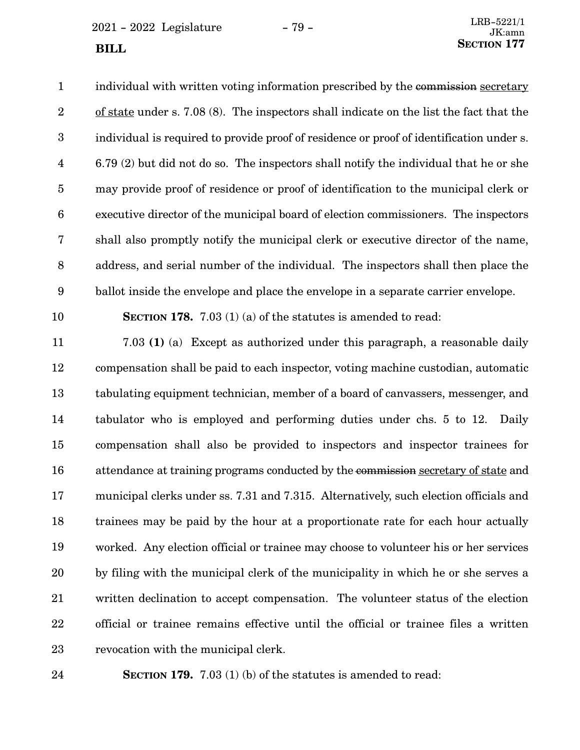$2021 - 2022$  Legislature  $- 79 -$ **SECTION** 177

individual with written voting information prescribed by the commission secretary of state under s. 7.08 (8). The inspectors shall indicate on the list the fact that the individual is required to provide proof of residence or proof of identification under s. 6.79 (2) but did not do so. The inspectors shall notify the individual that he or she may provide proof of residence or proof of identification to the municipal clerk or executive director of the municipal board of election commissioners. The inspectors shall also promptly notify the municipal clerk or executive director of the name, address, and serial number of the individual. The inspectors shall then place the ballot inside the envelope and place the envelope in a separate carrier envelope. **SECTION 178.** 7.03 (1) (a) of the statutes is amended to read: 7.03 **(1)** (a) Except as authorized under this paragraph, a reasonable daily compensation shall be paid to each inspector, voting machine custodian, automatic tabulating equipment technician, member of a board of canvassers, messenger, and tabulator who is employed and performing duties under chs. 5 to 12. Daily compensation shall also be provided to inspectors and inspector trainees for attendance at training programs conducted by the commission secretary of state and municipal clerks under ss. 7.31 and 7.315. Alternatively, such election officials and trainees may be paid by the hour at a proportionate rate for each hour actually worked. Any election official or trainee may choose to volunteer his or her services by filing with the municipal clerk of the municipality in which he or she serves a written declination to accept compensation. The volunteer status of the election 1 2 3 4 5 6 7 8 9 10 11 12 13 14 15 16 17 18 19 20 21

official or trainee remains effective until the official or trainee files a written revocation with the municipal clerk. 22 23

24

**SECTION 179.** 7.03 (1) (b) of the statutes is amended to read: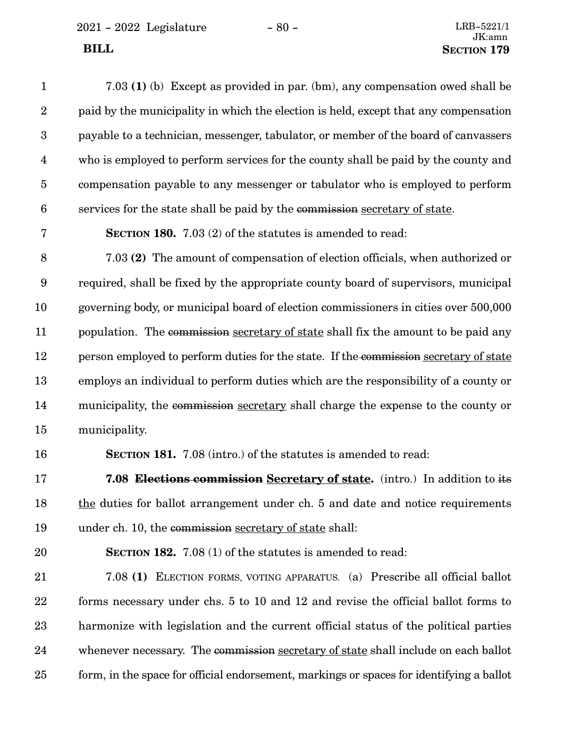2021 - 2022 Legislature - 80 -

| $\mathbf{1}$     | 7.03 (1) (b) Except as provided in par. (bm), any compensation owed shall be             |
|------------------|------------------------------------------------------------------------------------------|
| $\boldsymbol{2}$ | paid by the municipality in which the election is held, except that any compensation     |
| $\boldsymbol{3}$ | payable to a technician, messenger, tabulator, or member of the board of canvassers      |
| $\overline{4}$   | who is employed to perform services for the county shall be paid by the county and       |
| $\overline{5}$   | compensation payable to any messenger or tabulator who is employed to perform            |
| $6\phantom{.}6$  | services for the state shall be paid by the commission secretary of state.               |
| $\bf 7$          | <b>SECTION 180.</b> 7.03 (2) of the statutes is amended to read:                         |
| $8\,$            | 7.03 (2) The amount of compensation of election officials, when authorized or            |
| $9\phantom{.0}$  | required, shall be fixed by the appropriate county board of supervisors, municipal       |
| 10               | governing body, or municipal board of election commissioners in cities over 500,000      |
| 11               | population. The commission secretary of state shall fix the amount to be paid any        |
| 12               | person employed to perform duties for the state. If the commission secretary of state    |
| 13               | employs an individual to perform duties which are the responsibility of a county or      |
| 14               | municipality, the commission secretary shall charge the expense to the county or         |
| 15               | municipality.                                                                            |
| 16               | SECTION 181. 7.08 (intro.) of the statutes is amended to read:                           |
| 17               | <b>7.08 Elections commission Secretary of state.</b> (intro.) In addition to its         |
| 18               | the duties for ballot arrangement under ch. 5 and date and notice requirements           |
| 19               | under ch. 10, the commission secretary of state shall:                                   |
| 20               | <b>SECTION 182.</b> 7.08 (1) of the statutes is amended to read:                         |
| 21               | 7.08 (1) ELECTION FORMS, VOTING APPARATUS. (a) Prescribe all official ballot             |
| 22               | forms necessary under chs. 5 to 10 and 12 and revise the official ballot forms to        |
| 23               | harmonize with legislation and the current official status of the political parties      |
| 24               | whenever necessary. The commission secretary of state shall include on each ballot       |
| 25               | form, in the space for official endorsement, markings or spaces for identifying a ballot |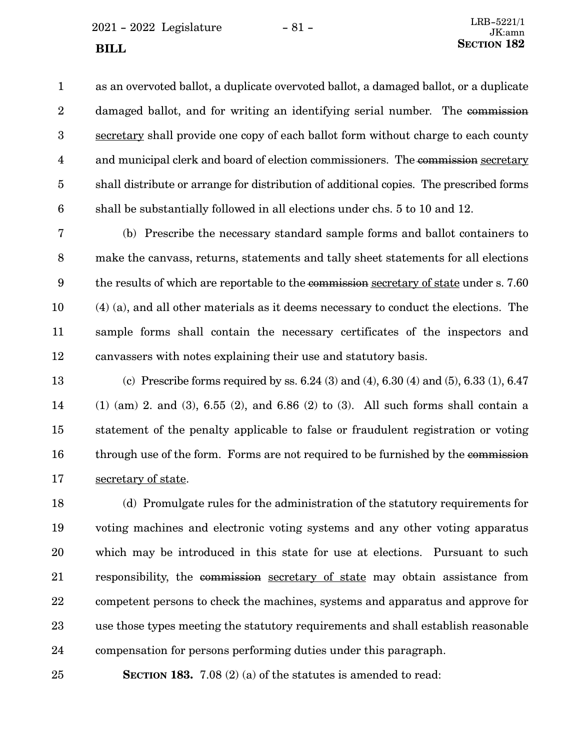$2021 - 2022$  Legislature  $- 81 -$ 

as an overvoted ballot, a duplicate overvoted ballot, a damaged ballot, or a duplicate damaged ballot, and for writing an identifying serial number. The commission secretary shall provide one copy of each ballot form without charge to each county and municipal clerk and board of election commissioners. The commission secretary shall distribute or arrange for distribution of additional copies. The prescribed forms shall be substantially followed in all elections under chs. 5 to 10 and 12. 1 2 3 4 5 6

(b) Prescribe the necessary standard sample forms and ballot containers to make the canvass, returns, statements and tally sheet statements for all elections the results of which are reportable to the commission secretary of state under s. 7.60 (4) (a), and all other materials as it deems necessary to conduct the elections. The sample forms shall contain the necessary certificates of the inspectors and canvassers with notes explaining their use and statutory basis. 7 8 9 10 11 12

(c) Prescribe forms required by ss. 6.24 (3) and (4), 6.30 (4) and (5), 6.33 (1), 6.47 (1) (am) 2. and (3), 6.55 (2), and 6.86 (2) to (3). All such forms shall contain a statement of the penalty applicable to false or fraudulent registration or voting through use of the form. Forms are not required to be furnished by the commission secretary of state. 13 14 15 16 17

(d) Promulgate rules for the administration of the statutory requirements for voting machines and electronic voting systems and any other voting apparatus which may be introduced in this state for use at elections. Pursuant to such responsibility, the commission secretary of state may obtain assistance from competent persons to check the machines, systems and apparatus and approve for use those types meeting the statutory requirements and shall establish reasonable compensation for persons performing duties under this paragraph. 18 19 20 21 22 23 24

**SECTION 183.** 7.08 (2) (a) of the statutes is amended to read:

25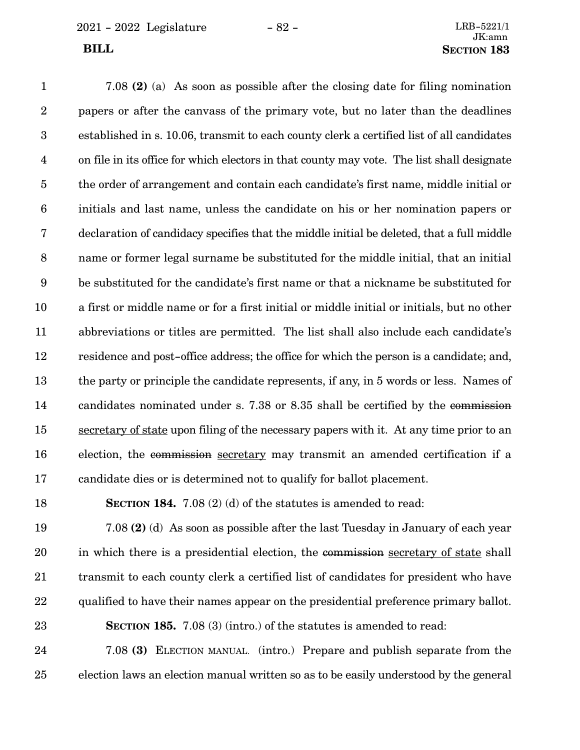7.08 **(2)** (a) As soon as possible after the closing date for filing nomination papers or after the canvass of the primary vote, but no later than the deadlines established in s. 10.06, transmit to each county clerk a certified list of all candidates on file in its office for which electors in that county may vote. The list shall designate the order of arrangement and contain each candidate's first name, middle initial or initials and last name, unless the candidate on his or her nomination papers or declaration of candidacy specifies that the middle initial be deleted, that a full middle name or former legal surname be substituted for the middle initial, that an initial be substituted for the candidate's first name or that a nickname be substituted for a first or middle name or for a first initial or middle initial or initials, but no other abbreviations or titles are permitted. The list shall also include each candidate's residence and post-office address; the office for which the person is a candidate; and, the party or principle the candidate represents, if any, in 5 words or less. Names of candidates nominated under s. 7.38 or 8.35 shall be certified by the commission secretary of state upon filing of the necessary papers with it. At any time prior to an election, the commission secretary may transmit an amended certification if a candidate dies or is determined not to qualify for ballot placement. 1 2 3 4 5 6 7 8 9 10 11 12 13 14 15 16 17

**SECTION 184.** 7.08 (2) (d) of the statutes is amended to read: 18

7.08 **(2)** (d) As soon as possible after the last Tuesday in January of each year in which there is a presidential election, the commission secretary of state shall transmit to each county clerk a certified list of candidates for president who have qualified to have their names appear on the presidential preference primary ballot. **SECTION 185.** 7.08 (3) (intro.) of the statutes is amended to read: 19 20 21 22 23

7.08 **(3)** ELECTION MANUAL. (intro.) Prepare and publish separate from the election laws an election manual written so as to be easily understood by the general 24 25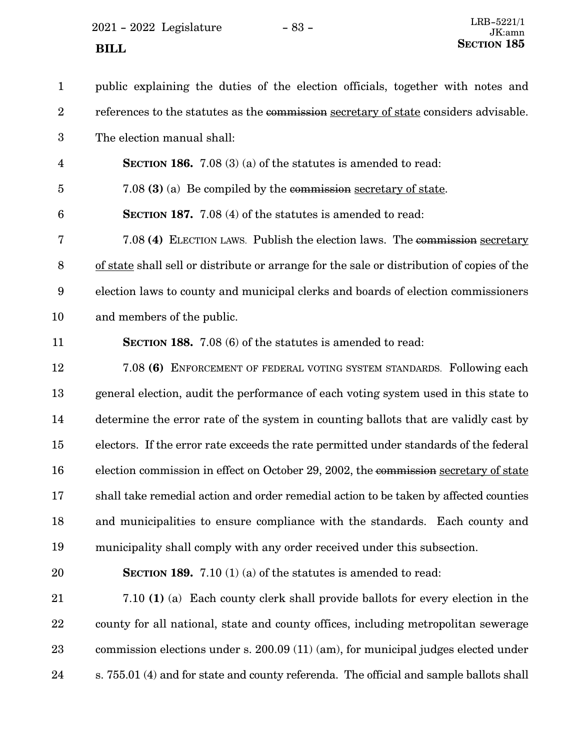$2021 - 2022$  Legislature  $- 83 - 83$ 

24

| $\mathbf{1}$     | public explaining the duties of the election officials, together with notes and            |
|------------------|--------------------------------------------------------------------------------------------|
| $\overline{2}$   | references to the statutes as the commission secretary of state considers advisable.       |
| $\boldsymbol{3}$ | The election manual shall:                                                                 |
| $\overline{4}$   | <b>SECTION 186.</b> 7.08 (3) (a) of the statutes is amended to read:                       |
| $\overline{5}$   | 7.08 (3) (a) Be compiled by the commission secretary of state.                             |
| $6\phantom{1}6$  | <b>SECTION 187.</b> 7.08 (4) of the statutes is amended to read:                           |
| 7                | 7.08 (4) ELECTION LAWS. Publish the election laws. The commission secretary                |
| $\, 8$           | of state shall sell or distribute or arrange for the sale or distribution of copies of the |
| 9                | election laws to county and municipal clerks and boards of election commissioners          |
| 10               | and members of the public.                                                                 |
| 11               | <b>SECTION 188.</b> 7.08 (6) of the statutes is amended to read:                           |
| 12               | 7.08 (6) ENFORCEMENT OF FEDERAL VOTING SYSTEM STANDARDS. Following each                    |
| 13               | general election, audit the performance of each voting system used in this state to        |
| 14               | determine the error rate of the system in counting ballots that are validly cast by        |
| 15               | electors. If the error rate exceeds the rate permitted under standards of the federal      |
| 16               | election commission in effect on October 29, 2002, the commission secretary of state       |
| 17               | shall take remedial action and order remedial action to be taken by affected counties      |
| 18               | and municipalities to ensure compliance with the standards. Each county and                |
| 19               | municipality shall comply with any order received under this subsection.                   |
| 20               | <b>SECTION 189.</b> 7.10 (1) (a) of the statutes is amended to read:                       |
| 21               | 7.10 (1) (a) Each county clerk shall provide ballots for every election in the             |
| 22               | county for all national, state and county offices, including metropolitan sewerage         |
| 23               | commission elections under s. 200.09 (11) (am), for municipal judges elected under         |
|                  |                                                                                            |

s. 755.01 (4) and for state and county referenda. The official and sample ballots shall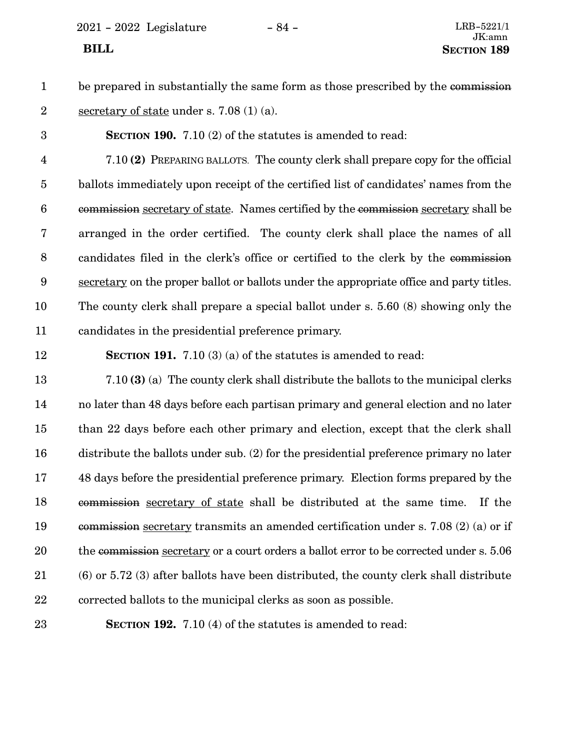2021 - 2022 Legislature - 84 - LRB-5221/1

- be prepared in substantially the same form as those prescribed by the commission secretary of state under s. 7.08 (1) (a). 1 2
- **SECTION 190.** 7.10 (2) of the statutes is amended to read: 3

7.10 **(2)** PREPARING BALLOTS. The county clerk shall prepare copy for the official ballots immediately upon receipt of the certified list of candidates' names from the commission secretary of state. Names certified by the commission secretary shall be arranged in the order certified. The county clerk shall place the names of all candidates filed in the clerk's office or certified to the clerk by the commission secretary on the proper ballot or ballots under the appropriate office and party titles. The county clerk shall prepare a special ballot under s. 5.60 (8) showing only the candidates in the presidential preference primary. 4 5 6 7 8 9 10 11

12

**SECTION 191.** 7.10 (3) (a) of the statutes is amended to read:

7.10 **(3)** (a) The county clerk shall distribute the ballots to the municipal clerks no later than 48 days before each partisan primary and general election and no later than 22 days before each other primary and election, except that the clerk shall distribute the ballots under sub. (2) for the presidential preference primary no later 48 days before the presidential preference primary. Election forms prepared by the commission secretary of state shall be distributed at the same time. If the commission secretary transmits an amended certification under s. 7.08 (2) (a) or if the commission secretary or a court orders a ballot error to be corrected under s. 5.06 (6) or 5.72 (3) after ballots have been distributed, the county clerk shall distribute corrected ballots to the municipal clerks as soon as possible. 13 14 15 16 17 18 19 20 21 22

23

**SECTION 192.** 7.10 (4) of the statutes is amended to read: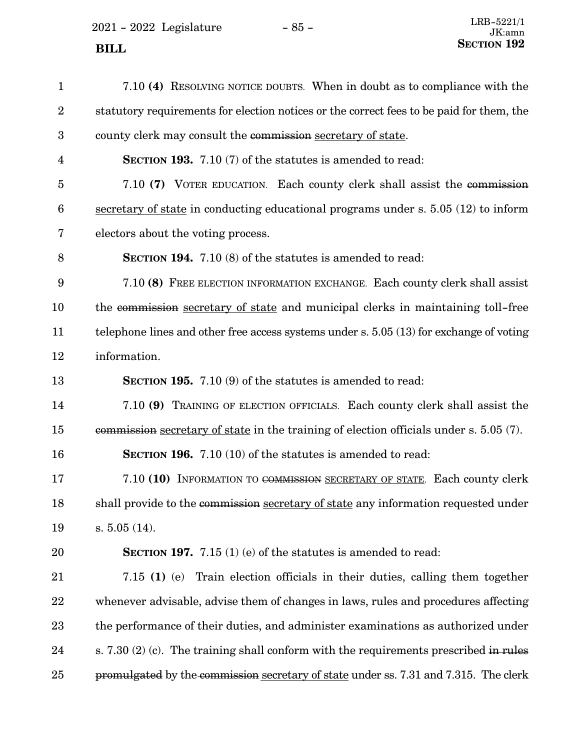2021 - 2022 Legislature -  $85$  -

| $\mathbf{1}$            | 7.10 (4) RESOLVING NOTICE DOUBTS. When in doubt as to compliance with the                |
|-------------------------|------------------------------------------------------------------------------------------|
| $\boldsymbol{2}$        | statutory requirements for election notices or the correct fees to be paid for them, the |
| $\boldsymbol{3}$        | county clerk may consult the commission secretary of state.                              |
| $\overline{\mathbf{4}}$ | <b>SECTION 193.</b> 7.10 (7) of the statutes is amended to read:                         |
| $\overline{5}$          | 7.10 (7) VOTER EDUCATION. Each county clerk shall assist the commission                  |
| $6\phantom{.}6$         | secretary of state in conducting educational programs under $s. 5.05$ (12) to inform     |
| 7                       | electors about the voting process.                                                       |
| 8                       | <b>SECTION 194.</b> 7.10 (8) of the statutes is amended to read:                         |
| 9                       | 7.10 (8) FREE ELECTION INFORMATION EXCHANGE. Each county clerk shall assist              |
| 10                      | the commission secretary of state and municipal clerks in maintaining toll-free          |
| 11                      | telephone lines and other free access systems under s. $5.05(13)$ for exchange of voting |
| 12                      | information.                                                                             |
| 13                      | <b>SECTION 195.</b> 7.10 (9) of the statutes is amended to read:                         |
| 14                      | 7.10 (9) TRAINING OF ELECTION OFFICIALS. Each county clerk shall assist the              |
| 15                      | commission secretary of state in the training of election officials under s. 5.05 (7).   |
| 16                      | <b>SECTION 196.</b> 7.10 (10) of the statutes is amended to read:                        |
| 17                      | 7.10 (10) INFORMATION TO COMMISSION SECRETARY OF STATE. Each county clerk                |
| 18                      | shall provide to the commission secretary of state any information requested under       |
| 19                      | $s. 5.05(14)$ .                                                                          |
| 20                      | SECTION 197. $7.15(1)(e)$ of the statutes is amended to read:                            |
| 21                      | 7.15 (1) (e) Train election officials in their duties, calling them together             |
| 22                      | whenever advisable, advise them of changes in laws, rules and procedures affecting       |
| 23                      | the performance of their duties, and administer examinations as authorized under         |
| 24                      | s. $7.30(2)(c)$ . The training shall conform with the requirements prescribed in rules   |
| 25                      | promulgated by the commission secretary of state under ss. 7.31 and 7.315. The clerk     |
|                         |                                                                                          |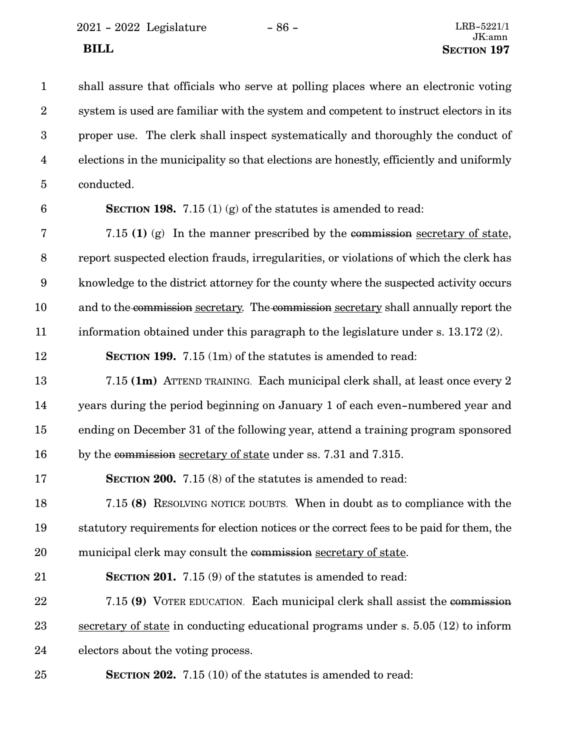2021 - 2022 Legislature - 86 - LRB-5221/1

shall assure that officials who serve at polling places where an electronic voting system is used are familiar with the system and competent to instruct electors in its proper use. The clerk shall inspect systematically and thoroughly the conduct of elections in the municipality so that elections are honestly, efficiently and uniformly conducted. **SECTION 198.** 7.15 (1) (g) of the statutes is amended to read: 7.15 **(1)** (g) In the manner prescribed by the commission secretary of state, report suspected election frauds, irregularities, or violations of which the clerk has knowledge to the district attorney for the county where the suspected activity occurs and to the commission secretary. The commission secretary shall annually report the information obtained under this paragraph to the legislature under s. 13.172 (2). **SECTION 199.** 7.15 (1m) of the statutes is amended to read: 7.15 **(1m)** ATTEND TRAINING. Each municipal clerk shall, at least once every 2 years during the period beginning on January 1 of each even-numbered year and ending on December 31 of the following year, attend a training program sponsored by the commission secretary of state under ss. 7.31 and 7.315. **SECTION 200.** 7.15 (8) of the statutes is amended to read: 7.15 **(8)** RESOLVING NOTICE DOUBTS. When in doubt as to compliance with the statutory requirements for election notices or the correct fees to be paid for them, the municipal clerk may consult the commission secretary of state. **SECTION 201.** 7.15 (9) of the statutes is amended to read: 7.15 **(9)** VOTER EDUCATION. Each municipal clerk shall assist the commission secretary of state in conducting educational programs under s. 5.05 (12) to inform electors about the voting process. **SECTION 202.** 7.15 (10) of the statutes is amended to read: 1 2 3 4 5 6 7 8 9 10 11 12 13 14 15 16 17 18 19 20 21 22 23 24 25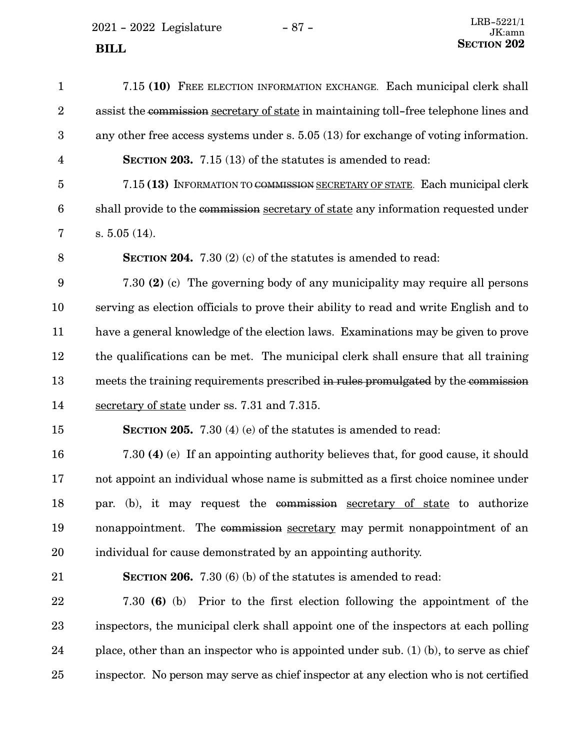2021 - 2022 Legislature - 87 -

| $\mathbf{1}$            | 7.15 (10) FREE ELECTION INFORMATION EXCHANGE. Each municipal clerk shall                |
|-------------------------|-----------------------------------------------------------------------------------------|
| $\boldsymbol{2}$        | assist the commission secretary of state in maintaining toll-free telephone lines and   |
| 3                       | any other free access systems under $s. 5.05$ (13) for exchange of voting information.  |
| $\overline{\mathbf{4}}$ | <b>SECTION 203.</b> 7.15 (13) of the statutes is amended to read:                       |
| $\overline{5}$          | 7.15 (13) INFORMATION TO COMMISSION SECRETARY OF STATE. Each municipal clerk            |
| $6\phantom{.}6$         | shall provide to the commission secretary of state any information requested under      |
| 7                       | $s. 5.05(14)$ .                                                                         |
| $8\,$                   | <b>SECTION 204.</b> 7.30 (2) (c) of the statutes is amended to read:                    |
| $9\phantom{.0}$         | 7.30 (2) (c) The governing body of any municipality may require all persons             |
| 10                      | serving as election officials to prove their ability to read and write English and to   |
| 11                      | have a general knowledge of the election laws. Examinations may be given to prove       |
| 12                      | the qualifications can be met. The municipal clerk shall ensure that all training       |
| 13                      | meets the training requirements prescribed in rules promulgated by the commission       |
| 14                      | secretary of state under ss. 7.31 and 7.315.                                            |
| 15                      | <b>SECTION 205.</b> 7.30 (4) (e) of the statutes is amended to read:                    |
| 16                      | 7.30 (4) (e) If an appointing authority believes that, for good cause, it should        |
| 17                      | not appoint an individual whose name is submitted as a first choice nominee under       |
| 18                      | par. (b), it may request the commission secretary of state to authorize                 |
| 19                      | nonappointment. The commission secretary may permit nonappointment of an                |
| 20                      | individual for cause demonstrated by an appointing authority.                           |
| 21                      | SECTION 206. 7.30 (6) (b) of the statutes is amended to read:                           |
| 22                      | 7.30 (6) (b) Prior to the first election following the appointment of the               |
| 23                      | inspectors, the municipal clerk shall appoint one of the inspectors at each polling     |
| 24                      | place, other than an inspector who is appointed under sub. $(1)$ (b), to serve as chief |
| 25                      | inspector. No person may serve as chief inspector at any election who is not certified  |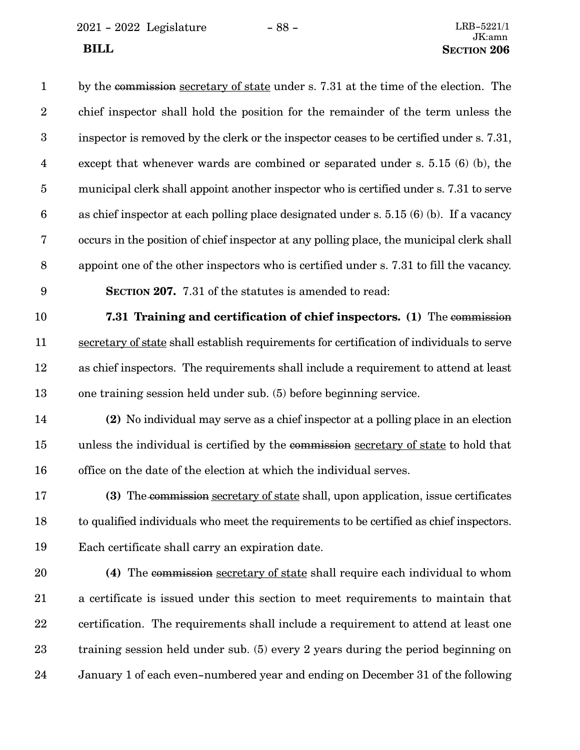2021 - 2022 Legislature - 88 - LRB-5221/1

by the commission secretary of state under s. 7.31 at the time of the election. The chief inspector shall hold the position for the remainder of the term unless the inspector is removed by the clerk or the inspector ceases to be certified under s. 7.31, except that whenever wards are combined or separated under s. 5.15 (6) (b), the municipal clerk shall appoint another inspector who is certified under s. 7.31 to serve as chief inspector at each polling place designated under s. 5.15 (6) (b). If a vacancy occurs in the position of chief inspector at any polling place, the municipal clerk shall appoint one of the other inspectors who is certified under s. 7.31 to fill the vacancy. **SECTION 207.** 7.31 of the statutes is amended to read: **7.31 Training and certification of chief inspectors. (1)** The commission secretary of state shall establish requirements for certification of individuals to serve 1 2 3 4 5 6 7 8 9 10 11

- as chief inspectors. The requirements shall include a requirement to attend at least one training session held under sub. (5) before beginning service. 12 13
- **(2)** No individual may serve as a chief inspector at a polling place in an election unless the individual is certified by the commission secretary of state to hold that office on the date of the election at which the individual serves. 14 15 16
- **(3)** The commission secretary of state shall, upon application, issue certificates to qualified individuals who meet the requirements to be certified as chief inspectors. Each certificate shall carry an expiration date. 17 18 19
- **(4)** The commission secretary of state shall require each individual to whom a certificate is issued under this section to meet requirements to maintain that certification. The requirements shall include a requirement to attend at least one training session held under sub. (5) every 2 years during the period beginning on January 1 of each even-numbered year and ending on December 31 of the following 20 21 22 23 24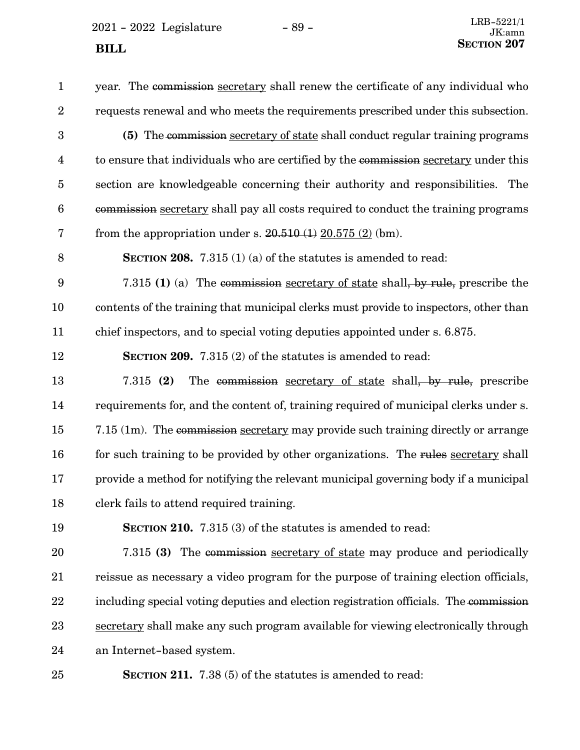$2021 - 2022$  Legislature  $- 89 -$ **SECTION** 207

year. The commission secretary shall renew the certificate of any individual who requests renewal and who meets the requirements prescribed under this subsection. **(5)** The commission secretary of state shall conduct regular training programs to ensure that individuals who are certified by the commission secretary under this section are knowledgeable concerning their authority and responsibilities. The commission secretary shall pay all costs required to conduct the training programs from the appropriation under s.  $20.510(1) 20.575(2)$  (bm). **SECTION 208.** 7.315 (1) (a) of the statutes is amended to read: 7.315 **(1)** (a) The commission secretary of state shall, by rule, prescribe the contents of the training that municipal clerks must provide to inspectors, other than chief inspectors, and to special voting deputies appointed under s. 6.875. **SECTION 209.** 7.315 (2) of the statutes is amended to read: 7.315 **(2)** The commission secretary of state shall, by rule, prescribe requirements for, and the content of, training required of municipal clerks under s. 7.15 (1m). The commission secretary may provide such training directly or arrange for such training to be provided by other organizations. The rules secretary shall provide a method for notifying the relevant municipal governing body if a municipal clerk fails to attend required training. **SECTION 210.** 7.315 (3) of the statutes is amended to read: 7.315 **(3)** The commission secretary of state may produce and periodically 1 2 3 4 5 6 7 8 9 10 11 12 13 14 15 16 17 18 19 20

reissue as necessary a video program for the purpose of training election officials, including special voting deputies and election registration officials. The commission secretary shall make any such program available for viewing electronically through an Internet-based system. 21 22 23 24

**SECTION 211.** 7.38 (5) of the statutes is amended to read:

25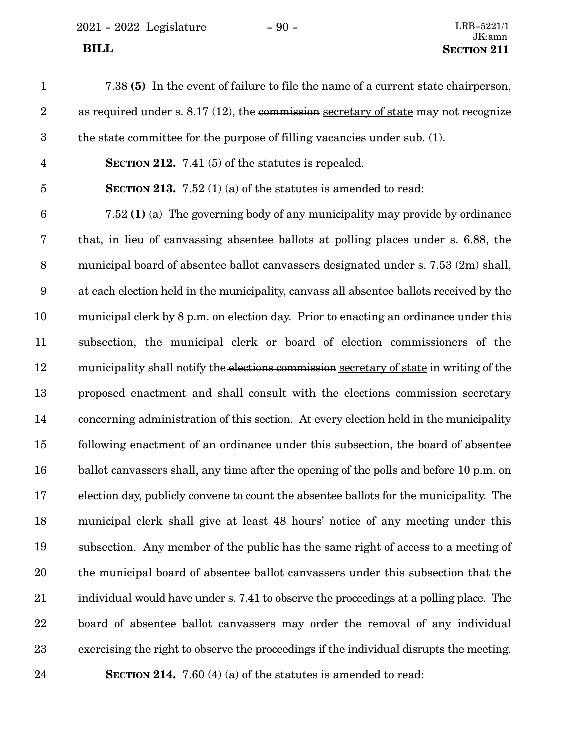2021 - 2022 Legislature - 90 -

| $\mathbf{1}$     | 7.38 (5) In the event of failure to file the name of a current state chairperson,       |
|------------------|-----------------------------------------------------------------------------------------|
| $\boldsymbol{2}$ | as required under s. $8.17$ (12), the commission secretary of state may not recognize   |
| $\boldsymbol{3}$ | the state committee for the purpose of filling vacancies under sub. (1).                |
| $\overline{4}$   | SECTION 212. 7.41 $(5)$ of the statutes is repealed.                                    |
| $\overline{5}$   | <b>SECTION 213.</b> 7.52 (1) (a) of the statutes is amended to read:                    |
| $\boldsymbol{6}$ | 7.52 (1) (a) The governing body of any municipality may provide by ordinance            |
| $\bf 7$          | that, in lieu of canvassing absentee ballots at polling places under s. 6.88, the       |
| $8\,$            | municipal board of absentee ballot canvassers designated under s. 7.53 (2m) shall,      |
| 9                | at each election held in the municipality, canvass all absentee ballots received by the |
| 10               | municipal clerk by 8 p.m. on election day. Prior to enacting an ordinance under this    |
| 11               | subsection, the municipal clerk or board of election commissioners of the               |
| 12               | municipality shall notify the elections commission secretary of state in writing of the |
| 13               | proposed enactment and shall consult with the elections commission secretary            |
| 14               | concerning administration of this section. At every election held in the municipality   |
| 15               | following enactment of an ordinance under this subsection, the board of absentee        |
| 16               | ballot canvassers shall, any time after the opening of the polls and before 10 p.m. on  |
| 17               | election day, publicly convene to count the absentee ballots for the municipality. The  |
| 18               | municipal clerk shall give at least 48 hours' notice of any meeting under this          |
| 19               | subsection. Any member of the public has the same right of access to a meeting of       |
| 20               | the municipal board of absentee ballot canvassers under this subsection that the        |
| 21               | individual would have under s. 7.41 to observe the proceedings at a polling place. The  |
| 22               | board of absentee ballot canvassers may order the removal of any individual             |
| 23               | exercising the right to observe the proceedings if the individual disrupts the meeting. |
| 24               | <b>SECTION 214.</b> 7.60 (4) (a) of the statutes is amended to read:                    |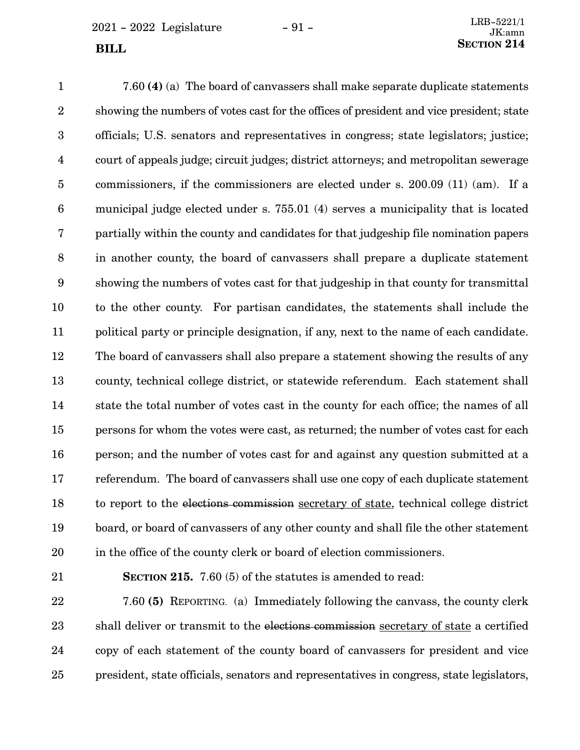$2021 - 2022$  Legislature  $-91 -$ 

7.60 **(4)** (a) The board of canvassers shall make separate duplicate statements showing the numbers of votes cast for the offices of president and vice president; state officials; U.S. senators and representatives in congress; state legislators; justice; court of appeals judge; circuit judges; district attorneys; and metropolitan sewerage commissioners, if the commissioners are elected under s. 200.09 (11) (am). If a municipal judge elected under s. 755.01 (4) serves a municipality that is located partially within the county and candidates for that judgeship file nomination papers in another county, the board of canvassers shall prepare a duplicate statement showing the numbers of votes cast for that judgeship in that county for transmittal to the other county. For partisan candidates, the statements shall include the political party or principle designation, if any, next to the name of each candidate. The board of canvassers shall also prepare a statement showing the results of any county, technical college district, or statewide referendum. Each statement shall state the total number of votes cast in the county for each office; the names of all persons for whom the votes were cast, as returned; the number of votes cast for each person; and the number of votes cast for and against any question submitted at a referendum. The board of canvassers shall use one copy of each duplicate statement to report to the elections commission secretary of state, technical college district board, or board of canvassers of any other county and shall file the other statement in the office of the county clerk or board of election commissioners. 1 2 3 4 5 6 7 8 9 10 11 12 13 14 15 16 17 18 19 20

21

**SECTION 215.** 7.60 (5) of the statutes is amended to read:

7.60 **(5)** REPORTING. (a) Immediately following the canvass, the county clerk shall deliver or transmit to the elections commission secretary of state a certified copy of each statement of the county board of canvassers for president and vice president, state officials, senators and representatives in congress, state legislators, 22 23 24 25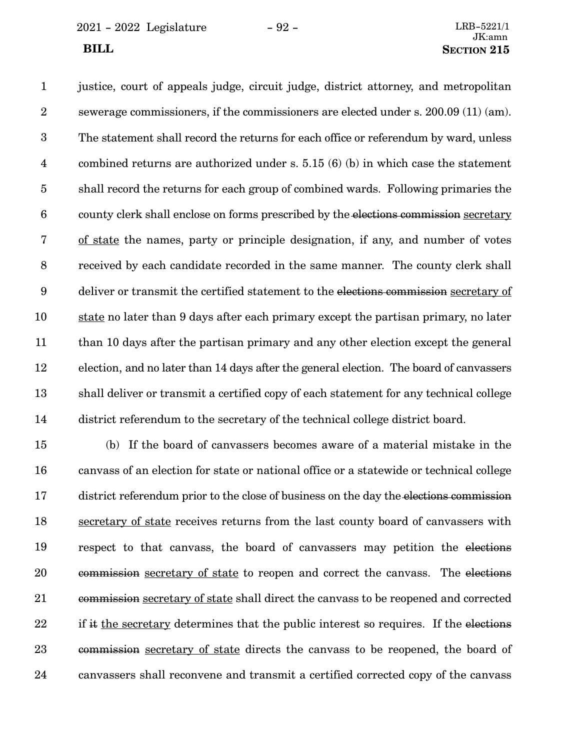2021 - 2022 Legislature - 92 - LRB-5221/1

justice, court of appeals judge, circuit judge, district attorney, and metropolitan sewerage commissioners, if the commissioners are elected under s. 200.09 (11) (am). The statement shall record the returns for each office or referendum by ward, unless combined returns are authorized under s. 5.15 (6) (b) in which case the statement shall record the returns for each group of combined wards. Following primaries the county clerk shall enclose on forms prescribed by the elections commission secretary of state the names, party or principle designation, if any, and number of votes received by each candidate recorded in the same manner. The county clerk shall deliver or transmit the certified statement to the elections commission secretary of state no later than 9 days after each primary except the partisan primary, no later than 10 days after the partisan primary and any other election except the general election, and no later than 14 days after the general election. The board of canvassers shall deliver or transmit a certified copy of each statement for any technical college district referendum to the secretary of the technical college district board. 1 2 3 4 5 6 7 8 9 10 11 12 13 14

(b) If the board of canvassers becomes aware of a material mistake in the canvass of an election for state or national office or a statewide or technical college district referendum prior to the close of business on the day the elections commission secretary of state receives returns from the last county board of canvassers with respect to that canvass, the board of canvassers may petition the elections commission secretary of state to reopen and correct the canvass. The elections commission secretary of state shall direct the canvass to be reopened and corrected if it the secretary determines that the public interest so requires. If the elections commission secretary of state directs the canvass to be reopened, the board of canvassers shall reconvene and transmit a certified corrected copy of the canvass 15 16 17 18 19 20 21 22 23 24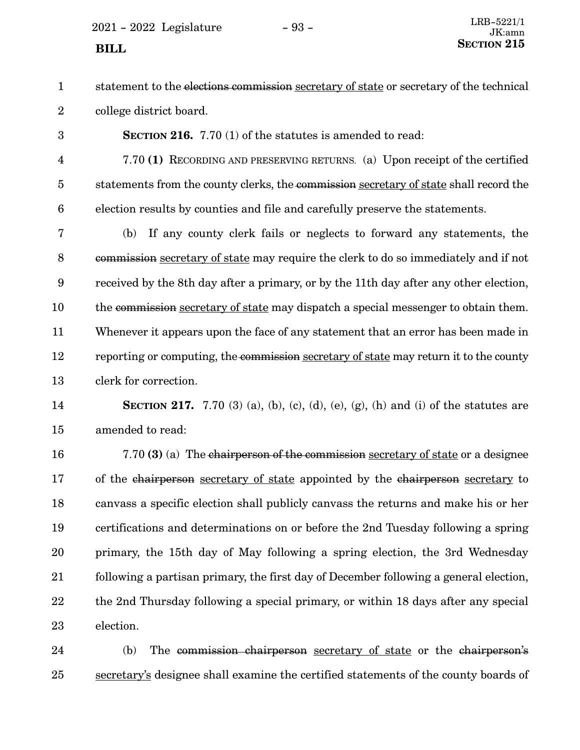$2021 - 2022$  Legislature  $-93 -$ 

3

statement to the elections commission secretary of state or secretary of the technical college district board. 1 2

**SECTION 216.** 7.70 (1) of the statutes is amended to read:

7.70 **(1)** RECORDING AND PRESERVING RETURNS. (a) Upon receipt of the certified statements from the county clerks, the commission secretary of state shall record the election results by counties and file and carefully preserve the statements. 4 5 6

(b) If any county clerk fails or neglects to forward any statements, the commission secretary of state may require the clerk to do so immediately and if not received by the 8th day after a primary, or by the 11th day after any other election, the commission secretary of state may dispatch a special messenger to obtain them. Whenever it appears upon the face of any statement that an error has been made in reporting or computing, the commission secretary of state may return it to the county clerk for correction. 7 8 9 10 11 12 13

**SECTION 217.** 7.70 (3) (a), (b), (c), (d), (e), (g), (h) and (i) of the statutes are amended to read: 14 15

7.70 **(3)** (a) The chairperson of the commission secretary of state or a designee of the chairperson secretary of state appointed by the chairperson secretary to canvass a specific election shall publicly canvass the returns and make his or her certifications and determinations on or before the 2nd Tuesday following a spring primary, the 15th day of May following a spring election, the 3rd Wednesday following a partisan primary, the first day of December following a general election, the 2nd Thursday following a special primary, or within 18 days after any special election. 16 17 18 19 20 21 22 23

(b) The commission chairperson secretary of state or the chairperson's secretary's designee shall examine the certified statements of the county boards of 24 25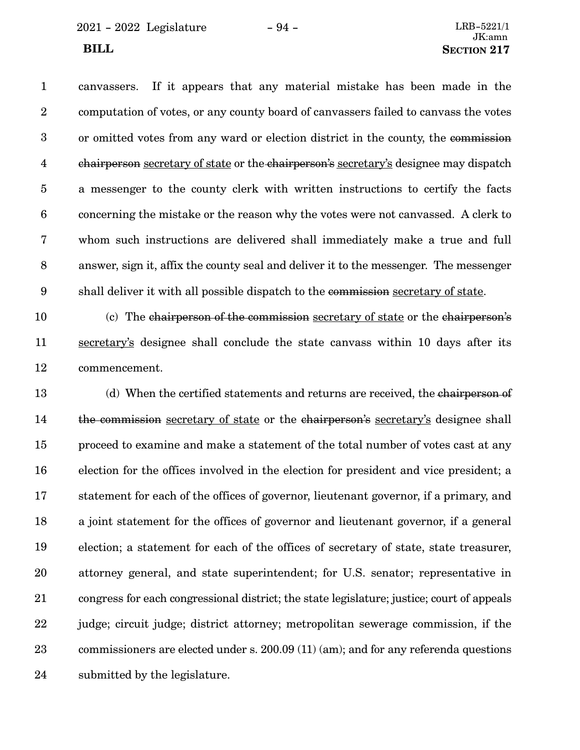2021 - 2022 Legislature - 94 - LRB-5221/1

canvassers. If it appears that any material mistake has been made in the computation of votes, or any county board of canvassers failed to canvass the votes or omitted votes from any ward or election district in the county, the commission chairperson secretary of state or the chairperson's secretary's designee may dispatch a messenger to the county clerk with written instructions to certify the facts concerning the mistake or the reason why the votes were not canvassed. A clerk to whom such instructions are delivered shall immediately make a true and full answer, sign it, affix the county seal and deliver it to the messenger. The messenger shall deliver it with all possible dispatch to the commission secretary of state. 1 2 3 4 5 6 7 8 9

(c) The chairperson of the commission secretary of state or the chairperson's secretary's designee shall conclude the state canvass within 10 days after its commencement. 10 11 12

(d) When the certified statements and returns are received, the chairperson of the commission secretary of state or the chairperson's secretary's designee shall proceed to examine and make a statement of the total number of votes cast at any election for the offices involved in the election for president and vice president; a statement for each of the offices of governor, lieutenant governor, if a primary, and a joint statement for the offices of governor and lieutenant governor, if a general election; a statement for each of the offices of secretary of state, state treasurer, attorney general, and state superintendent; for U.S. senator; representative in congress for each congressional district; the state legislature; justice; court of appeals judge; circuit judge; district attorney; metropolitan sewerage commission, if the commissioners are elected under s. 200.09 (11) (am); and for any referenda questions submitted by the legislature. 13 14 15 16 17 18 19 20 21 22 23 24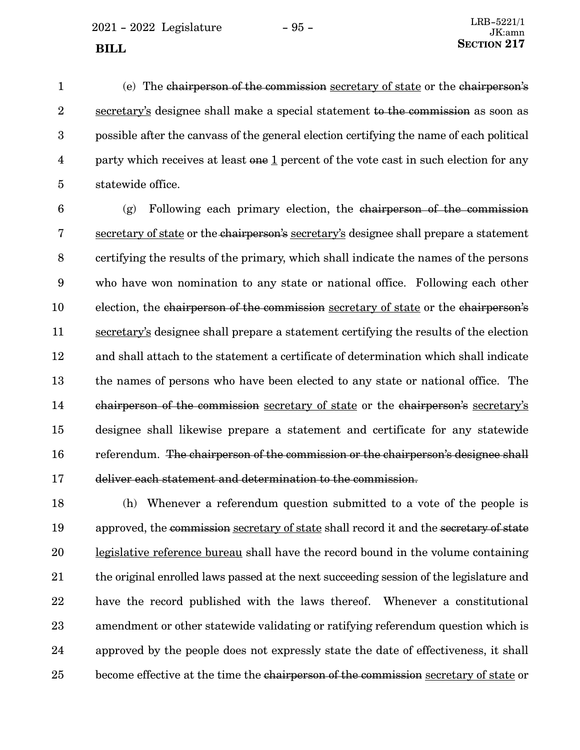(e) The chairperson of the commission secretary of state or the chairperson's secretary's designee shall make a special statement to the commission as soon as possible after the canvass of the general election certifying the name of each political party which receives at least one 1 percent of the vote cast in such election for any statewide office. 1 2 3 4 5

 $(g)$  Following each primary election, the chairperson of the commission secretary of state or the chairperson's secretary's designee shall prepare a statement certifying the results of the primary, which shall indicate the names of the persons who have won nomination to any state or national office. Following each other election, the chairperson of the commission secretary of state or the chairperson's secretary's designee shall prepare a statement certifying the results of the election and shall attach to the statement a certificate of determination which shall indicate the names of persons who have been elected to any state or national office. The chairperson of the commission secretary of state or the chairperson's secretary's designee shall likewise prepare a statement and certificate for any statewide referendum. The chairperson of the commission or the chairperson's designee shall deliver each statement and determination to the commission. 6 7 8 9 10 11 12 13 14 15 16 17

(h) Whenever a referendum question submitted to a vote of the people is approved, the commission secretary of state shall record it and the secretary of state legislative reference bureau shall have the record bound in the volume containing the original enrolled laws passed at the next succeeding session of the legislature and have the record published with the laws thereof. Whenever a constitutional amendment or other statewide validating or ratifying referendum question which is approved by the people does not expressly state the date of effectiveness, it shall become effective at the time the chairperson of the commission secretary of state or 18 19 20 21 22 23 24 25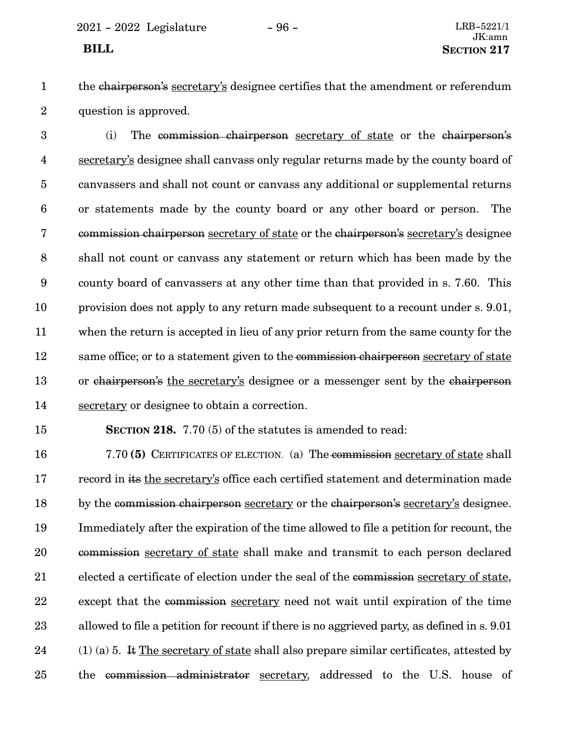# **BILL** SECTION 217

1 2 the chairperson's secretary's designee certifies that the amendment or referendum question is approved.

(i) The commission chairperson secretary of state or the chairperson's secretary's designee shall canvass only regular returns made by the county board of canvassers and shall not count or canvass any additional or supplemental returns or statements made by the county board or any other board or person. The commission chairperson secretary of state or the chairperson's secretary's designee shall not count or canvass any statement or return which has been made by the county board of canvassers at any other time than that provided in s. 7.60. This provision does not apply to any return made subsequent to a recount under s. 9.01, when the return is accepted in lieu of any prior return from the same county for the same office; or to a statement given to the commission chairperson secretary of state or chairperson's the secretary's designee or a messenger sent by the chairperson secretary or designee to obtain a correction. 3 4 5 6 7 8 9 10 11 12 13 14

### 15

**SECTION 218.** 7.70 (5) of the statutes is amended to read:

7.70 **(5)** CERTIFICATES OF ELECTION. (a) The commission secretary of state shall record in its the secretary's office each certified statement and determination made by the commission chairperson secretary or the chairperson's secretary's designee. Immediately after the expiration of the time allowed to file a petition for recount, the commission secretary of state shall make and transmit to each person declared elected a certificate of election under the seal of the commission secretary of state, except that the commission secretary need not wait until expiration of the time allowed to file a petition for recount if there is no aggrieved party, as defined in s. 9.01 (1) (a) 5. It The secretary of state shall also prepare similar certificates, attested by the commission administrator secretary, addressed to the U.S. house of 16 17 18 19 20 21 22 23 24 25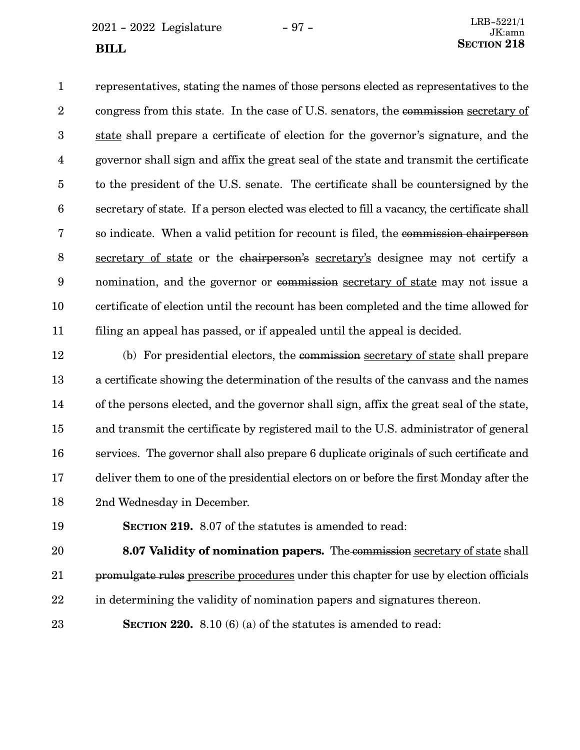$2021 - 2022$  Legislature  $-97 -$ 

representatives, stating the names of those persons elected as representatives to the congress from this state. In the case of U.S. senators, the commission secretary of state shall prepare a certificate of election for the governor's signature, and the governor shall sign and affix the great seal of the state and transmit the certificate to the president of the U.S. senate. The certificate shall be countersigned by the secretary of state. If a person elected was elected to fill a vacancy, the certificate shall so indicate. When a valid petition for recount is filed, the commission chairperson secretary of state or the chairperson's secretary's designee may not certify a nomination, and the governor or commission secretary of state may not issue a certificate of election until the recount has been completed and the time allowed for filing an appeal has passed, or if appealed until the appeal is decided. 1 2 3 4 5 6 7 8 9 10 11

(b) For presidential electors, the commission secretary of state shall prepare a certificate showing the determination of the results of the canvass and the names of the persons elected, and the governor shall sign, affix the great seal of the state, and transmit the certificate by registered mail to the U.S. administrator of general services. The governor shall also prepare 6 duplicate originals of such certificate and deliver them to one of the presidential electors on or before the first Monday after the 2nd Wednesday in December. 12 13 14 15 16 17 18

19

**SECTION 219.** 8.07 of the statutes is amended to read:

**8.07 Validity of nomination papers.** The commission secretary of state shall promulgate rules prescribe procedures under this chapter for use by election officials in determining the validity of nomination papers and signatures thereon. 20 21 22

23

**SECTION 220.** 8.10 (6) (a) of the statutes is amended to read: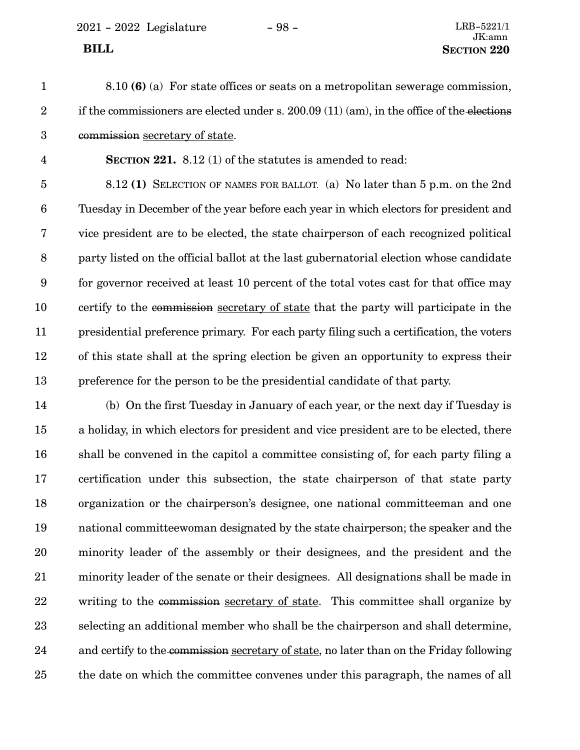2021 - 2022 Legislature - 98 - LRB-5221/1

8.10 **(6)** (a) For state offices or seats on a metropolitan sewerage commission, if the commissioners are elected under s.  $200.09(11)(am)$ , in the office of the elections commission secretary of state. 1 2 3

**SECTION 221.** 8.12 (1) of the statutes is amended to read: 4

8.12 **(1)** SELECTION OF NAMES FOR BALLOT. (a) No later than 5 p.m. on the 2nd Tuesday in December of the year before each year in which electors for president and vice president are to be elected, the state chairperson of each recognized political party listed on the official ballot at the last gubernatorial election whose candidate for governor received at least 10 percent of the total votes cast for that office may certify to the commission secretary of state that the party will participate in the presidential preference primary. For each party filing such a certification, the voters of this state shall at the spring election be given an opportunity to express their preference for the person to be the presidential candidate of that party. 5 6 7 8 9 10 11 12 13

(b) On the first Tuesday in January of each year, or the next day if Tuesday is a holiday, in which electors for president and vice president are to be elected, there shall be convened in the capitol a committee consisting of, for each party filing a certification under this subsection, the state chairperson of that state party organization or the chairperson's designee, one national committeeman and one national committeewoman designated by the state chairperson; the speaker and the minority leader of the assembly or their designees, and the president and the minority leader of the senate or their designees. All designations shall be made in writing to the commission secretary of state. This committee shall organize by selecting an additional member who shall be the chairperson and shall determine, and certify to the commission secretary of state, no later than on the Friday following the date on which the committee convenes under this paragraph, the names of all 14 15 16 17 18 19 20 21 22 23 24 25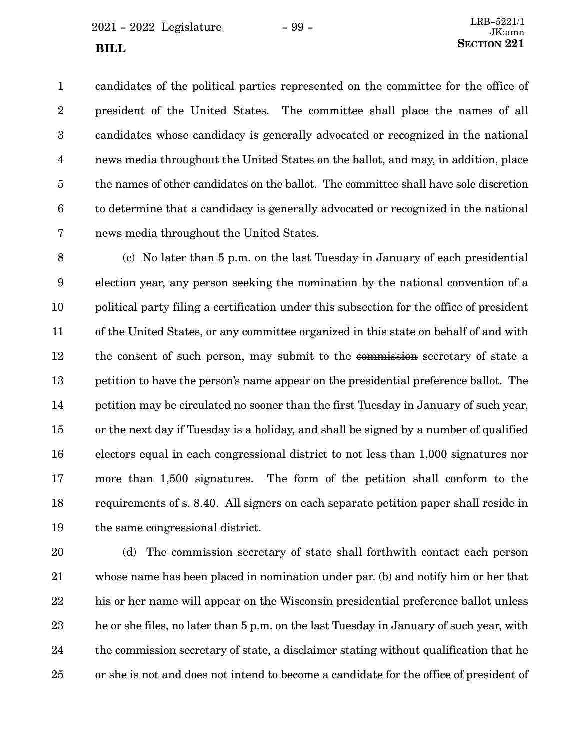$2021 - 2022$  Legislature  $-99 -$ 

candidates of the political parties represented on the committee for the office of president of the United States. The committee shall place the names of all candidates whose candidacy is generally advocated or recognized in the national news media throughout the United States on the ballot, and may, in addition, place the names of other candidates on the ballot. The committee shall have sole discretion to determine that a candidacy is generally advocated or recognized in the national news media throughout the United States. 1 2 3 4 5 6 7

(c) No later than 5 p.m. on the last Tuesday in January of each presidential election year, any person seeking the nomination by the national convention of a political party filing a certification under this subsection for the office of president of the United States, or any committee organized in this state on behalf of and with the consent of such person, may submit to the commission secretary of state a petition to have the person's name appear on the presidential preference ballot. The petition may be circulated no sooner than the first Tuesday in January of such year, or the next day if Tuesday is a holiday, and shall be signed by a number of qualified electors equal in each congressional district to not less than 1,000 signatures nor more than 1,500 signatures. The form of the petition shall conform to the requirements of s. 8.40. All signers on each separate petition paper shall reside in the same congressional district. 8 9 10 11 12 13 14 15 16 17 18 19

(d) The commission secretary of state shall forthwith contact each person whose name has been placed in nomination under par. (b) and notify him or her that his or her name will appear on the Wisconsin presidential preference ballot unless he or she files, no later than 5 p.m. on the last Tuesday in January of such year, with the commission secretary of state, a disclaimer stating without qualification that he or she is not and does not intend to become a candidate for the office of president of 20 21 22 23 24 25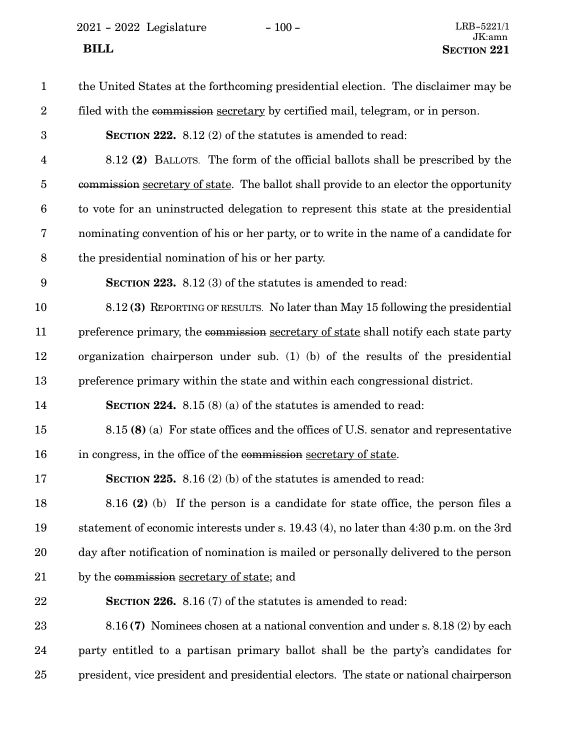$2021 - 2022$  Legislature  $-100 -$  LRB-5221/1

| $\mathbf{1}$            | the United States at the forthcoming presidential election. The disclaimer may be      |
|-------------------------|----------------------------------------------------------------------------------------|
| $\boldsymbol{2}$        | filed with the commission secretary by certified mail, telegram, or in person.         |
| 3                       | <b>SECTION 222.</b> 8.12 (2) of the statutes is amended to read:                       |
| $\overline{\mathbf{4}}$ | 8.12 (2) BALLOTS. The form of the official ballots shall be prescribed by the          |
| $\overline{5}$          | commission secretary of state. The ballot shall provide to an elector the opportunity  |
| $6\phantom{.}6$         | to vote for an uninstructed delegation to represent this state at the presidential     |
| 7                       | nominating convention of his or her party, or to write in the name of a candidate for  |
| $8\,$                   | the presidential nomination of his or her party.                                       |
| 9                       | <b>SECTION 223.</b> 8.12 (3) of the statutes is amended to read:                       |
| 10                      | 8.12(3) REPORTING OF RESULTS. No later than May 15 following the presidential          |
| 11                      | preference primary, the commission secretary of state shall notify each state party    |
| 12                      | organization chairperson under sub. (1) (b) of the results of the presidential         |
| 13                      | preference primary within the state and within each congressional district.            |
| 14                      | <b>SECTION 224.</b> 8.15 (8) (a) of the statutes is amended to read:                   |
| 15                      | 8.15 (8) (a) For state offices and the offices of U.S. senator and representative      |
| 16                      | in congress, in the office of the commission secretary of state.                       |
| 17                      | <b>SECTION 225.</b> 8.16 (2) (b) of the statutes is amended to read:                   |
| 18                      | 8.16 (2) (b) If the person is a candidate for state office, the person files a         |
| 19                      | statement of economic interests under s. 19.43 (4), no later than 4:30 p.m. on the 3rd |
| 20                      | day after notification of nomination is mailed or personally delivered to the person   |
| 21                      | by the commission secretary of state; and                                              |
| 22                      | <b>SECTION 226.</b> 8.16 (7) of the statutes is amended to read:                       |
| 23                      | 8.16(7) Nominees chosen at a national convention and under s. 8.18(2) by each          |
| 24                      | party entitled to a partisan primary ballot shall be the party's candidates for        |
| 25                      | president, vice president and presidential electors. The state or national chairperson |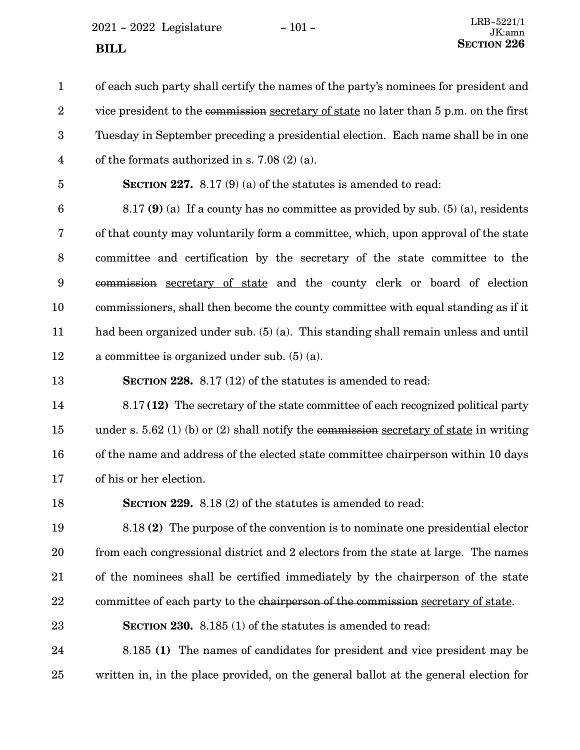$2021 - 2022$  Legislature  $-101 -$ 

of each such party shall certify the names of the party's nominees for president and vice president to the commission secretary of state no later than 5 p.m. on the first Tuesday in September preceding a presidential election. Each name shall be in one of the formats authorized in s. 7.08 (2) (a). 1 2 3 4

5

**SECTION 227.** 8.17 (9) (a) of the statutes is amended to read:

8.17 **(9)** (a) If a county has no committee as provided by sub. (5) (a), residents of that county may voluntarily form a committee, which, upon approval of the state committee and certification by the secretary of the state committee to the commission secretary of state and the county clerk or board of election commissioners, shall then become the county committee with equal standing as if it had been organized under sub. (5) (a). This standing shall remain unless and until a committee is organized under sub. (5) (a). 6 7 8 9 10 11 12

**SECTION 228.** 8.17 (12) of the statutes is amended to read: 13

8.17 **(12)** The secretary of the state committee of each recognized political party under s. 5.62 (1) (b) or (2) shall notify the commission secretary of state in writing of the name and address of the elected state committee chairperson within 10 days of his or her election. 14 15 16 17

18

**SECTION 229.** 8.18 (2) of the statutes is amended to read:

8.18 **(2)** The purpose of the convention is to nominate one presidential elector from each congressional district and 2 electors from the state at large. The names of the nominees shall be certified immediately by the chairperson of the state committee of each party to the chairperson of the commission secretary of state. 19 20 21 22

**SECTION 230.** 8.185 (1) of the statutes is amended to read: 23

8.185 **(1)** The names of candidates for president and vice president may be written in, in the place provided, on the general ballot at the general election for 24 25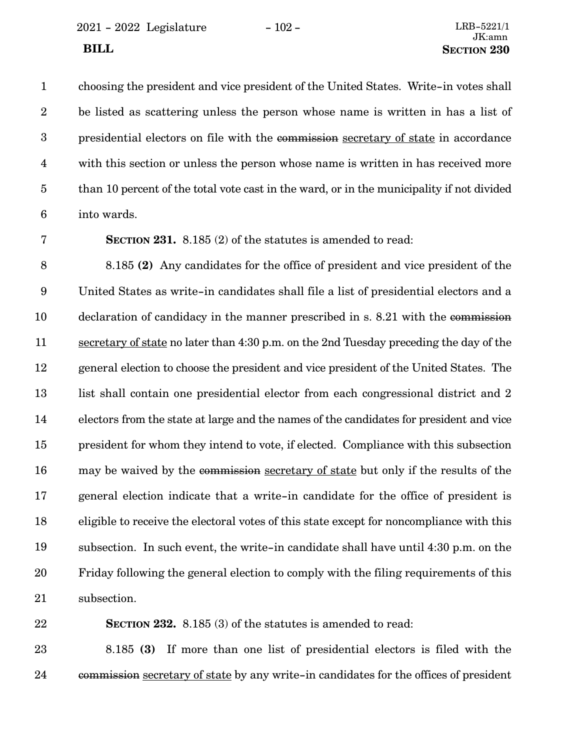choosing the president and vice president of the United States. Write-in votes shall be listed as scattering unless the person whose name is written in has a list of presidential electors on file with the commission secretary of state in accordance with this section or unless the person whose name is written in has received more than 10 percent of the total vote cast in the ward, or in the municipality if not divided into wards. 1 2 3 4 5 6

7

**SECTION 231.** 8.185 (2) of the statutes is amended to read:

8.185 **(2)** Any candidates for the office of president and vice president of the United States as write-in candidates shall file a list of presidential electors and a declaration of candidacy in the manner prescribed in s. 8.21 with the commission secretary of state no later than 4:30 p.m. on the 2nd Tuesday preceding the day of the general election to choose the president and vice president of the United States. The list shall contain one presidential elector from each congressional district and 2 electors from the state at large and the names of the candidates for president and vice president for whom they intend to vote, if elected. Compliance with this subsection may be waived by the commission secretary of state but only if the results of the general election indicate that a write-in candidate for the office of president is eligible to receive the electoral votes of this state except for noncompliance with this subsection. In such event, the write-in candidate shall have until 4:30 p.m. on the Friday following the general election to comply with the filing requirements of this subsection. 8 9 10 11 12 13 14 15 16 17 18 19 20 21

22

**SECTION 232.** 8.185 (3) of the statutes is amended to read:

8.185 **(3)** If more than one list of presidential electors is filed with the commission secretary of state by any write-in candidates for the offices of president 23 24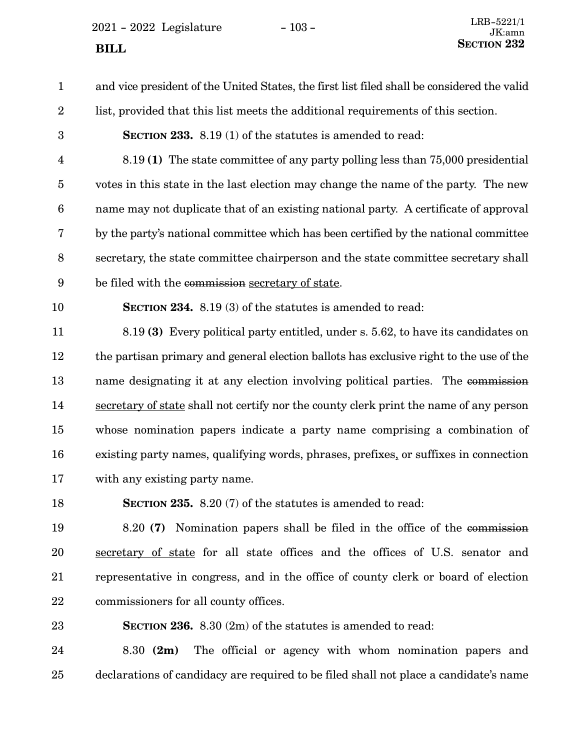$2021 - 2022$  Legislature  $-103 -$ 

and vice president of the United States, the first list filed shall be considered the valid list, provided that this list meets the additional requirements of this section. 1 2

**SECTION 233.** 8.19 (1) of the statutes is amended to read:

8.19 **(1)** The state committee of any party polling less than 75,000 presidential votes in this state in the last election may change the name of the party. The new name may not duplicate that of an existing national party. A certificate of approval by the party's national committee which has been certified by the national committee secretary, the state committee chairperson and the state committee secretary shall be filed with the commission secretary of state. 4 5 6 7 8 9

10

3

**SECTION 234.** 8.19 (3) of the statutes is amended to read:

8.19 **(3)** Every political party entitled, under s. 5.62, to have its candidates on the partisan primary and general election ballots has exclusive right to the use of the name designating it at any election involving political parties. The commission secretary of state shall not certify nor the county clerk print the name of any person whose nomination papers indicate a party name comprising a combination of existing party names, qualifying words, phrases, prefixes, or suffixes in connection with any existing party name. 11 12 13 14 15 16 17

18

**SECTION 235.** 8.20 (7) of the statutes is amended to read:

8.20 **(7)** Nomination papers shall be filed in the office of the commission secretary of state for all state offices and the offices of U.S. senator and representative in congress, and in the office of county clerk or board of election commissioners for all county offices. 19 20 21 22

23

**SECTION 236.** 8.30 (2m) of the statutes is amended to read:

8.30 **(2m)** The official or agency with whom nomination papers and declarations of candidacy are required to be filed shall not place a candidate's name 24 25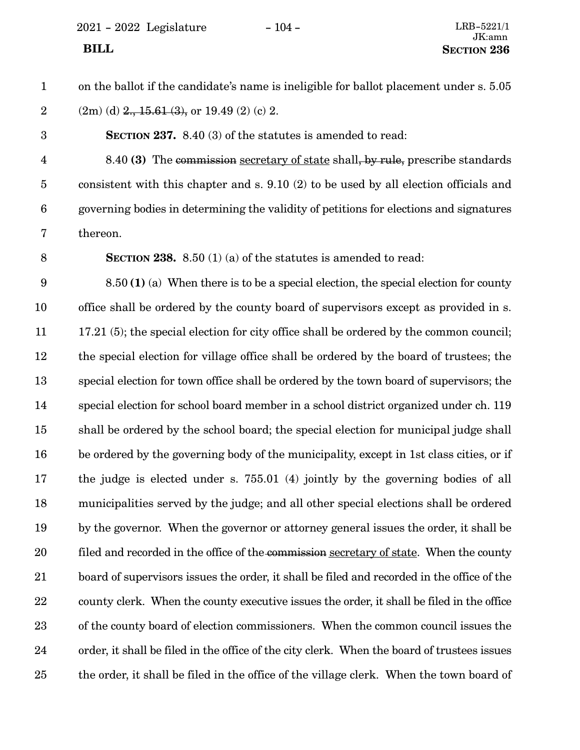2021 - 2022 Legislature - 104 - LRB-5221/1

### on the ballot if the candidate's name is ineligible for ballot placement under s. 5.05  $(2m)$  (d)  $2, 15.61$  (3), or 19.49 (2) (c) 2. **SECTION 237.** 8.40 (3) of the statutes is amended to read: 8.40 **(3)** The commission secretary of state shall, by rule, prescribe standards consistent with this chapter and s. 9.10 (2) to be used by all election officials and governing bodies in determining the validity of petitions for elections and signatures thereon. **SECTION 238.** 8.50 (1) (a) of the statutes is amended to read: 8.50 **(1)** (a) When there is to be a special election, the special election for county office shall be ordered by the county board of supervisors except as provided in s. 17.21 (5); the special election for city office shall be ordered by the common council; the special election for village office shall be ordered by the board of trustees; the special election for town office shall be ordered by the town board of supervisors; the special election for school board member in a school district organized under ch. 119 shall be ordered by the school board; the special election for municipal judge shall be ordered by the governing body of the municipality, except in 1st class cities, or if the judge is elected under s. 755.01 (4) jointly by the governing bodies of all municipalities served by the judge; and all other special elections shall be ordered by the governor. When the governor or attorney general issues the order, it shall be filed and recorded in the office of the commission secretary of state. When the county board of supervisors issues the order, it shall be filed and recorded in the office of the county clerk. When the county executive issues the order, it shall be filed in the office of the county board of election commissioners. When the common council issues the order, it shall be filed in the office of the city clerk. When the board of trustees issues the order, it shall be filed in the office of the village clerk. When the town board of 1 2 3 4 5 6 7 8 9 10 11 12 13 14 15 16 17 18 19 20 21 22 23 24 25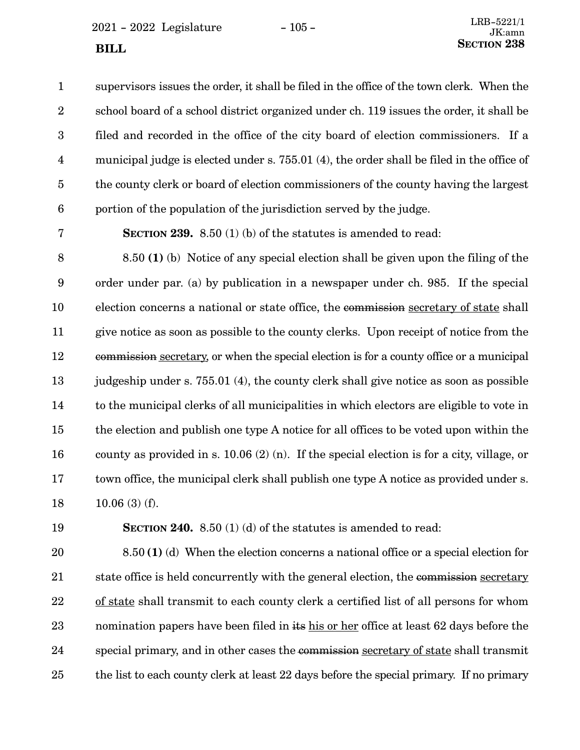$2021 - 2022$  Legislature  $-105 -$ 

supervisors issues the order, it shall be filed in the office of the town clerk. When the school board of a school district organized under ch. 119 issues the order, it shall be filed and recorded in the office of the city board of election commissioners. If a

municipal judge is elected under s. 755.01 (4), the order shall be filed in the office of the county clerk or board of election commissioners of the county having the largest portion of the population of the jurisdiction served by the judge. 4 5 6

7

1

2

3

**SECTION 239.** 8.50 (1) (b) of the statutes is amended to read:

8.50 **(1)** (b) Notice of any special election shall be given upon the filing of the order under par. (a) by publication in a newspaper under ch. 985. If the special election concerns a national or state office, the commission secretary of state shall give notice as soon as possible to the county clerks. Upon receipt of notice from the commission secretary, or when the special election is for a county office or a municipal judgeship under s. 755.01 (4), the county clerk shall give notice as soon as possible to the municipal clerks of all municipalities in which electors are eligible to vote in the election and publish one type A notice for all offices to be voted upon within the county as provided in s. 10.06 (2) (n). If the special election is for a city, village, or town office, the municipal clerk shall publish one type A notice as provided under s. 10.06 (3) (f). 8 9 10 11 12 13 14 15 16 17 18

19

**SECTION 240.** 8.50 (1) (d) of the statutes is amended to read:

8.50 **(1)** (d) When the election concerns a national office or a special election for state office is held concurrently with the general election, the commission secretary of state shall transmit to each county clerk a certified list of all persons for whom nomination papers have been filed in its his or her office at least 62 days before the special primary, and in other cases the commission secretary of state shall transmit the list to each county clerk at least 22 days before the special primary. If no primary 20 21 22 23 24 25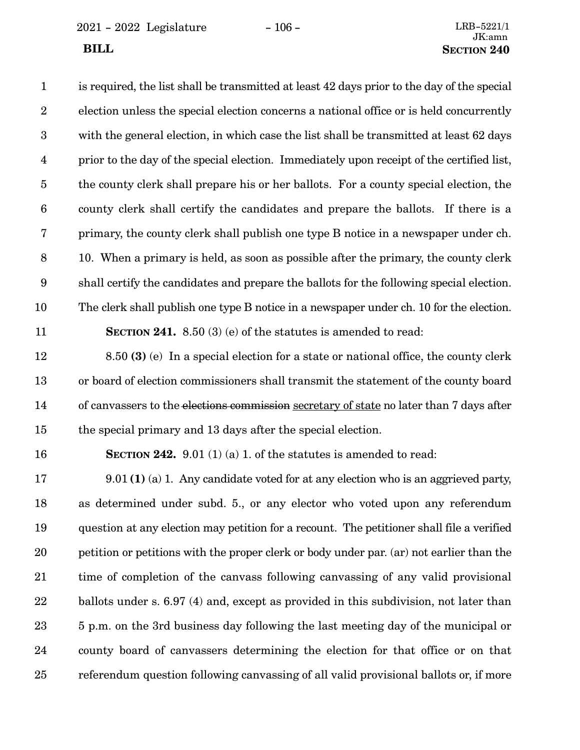2021 - 2022 Legislature - 106 - LRB-5221/1

is required, the list shall be transmitted at least 42 days prior to the day of the special election unless the special election concerns a national office or is held concurrently with the general election, in which case the list shall be transmitted at least 62 days prior to the day of the special election. Immediately upon receipt of the certified list, the county clerk shall prepare his or her ballots. For a county special election, the county clerk shall certify the candidates and prepare the ballots. If there is a primary, the county clerk shall publish one type B notice in a newspaper under ch. 10. When a primary is held, as soon as possible after the primary, the county clerk shall certify the candidates and prepare the ballots for the following special election. The clerk shall publish one type B notice in a newspaper under ch. 10 for the election. **SECTION 241.** 8.50 (3) (e) of the statutes is amended to read: 1 2 3 4 5 6 7 8 9 10 11

8.50 **(3)** (e) In a special election for a state or national office, the county clerk or board of election commissioners shall transmit the statement of the county board of canvassers to the elections commission secretary of state no later than 7 days after the special primary and 13 days after the special election. 12 13 14 15

### 16

**SECTION 242.** 9.01 (1) (a) 1. of the statutes is amended to read:

9.01 **(1)** (a) 1. Any candidate voted for at any election who is an aggrieved party, as determined under subd. 5., or any elector who voted upon any referendum question at any election may petition for a recount. The petitioner shall file a verified petition or petitions with the proper clerk or body under par. (ar) not earlier than the time of completion of the canvass following canvassing of any valid provisional ballots under s. 6.97 (4) and, except as provided in this subdivision, not later than 5 p.m. on the 3rd business day following the last meeting day of the municipal or county board of canvassers determining the election for that office or on that referendum question following canvassing of all valid provisional ballots or, if more 17 18 19 20 21 22 23 24 25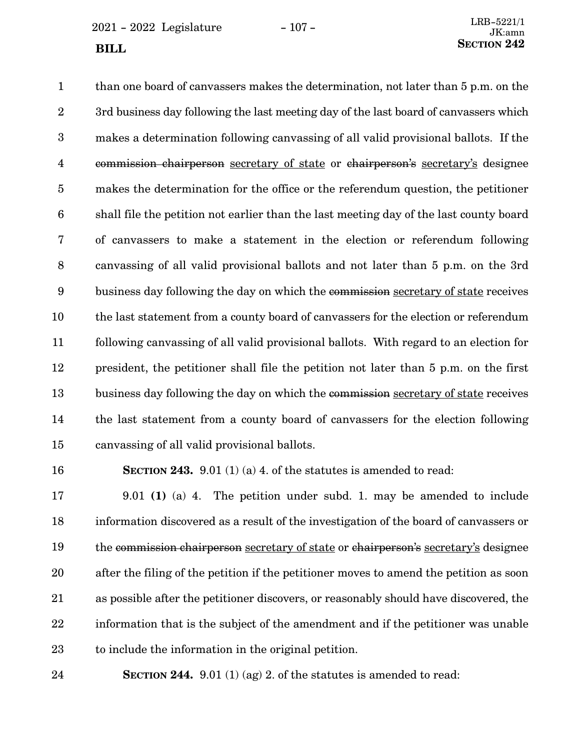$2021 - 2022$  Legislature  $-107 -$ 

than one board of canvassers makes the determination, not later than 5 p.m. on the 3rd business day following the last meeting day of the last board of canvassers which makes a determination following canvassing of all valid provisional ballots. If the commission chairperson secretary of state or chairperson's secretary's designee makes the determination for the office or the referendum question, the petitioner shall file the petition not earlier than the last meeting day of the last county board of canvassers to make a statement in the election or referendum following canvassing of all valid provisional ballots and not later than 5 p.m. on the 3rd business day following the day on which the commission secretary of state receives the last statement from a county board of canvassers for the election or referendum following canvassing of all valid provisional ballots. With regard to an election for president, the petitioner shall file the petition not later than 5 p.m. on the first business day following the day on which the commission secretary of state receives the last statement from a county board of canvassers for the election following canvassing of all valid provisional ballots. 1 2 3 4 5 6 7 8 9 10 11 12 13 14 15

16

**SECTION 243.** 9.01 (1) (a) 4. of the statutes is amended to read:

9.01 **(1)** (a) 4. The petition under subd. 1. may be amended to include information discovered as a result of the investigation of the board of canvassers or the commission chairperson secretary of state or chairperson's secretary's designee after the filing of the petition if the petitioner moves to amend the petition as soon as possible after the petitioner discovers, or reasonably should have discovered, the information that is the subject of the amendment and if the petitioner was unable to include the information in the original petition. 17 18 19 20 21 22 23

24

**SECTION 244.** 9.01 (1) (ag) 2. of the statutes is amended to read: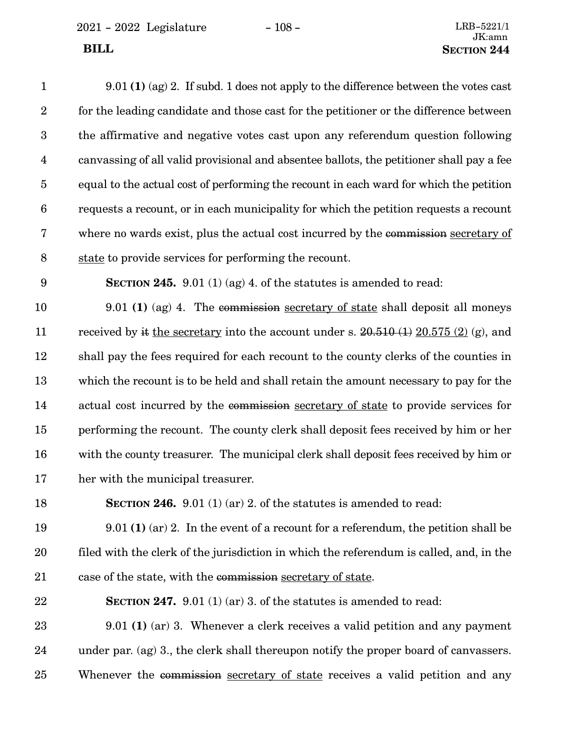9.01 **(1)** (ag) 2. If subd. 1 does not apply to the difference between the votes cast for the leading candidate and those cast for the petitioner or the difference between the affirmative and negative votes cast upon any referendum question following canvassing of all valid provisional and absentee ballots, the petitioner shall pay a fee equal to the actual cost of performing the recount in each ward for which the petition requests a recount, or in each municipality for which the petition requests a recount where no wards exist, plus the actual cost incurred by the commission secretary of state to provide services for performing the recount. 1 2 3 4 5 6 7 8

9

**SECTION 245.** 9.01 (1) (ag) 4. of the statutes is amended to read:

9.01 **(1)** (ag) 4. The commission secretary of state shall deposit all moneys received by it the secretary into the account under s.  $20.510(1) 20.575(2)$  (g), and shall pay the fees required for each recount to the county clerks of the counties in which the recount is to be held and shall retain the amount necessary to pay for the actual cost incurred by the commission secretary of state to provide services for performing the recount. The county clerk shall deposit fees received by him or her with the county treasurer. The municipal clerk shall deposit fees received by him or her with the municipal treasurer. 10 11 12 13 14 15 16 17

**SECTION 246.** 9.01 (1) (ar) 2. of the statutes is amended to read: 18

9.01 **(1)** (ar) 2. In the event of a recount for a referendum, the petition shall be filed with the clerk of the jurisdiction in which the referendum is called, and, in the case of the state, with the commission secretary of state. 19 20 21

**SECTION 247.** 9.01 (1) (ar) 3. of the statutes is amended to read: 22

9.01 **(1)** (ar) 3. Whenever a clerk receives a valid petition and any payment under par. (ag) 3., the clerk shall thereupon notify the proper board of canvassers. Whenever the commission secretary of state receives a valid petition and any 23 24 25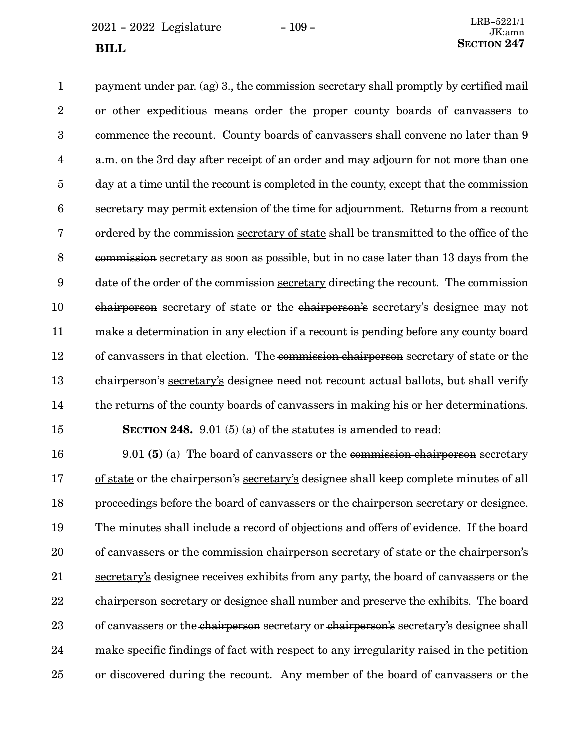$2021 - 2022$  Legislature  $-109 -$ 

payment under par. (ag) 3., the commission secretary shall promptly by certified mail or other expeditious means order the proper county boards of canvassers to commence the recount. County boards of canvassers shall convene no later than 9 a.m. on the 3rd day after receipt of an order and may adjourn for not more than one day at a time until the recount is completed in the county, except that the commission secretary may permit extension of the time for adjournment. Returns from a recount ordered by the commission secretary of state shall be transmitted to the office of the commission secretary as soon as possible, but in no case later than 13 days from the date of the order of the commission secretary directing the recount. The commission chairperson secretary of state or the chairperson's secretary's designee may not make a determination in any election if a recount is pending before any county board of canvassers in that election. The commission chairperson secretary of state or the chairperson's secretary's designee need not recount actual ballots, but shall verify the returns of the county boards of canvassers in making his or her determinations. **SECTION 248.** 9.01 (5) (a) of the statutes is amended to read: 1 2 3 4 5 6 7 8 9 10 11 12 13 14 15

9.01 **(5)** (a) The board of canvassers or the commission chairperson secretary of state or the chairperson's secretary's designee shall keep complete minutes of all proceedings before the board of canvassers or the chairperson secretary or designee. The minutes shall include a record of objections and offers of evidence. If the board of canvassers or the commission chairperson secretary of state or the chairperson's secretary's designee receives exhibits from any party, the board of canvassers or the chairperson secretary or designee shall number and preserve the exhibits. The board of canvassers or the chairperson secretary or chairperson's secretary's designee shall make specific findings of fact with respect to any irregularity raised in the petition or discovered during the recount. Any member of the board of canvassers or the 16 17 18 19 20 21 22 23 24 25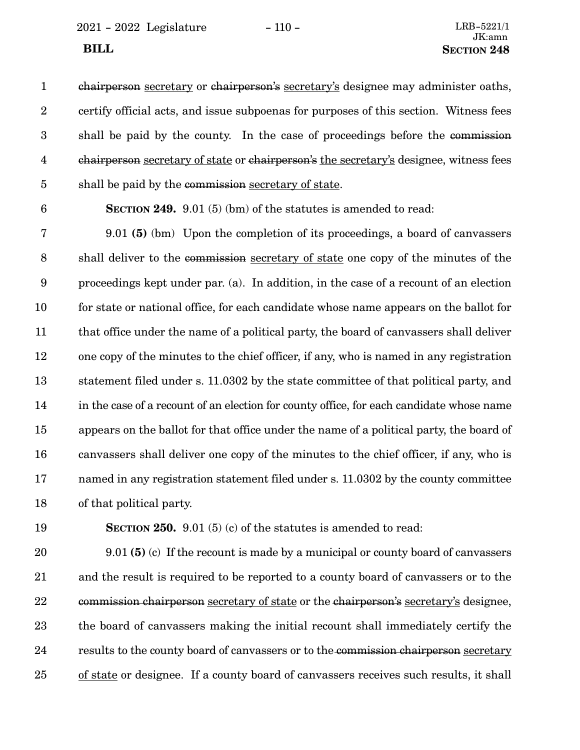2021 - 2022 Legislature - 110 - LRB-5221/1

chairperson secretary or chairperson's secretary's designee may administer oaths, certify official acts, and issue subpoenas for purposes of this section. Witness fees shall be paid by the county. In the case of proceedings before the commission chairperson secretary of state or chairperson's the secretary's designee, witness fees shall be paid by the commission secretary of state. 1 2 3 4 5

6

**SECTION 249.** 9.01 (5) (bm) of the statutes is amended to read:

9.01 **(5)** (bm) Upon the completion of its proceedings, a board of canvassers shall deliver to the commission secretary of state one copy of the minutes of the proceedings kept under par. (a). In addition, in the case of a recount of an election for state or national office, for each candidate whose name appears on the ballot for that office under the name of a political party, the board of canvassers shall deliver one copy of the minutes to the chief officer, if any, who is named in any registration statement filed under s. 11.0302 by the state committee of that political party, and in the case of a recount of an election for county office, for each candidate whose name appears on the ballot for that office under the name of a political party, the board of canvassers shall deliver one copy of the minutes to the chief officer, if any, who is named in any registration statement filed under s. 11.0302 by the county committee of that political party. 7 8 9 10 11 12 13 14 15 16 17 18

19

**SECTION 250.** 9.01 (5) (c) of the statutes is amended to read:

9.01 **(5)** (c) If the recount is made by a municipal or county board of canvassers and the result is required to be reported to a county board of canvassers or to the commission chairperson secretary of state or the chairperson's secretary's designee, the board of canvassers making the initial recount shall immediately certify the results to the county board of canvassers or to the commission chairperson secretary of state or designee. If a county board of canvassers receives such results, it shall 20 21 22 23 24 25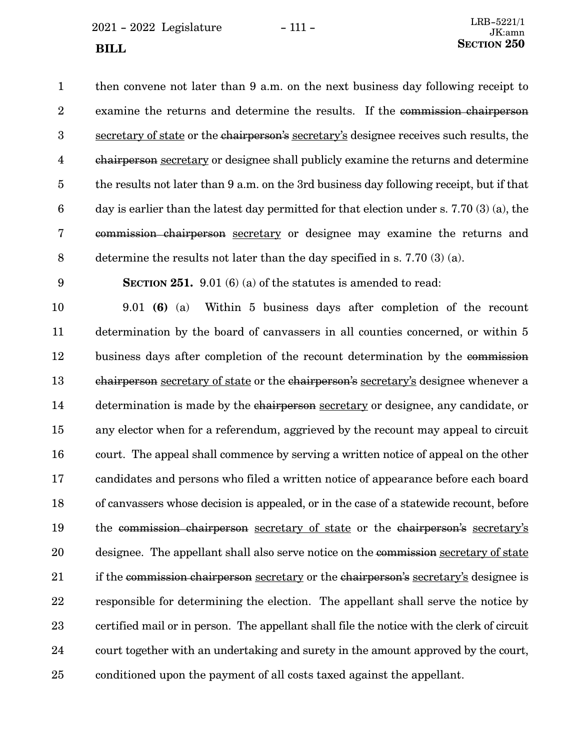$2021 - 2022$  Legislature  $-111 -$ **SECTION** 250

then convene not later than 9 a.m. on the next business day following receipt to examine the returns and determine the results. If the commission chairperson secretary of state or the chairperson's secretary's designee receives such results, the chairperson secretary or designee shall publicly examine the returns and determine the results not later than 9 a.m. on the 3rd business day following receipt, but if that day is earlier than the latest day permitted for that election under s. 7.70 (3) (a), the commission chairperson secretary or designee may examine the returns and determine the results not later than the day specified in s. 7.70 (3) (a). 1 2 3 4 5 6 7 8

9

**SECTION 251.** 9.01 (6) (a) of the statutes is amended to read:

9.01 **(6)** (a) Within 5 business days after completion of the recount determination by the board of canvassers in all counties concerned, or within 5 business days after completion of the recount determination by the commission chairperson secretary of state or the chairperson's secretary's designee whenever a determination is made by the chairperson secretary or designee, any candidate, or any elector when for a referendum, aggrieved by the recount may appeal to circuit court. The appeal shall commence by serving a written notice of appeal on the other candidates and persons who filed a written notice of appearance before each board of canvassers whose decision is appealed, or in the case of a statewide recount, before the commission chairperson secretary of state or the chairperson's secretary's designee. The appellant shall also serve notice on the commission secretary of state if the commission chairperson secretary or the chairperson's secretary's designee is responsible for determining the election. The appellant shall serve the notice by certified mail or in person. The appellant shall file the notice with the clerk of circuit court together with an undertaking and surety in the amount approved by the court, conditioned upon the payment of all costs taxed against the appellant. 10 11 12 13 14 15 16 17 18 19 20 21 22 23 24 25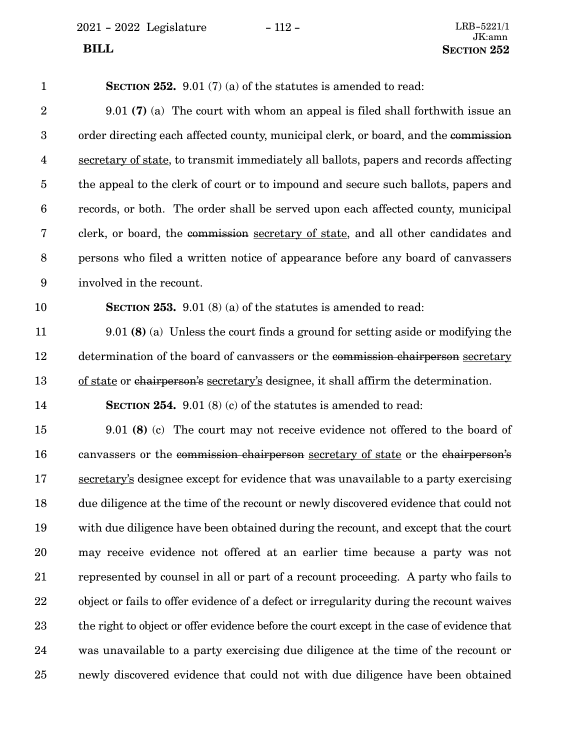2021 - 2022 Legislature - 112 -

# $\begin{array}{c} \text{LRB-5221/1}\\ \text{JK:} \text{amn} \end{array}$ **BILL** SECTION 252

| $\mathbf{1}$            | <b>SECTION 252.</b> 9.01 (7) (a) of the statutes is amended to read:                       |
|-------------------------|--------------------------------------------------------------------------------------------|
| $\sqrt{2}$              | $9.01$ (7) (a) The court with whom an appeal is filed shall forthwith issue an             |
| $\boldsymbol{3}$        | order directing each affected county, municipal clerk, or board, and the commission        |
| $\overline{\mathbf{4}}$ | secretary of state, to transmit immediately all ballots, papers and records affecting      |
| $\overline{5}$          | the appeal to the clerk of court or to impound and secure such ballots, papers and         |
| $6\phantom{.}6$         | records, or both. The order shall be served upon each affected county, municipal           |
| 7                       | clerk, or board, the commission secretary of state, and all other candidates and           |
| $8\,$                   | persons who filed a written notice of appearance before any board of canvassers            |
| $\boldsymbol{9}$        | involved in the recount.                                                                   |
| 10                      | <b>SECTION 253.</b> 9.01 (8) (a) of the statutes is amended to read:                       |
| 11                      | $9.01$ (8) (a) Unless the court finds a ground for setting aside or modifying the          |
| 12                      | determination of the board of canvassers or the commission chairperson secretary           |
| 13                      | of state or chairperson's secretary's designee, it shall affirm the determination.         |
| 14                      | <b>SECTION 254.</b> 9.01 (8) (c) of the statutes is amended to read:                       |
| 15                      | $9.01$ (8) (c) The court may not receive evidence not offered to the board of              |
| 16                      | canvassers or the commission chairperson secretary of state or the chairperson's           |
| 17                      | secretary's designee except for evidence that was unavailable to a party exercising        |
| 18                      | due diligence at the time of the recount or newly discovered evidence that could not       |
| 19                      | with due diligence have been obtained during the recount, and except that the court        |
| 20                      | may receive evidence not offered at an earlier time because a party was not                |
| 21                      | represented by counsel in all or part of a recount proceeding. A party who fails to        |
| 22                      | object or fails to offer evidence of a defect or irregularity during the recount waives    |
| 23                      | the right to object or offer evidence before the court except in the case of evidence that |
| 24                      | was unavailable to a party exercising due diligence at the time of the recount or          |
| 25                      | newly discovered evidence that could not with due diligence have been obtained             |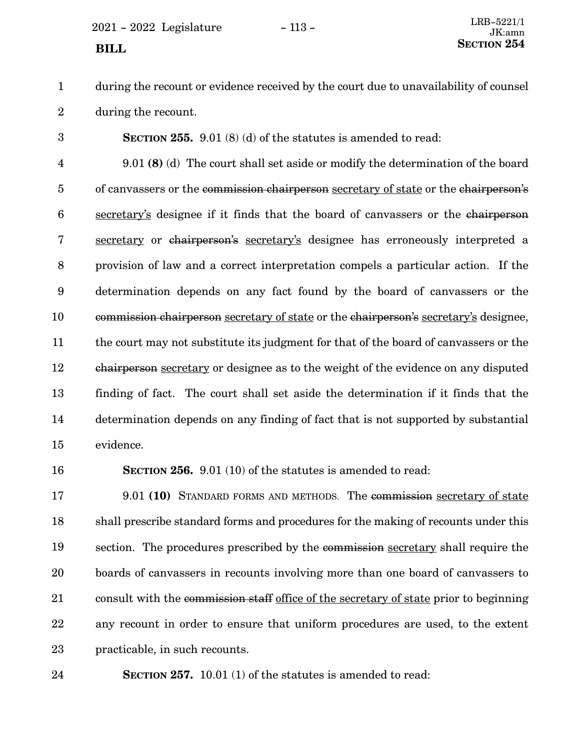$2021 - 2022$  Legislature  $-113 -$ 

during the recount or evidence received by the court due to unavailability of counsel during the recount. 1 2

**SECTION 255.** 9.01 (8) (d) of the statutes is amended to read: 9.01 **(8)** (d) The court shall set aside or modify the determination of the board of canvassers or the commission chairperson secretary of state or the chairperson's secretary's designee if it finds that the board of canvassers or the chairperson secretary or chairperson's secretary's designee has erroneously interpreted a provision of law and a correct interpretation compels a particular action. If the determination depends on any fact found by the board of canvassers or the commission chairperson secretary of state or the chairperson's secretary's designee, the court may not substitute its judgment for that of the board of canvassers or the chairperson secretary or designee as to the weight of the evidence on any disputed finding of fact. The court shall set aside the determination if it finds that the determination depends on any finding of fact that is not supported by substantial evidence. 3 4 5 6 7 8 9 10 11 12 13 14 15

16

**SECTION 256.** 9.01 (10) of the statutes is amended to read:

9.01 **(10)** STANDARD FORMS AND METHODS. The commission secretary of state shall prescribe standard forms and procedures for the making of recounts under this section. The procedures prescribed by the commission secretary shall require the boards of canvassers in recounts involving more than one board of canvassers to consult with the commission staff office of the secretary of state prior to beginning any recount in order to ensure that uniform procedures are used, to the extent practicable, in such recounts. 17 18 19 20 21 22 23

**SECTION 257.** 10.01 (1) of the statutes is amended to read: 24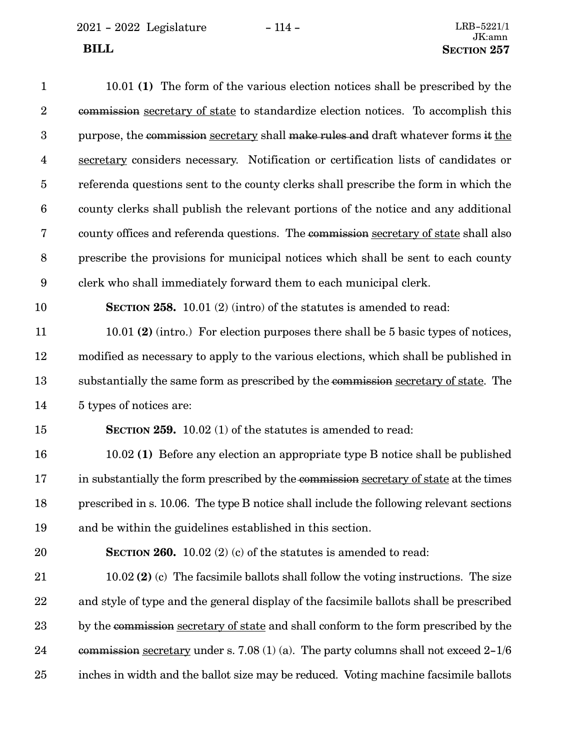| $\mathbf{1}$     | 10.01 (1) The form of the various election notices shall be prescribed by the           |
|------------------|-----------------------------------------------------------------------------------------|
| $\sqrt{2}$       | commission secretary of state to standardize election notices. To accomplish this       |
| 3                | purpose, the commission secretary shall make rules and draft whatever forms it the      |
| $\overline{4}$   | secretary considers necessary. Notification or certification lists of candidates or     |
| $\overline{5}$   | referenda questions sent to the county clerks shall prescribe the form in which the     |
| $\boldsymbol{6}$ | county clerks shall publish the relevant portions of the notice and any additional      |
| $\bf 7$          | county offices and referenda questions. The commission secretary of state shall also    |
| $\,8\,$          | prescribe the provisions for municipal notices which shall be sent to each county       |
| 9                | clerk who shall immediately forward them to each municipal clerk.                       |
| 10               | <b>SECTION 258.</b> 10.01 (2) (intro) of the statutes is amended to read:               |
| 11               | 10.01 (2) (intro.) For election purposes there shall be 5 basic types of notices,       |
| 12               | modified as necessary to apply to the various elections, which shall be published in    |
| 13               | substantially the same form as prescribed by the commission secretary of state. The     |
| 14               | 5 types of notices are:                                                                 |
| 15               | <b>SECTION 259.</b> 10.02 (1) of the statutes is amended to read:                       |
| 16               | 10.02 (1) Before any election an appropriate type B notice shall be published           |
| 17               | in substantially the form prescribed by the commission secretary of state at the times  |
| 18               | prescribed in s. 10.06. The type B notice shall include the following relevant sections |
| 19               | and be within the guidelines established in this section.                               |
| $20\,$           | <b>SECTION 260.</b> 10.02 (2) (c) of the statutes is amended to read:                   |
| 21               | $10.02$ (2) (c) The facsimile ballots shall follow the voting instructions. The size    |
| $\bf{22}$        | and style of type and the general display of the facsimile ballots shall be prescribed  |
| 23               | by the commission secretary of state and shall conform to the form prescribed by the    |
| 24               | commission secretary under s. 7.08 (1) (a). The party columns shall not exceed $2-1/6$  |

inches in width and the ballot size may be reduced. Voting machine facsimile ballots 25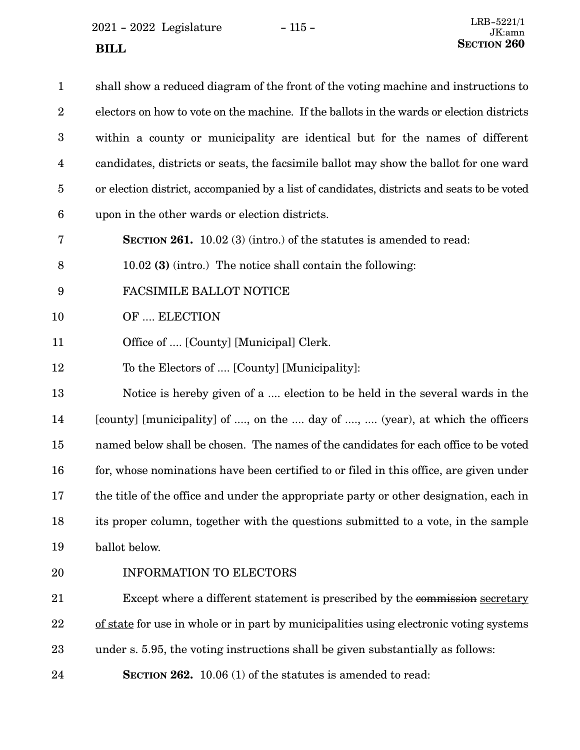2021 - 2022 Legislature - 115 -**SECTION** 260

| $\mathbf{1}$     | shall show a reduced diagram of the front of the voting machine and instructions to        |
|------------------|--------------------------------------------------------------------------------------------|
| $\boldsymbol{2}$ | electors on how to vote on the machine. If the ballots in the wards or election districts  |
| $\boldsymbol{3}$ | within a county or municipality are identical but for the names of different               |
| 4                | candidates, districts or seats, the facsimile ballot may show the ballot for one ward      |
| $\overline{5}$   | or election district, accompanied by a list of candidates, districts and seats to be voted |
| $6\phantom{.}6$  | upon in the other wards or election districts.                                             |
| 7                | <b>SECTION 261.</b> 10.02 (3) (intro.) of the statutes is amended to read:                 |
| 8                | 10.02 (3) (intro.) The notice shall contain the following:                                 |
| 9                | FACSIMILE BALLOT NOTICE                                                                    |
| 10               | OF  ELECTION                                                                               |
| 11               | Office of  [County] [Municipal] Clerk.                                                     |
| 12               | To the Electors of  [County] [Municipality]:                                               |
| 13               | Notice is hereby given of a  election to be held in the several wards in the               |
| 14               | [county] [municipality] of , on the  day of ,  (year), at which the officers               |
| 15               | named below shall be chosen. The names of the candidates for each office to be voted       |
| 16               | for, whose nominations have been certified to or filed in this office, are given under     |
| 17               | the title of the office and under the appropriate party or other designation, each in      |
| 18               | its proper column, together with the questions submitted to a vote, in the sample          |
| 19               | ballot below.                                                                              |
| 20               | <b>INFORMATION TO ELECTORS</b>                                                             |
| 21               | Except where a different statement is prescribed by the commission secretary               |
| 22               | of state for use in whole or in part by municipalities using electronic voting systems     |
| 23               | under s. 5.95, the voting instructions shall be given substantially as follows:            |

**SECTION 262.** 10.06 (1) of the statutes is amended to read: 24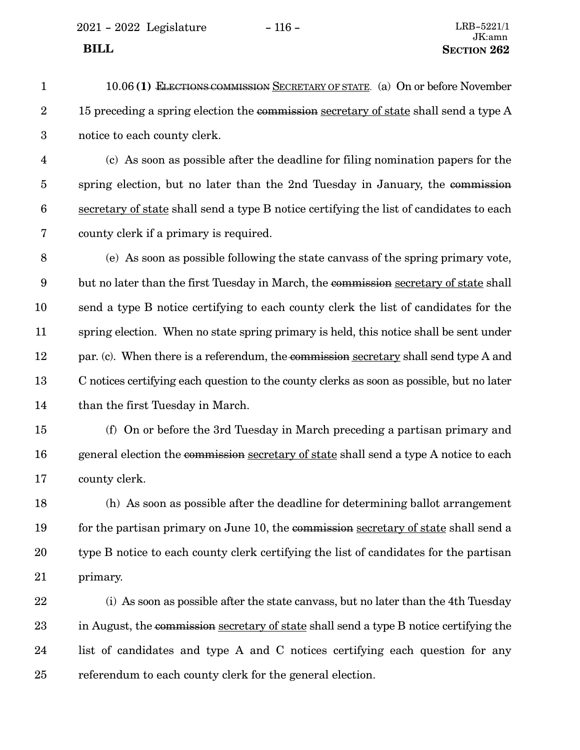- 10.06 **(1)** ELECTIONS COMMISSION SECRETARY OF STATE. (a) On or before November 15 preceding a spring election the commission secretary of state shall send a type A notice to each county clerk. 1 2 3
- (c) As soon as possible after the deadline for filing nomination papers for the spring election, but no later than the 2nd Tuesday in January, the commission secretary of state shall send a type B notice certifying the list of candidates to each county clerk if a primary is required. 4 5 6 7
- (e) As soon as possible following the state canvass of the spring primary vote, but no later than the first Tuesday in March, the commission secretary of state shall send a type B notice certifying to each county clerk the list of candidates for the spring election. When no state spring primary is held, this notice shall be sent under par. (c). When there is a referendum, the commission secretary shall send type A and C notices certifying each question to the county clerks as soon as possible, but no later than the first Tuesday in March. 8 9 10 11 12 13 14
- (f) On or before the 3rd Tuesday in March preceding a partisan primary and general election the commission secretary of state shall send a type A notice to each county clerk. 15 16 17
- (h) As soon as possible after the deadline for determining ballot arrangement for the partisan primary on June 10, the commission secretary of state shall send a type B notice to each county clerk certifying the list of candidates for the partisan primary. 18 19 20 21
- (i) As soon as possible after the state canvass, but no later than the 4th Tuesday in August, the commission secretary of state shall send a type B notice certifying the list of candidates and type A and C notices certifying each question for any referendum to each county clerk for the general election. 22 23 24 25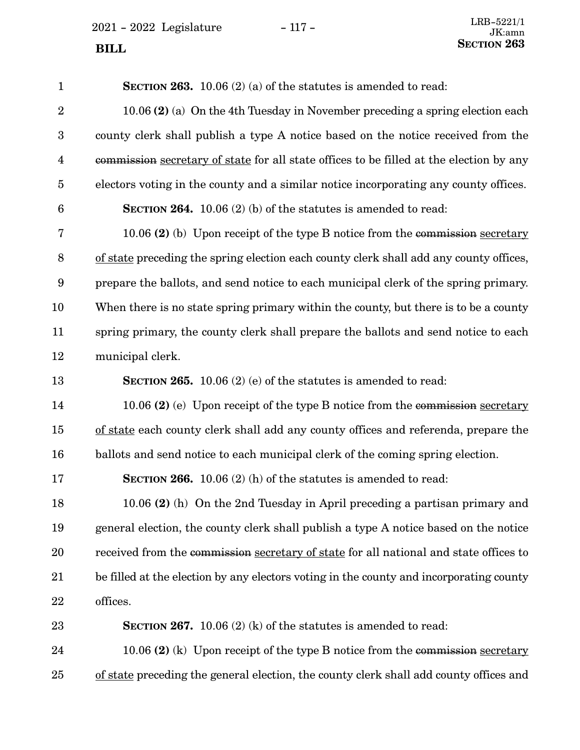$2021 - 2022$  Legislature  $-117 -$ 

**SECTION 263.** 10.06 (2) (a) of the statutes is amended to read: 10.06 **(2)** (a) On the 4th Tuesday in November preceding a spring election each county clerk shall publish a type A notice based on the notice received from the commission secretary of state for all state offices to be filled at the election by any electors voting in the county and a similar notice incorporating any county offices. **SECTION 264.** 10.06 (2) (b) of the statutes is amended to read: 10.06 **(2)** (b) Upon receipt of the type B notice from the commission secretary of state preceding the spring election each county clerk shall add any county offices, prepare the ballots, and send notice to each municipal clerk of the spring primary. When there is no state spring primary within the county, but there is to be a county spring primary, the county clerk shall prepare the ballots and send notice to each municipal clerk. **SECTION 265.** 10.06 (2) (e) of the statutes is amended to read: 10.06 **(2)** (e) Upon receipt of the type B notice from the commission secretary of state each county clerk shall add any county offices and referenda, prepare the ballots and send notice to each municipal clerk of the coming spring election. **SECTION 266.** 10.06 (2) (h) of the statutes is amended to read: 10.06 **(2)** (h) On the 2nd Tuesday in April preceding a partisan primary and general election, the county clerk shall publish a type A notice based on the notice received from the commission secretary of state for all national and state offices to be filled at the election by any electors voting in the county and incorporating county offices. **SECTION 267.** 10.06 (2) (k) of the statutes is amended to read: 1 2 3 4 5 6 7 8 9 10 11 12 13 14 15 16 17 18 19 20 21 22 23

10.06 **(2)** (k) Upon receipt of the type B notice from the commission secretary of state preceding the general election, the county clerk shall add county offices and 24 25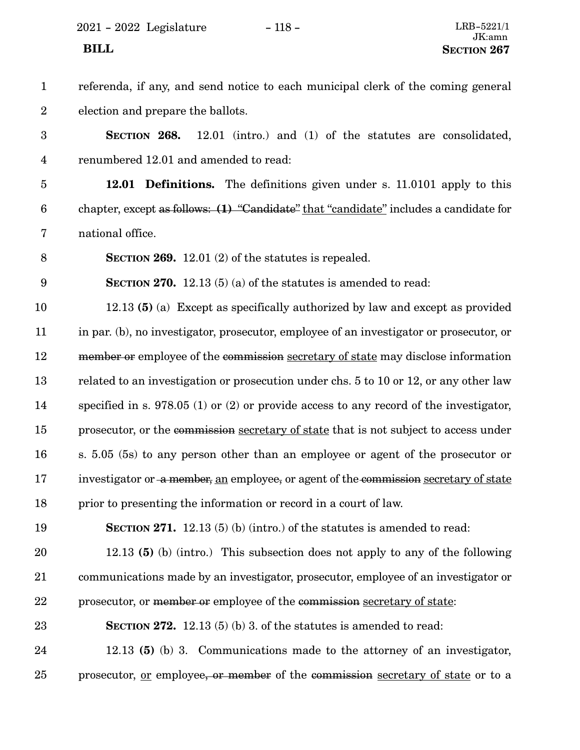### referenda, if any, and send notice to each municipal clerk of the coming general election and prepare the ballots. **SECTION 268.** 12.01 (intro.) and (1) of the statutes are consolidated, renumbered 12.01 and amended to read: **12.01 Definitions.** The definitions given under s. 11.0101 apply to this chapter, except as follows: **(1)** "Candidate" that "candidate" includes a candidate for national office. **SECTION 269.** 12.01 (2) of the statutes is repealed. **SECTION 270.** 12.13 (5) (a) of the statutes is amended to read: 12.13 **(5)** (a) Except as specifically authorized by law and except as provided in par. (b), no investigator, prosecutor, employee of an investigator or prosecutor, or member or employee of the commission secretary of state may disclose information related to an investigation or prosecution under chs. 5 to 10 or 12, or any other law specified in s. 978.05 (1) or (2) or provide access to any record of the investigator, prosecutor, or the commission secretary of state that is not subject to access under s. 5.05 (5s) to any person other than an employee or agent of the prosecutor or investigator or a member, an employee, or agent of the commission secretary of state prior to presenting the information or record in a court of law. **SECTION 271.** 12.13 (5) (b) (intro.) of the statutes is amended to read: 12.13 **(5)** (b) (intro.) This subsection does not apply to any of the following communications made by an investigator, prosecutor, employee of an investigator or prosecutor, or member or employee of the commission secretary of state: **SECTION 272.** 12.13 (5) (b) 3. of the statutes is amended to read: 12.13 **(5)** (b) 3. Communications made to the attorney of an investigator, prosecutor, or employee, or member of the commission secretary of state or to a 1 2 3 4 5 6 7 8 9 10 11 12 13 14 15 16 17 18 19 20 21 22 23 24 25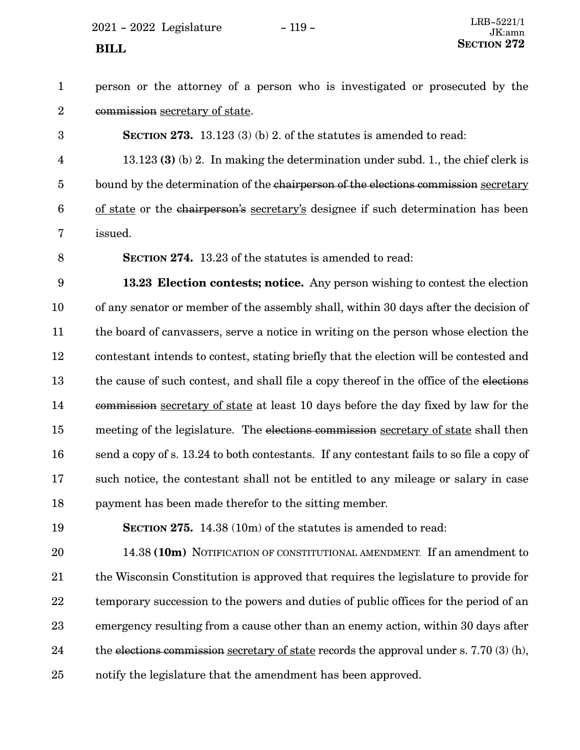$2021 - 2022$  Legislature  $-119 -$ 

person or the attorney of a person who is investigated or prosecuted by the commission secretary of state. 1 2

**SECTION 273.** 13.123 (3) (b) 2. of the statutes is amended to read: 13.123 **(3)** (b) 2. In making the determination under subd. 1., the chief clerk is bound by the determination of the chairperson of the elections commission secretary of state or the chairperson's secretary's designee if such determination has been issued. 3 4 5 6 7

8

**SECTION 274.** 13.23 of the statutes is amended to read:

**13.23 Election contests; notice.** Any person wishing to contest the election of any senator or member of the assembly shall, within 30 days after the decision of the board of canvassers, serve a notice in writing on the person whose election the contestant intends to contest, stating briefly that the election will be contested and the cause of such contest, and shall file a copy thereof in the office of the elections commission secretary of state at least 10 days before the day fixed by law for the meeting of the legislature. The elections commission secretary of state shall then send a copy of s. 13.24 to both contestants. If any contestant fails to so file a copy of such notice, the contestant shall not be entitled to any mileage or salary in case payment has been made therefor to the sitting member. 9 10 11 12 13 14 15 16 17 18

19

**SECTION 275.** 14.38 (10m) of the statutes is amended to read:

14.38 **(10m)** NOTIFICATION OF CONSTITUTIONAL AMENDMENT. If an amendment to the Wisconsin Constitution is approved that requires the legislature to provide for temporary succession to the powers and duties of public offices for the period of an emergency resulting from a cause other than an enemy action, within 30 days after the elections commission secretary of state records the approval under s. 7.70 (3) (h), notify the legislature that the amendment has been approved. 20 21 22 23 24 25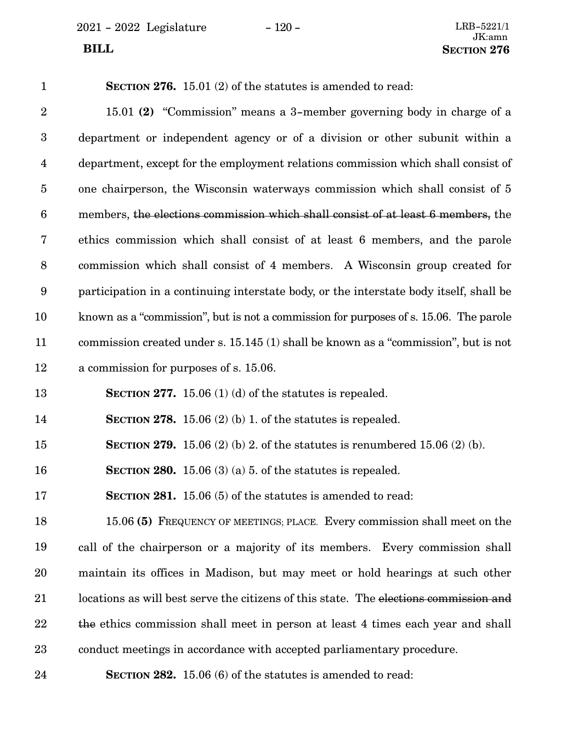$2021 - 2022$  Legislature -  $120 -$ 

| $\mathbf{1}$            | SECTION 276. $15.01$ (2) of the statutes is amended to read:                           |
|-------------------------|----------------------------------------------------------------------------------------|
| $\overline{2}$          | 15.01 (2) "Commission" means a 3-member governing body in charge of a                  |
| $\boldsymbol{3}$        | department or independent agency or of a division or other subunit within a            |
| $\overline{\mathbf{4}}$ | department, except for the employment relations commission which shall consist of      |
| $\overline{5}$          | one chairperson, the Wisconsin waterways commission which shall consist of 5           |
| $6\phantom{.}6$         | members, the elections commission which shall consist of at least 6 members, the       |
| 7                       | ethics commission which shall consist of at least 6 members, and the parole            |
| $8\,$                   | commission which shall consist of 4 members. A Wisconsin group created for             |
| $9\phantom{.0}$         | participation in a continuing interstate body, or the interstate body itself, shall be |
| 10                      | known as a "commission", but is not a commission for purposes of s. 15.06. The parole  |
| 11                      | commission created under s. 15.145 (1) shall be known as a "commission", but is not    |
| 12                      | a commission for purposes of s. 15.06.                                                 |
| 13                      | SECTION 277. 15.06 (1) (d) of the statutes is repealed.                                |
| 14                      | SECTION 278. 15.06 (2) (b) 1. of the statutes is repealed.                             |
| 15                      | <b>SECTION 279.</b> 15.06 (2) (b) 2. of the statutes is renumbered 15.06 (2) (b).      |
| 16                      | SECTION 280. 15.06 (3) (a) 5. of the statutes is repealed.                             |
| 17                      | <b>SECTION 281.</b> 15.06 (5) of the statutes is amended to read:                      |
| 18                      | 15.06 (5) FREQUENCY OF MEETINGS; PLACE. Every commission shall meet on the             |
| 19                      | call of the chairperson or a majority of its members. Every commission shall           |
| 20                      | maintain its offices in Madison, but may meet or hold hearings at such other           |
| 21                      | locations as will best serve the citizens of this state. The elections commission and  |
| 22                      | the ethics commission shall meet in person at least 4 times each year and shall        |
| 23                      | conduct meetings in accordance with accepted parliamentary procedure.                  |
| 24                      | SECTION 282. 15.06 (6) of the statutes is amended to read:                             |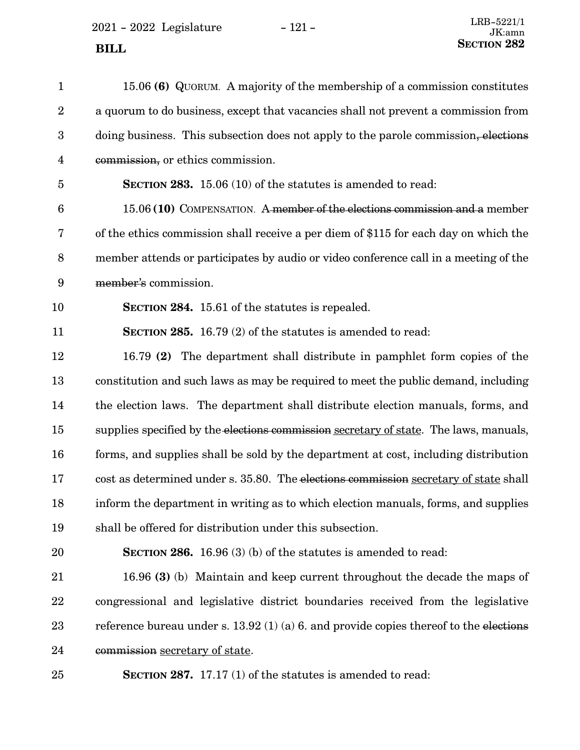2021 - 2022 Legislature - 121 -

| $\mathbf{1}$            | 15.06 (6) QUORUM. A majority of the membership of a commission constitutes               |
|-------------------------|------------------------------------------------------------------------------------------|
| $\boldsymbol{2}$        | a quorum to do business, except that vacancies shall not prevent a commission from       |
| $\boldsymbol{3}$        | doing business. This subsection does not apply to the parole commission, elections       |
| $\overline{\mathbf{4}}$ | commission, or ethics commission.                                                        |
| 5                       | <b>SECTION 283.</b> 15.06 (10) of the statutes is amended to read:                       |
| 6                       | 15.06 (10) COMPENSATION. A member of the elections commission and a member               |
| 7                       | of the ethics commission shall receive a per diem of \$115 for each day on which the     |
| 8                       | member attends or participates by audio or video conference call in a meeting of the     |
| $\boldsymbol{9}$        | member's commission.                                                                     |
| 10                      | SECTION 284. 15.61 of the statutes is repealed.                                          |
| 11                      | <b>SECTION 285.</b> 16.79 (2) of the statutes is amended to read:                        |
| 12                      | 16.79 (2) The department shall distribute in pamphlet form copies of the                 |
| 13                      | constitution and such laws as may be required to meet the public demand, including       |
| 14                      | the election laws. The department shall distribute election manuals, forms, and          |
| 15                      | supplies specified by the elections commission secretary of state. The laws, manuals,    |
| 16                      | forms, and supplies shall be sold by the department at cost, including distribution      |
| 17                      | cost as determined under s. 35.80. The elections commission secretary of state shall     |
| 18                      | inform the department in writing as to which election manuals, forms, and supplies       |
| 19                      | shall be offered for distribution under this subsection.                                 |
| 20                      | <b>SECTION 286.</b> 16.96 (3) (b) of the statutes is amended to read:                    |
| 21                      | 16.96 (3) (b) Maintain and keep current throughout the decade the maps of                |
| 22                      | congressional and legislative district boundaries received from the legislative          |
| 23                      | reference bureau under s. $13.92$ (1) (a) 6. and provide copies thereof to the elections |
| 24                      | commission secretary of state.                                                           |
| 25                      | <b>SECTION 287.</b> 17.17 (1) of the statutes is amended to read:                        |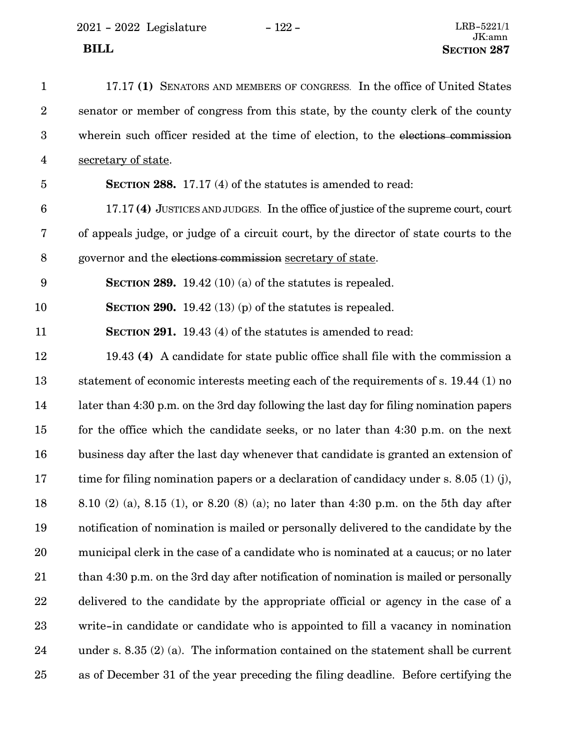| $\mathbf{1}$            | 17.17 (1) SENATORS AND MEMBERS OF CONGRESS. In the office of United States              |
|-------------------------|-----------------------------------------------------------------------------------------|
| $\overline{2}$          | senator or member of congress from this state, by the county clerk of the county        |
| 3                       | wherein such officer resided at the time of election, to the elections commission       |
| $\overline{\mathbf{4}}$ | secretary of state.                                                                     |
| $\overline{5}$          | <b>SECTION 288.</b> 17.17 (4) of the statutes is amended to read:                       |
| $6\phantom{1}6$         | 17.17(4) JUSTICES AND JUDGES. In the office of justice of the supreme court, court      |
| 7                       | of appeals judge, or judge of a circuit court, by the director of state courts to the   |
| 8                       | governor and the elections commission secretary of state.                               |
| $9\phantom{.0}$         | <b>SECTION 289.</b> 19.42 (10) (a) of the statures is repealed.                         |
| 10                      | SECTION 290. 19.42 (13) (p) of the statutes is repealed.                                |
| 11                      | <b>SECTION 291.</b> 19.43 (4) of the statutes is amended to read:                       |
| 12                      | 19.43 (4) A candidate for state public office shall file with the commission a          |
| 13                      | statement of economic interests meeting each of the requirements of s. 19.44 (1) no     |
| 14                      | later than 4:30 p.m. on the 3rd day following the last day for filing nomination papers |
| 15                      | for the office which the candidate seeks, or no later than 4:30 p.m. on the next        |
| 16                      | business day after the last day whenever that candidate is granted an extension of      |
| 17                      | time for filing nomination papers or a declaration of candidacy under s. 8.05 (1) (j),  |
| 18                      | 8.10 (2) (a), 8.15 (1), or 8.20 (8) (a); no later than 4:30 p.m. on the 5th day after   |
| 19                      | notification of nomination is mailed or personally delivered to the candidate by the    |
| 20                      | municipal clerk in the case of a candidate who is nominated at a caucus; or no later    |
| 21                      | than 4:30 p.m. on the 3rd day after notification of nomination is mailed or personally  |
| 22                      | delivered to the candidate by the appropriate official or agency in the case of a       |
| 23                      | write-in candidate or candidate who is appointed to fill a vacancy in nomination        |
| 24                      | under s. $8.35(2)(a)$ . The information contained on the statement shall be current     |
| $25\,$                  | as of December 31 of the year preceding the filing deadline. Before certifying the      |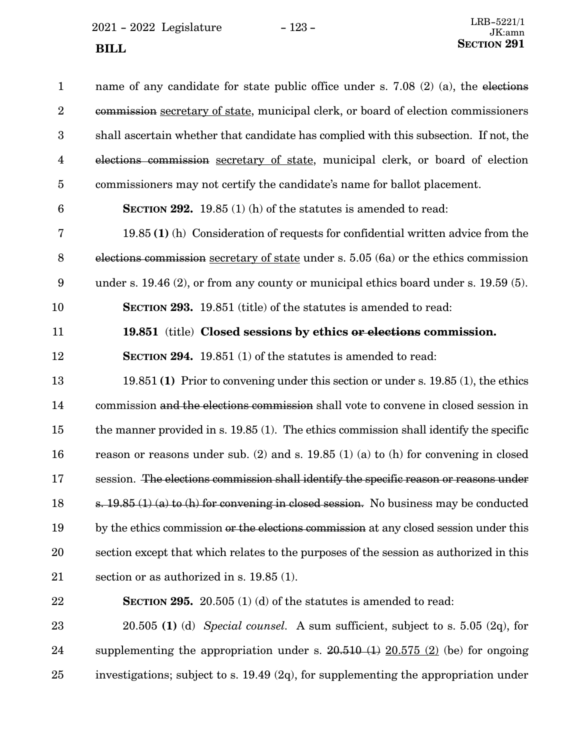$2021 - 2022$  Legislature -  $123 -$ 

| $\mathbf{1}$            | name of any candidate for state public office under s. 7.08 $(2)$ (a), the elections      |
|-------------------------|-------------------------------------------------------------------------------------------|
| $\boldsymbol{2}$        | commission secretary of state, municipal clerk, or board of election commissioners        |
| $\boldsymbol{3}$        | shall ascertain whether that candidate has complied with this subsection. If not, the     |
| $\overline{\mathbf{4}}$ | elections commission secretary of state, municipal clerk, or board of election            |
| $\overline{5}$          | commissioners may not certify the candidate's name for ballot placement.                  |
| $6\phantom{.}6$         | SECTION 292. 19.85 (1) (h) of the statutes is amended to read:                            |
| $\bf 7$                 | $19.85(1)$ (h) Consideration of requests for confidential written advice from the         |
| $\, 8$                  | elections commission secretary of state under s. 5.05 (6a) or the ethics commission       |
| 9                       | under s. $19.46$ (2), or from any county or municipal ethics board under s. 19.59 (5).    |
| 10                      | SECTION 293. 19.851 (title) of the statutes is amended to read:                           |
| 11                      | 19.851 (title) Closed sessions by ethics or elections commission.                         |
| 12                      | <b>SECTION 294.</b> 19.851 (1) of the statutes is amended to read:                        |
| 13                      | $19.851(1)$ Prior to convening under this section or under s. 19.85 (1), the ethics       |
| 14                      | commission and the elections commission shall vote to convene in closed session in        |
| 15                      | the manner provided in $s$ . 19.85 (1). The ethics commission shall identify the specific |
| 16                      | reason or reasons under sub. (2) and s. $19.85$ (1) (a) to (h) for convening in closed    |
| 17                      | session. The elections commission shall identify the specific reason or reasons under     |
| 18                      | s. $19.85(1)(a)$ to (h) for convening in closed session. No business may be conducted     |
| 19                      | by the ethics commission or the elections commission at any closed session under this     |
| $20\,$                  | section except that which relates to the purposes of the session as authorized in this    |
| $21\,$                  | section or as authorized in s. $19.85(1)$ .                                               |
| 22                      | <b>SECTION 295.</b> 20.505 (1) (d) of the statures is amended to read:                    |
| 23                      | $20.505$ (1) (d) Special counsel. A sum sufficient, subject to s. 5.05 (2q), for          |
| 24                      | supplementing the appropriation under s. $20.510(1) 20.575(2)$ (be) for ongoing           |

investigations; subject to s. 19.49 (2q), for supplementing the appropriation under 25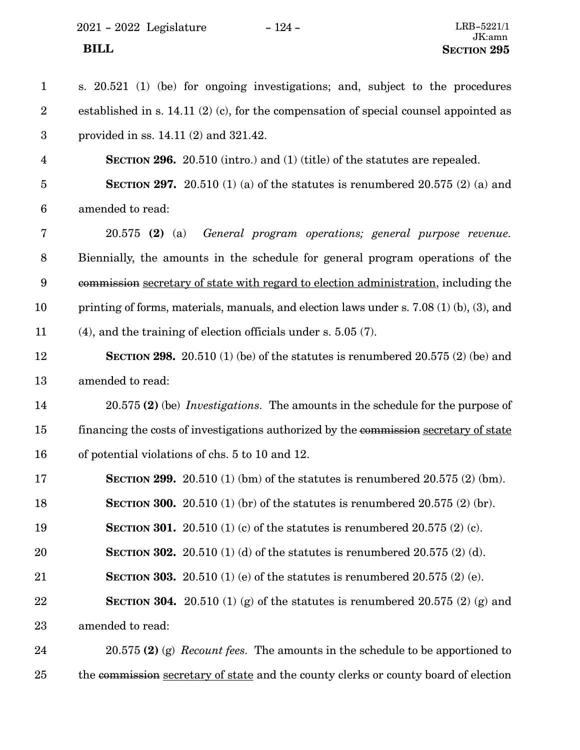2021 - 2022 Legislature - 124 - LRB-5221/1

| $\mathbf{1}$            | s. 20.521 (1) (be) for ongoing investigations; and, subject to the procedures                |
|-------------------------|----------------------------------------------------------------------------------------------|
| $\overline{2}$          | established in s. 14.11 $(2)$ $(c)$ , for the compensation of special counsel appointed as   |
| $\boldsymbol{3}$        | provided in ss. $14.11(2)$ and $321.42$ .                                                    |
| $\overline{\mathbf{4}}$ | <b>SECTION 296.</b> 20.510 (intro.) and (1) (title) of the statutes are repealed.            |
| $\overline{5}$          | <b>SECTION 297.</b> 20.510 (1) (a) of the statutes is renumbered 20.575 (2) (a) and          |
| 6                       | amended to read:                                                                             |
| 7                       | General program operations; general purpose revenue.<br>$20.575$ (2) (a)                     |
| $8\,$                   | Biennially, the amounts in the schedule for general program operations of the                |
| 9                       | commission secretary of state with regard to election administration, including the          |
| 10                      | printing of forms, materials, manuals, and election laws under s. $7.08(1)(b)$ , $(3)$ , and |
| 11                      | $(4)$ , and the training of election officials under s. 5.05 $(7)$ .                         |
| 12                      | <b>SECTION 298.</b> 20.510 (1) (be) of the statutes is renumbered 20.575 (2) (be) and        |
| 13                      | amended to read:                                                                             |
| 14                      | 20.575 (2) (be) <i>Investigations</i> . The amounts in the schedule for the purpose of       |
| 15                      | financing the costs of investigations authorized by the commission secretary of state        |
| 16                      | of potential violations of chs. 5 to 10 and 12.                                              |
| 17                      | <b>SECTION 299.</b> 20.510 (1) (bm) of the statutes is renumbered 20.575 (2) (bm).           |
| 18                      | <b>SECTION 300.</b> 20.510 (1) (br) of the statutes is renumbered 20.575 (2) (br).           |
| 19                      | <b>SECTION 301.</b> 20.510 (1) (c) of the statutes is renumbered 20.575 (2) (c).             |
| 20                      | <b>SECTION 302.</b> 20.510 (1) (d) of the statures is renumbered 20.575 (2) (d).             |
| 21                      | <b>SECTION 303.</b> 20.510 (1) (e) of the statures is renumbered 20.575 (2) (e).             |
| 22                      | <b>SECTION 304.</b> 20.510 (1) (g) of the statutes is renumbered 20.575 (2) (g) and          |
| 23                      | amended to read:                                                                             |
| 24                      | $20.575$ (2) (g) <i>Recount fees.</i> The amounts in the schedule to be apportioned to       |
|                         |                                                                                              |

the commission secretary of state and the county clerks or county board of election 25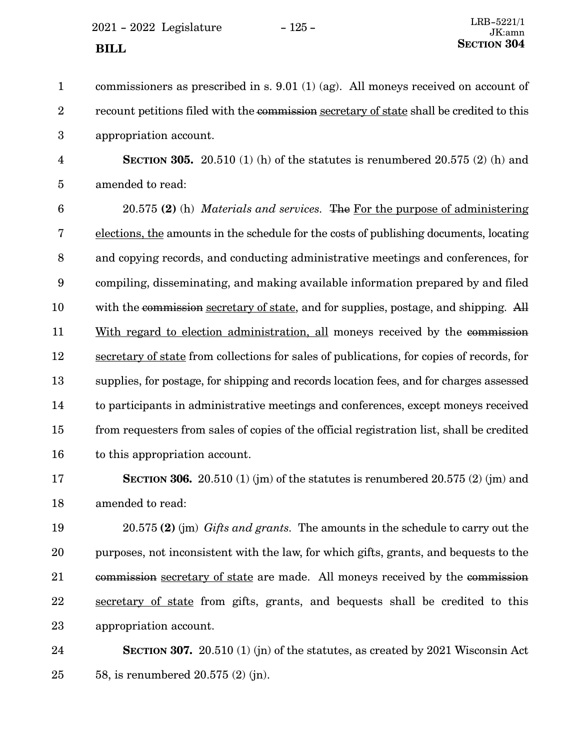$2021 - 2022$  Legislature  $-125 -$ **SECTION** 304

| $\mathbf{1}$            | commissioners as prescribed in s. $9.01$ (1) (ag). All moneys received on account of      |
|-------------------------|-------------------------------------------------------------------------------------------|
| $\overline{2}$          | recount petitions filed with the commission secretary of state shall be credited to this  |
| 3                       | appropriation account.                                                                    |
| $\overline{\mathbf{4}}$ | SECTION 305. 20.510 (1) (h) of the statutes is renumbered 20.575 (2) (h) and              |
| $\overline{5}$          | amended to read:                                                                          |
| $6\phantom{1}6$         | 20.575 (2) (h) Materials and services. The For the purpose of administering               |
| 7                       | elections, the amounts in the schedule for the costs of publishing documents, locating    |
| 8                       | and copying records, and conducting administrative meetings and conferences, for          |
| 9                       | compiling, disseminating, and making available information prepared by and filed          |
| 10                      | with the commission secretary of state, and for supplies, postage, and shipping. All      |
| 11                      | With regard to election administration, all moneys received by the commission             |
| 12                      | secretary of state from collections for sales of publications, for copies of records, for |
| 13                      | supplies, for postage, for shipping and records location fees, and for charges assessed   |
| 14                      | to participants in administrative meetings and conferences, except moneys received        |
| 15                      | from requesters from sales of copies of the official registration list, shall be credited |
| 16                      | to this appropriation account.                                                            |
| 17                      | <b>SECTION 306.</b> 20.510 (1) (jm) of the statutes is renumbered 20.575 (2) (jm) and     |
| 18                      | amended to read:                                                                          |
| 19                      | $20.575$ (2) (im) Gifts and grants. The amounts in the schedule to carry out the          |

purposes, not inconsistent with the law, for which gifts, grants, and bequests to the commission secretary of state are made. All moneys received by the commission secretary of state from gifts, grants, and bequests shall be credited to this appropriation account. 20 21 22 23

**SECTION 307.** 20.510 (1) (jn) of the statutes, as created by 2021 Wisconsin Act 58, is renumbered 20.575 (2) (jn). 24 25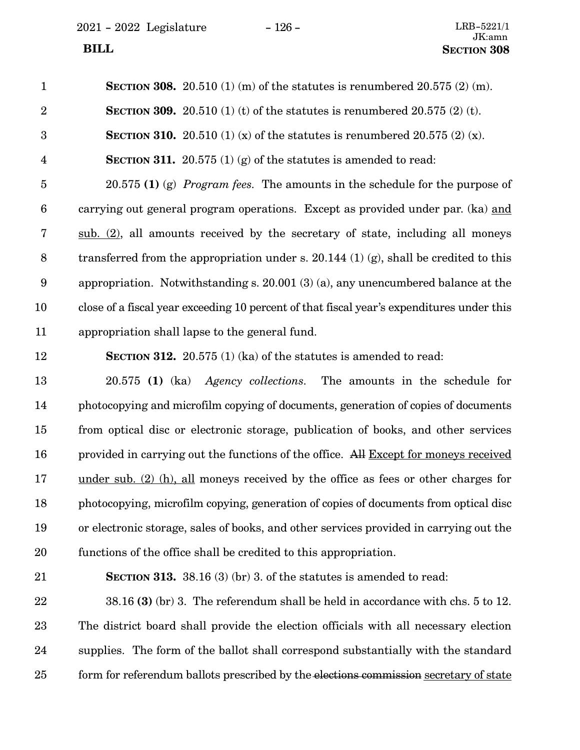$2021 - 2022$  Legislature  $-126 -$ 

| $\mathbf{1}$     | <b>SECTION 308.</b> 20.510 (1) (m) of the statutes is renumbered 20.575 (2) (m).          |
|------------------|-------------------------------------------------------------------------------------------|
| $\overline{2}$   | <b>SECTION 309.</b> 20.510 (1) (t) of the statutes is renumbered 20.575 (2) (t).          |
| 3                | <b>SECTION 310.</b> 20.510 (1) (x) of the statures is renumbered 20.575 (2) (x).          |
| $\overline{4}$   | <b>SECTION 311.</b> 20.575 (1) (g) of the statures is amended to read:                    |
| $\overline{5}$   | $20.575$ (1) (g) <i>Program fees.</i> The amounts in the schedule for the purpose of      |
| $6\phantom{.}6$  | carrying out general program operations. Except as provided under par. (ka) and           |
| $\bf 7$          | sub. $(2)$ , all amounts received by the secretary of state, including all moneys         |
| $8\,$            | transferred from the appropriation under s. 20.144 $(1)$ (g), shall be credited to this   |
| $\boldsymbol{9}$ | appropriation. Notwithstanding s. $20.001(3)(a)$ , any unencumbered balance at the        |
| 10               | close of a fiscal year exceeding 10 percent of that fiscal year's expenditures under this |
| 11               | appropriation shall lapse to the general fund.                                            |
| 12               | <b>SECTION 312.</b> 20.575 (1) (ka) of the statures is amended to read:                   |
| 13               | 20.575 (1) (ka) Agency collections. The amounts in the schedule for                       |
| 14               | photocopying and microfilm copying of documents, generation of copies of documents        |
| 15               | from optical disc or electronic storage, publication of books, and other services         |
| 16               | provided in carrying out the functions of the office. All Except for moneys received      |
| 17               | <u>under sub. (2) (h), all</u> moneys received by the office as fees or other charges for |
| 18               | photocopying, microfilm copying, generation of copies of documents from optical disc      |
| 19               | or electronic storage, sales of books, and other services provided in carrying out the    |
| 20               | functions of the office shall be credited to this appropriation.                          |
| 21               | <b>SECTION 313.</b> 38.16 (3) (br) 3. of the statutes is amended to read:                 |
| 22               | $38.16$ (3) (br) 3. The referendum shall be held in accordance with chs. 5 to 12.         |
| 23               | The district board shall provide the election officials with all necessary election       |
| 24               | supplies. The form of the ballot shall correspond substantially with the standard         |
| 25               | form for referendum ballots prescribed by the elections commission secretary of state     |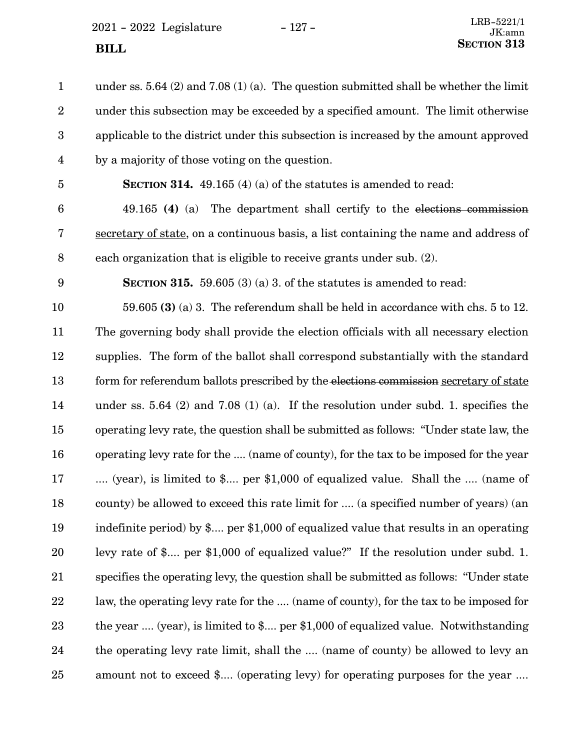$2021 - 2022$  Legislature  $-127 -$ **SECTION** 313

under ss. 5.64 (2) and 7.08 (1) (a). The question submitted shall be whether the limit under this subsection may be exceeded by a specified amount. The limit otherwise applicable to the district under this subsection is increased by the amount approved by a majority of those voting on the question. 1 2 3 4

5

**SECTION 314.** 49.165 (4) (a) of the statutes is amended to read:

49.165 **(4)** (a) The department shall certify to the elections commission secretary of state, on a continuous basis, a list containing the name and address of each organization that is eligible to receive grants under sub. (2). 6 7 8

9

**SECTION 315.** 59.605 (3) (a) 3. of the statutes is amended to read:

59.605 **(3)** (a) 3. The referendum shall be held in accordance with chs. 5 to 12. The governing body shall provide the election officials with all necessary election supplies. The form of the ballot shall correspond substantially with the standard form for referendum ballots prescribed by the elections commission secretary of state under ss. 5.64 (2) and 7.08 (1) (a). If the resolution under subd. 1. specifies the operating levy rate, the question shall be submitted as follows: "Under state law, the operating levy rate for the .... (name of county), for the tax to be imposed for the year .... (year), is limited to \$.... per \$1,000 of equalized value. Shall the .... (name of county) be allowed to exceed this rate limit for .... (a specified number of years) (an indefinite period) by \$.... per \$1,000 of equalized value that results in an operating levy rate of \$.... per \$1,000 of equalized value?" If the resolution under subd. 1. specifies the operating levy, the question shall be submitted as follows: "Under state law, the operating levy rate for the .... (name of county), for the tax to be imposed for the year .... (year), is limited to \$.... per \$1,000 of equalized value. Notwithstanding the operating levy rate limit, shall the .... (name of county) be allowed to levy an amount not to exceed \$.... (operating levy) for operating purposes for the year .... 10 11 12 13 14 15 16 17 18 19 20 21 22 23 24 25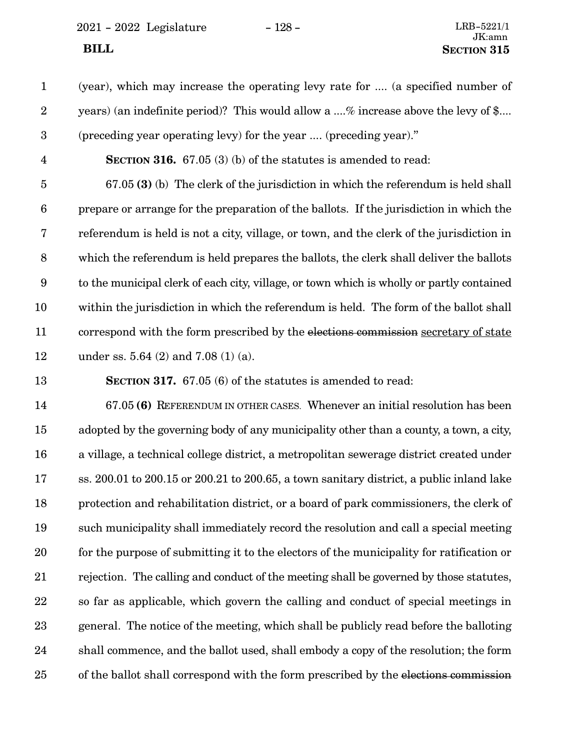2021 - 2022 Legislature - 128 - LRB-5221/1

- (year), which may increase the operating levy rate for .... (a specified number of years) (an indefinite period)? This would allow a ....% increase above the levy of \$.... (preceding year operating levy) for the year .... (preceding year)." 1 2 3
- **SECTION 316.** 67.05 (3) (b) of the statutes is amended to read: 4

67.05 **(3)** (b) The clerk of the jurisdiction in which the referendum is held shall prepare or arrange for the preparation of the ballots. If the jurisdiction in which the referendum is held is not a city, village, or town, and the clerk of the jurisdiction in which the referendum is held prepares the ballots, the clerk shall deliver the ballots to the municipal clerk of each city, village, or town which is wholly or partly contained within the jurisdiction in which the referendum is held. The form of the ballot shall correspond with the form prescribed by the elections commission secretary of state under ss. 5.64 (2) and 7.08 (1) (a). 5 6 7 8 9 10 11 12

**SECTION 317.** 67.05 (6) of the statutes is amended to read: 13

67.05 **(6)** REFERENDUM IN OTHER CASES. Whenever an initial resolution has been adopted by the governing body of any municipality other than a county, a town, a city, a village, a technical college district, a metropolitan sewerage district created under ss. 200.01 to 200.15 or 200.21 to 200.65, a town sanitary district, a public inland lake protection and rehabilitation district, or a board of park commissioners, the clerk of such municipality shall immediately record the resolution and call a special meeting for the purpose of submitting it to the electors of the municipality for ratification or rejection. The calling and conduct of the meeting shall be governed by those statutes, so far as applicable, which govern the calling and conduct of special meetings in general. The notice of the meeting, which shall be publicly read before the balloting shall commence, and the ballot used, shall embody a copy of the resolution; the form of the ballot shall correspond with the form prescribed by the elections commission 14 15 16 17 18 19 20 21 22 23 24 25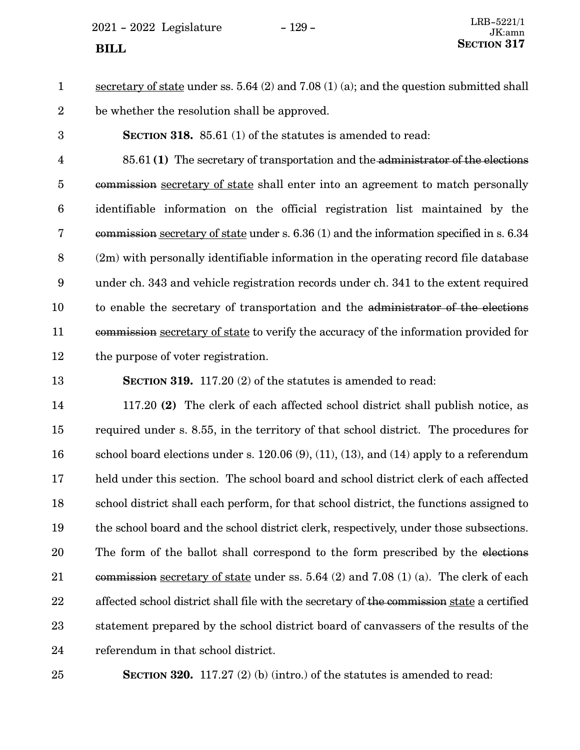$2021 - 2022$  Legislature  $-129 -$ 

secretary of state under ss. 5.64 (2) and 7.08 (1) (a); and the question submitted shall be whether the resolution shall be approved. 1 2

**SECTION 318.** 85.61 (1) of the statutes is amended to read: 3

85.61 **(1)** The secretary of transportation and the administrator of the elections commission secretary of state shall enter into an agreement to match personally identifiable information on the official registration list maintained by the commission secretary of state under s. 6.36 (1) and the information specified in s. 6.34 (2m) with personally identifiable information in the operating record file database under ch. 343 and vehicle registration records under ch. 341 to the extent required to enable the secretary of transportation and the administrator of the elections commission secretary of state to verify the accuracy of the information provided for the purpose of voter registration. 4 5 6 7 8 9 10 11 12

**SECTION 319.** 117.20 (2) of the statutes is amended to read: 13

117.20 **(2)** The clerk of each affected school district shall publish notice, as required under s. 8.55, in the territory of that school district. The procedures for school board elections under s.  $120.06(9)$ ,  $(11)$ ,  $(13)$ , and  $(14)$  apply to a referendum held under this section. The school board and school district clerk of each affected school district shall each perform, for that school district, the functions assigned to the school board and the school district clerk, respectively, under those subsections. The form of the ballot shall correspond to the form prescribed by the elections commission secretary of state under ss. 5.64 (2) and 7.08 (1) (a). The clerk of each affected school district shall file with the secretary of the commission state a certified statement prepared by the school district board of canvassers of the results of the referendum in that school district. 14 15 16 17 18 19 20 21 22 23 24

25

**SECTION** 320. 117.27 (2) (b) (intro.) of the statutes is amended to read: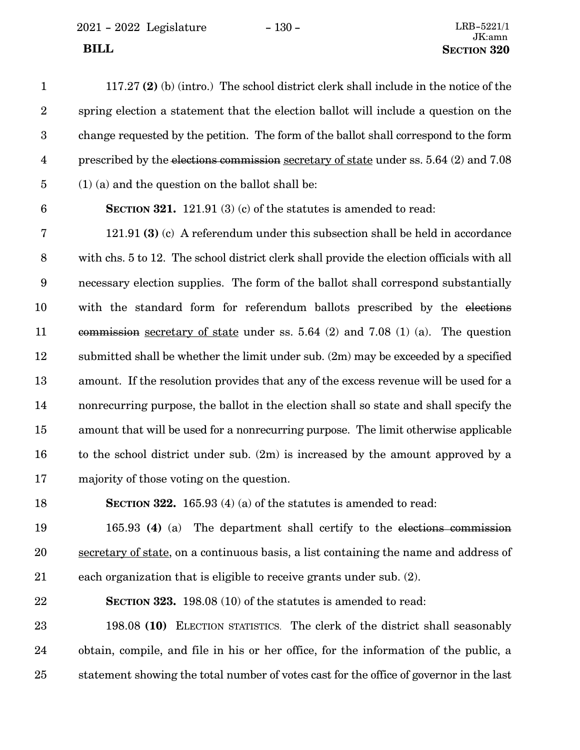117.27 **(2)** (b) (intro.) The school district clerk shall include in the notice of the spring election a statement that the election ballot will include a question on the change requested by the petition. The form of the ballot shall correspond to the form prescribed by the elections commission secretary of state under ss. 5.64 (2) and 7.08 (1) (a) and the question on the ballot shall be: 1 2 3 4 5

6

**SECTION** 321. 121.91 (3) (c) of the statutes is amended to read:

121.91 **(3)** (c) A referendum under this subsection shall be held in accordance with chs. 5 to 12. The school district clerk shall provide the election officials with all necessary election supplies. The form of the ballot shall correspond substantially with the standard form for referendum ballots prescribed by the elections commission secretary of state under ss. 5.64 (2) and 7.08 (1) (a). The question submitted shall be whether the limit under sub. (2m) may be exceeded by a specified amount. If the resolution provides that any of the excess revenue will be used for a nonrecurring purpose, the ballot in the election shall so state and shall specify the amount that will be used for a nonrecurring purpose. The limit otherwise applicable to the school district under sub. (2m) is increased by the amount approved by a majority of those voting on the question. 7 8 9 10 11 12 13 14 15 16 17

**SECTION 322.** 165.93 (4) (a) of the statutes is amended to read: 18

165.93 **(4)** (a) The department shall certify to the elections commission secretary of state, on a continuous basis, a list containing the name and address of each organization that is eligible to receive grants under sub. (2). 19 20 21

**SECTION 323.** 198.08 (10) of the statutes is amended to read: 22

198.08 **(10)** ELECTION STATISTICS. The clerk of the district shall seasonably obtain, compile, and file in his or her office, for the information of the public, a statement showing the total number of votes cast for the office of governor in the last 23 24 25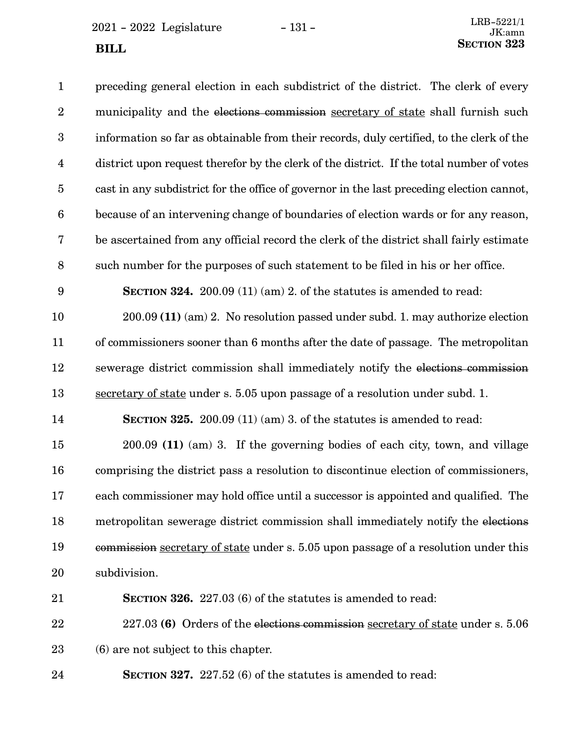$2021 - 2022$  Legislature - 131 -

| $\mathbf{1}$            | preceding general election in each subdistrict of the district. The clerk of every        |
|-------------------------|-------------------------------------------------------------------------------------------|
| $\boldsymbol{2}$        | municipality and the elections commission secretary of state shall furnish such           |
| $\boldsymbol{3}$        | information so far as obtainable from their records, duly certified, to the clerk of the  |
| $\overline{\mathbf{4}}$ | district upon request therefor by the clerk of the district. If the total number of votes |
| $\overline{5}$          | cast in any subdistrict for the office of governor in the last preceding election cannot, |
| $\boldsymbol{6}$        | because of an intervening change of boundaries of election wards or for any reason,       |
| 7                       | be ascertained from any official record the clerk of the district shall fairly estimate   |
| $\,8\,$                 | such number for the purposes of such statement to be filed in his or her office.          |
| $\boldsymbol{9}$        | <b>SECTION 324.</b> 200.09 (11) (am) 2. of the statutes is amended to read:               |
| 10                      | $200.09(11)$ (am) 2. No resolution passed under subd. 1. may authorize election           |
| 11                      | of commissioners sooner than 6 months after the date of passage. The metropolitan         |
| 12                      | sewerage district commission shall immediately notify the elections commission            |
| 13                      | secretary of state under s. 5.05 upon passage of a resolution under subd. 1.              |
| 14                      | <b>SECTION 325.</b> 200.09 $(11)$ (am) 3. of the statutes is amended to read:             |
| 15                      | $200.09$ (11) (am) 3. If the governing bodies of each city, town, and village             |
| 16                      | comprising the district pass a resolution to discontinue election of commissioners,       |
| 17                      | each commissioner may hold office until a successor is appointed and qualified. The       |
| 18                      | metropolitan sewerage district commission shall immediately notify the elections          |
| 19                      | commission secretary of state under s. 5.05 upon passage of a resolution under this       |
| 20                      | subdivision.                                                                              |
| 21                      | SECTION 326. 227.03 (6) of the statutes is amended to read:                               |
| 22                      | 227.03 (6) Orders of the elections commission secretary of state under s. 5.06            |
| $23\,$                  | (6) are not subject to this chapter.                                                      |
|                         |                                                                                           |

**SECTION 327.** 227.52 (6) of the statutes is amended to read: 24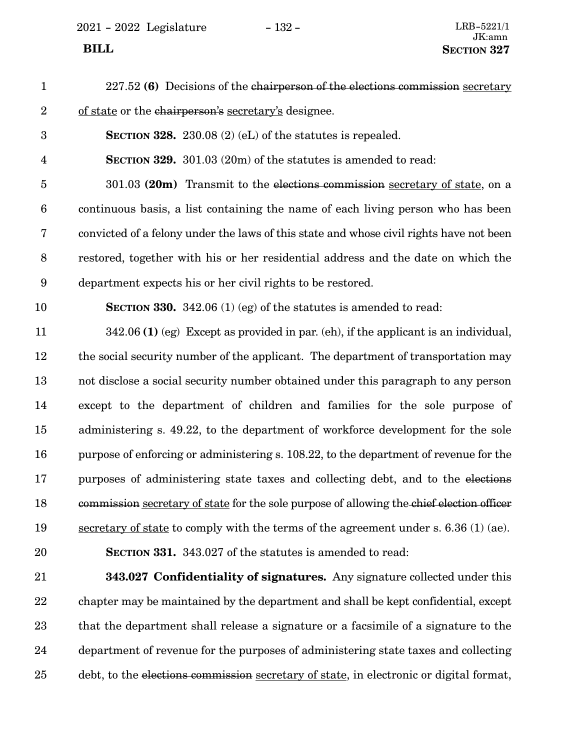2021 - 2022 Legislature - 132 - LRB-5221/1

### 227.52 **(6)** Decisions of the chairperson of the elections commission secretary of state or the chairperson's secretary's designee. **SECTION 328.** 230.08 (2) (eL) of the statutes is repealed. **SECTION 329.** 301.03 (20m) of the statutes is amended to read: 301.03 **(20m)** Transmit to the elections commission secretary of state, on a continuous basis, a list containing the name of each living person who has been convicted of a felony under the laws of this state and whose civil rights have not been restored, together with his or her residential address and the date on which the department expects his or her civil rights to be restored. **SECTION 330.** 342.06 (1) (eg) of the statutes is amended to read: 342.06 **(1)** (eg) Except as provided in par. (eh), if the applicant is an individual, the social security number of the applicant. The department of transportation may not disclose a social security number obtained under this paragraph to any person except to the department of children and families for the sole purpose of administering s. 49.22, to the department of workforce development for the sole purpose of enforcing or administering s. 108.22, to the department of revenue for the purposes of administering state taxes and collecting debt, and to the elections commission secretary of state for the sole purpose of allowing the chief election officer secretary of state to comply with the terms of the agreement under s. 6.36 (1) (ae). **SECTION 331.** 343.027 of the statutes is amended to read: **343.027 Confidentiality of signatures.** Any signature collected under this chapter may be maintained by the department and shall be kept confidential, except that the department shall release a signature or a facsimile of a signature to the 1 2 3 4 5 6 7 8 9 10 11 12 13 14 15 16 17 18 19 20 21 22 23

department of revenue for the purposes of administering state taxes and collecting debt, to the elections commission secretary of state, in electronic or digital format, 24 25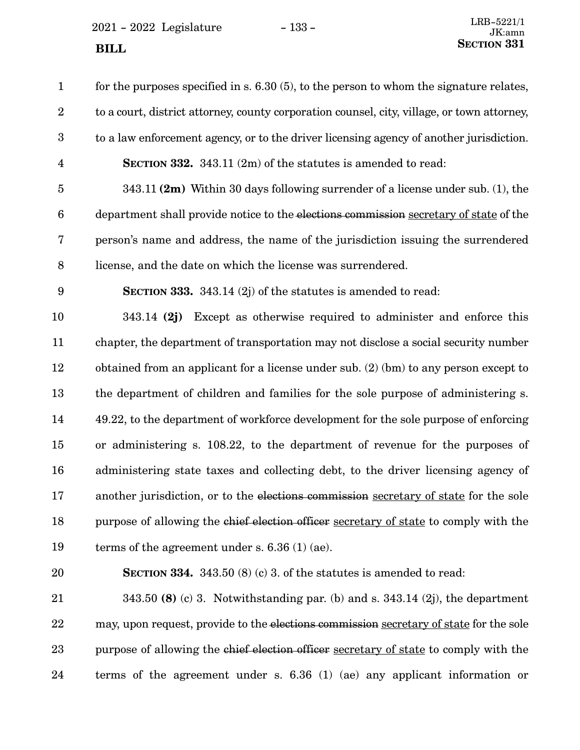$2021 - 2022$  Legislature - 133 -**SECTION** 331

| $\mathbf{1}$            | for the purposes specified in s. $6.30(5)$ , to the person to whom the signature relates,   |
|-------------------------|---------------------------------------------------------------------------------------------|
| $\boldsymbol{2}$        | to a court, district attorney, county corporation counsel, city, village, or town attorney, |
| $\boldsymbol{3}$        | to a law enforcement agency, or to the driver licensing agency of another jurisdiction.     |
| $\overline{\mathbf{4}}$ | <b>SECTION 332.</b> 343.11 (2m) of the statutes is amended to read:                         |
| $\bf 5$                 | 343.11 $(2m)$ Within 30 days following surrender of a license under sub. (1), the           |
| $\boldsymbol{6}$        | department shall provide notice to the elections commission secretary of state of the       |
| $\bf 7$                 | person's name and address, the name of the jurisdiction issuing the surrendered             |
| $8\,$                   | license, and the date on which the license was surrendered.                                 |
| $\boldsymbol{9}$        | <b>SECTION 333.</b> 343.14 $(2j)$ of the statutes is amended to read:                       |
| 10                      | 343.14 $(2j)$ Except as otherwise required to administer and enforce this                   |
| 11                      | chapter, the department of transportation may not disclose a social security number         |
| 12                      | obtained from an applicant for a license under sub. $(2)$ (bm) to any person except to      |
| 13                      | the department of children and families for the sole purpose of administering s.            |
| 14                      | 49.22, to the department of workforce development for the sole purpose of enforcing         |
| 15                      | or administering s. 108.22, to the department of revenue for the purposes of                |
| 16                      | administering state taxes and collecting debt, to the driver licensing agency of            |
| 17                      | another jurisdiction, or to the elections commission secretary of state for the sole        |
| 18                      | purpose of allowing the chief election officer secretary of state to comply with the        |
| 19                      | terms of the agreement under s. $6.36(1)(ae)$ .                                             |
| 20                      | <b>SECTION 334.</b> 343.50 (8) (c) 3. of the statures is amended to read:                   |
| 21                      | 343.50 (8) (c) 3. Notwithstanding par. (b) and s. $343.14$ (2j), the department             |
| 22                      | may, upon request, provide to the elections commission secretary of state for the sole      |
| 23                      | purpose of allowing the chief election officer secretary of state to comply with the        |
| 24                      | terms of the agreement under s. $6.36$ (1) (ae) any applicant information or                |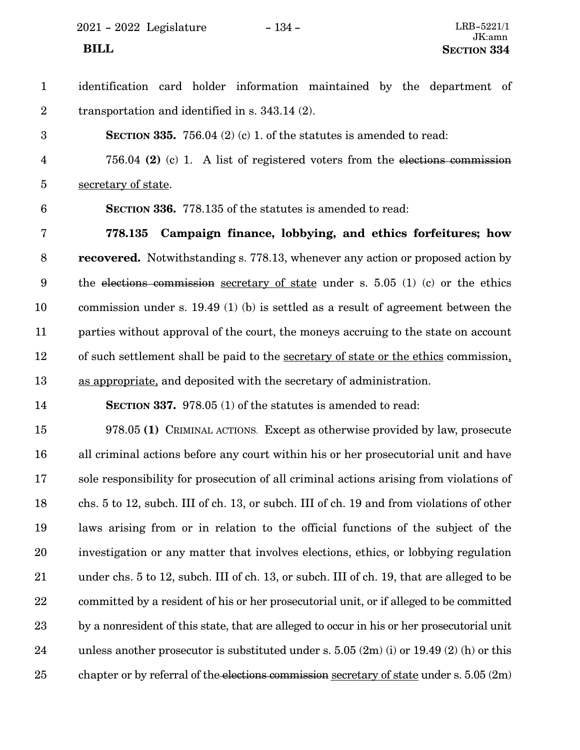2021 - 2022 Legislature - 134 - LRB-5221/1

### identification card holder information maintained by the department of transportation and identified in s. 343.14 (2). **SECTION 335.** 756.04 (2) (c) 1. of the statutes is amended to read: 756.04 **(2)** (c) 1. A list of registered voters from the elections commission secretary of state. **SECTION 336.** 778.135 of the statutes is amended to read: **778.135 Campaign finance, lobbying, and ethics forfeitures; how recovered.** Notwithstanding s. 778.13, whenever any action or proposed action by the elections commission secretary of state under s. 5.05 (1) (c) or the ethics commission under s. 19.49 (1) (b) is settled as a result of agreement between the parties without approval of the court, the moneys accruing to the state on account 1 2 3 4 5 6 7 8 9 10 11

of such settlement shall be paid to the secretary of state or the ethics commission, as appropriate, and deposited with the secretary of administration. 12 13

14

**SECTION 337.** 978.05 (1) of the statutes is amended to read:

978.05 **(1)** CRIMINAL ACTIONS. Except as otherwise provided by law, prosecute all criminal actions before any court within his or her prosecutorial unit and have sole responsibility for prosecution of all criminal actions arising from violations of chs. 5 to 12, subch. III of ch. 13, or subch. III of ch. 19 and from violations of other laws arising from or in relation to the official functions of the subject of the investigation or any matter that involves elections, ethics, or lobbying regulation under chs. 5 to 12, subch. III of ch. 13, or subch. III of ch. 19, that are alleged to be committed by a resident of his or her prosecutorial unit, or if alleged to be committed by a nonresident of this state, that are alleged to occur in his or her prosecutorial unit unless another prosecutor is substituted under s.  $5.05(2m)(i)$  or  $19.49(2)(h)$  or this chapter or by referral of the elections commission secretary of state under s. 5.05 (2m) 15 16 17 18 19 20 21 22 23 24 25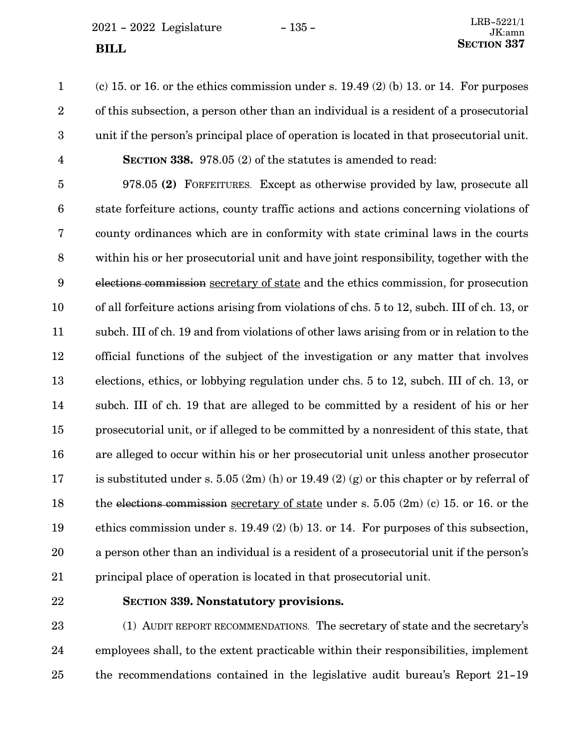<span id="page-134-0"></span> $2021 - 2022$  Legislature  $-135 -$ 

(c) 15. or 16. or the ethics commission under s.  $19.49$  (2) (b) 13. or 14. For purposes of this subsection, a person other than an individual is a resident of a prosecutorial unit if the person's principal place of operation is located in that prosecutorial unit. **SECTION 338.** 978.05 (2) of the statutes is amended to read: 1 2 3 4

978.05 **(2)** FORFEITURES. Except as otherwise provided by law, prosecute all state forfeiture actions, county traffic actions and actions concerning violations of county ordinances which are in conformity with state criminal laws in the courts within his or her prosecutorial unit and have joint responsibility, together with the elections commission secretary of state and the ethics commission, for prosecution of all forfeiture actions arising from violations of chs. 5 to 12, subch. III of ch. 13, or subch. III of ch. 19 and from violations of other laws arising from or in relation to the official functions of the subject of the investigation or any matter that involves elections, ethics, or lobbying regulation under chs. 5 to 12, subch. III of ch. 13, or subch. III of ch. 19 that are alleged to be committed by a resident of his or her prosecutorial unit, or if alleged to be committed by a nonresident of this state, that are alleged to occur within his or her prosecutorial unit unless another prosecutor is substituted under s. 5.05  $(2m)$  (h) or 19.49  $(2)$  (g) or this chapter or by referral of the elections commission secretary of state under s. 5.05 (2m) (c) 15. or 16. or the ethics commission under s. 19.49 (2) (b) 13. or 14. For purposes of this subsection, a person other than an individual is a resident of a prosecutorial unit if the person's principal place of operation is located in that prosecutorial unit. 5 6 7 8 9 10 11 12 13 14 15 16 17 18 19 20 21

22

## **SECTION 339.**0**Nonstatutory provisions.**

(1) AUDIT REPORT RECOMMENDATIONS. The secretary of state and the secretary's employees shall, to the extent practicable within their responsibilities, implement the recommendations contained in the legislative audit bureau's Report 21-19 23 24 25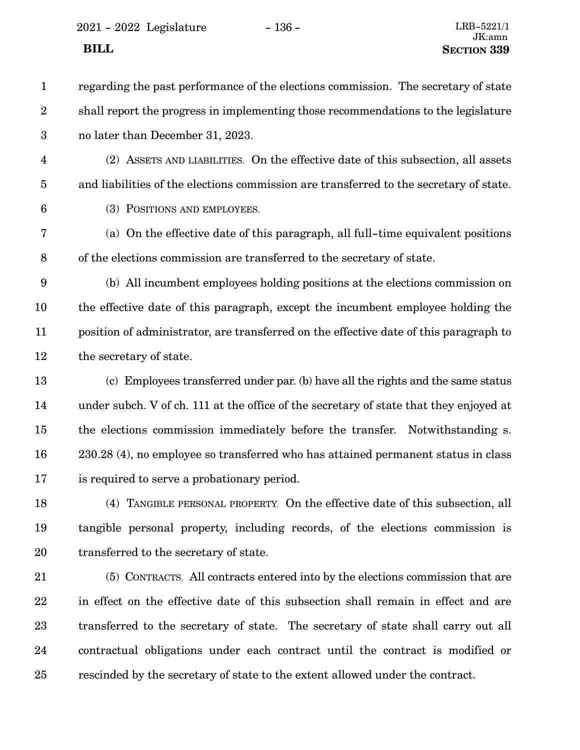2021 - 2022 Legislature - 136 - LRB-5221/1

regarding the past performance of the elections commission. The secretary of state shall report the progress in implementing those recommendations to the legislature no later than December 31, 2023. 1 2 3

(2) ASSETS AND LIABILITIES. On the effective date of this subsection, all assets and liabilities of the elections commission are transferred to the secretary of state. 4 5

6

(3) POSITIONS AND EMPLOYEES.

(a) On the effective date of this paragraph, all full-time equivalent positions of the elections commission are transferred to the secretary of state. 7 8

(b) All incumbent employees holding positions at the elections commission on the effective date of this paragraph, except the incumbent employee holding the position of administrator, are transferred on the effective date of this paragraph to the secretary of state. 9 10 11 12

(c) Employees transferred under par. (b) have all the rights and the same status under subch. V of ch. 111 at the office of the secretary of state that they enjoyed at the elections commission immediately before the transfer. Notwithstanding s. 230.28 (4), no employee so transferred who has attained permanent status in class is required to serve a probationary period. 13 14 15 16 17

(4) TANGIBLE PERSONAL PROPERTY. On the effective date of this subsection, all tangible personal property, including records, of the elections commission is transferred to the secretary of state. 18 19 20

(5) CONTRACTS. All contracts entered into by the elections commission that are in effect on the effective date of this subsection shall remain in effect and are transferred to the secretary of state. The secretary of state shall carry out all contractual obligations under each contract until the contract is modified or rescinded by the secretary of state to the extent allowed under the contract. 21 22 23 24 25